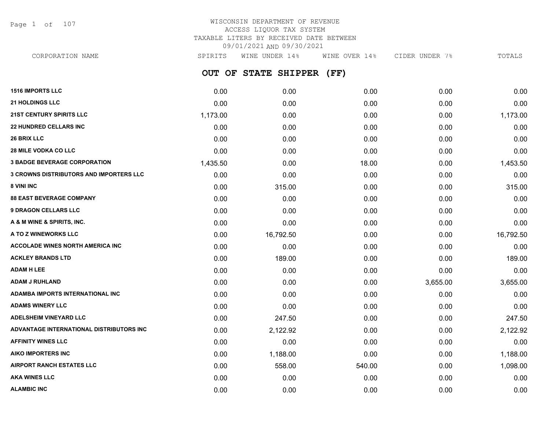Page 1 of 107

## WISCONSIN DEPARTMENT OF REVENUE ACCESS LIQUOR TAX SYSTEM TAXABLE LITERS BY RECEIVED DATE BETWEEN 09/01/2021 AND 09/30/2021

**OUT OF STATE SHIPPER (FF) 1516 IMPORTS LLC** 0.00 0.00 0.00 0.00 0.00 **21 HOLDINGS LLC** 0.00 0.00 0.00 0.00 0.00 **21ST CENTURY SPIRITS LLC** 1,173.00 0.00 0.00 0.00 1,173.00 **22 HUNDRED CELLARS INC** 0.00 0.00 0.00 0.00 0.00 **26 BRIX LLC** 0.00 0.00 0.00 0.00 0.00 **28 MILE VODKA CO LLC** 0.00 0.00 0.00 0.00 0.00 **3 BADGE BEVERAGE CORPORATION** 1.453.50 0.00 18.00 0.00 0.00 0.00 0.00 0.00 1.453.50 **3 CROWNS DISTRIBUTORS AND IMPORTERS LLC** 0.00 0.00 0.00 0.00 0.00 **8 VINI INC** 0.00 **315.00** 0.00 **0.00** 315.00 0.00 0.00 0.00 0.00 0.00 315.00 **88 EAST BEVERAGE COMPANY** 0.00 0.00 0.00 0.00 0.00 **9 DRAGON CELLARS LLC** 0.00 0.00 0.00 0.00 0.00 **A & M WINE & SPIRITS, INC.** 0.00 0.00 0.00 0.00 0.00 **A TO Z WINEWORKS LLC** 0.00 16,792.50 0.00 0.00 16,792.50 **ACCOLADE WINES NORTH AMERICA INC**  $0.00$   $0.00$   $0.00$   $0.00$   $0.00$   $0.00$   $0.00$   $0.00$   $0.00$   $0.00$   $0.00$   $0.00$ **ACKLEY BRANDS LTD** 0.00 189.00 0.00 0.00 189.00 **ADAM H LEE** 0.00 0.00 0.00 0.00 0.00 **ADAM J RUHLAND** 0.00 0.00 0.00 3,655.00 3,655.00 **ADAMBA IMPORTS INTERNATIONAL INC** 0.00 0.00 0.00 0.00 0.00 **ADAMS WINERY LLC** 0.00 0.00 0.00 0.00 0.00 **ADELSHEIM VINEYARD LLC** 0.00 247.50 0.00 0.00 247.50 **ADVANTAGE INTERNATIONAL DISTRIBUTORS INC** 0.00 2,122.92 0.00 0.00 2,122.92 **AFFINITY WINES LLC** 0.00 0.00 0.00 0.00 0.00 **AIKO IMPORTERS INC** 0.00 1,188.00 0.00 0.00 1,188.00 **AIRPORT RANCH ESTATES LLC** 0.00 558.00 540.00 0.00 1,098.00 **AKA WINES LLC** 0.00 0.00 0.00 0.00 0.00 CORPORATION NAME SPIRITS WINE UNDER 14% WINE OVER 14% CIDER UNDER 7% TOTALS

**ALAMBIC INC** 0.00 0.00 0.00 0.00 0.00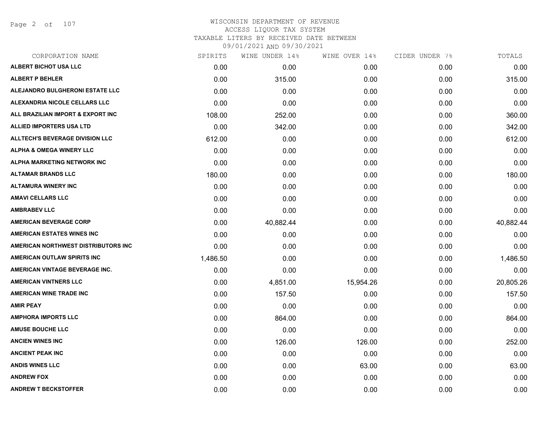Page 2 of 107

| SPIRITS  | WINE UNDER 14% |           |               | TOTALS         |
|----------|----------------|-----------|---------------|----------------|
| 0.00     | 0.00           | 0.00      | 0.00          | 0.00           |
| 0.00     | 315.00         | 0.00      | 0.00          | 315.00         |
| 0.00     | 0.00           | 0.00      | 0.00          | 0.00           |
| 0.00     | 0.00           | 0.00      | 0.00          | 0.00           |
| 108.00   | 252.00         | 0.00      | 0.00          | 360.00         |
| 0.00     | 342.00         | 0.00      | 0.00          | 342.00         |
| 612.00   | 0.00           | 0.00      | 0.00          | 612.00         |
| 0.00     | 0.00           | 0.00      | 0.00          | 0.00           |
| 0.00     | 0.00           | 0.00      | 0.00          | 0.00           |
| 180.00   | 0.00           | 0.00      | 0.00          | 180.00         |
| 0.00     | 0.00           | 0.00      | 0.00          | 0.00           |
| 0.00     | 0.00           | 0.00      | 0.00          | 0.00           |
| 0.00     | 0.00           | 0.00      | 0.00          | 0.00           |
| 0.00     | 40,882.44      | 0.00      | 0.00          | 40,882.44      |
| 0.00     | 0.00           | 0.00      | 0.00          | 0.00           |
| 0.00     | 0.00           | 0.00      | 0.00          | 0.00           |
| 1,486.50 | 0.00           | 0.00      | 0.00          | 1,486.50       |
| 0.00     | 0.00           | 0.00      | 0.00          | 0.00           |
| 0.00     | 4,851.00       | 15,954.26 | 0.00          | 20,805.26      |
| 0.00     | 157.50         | 0.00      | 0.00          | 157.50         |
| 0.00     | 0.00           | 0.00      | 0.00          | 0.00           |
| 0.00     | 864.00         | 0.00      | 0.00          | 864.00         |
| 0.00     | 0.00           | 0.00      | 0.00          | 0.00           |
| 0.00     | 126.00         | 126.00    | 0.00          | 252.00         |
| 0.00     | 0.00           | 0.00      | 0.00          | 0.00           |
| 0.00     | 0.00           | 63.00     | 0.00          | 63.00          |
| 0.00     | 0.00           | 0.00      | 0.00          | 0.00           |
| 0.00     | 0.00           | 0.00      | 0.00          | 0.00           |
|          |                |           | WINE OVER 14% | CIDER UNDER 7% |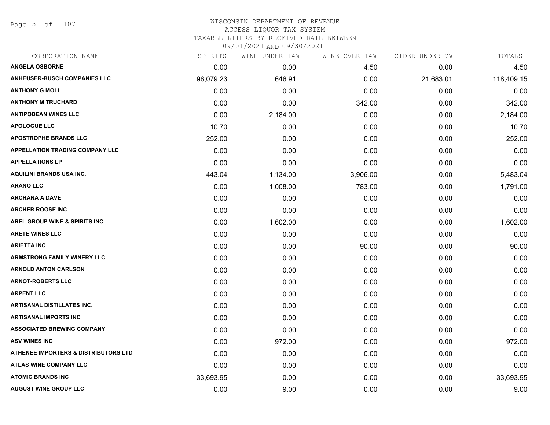Page 3 of 107

# WISCONSIN DEPARTMENT OF REVENUE ACCESS LIQUOR TAX SYSTEM

TAXABLE LITERS BY RECEIVED DATE BETWEEN

| CORPORATION NAME                                | SPIRITS   | WINE UNDER 14% | WINE OVER 14% | CIDER UNDER 7% | TOTALS     |
|-------------------------------------------------|-----------|----------------|---------------|----------------|------------|
| <b>ANGELA OSBORNE</b>                           | 0.00      | 0.00           | 4.50          | 0.00           | 4.50       |
| <b>ANHEUSER-BUSCH COMPANIES LLC</b>             | 96,079.23 | 646.91         | 0.00          | 21,683.01      | 118,409.15 |
| <b>ANTHONY G MOLL</b>                           | 0.00      | 0.00           | 0.00          | 0.00           | 0.00       |
| <b>ANTHONY M TRUCHARD</b>                       | 0.00      | 0.00           | 342.00        | 0.00           | 342.00     |
| <b>ANTIPODEAN WINES LLC</b>                     | 0.00      | 2,184.00       | 0.00          | 0.00           | 2,184.00   |
| <b>APOLOGUE LLC</b>                             | 10.70     | 0.00           | 0.00          | 0.00           | 10.70      |
| <b>APOSTROPHE BRANDS LLC</b>                    | 252.00    | 0.00           | 0.00          | 0.00           | 252.00     |
| APPELLATION TRADING COMPANY LLC                 | 0.00      | 0.00           | 0.00          | 0.00           | 0.00       |
| <b>APPELLATIONS LP</b>                          | 0.00      | 0.00           | 0.00          | 0.00           | 0.00       |
| <b>AQUILINI BRANDS USA INC.</b>                 | 443.04    | 1,134.00       | 3,906.00      | 0.00           | 5,483.04   |
| <b>ARANO LLC</b>                                | 0.00      | 1,008.00       | 783.00        | 0.00           | 1,791.00   |
| <b>ARCHANA A DAVE</b>                           | 0.00      | 0.00           | 0.00          | 0.00           | 0.00       |
| <b>ARCHER ROOSE INC</b>                         | 0.00      | 0.00           | 0.00          | 0.00           | 0.00       |
| <b>AREL GROUP WINE &amp; SPIRITS INC</b>        | 0.00      | 1,602.00       | 0.00          | 0.00           | 1,602.00   |
| <b>ARETE WINES LLC</b>                          | 0.00      | 0.00           | 0.00          | 0.00           | 0.00       |
| <b>ARIETTA INC</b>                              | 0.00      | 0.00           | 90.00         | 0.00           | 90.00      |
| <b>ARMSTRONG FAMILY WINERY LLC</b>              | 0.00      | 0.00           | 0.00          | 0.00           | 0.00       |
| <b>ARNOLD ANTON CARLSON</b>                     | 0.00      | 0.00           | 0.00          | 0.00           | 0.00       |
| <b>ARNOT-ROBERTS LLC</b>                        | 0.00      | 0.00           | 0.00          | 0.00           | 0.00       |
| <b>ARPENT LLC</b>                               | 0.00      | 0.00           | 0.00          | 0.00           | 0.00       |
| <b>ARTISANAL DISTILLATES INC.</b>               | 0.00      | 0.00           | 0.00          | 0.00           | 0.00       |
| <b>ARTISANAL IMPORTS INC</b>                    | 0.00      | 0.00           | 0.00          | 0.00           | 0.00       |
| <b>ASSOCIATED BREWING COMPANY</b>               | 0.00      | 0.00           | 0.00          | 0.00           | 0.00       |
| <b>ASV WINES INC</b>                            | 0.00      | 972.00         | 0.00          | 0.00           | 972.00     |
| <b>ATHENEE IMPORTERS &amp; DISTRIBUTORS LTD</b> | 0.00      | 0.00           | 0.00          | 0.00           | 0.00       |
| <b>ATLAS WINE COMPANY LLC</b>                   | 0.00      | 0.00           | 0.00          | 0.00           | 0.00       |
| <b>ATOMIC BRANDS INC</b>                        | 33,693.95 | 0.00           | 0.00          | 0.00           | 33,693.95  |
| <b>AUGUST WINE GROUP LLC</b>                    | 0.00      | 9.00           | 0.00          | 0.00           | 9.00       |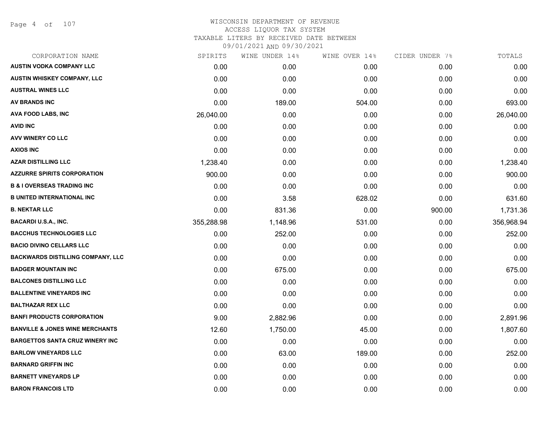Page 4 of 107

| CORPORATION NAME                           | SPIRITS    | WINE UNDER 14% | WINE OVER 14% | CIDER UNDER 7% | TOTALS     |
|--------------------------------------------|------------|----------------|---------------|----------------|------------|
| <b>AUSTIN VODKA COMPANY LLC</b>            | 0.00       | 0.00           | 0.00          | 0.00           | 0.00       |
| <b>AUSTIN WHISKEY COMPANY, LLC</b>         | 0.00       | 0.00           | 0.00          | 0.00           | 0.00       |
| <b>AUSTRAL WINES LLC</b>                   | 0.00       | 0.00           | 0.00          | 0.00           | 0.00       |
| <b>AV BRANDS INC</b>                       | 0.00       | 189.00         | 504.00        | 0.00           | 693.00     |
| AVA FOOD LABS, INC                         | 26,040.00  | 0.00           | 0.00          | 0.00           | 26,040.00  |
| <b>AVID INC</b>                            | 0.00       | 0.00           | 0.00          | 0.00           | 0.00       |
| AVV WINERY CO LLC                          | 0.00       | 0.00           | 0.00          | 0.00           | 0.00       |
| <b>AXIOS INC</b>                           | 0.00       | 0.00           | 0.00          | 0.00           | 0.00       |
| <b>AZAR DISTILLING LLC</b>                 | 1,238.40   | 0.00           | 0.00          | 0.00           | 1,238.40   |
| <b>AZZURRE SPIRITS CORPORATION</b>         | 900.00     | 0.00           | 0.00          | 0.00           | 900.00     |
| <b>B &amp; I OVERSEAS TRADING INC</b>      | 0.00       | 0.00           | 0.00          | 0.00           | 0.00       |
| <b>B UNITED INTERNATIONAL INC</b>          | 0.00       | 3.58           | 628.02        | 0.00           | 631.60     |
| <b>B. NEKTAR LLC</b>                       | 0.00       | 831.36         | 0.00          | 900.00         | 1,731.36   |
| <b>BACARDI U.S.A., INC.</b>                | 355,288.98 | 1,148.96       | 531.00        | 0.00           | 356,968.94 |
| <b>BACCHUS TECHNOLOGIES LLC</b>            | 0.00       | 252.00         | 0.00          | 0.00           | 252.00     |
| <b>BACIO DIVINO CELLARS LLC</b>            | 0.00       | 0.00           | 0.00          | 0.00           | 0.00       |
| <b>BACKWARDS DISTILLING COMPANY, LLC</b>   | 0.00       | 0.00           | 0.00          | 0.00           | 0.00       |
| <b>BADGER MOUNTAIN INC</b>                 | 0.00       | 675.00         | 0.00          | 0.00           | 675.00     |
| <b>BALCONES DISTILLING LLC</b>             | 0.00       | 0.00           | 0.00          | 0.00           | 0.00       |
| <b>BALLENTINE VINEYARDS INC</b>            | 0.00       | 0.00           | 0.00          | 0.00           | 0.00       |
| <b>BALTHAZAR REX LLC</b>                   | 0.00       | 0.00           | 0.00          | 0.00           | 0.00       |
| <b>BANFI PRODUCTS CORPORATION</b>          | 9.00       | 2,882.96       | 0.00          | 0.00           | 2,891.96   |
| <b>BANVILLE &amp; JONES WINE MERCHANTS</b> | 12.60      | 1,750.00       | 45.00         | 0.00           | 1,807.60   |
| <b>BARGETTOS SANTA CRUZ WINERY INC</b>     | 0.00       | 0.00           | 0.00          | 0.00           | 0.00       |
| <b>BARLOW VINEYARDS LLC</b>                | 0.00       | 63.00          | 189.00        | 0.00           | 252.00     |
| <b>BARNARD GRIFFIN INC</b>                 | 0.00       | 0.00           | 0.00          | 0.00           | 0.00       |
| <b>BARNETT VINEYARDS LP</b>                | 0.00       | 0.00           | 0.00          | 0.00           | 0.00       |
| <b>BARON FRANCOIS LTD</b>                  | 0.00       | 0.00           | 0.00          | 0.00           | 0.00       |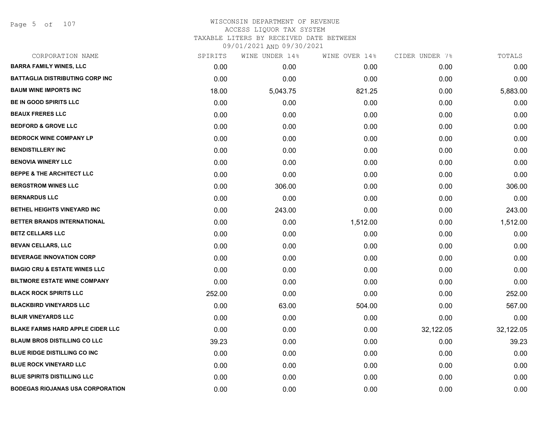Page 5 of 107

| CORPORATION NAME                         | SPIRITS | WINE UNDER 14% | WINE OVER 14% | CIDER UNDER 7% | TOTALS    |
|------------------------------------------|---------|----------------|---------------|----------------|-----------|
| <b>BARRA FAMILY WINES, LLC</b>           | 0.00    | 0.00           | 0.00          | 0.00           | 0.00      |
| <b>BATTAGLIA DISTRIBUTING CORP INC</b>   | 0.00    | 0.00           | 0.00          | 0.00           | 0.00      |
| <b>BAUM WINE IMPORTS INC</b>             | 18.00   | 5,043.75       | 821.25        | 0.00           | 5,883.00  |
| <b>BE IN GOOD SPIRITS LLC</b>            | 0.00    | 0.00           | 0.00          | 0.00           | 0.00      |
| <b>BEAUX FRERES LLC</b>                  | 0.00    | 0.00           | 0.00          | 0.00           | 0.00      |
| <b>BEDFORD &amp; GROVE LLC</b>           | 0.00    | 0.00           | 0.00          | 0.00           | 0.00      |
| <b>BEDROCK WINE COMPANY LP</b>           | 0.00    | 0.00           | 0.00          | 0.00           | 0.00      |
| <b>BENDISTILLERY INC</b>                 | 0.00    | 0.00           | 0.00          | 0.00           | 0.00      |
| <b>BENOVIA WINERY LLC</b>                | 0.00    | 0.00           | 0.00          | 0.00           | 0.00      |
| <b>BEPPE &amp; THE ARCHITECT LLC</b>     | 0.00    | 0.00           | 0.00          | 0.00           | 0.00      |
| <b>BERGSTROM WINES LLC</b>               | 0.00    | 306.00         | 0.00          | 0.00           | 306.00    |
| <b>BERNARDUS LLC</b>                     | 0.00    | 0.00           | 0.00          | 0.00           | 0.00      |
| BETHEL HEIGHTS VINEYARD INC              | 0.00    | 243.00         | 0.00          | 0.00           | 243.00    |
| BETTER BRANDS INTERNATIONAL              | 0.00    | 0.00           | 1,512.00      | 0.00           | 1,512.00  |
| <b>BETZ CELLARS LLC</b>                  | 0.00    | 0.00           | 0.00          | 0.00           | 0.00      |
| <b>BEVAN CELLARS, LLC</b>                | 0.00    | 0.00           | 0.00          | 0.00           | 0.00      |
| <b>BEVERAGE INNOVATION CORP</b>          | 0.00    | 0.00           | 0.00          | 0.00           | 0.00      |
| <b>BIAGIO CRU &amp; ESTATE WINES LLC</b> | 0.00    | 0.00           | 0.00          | 0.00           | 0.00      |
| <b>BILTMORE ESTATE WINE COMPANY</b>      | 0.00    | 0.00           | 0.00          | 0.00           | 0.00      |
| <b>BLACK ROCK SPIRITS LLC</b>            | 252.00  | 0.00           | 0.00          | 0.00           | 252.00    |
| <b>BLACKBIRD VINEYARDS LLC</b>           | 0.00    | 63.00          | 504.00        | 0.00           | 567.00    |
| <b>BLAIR VINEYARDS LLC</b>               | 0.00    | 0.00           | 0.00          | 0.00           | 0.00      |
| <b>BLAKE FARMS HARD APPLE CIDER LLC</b>  | 0.00    | 0.00           | 0.00          | 32,122.05      | 32,122.05 |
| <b>BLAUM BROS DISTILLING CO LLC</b>      | 39.23   | 0.00           | 0.00          | 0.00           | 39.23     |
| <b>BLUE RIDGE DISTILLING CO INC</b>      | 0.00    | 0.00           | 0.00          | 0.00           | 0.00      |
| <b>BLUE ROCK VINEYARD LLC</b>            | 0.00    | 0.00           | 0.00          | 0.00           | 0.00      |
| <b>BLUE SPIRITS DISTILLING LLC</b>       | 0.00    | 0.00           | 0.00          | 0.00           | 0.00      |
| <b>BODEGAS RIOJANAS USA CORPORATION</b>  | 0.00    | 0.00           | 0.00          | 0.00           | 0.00      |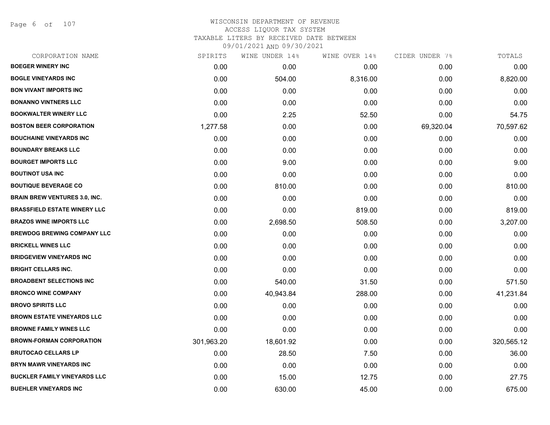Page 6 of 107

| CORPORATION NAME                     | SPIRITS    | WINE UNDER 14% | WINE OVER 14% | CIDER UNDER 7% | TOTALS     |
|--------------------------------------|------------|----------------|---------------|----------------|------------|
| <b>BOEGER WINERY INC</b>             | 0.00       | 0.00           | 0.00          | 0.00           | 0.00       |
| <b>BOGLE VINEYARDS INC</b>           | 0.00       | 504.00         | 8,316.00      | 0.00           | 8,820.00   |
| <b>BON VIVANT IMPORTS INC</b>        | 0.00       | 0.00           | 0.00          | 0.00           | 0.00       |
| <b>BONANNO VINTNERS LLC</b>          | 0.00       | 0.00           | 0.00          | 0.00           | 0.00       |
| <b>BOOKWALTER WINERY LLC</b>         | 0.00       | 2.25           | 52.50         | 0.00           | 54.75      |
| <b>BOSTON BEER CORPORATION</b>       | 1,277.58   | 0.00           | 0.00          | 69,320.04      | 70,597.62  |
| <b>BOUCHAINE VINEYARDS INC</b>       | 0.00       | 0.00           | 0.00          | 0.00           | 0.00       |
| <b>BOUNDARY BREAKS LLC</b>           | 0.00       | 0.00           | 0.00          | 0.00           | 0.00       |
| <b>BOURGET IMPORTS LLC</b>           | 0.00       | 9.00           | 0.00          | 0.00           | 9.00       |
| <b>BOUTINOT USA INC</b>              | 0.00       | 0.00           | 0.00          | 0.00           | 0.00       |
| <b>BOUTIQUE BEVERAGE CO</b>          | 0.00       | 810.00         | 0.00          | 0.00           | 810.00     |
| <b>BRAIN BREW VENTURES 3.0, INC.</b> | 0.00       | 0.00           | 0.00          | 0.00           | 0.00       |
| <b>BRASSFIELD ESTATE WINERY LLC</b>  | 0.00       | 0.00           | 819.00        | 0.00           | 819.00     |
| <b>BRAZOS WINE IMPORTS LLC</b>       | 0.00       | 2,698.50       | 508.50        | 0.00           | 3,207.00   |
| <b>BREWDOG BREWING COMPANY LLC</b>   | 0.00       | 0.00           | 0.00          | 0.00           | 0.00       |
| <b>BRICKELL WINES LLC</b>            | 0.00       | 0.00           | 0.00          | 0.00           | 0.00       |
| <b>BRIDGEVIEW VINEYARDS INC</b>      | 0.00       | 0.00           | 0.00          | 0.00           | 0.00       |
| <b>BRIGHT CELLARS INC.</b>           | 0.00       | 0.00           | 0.00          | 0.00           | 0.00       |
| <b>BROADBENT SELECTIONS INC</b>      | 0.00       | 540.00         | 31.50         | 0.00           | 571.50     |
| <b>BRONCO WINE COMPANY</b>           | 0.00       | 40,943.84      | 288.00        | 0.00           | 41,231.84  |
| <b>BROVO SPIRITS LLC</b>             | 0.00       | 0.00           | 0.00          | 0.00           | 0.00       |
| <b>BROWN ESTATE VINEYARDS LLC</b>    | 0.00       | 0.00           | 0.00          | 0.00           | 0.00       |
| <b>BROWNE FAMILY WINES LLC</b>       | 0.00       | 0.00           | 0.00          | 0.00           | 0.00       |
| <b>BROWN-FORMAN CORPORATION</b>      | 301,963.20 | 18,601.92      | 0.00          | 0.00           | 320,565.12 |
| <b>BRUTOCAO CELLARS LP</b>           | 0.00       | 28.50          | 7.50          | 0.00           | 36.00      |
| <b>BRYN MAWR VINEYARDS INC</b>       | 0.00       | 0.00           | 0.00          | 0.00           | 0.00       |
| <b>BUCKLER FAMILY VINEYARDS LLC</b>  | 0.00       | 15.00          | 12.75         | 0.00           | 27.75      |
| <b>BUEHLER VINEYARDS INC</b>         | 0.00       | 630.00         | 45.00         | 0.00           | 675.00     |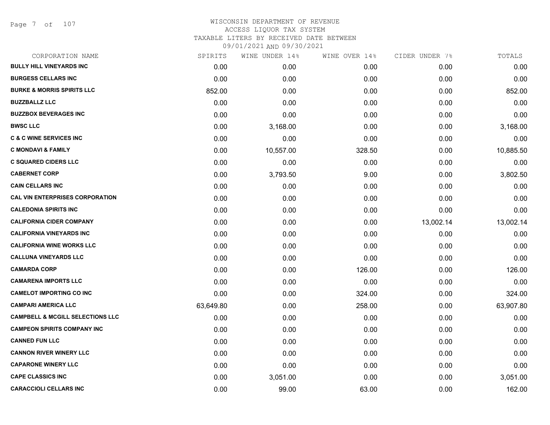Page 7 of 107

| CORPORATION NAME                            | SPIRITS   | WINE UNDER 14% | WINE OVER 14% | CIDER UNDER 7% | TOTALS    |
|---------------------------------------------|-----------|----------------|---------------|----------------|-----------|
| <b>BULLY HILL VINEYARDS INC</b>             | 0.00      | 0.00           | 0.00          | 0.00           | 0.00      |
| <b>BURGESS CELLARS INC</b>                  | 0.00      | 0.00           | 0.00          | 0.00           | 0.00      |
| <b>BURKE &amp; MORRIS SPIRITS LLC</b>       | 852.00    | 0.00           | 0.00          | 0.00           | 852.00    |
| <b>BUZZBALLZ LLC</b>                        | 0.00      | 0.00           | 0.00          | 0.00           | 0.00      |
| <b>BUZZBOX BEVERAGES INC</b>                | 0.00      | 0.00           | 0.00          | 0.00           | 0.00      |
| <b>BWSC LLC</b>                             | 0.00      | 3,168.00       | 0.00          | 0.00           | 3,168.00  |
| <b>C &amp; C WINE SERVICES INC</b>          | 0.00      | 0.00           | 0.00          | 0.00           | 0.00      |
| <b>C MONDAVI &amp; FAMILY</b>               | 0.00      | 10,557.00      | 328.50        | 0.00           | 10,885.50 |
| <b>C SQUARED CIDERS LLC</b>                 | 0.00      | 0.00           | 0.00          | 0.00           | 0.00      |
| <b>CABERNET CORP</b>                        | 0.00      | 3,793.50       | 9.00          | 0.00           | 3,802.50  |
| <b>CAIN CELLARS INC</b>                     | 0.00      | 0.00           | 0.00          | 0.00           | 0.00      |
| <b>CAL VIN ENTERPRISES CORPORATION</b>      | 0.00      | 0.00           | 0.00          | 0.00           | 0.00      |
| <b>CALEDONIA SPIRITS INC</b>                | 0.00      | 0.00           | 0.00          | 0.00           | 0.00      |
| <b>CALIFORNIA CIDER COMPANY</b>             | 0.00      | 0.00           | 0.00          | 13,002.14      | 13,002.14 |
| <b>CALIFORNIA VINEYARDS INC</b>             | 0.00      | 0.00           | 0.00          | 0.00           | 0.00      |
| <b>CALIFORNIA WINE WORKS LLC</b>            | 0.00      | 0.00           | 0.00          | 0.00           | 0.00      |
| <b>CALLUNA VINEYARDS LLC</b>                | 0.00      | 0.00           | 0.00          | 0.00           | 0.00      |
| <b>CAMARDA CORP</b>                         | 0.00      | 0.00           | 126.00        | 0.00           | 126.00    |
| <b>CAMARENA IMPORTS LLC</b>                 | 0.00      | 0.00           | 0.00          | 0.00           | 0.00      |
| <b>CAMELOT IMPORTING CO INC</b>             | 0.00      | 0.00           | 324.00        | 0.00           | 324.00    |
| <b>CAMPARI AMERICA LLC</b>                  | 63,649.80 | 0.00           | 258.00        | 0.00           | 63,907.80 |
| <b>CAMPBELL &amp; MCGILL SELECTIONS LLC</b> | 0.00      | 0.00           | 0.00          | 0.00           | 0.00      |
| <b>CAMPEON SPIRITS COMPANY INC</b>          | 0.00      | 0.00           | 0.00          | 0.00           | 0.00      |
| <b>CANNED FUN LLC</b>                       | 0.00      | 0.00           | 0.00          | 0.00           | 0.00      |
| <b>CANNON RIVER WINERY LLC</b>              | 0.00      | 0.00           | 0.00          | 0.00           | 0.00      |
| <b>CAPARONE WINERY LLC</b>                  | 0.00      | 0.00           | 0.00          | 0.00           | 0.00      |
| <b>CAPE CLASSICS INC</b>                    | 0.00      | 3,051.00       | 0.00          | 0.00           | 3,051.00  |
| <b>CARACCIOLI CELLARS INC</b>               | 0.00      | 99.00          | 63.00         | 0.00           | 162.00    |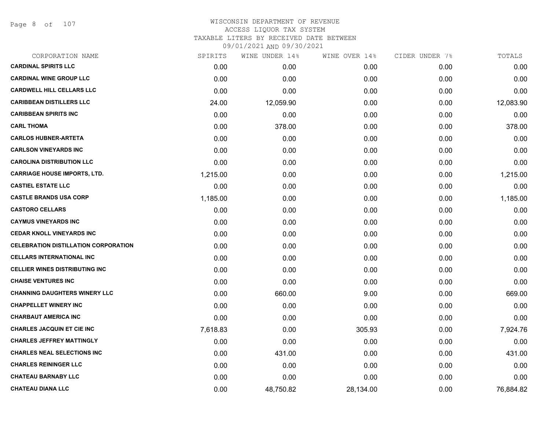Page 8 of 107

| CORPORATION NAME                            | SPIRITS  | WINE UNDER 14% | WINE OVER 14% | CIDER UNDER 7% | TOTALS    |
|---------------------------------------------|----------|----------------|---------------|----------------|-----------|
| <b>CARDINAL SPIRITS LLC</b>                 | 0.00     | 0.00           | 0.00          | 0.00           | 0.00      |
| <b>CARDINAL WINE GROUP LLC</b>              | 0.00     | 0.00           | 0.00          | 0.00           | 0.00      |
| <b>CARDWELL HILL CELLARS LLC</b>            | 0.00     | 0.00           | 0.00          | 0.00           | 0.00      |
| <b>CARIBBEAN DISTILLERS LLC</b>             | 24.00    | 12,059.90      | 0.00          | 0.00           | 12,083.90 |
| <b>CARIBBEAN SPIRITS INC</b>                | 0.00     | 0.00           | 0.00          | 0.00           | 0.00      |
| <b>CARL THOMA</b>                           | 0.00     | 378.00         | 0.00          | 0.00           | 378.00    |
| <b>CARLOS HUBNER-ARTETA</b>                 | 0.00     | 0.00           | 0.00          | 0.00           | 0.00      |
| <b>CARLSON VINEYARDS INC</b>                | 0.00     | 0.00           | 0.00          | 0.00           | 0.00      |
| <b>CAROLINA DISTRIBUTION LLC</b>            | 0.00     | 0.00           | 0.00          | 0.00           | 0.00      |
| <b>CARRIAGE HOUSE IMPORTS, LTD.</b>         | 1,215.00 | 0.00           | 0.00          | 0.00           | 1,215.00  |
| <b>CASTIEL ESTATE LLC</b>                   | 0.00     | 0.00           | 0.00          | 0.00           | 0.00      |
| <b>CASTLE BRANDS USA CORP</b>               | 1,185.00 | 0.00           | 0.00          | 0.00           | 1,185.00  |
| <b>CASTORO CELLARS</b>                      | 0.00     | 0.00           | 0.00          | 0.00           | 0.00      |
| <b>CAYMUS VINEYARDS INC</b>                 | 0.00     | 0.00           | 0.00          | 0.00           | 0.00      |
| <b>CEDAR KNOLL VINEYARDS INC</b>            | 0.00     | 0.00           | 0.00          | 0.00           | 0.00      |
| <b>CELEBRATION DISTILLATION CORPORATION</b> | 0.00     | 0.00           | 0.00          | 0.00           | 0.00      |
| <b>CELLARS INTERNATIONAL INC</b>            | 0.00     | 0.00           | 0.00          | 0.00           | 0.00      |
| <b>CELLIER WINES DISTRIBUTING INC</b>       | 0.00     | 0.00           | 0.00          | 0.00           | 0.00      |
| <b>CHAISE VENTURES INC</b>                  | 0.00     | 0.00           | 0.00          | 0.00           | 0.00      |
| <b>CHANNING DAUGHTERS WINERY LLC</b>        | 0.00     | 660.00         | 9.00          | 0.00           | 669.00    |
| <b>CHAPPELLET WINERY INC</b>                | 0.00     | 0.00           | 0.00          | 0.00           | 0.00      |
| <b>CHARBAUT AMERICA INC</b>                 | 0.00     | 0.00           | 0.00          | 0.00           | 0.00      |
| <b>CHARLES JACQUIN ET CIE INC</b>           | 7,618.83 | 0.00           | 305.93        | 0.00           | 7,924.76  |
| <b>CHARLES JEFFREY MATTINGLY</b>            | 0.00     | 0.00           | 0.00          | 0.00           | 0.00      |
| <b>CHARLES NEAL SELECTIONS INC</b>          | 0.00     | 431.00         | 0.00          | 0.00           | 431.00    |
| <b>CHARLES REININGER LLC</b>                | 0.00     | 0.00           | 0.00          | 0.00           | 0.00      |
| <b>CHATEAU BARNABY LLC</b>                  | 0.00     | 0.00           | 0.00          | 0.00           | 0.00      |
| <b>CHATEAU DIANA LLC</b>                    | 0.00     | 48,750.82      | 28,134.00     | 0.00           | 76,884.82 |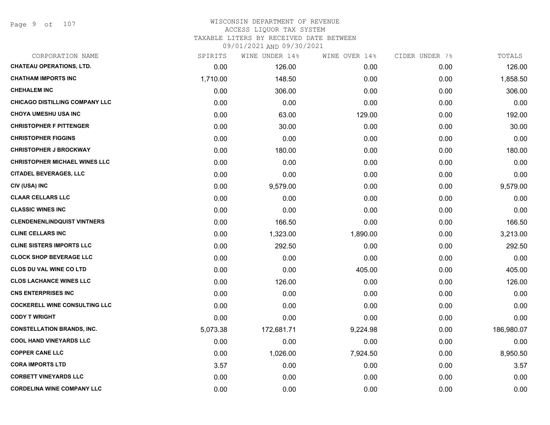## WISCONSIN DEPARTMENT OF REVENUE ACCESS LIQUOR TAX SYSTEM TAXABLE LITERS BY RECEIVED DATE BETWEEN

| CORPORATION NAME                      | SPIRITS  | WINE UNDER 14% | WINE OVER 14% | CIDER UNDER 7% | TOTALS     |
|---------------------------------------|----------|----------------|---------------|----------------|------------|
| <b>CHATEAU OPERATIONS, LTD.</b>       | 0.00     | 126.00         | 0.00          | 0.00           | 126.00     |
| <b>CHATHAM IMPORTS INC</b>            | 1,710.00 | 148.50         | 0.00          | 0.00           | 1,858.50   |
| <b>CHEHALEM INC</b>                   | 0.00     | 306.00         | 0.00          | 0.00           | 306.00     |
| <b>CHICAGO DISTILLING COMPANY LLC</b> | 0.00     | 0.00           | 0.00          | 0.00           | 0.00       |
| <b>CHOYA UMESHU USA INC</b>           | 0.00     | 63.00          | 129.00        | 0.00           | 192.00     |
| <b>CHRISTOPHER F PITTENGER</b>        | 0.00     | 30.00          | 0.00          | 0.00           | 30.00      |
| <b>CHRISTOPHER FIGGINS</b>            | 0.00     | 0.00           | 0.00          | 0.00           | 0.00       |
| <b>CHRISTOPHER J BROCKWAY</b>         | 0.00     | 180.00         | 0.00          | 0.00           | 180.00     |
| <b>CHRISTOPHER MICHAEL WINES LLC</b>  | 0.00     | 0.00           | 0.00          | 0.00           | 0.00       |
| <b>CITADEL BEVERAGES, LLC</b>         | 0.00     | 0.00           | 0.00          | 0.00           | 0.00       |
| CIV (USA) INC                         | 0.00     | 9,579.00       | 0.00          | 0.00           | 9,579.00   |
| <b>CLAAR CELLARS LLC</b>              | 0.00     | 0.00           | 0.00          | 0.00           | 0.00       |
| <b>CLASSIC WINES INC</b>              | 0.00     | 0.00           | 0.00          | 0.00           | 0.00       |
| <b>CLENDENENLINDQUIST VINTNERS</b>    | 0.00     | 166.50         | 0.00          | 0.00           | 166.50     |
| <b>CLINE CELLARS INC</b>              | 0.00     | 1,323.00       | 1,890.00      | 0.00           | 3,213.00   |
| <b>CLINE SISTERS IMPORTS LLC</b>      | 0.00     | 292.50         | 0.00          | 0.00           | 292.50     |
| <b>CLOCK SHOP BEVERAGE LLC</b>        | 0.00     | 0.00           | 0.00          | 0.00           | 0.00       |
| <b>CLOS DU VAL WINE CO LTD</b>        | 0.00     | 0.00           | 405.00        | 0.00           | 405.00     |
| <b>CLOS LACHANCE WINES LLC</b>        | 0.00     | 126.00         | 0.00          | 0.00           | 126.00     |
| <b>CNS ENTERPRISES INC</b>            | 0.00     | 0.00           | 0.00          | 0.00           | 0.00       |
| <b>COCKERELL WINE CONSULTING LLC</b>  | 0.00     | 0.00           | 0.00          | 0.00           | 0.00       |
| <b>CODY T WRIGHT</b>                  | 0.00     | 0.00           | 0.00          | 0.00           | 0.00       |
| <b>CONSTELLATION BRANDS, INC.</b>     | 5,073.38 | 172,681.71     | 9,224.98      | 0.00           | 186,980.07 |
| <b>COOL HAND VINEYARDS LLC</b>        | 0.00     | 0.00           | 0.00          | 0.00           | 0.00       |
| <b>COPPER CANE LLC</b>                | 0.00     | 1,026.00       | 7,924.50      | 0.00           | 8,950.50   |
| <b>CORA IMPORTS LTD</b>               | 3.57     | 0.00           | 0.00          | 0.00           | 3.57       |
| <b>CORBETT VINEYARDS LLC</b>          | 0.00     | 0.00           | 0.00          | 0.00           | 0.00       |
| <b>CORDELINA WINE COMPANY LLC</b>     | 0.00     | 0.00           | 0.00          | 0.00           | 0.00       |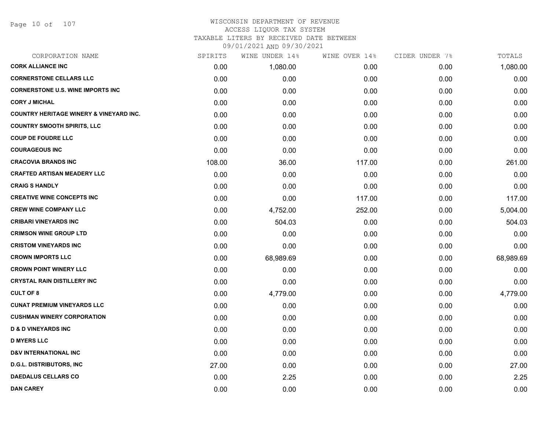Page 10 of 107

## WISCONSIN DEPARTMENT OF REVENUE ACCESS LIQUOR TAX SYSTEM TAXABLE LITERS BY RECEIVED DATE BETWEEN

| CORPORATION NAME                                   | SPIRITS | WINE UNDER 14% | WINE OVER 14% | CIDER UNDER 7% | TOTALS    |
|----------------------------------------------------|---------|----------------|---------------|----------------|-----------|
| <b>CORK ALLIANCE INC</b>                           | 0.00    | 1,080.00       | 0.00          | 0.00           | 1,080.00  |
| <b>CORNERSTONE CELLARS LLC</b>                     | 0.00    | 0.00           | 0.00          | 0.00           | 0.00      |
| <b>CORNERSTONE U.S. WINE IMPORTS INC</b>           | 0.00    | 0.00           | 0.00          | 0.00           | 0.00      |
| <b>CORY J MICHAL</b>                               | 0.00    | 0.00           | 0.00          | 0.00           | 0.00      |
| <b>COUNTRY HERITAGE WINERY &amp; VINEYARD INC.</b> | 0.00    | 0.00           | 0.00          | 0.00           | 0.00      |
| <b>COUNTRY SMOOTH SPIRITS, LLC</b>                 | 0.00    | 0.00           | 0.00          | 0.00           | 0.00      |
| <b>COUP DE FOUDRE LLC</b>                          | 0.00    | 0.00           | 0.00          | 0.00           | 0.00      |
| <b>COURAGEOUS INC</b>                              | 0.00    | 0.00           | 0.00          | 0.00           | 0.00      |
| <b>CRACOVIA BRANDS INC</b>                         | 108.00  | 36.00          | 117.00        | 0.00           | 261.00    |
| <b>CRAFTED ARTISAN MEADERY LLC</b>                 | 0.00    | 0.00           | 0.00          | 0.00           | 0.00      |
| <b>CRAIG S HANDLY</b>                              | 0.00    | 0.00           | 0.00          | 0.00           | 0.00      |
| <b>CREATIVE WINE CONCEPTS INC</b>                  | 0.00    | 0.00           | 117.00        | 0.00           | 117.00    |
| <b>CREW WINE COMPANY LLC</b>                       | 0.00    | 4,752.00       | 252.00        | 0.00           | 5,004.00  |
| <b>CRIBARI VINEYARDS INC</b>                       | 0.00    | 504.03         | 0.00          | 0.00           | 504.03    |
| <b>CRIMSON WINE GROUP LTD</b>                      | 0.00    | 0.00           | 0.00          | 0.00           | 0.00      |
| <b>CRISTOM VINEYARDS INC</b>                       | 0.00    | 0.00           | 0.00          | 0.00           | 0.00      |
| <b>CROWN IMPORTS LLC</b>                           | 0.00    | 68,989.69      | 0.00          | 0.00           | 68,989.69 |
| <b>CROWN POINT WINERY LLC</b>                      | 0.00    | 0.00           | 0.00          | 0.00           | 0.00      |
| <b>CRYSTAL RAIN DISTILLERY INC</b>                 | 0.00    | 0.00           | 0.00          | 0.00           | 0.00      |
| <b>CULT OF 8</b>                                   | 0.00    | 4,779.00       | 0.00          | 0.00           | 4,779.00  |
| <b>CUNAT PREMIUM VINEYARDS LLC</b>                 | 0.00    | 0.00           | 0.00          | 0.00           | 0.00      |
| <b>CUSHMAN WINERY CORPORATION</b>                  | 0.00    | 0.00           | 0.00          | 0.00           | 0.00      |
| <b>D &amp; D VINEYARDS INC</b>                     | 0.00    | 0.00           | 0.00          | 0.00           | 0.00      |
| <b>D MYERS LLC</b>                                 | 0.00    | 0.00           | 0.00          | 0.00           | 0.00      |
| <b>D&amp;V INTERNATIONAL INC</b>                   | 0.00    | 0.00           | 0.00          | 0.00           | 0.00      |
| <b>D.G.L. DISTRIBUTORS, INC</b>                    | 27.00   | 0.00           | 0.00          | 0.00           | 27.00     |
| <b>DAEDALUS CELLARS CO</b>                         | 0.00    | 2.25           | 0.00          | 0.00           | 2.25      |
| <b>DAN CAREY</b>                                   | 0.00    | 0.00           | 0.00          | 0.00           | 0.00      |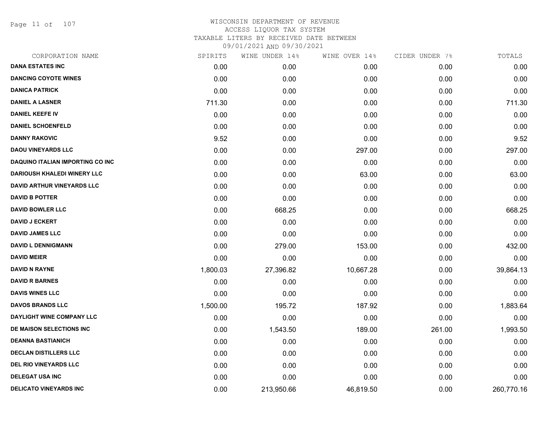Page 11 of 107

| CORPORATION NAME                        | SPIRITS  | WINE UNDER 14% | WINE OVER 14% | CIDER UNDER 7% | TOTALS     |
|-----------------------------------------|----------|----------------|---------------|----------------|------------|
| <b>DANA ESTATES INC</b>                 | 0.00     | 0.00           | 0.00          | 0.00           | 0.00       |
| <b>DANCING COYOTE WINES</b>             | 0.00     | 0.00           | 0.00          | 0.00           | 0.00       |
| <b>DANICA PATRICK</b>                   | 0.00     | 0.00           | 0.00          | 0.00           | 0.00       |
| <b>DANIEL A LASNER</b>                  | 711.30   | 0.00           | 0.00          | 0.00           | 711.30     |
| <b>DANIEL KEEFE IV</b>                  | 0.00     | 0.00           | 0.00          | 0.00           | 0.00       |
| <b>DANIEL SCHOENFELD</b>                | 0.00     | 0.00           | 0.00          | 0.00           | 0.00       |
| <b>DANNY RAKOVIC</b>                    | 9.52     | 0.00           | 0.00          | 0.00           | 9.52       |
| <b>DAOU VINEYARDS LLC</b>               | 0.00     | 0.00           | 297.00        | 0.00           | 297.00     |
| <b>DAQUINO ITALIAN IMPORTING CO INC</b> | 0.00     | 0.00           | 0.00          | 0.00           | 0.00       |
| <b>DARIOUSH KHALEDI WINERY LLC</b>      | 0.00     | 0.00           | 63.00         | 0.00           | 63.00      |
| <b>DAVID ARTHUR VINEYARDS LLC</b>       | 0.00     | 0.00           | 0.00          | 0.00           | 0.00       |
| <b>DAVID B POTTER</b>                   | 0.00     | 0.00           | 0.00          | 0.00           | 0.00       |
| <b>DAVID BOWLER LLC</b>                 | 0.00     | 668.25         | 0.00          | 0.00           | 668.25     |
| <b>DAVID J ECKERT</b>                   | 0.00     | 0.00           | 0.00          | 0.00           | 0.00       |
| <b>DAVID JAMES LLC</b>                  | 0.00     | 0.00           | 0.00          | 0.00           | 0.00       |
| <b>DAVID L DENNIGMANN</b>               | 0.00     | 279.00         | 153.00        | 0.00           | 432.00     |
| <b>DAVID MEIER</b>                      | 0.00     | 0.00           | 0.00          | 0.00           | 0.00       |
| <b>DAVID N RAYNE</b>                    | 1,800.03 | 27,396.82      | 10,667.28     | 0.00           | 39,864.13  |
| <b>DAVID R BARNES</b>                   | 0.00     | 0.00           | 0.00          | 0.00           | 0.00       |
| <b>DAVIS WINES LLC</b>                  | 0.00     | 0.00           | 0.00          | 0.00           | 0.00       |
| <b>DAVOS BRANDS LLC</b>                 | 1,500.00 | 195.72         | 187.92        | 0.00           | 1,883.64   |
| DAYLIGHT WINE COMPANY LLC               | 0.00     | 0.00           | 0.00          | 0.00           | 0.00       |
| DE MAISON SELECTIONS INC                | 0.00     | 1,543.50       | 189.00        | 261.00         | 1,993.50   |
| <b>DEANNA BASTIANICH</b>                | 0.00     | 0.00           | 0.00          | 0.00           | 0.00       |
| <b>DECLAN DISTILLERS LLC</b>            | 0.00     | 0.00           | 0.00          | 0.00           | 0.00       |
| <b>DEL RIO VINEYARDS LLC</b>            | 0.00     | 0.00           | 0.00          | 0.00           | 0.00       |
| <b>DELEGAT USA INC</b>                  | 0.00     | 0.00           | 0.00          | 0.00           | 0.00       |
| DELICATO VINEYARDS INC                  | 0.00     | 213,950.66     | 46,819.50     | 0.00           | 260,770.16 |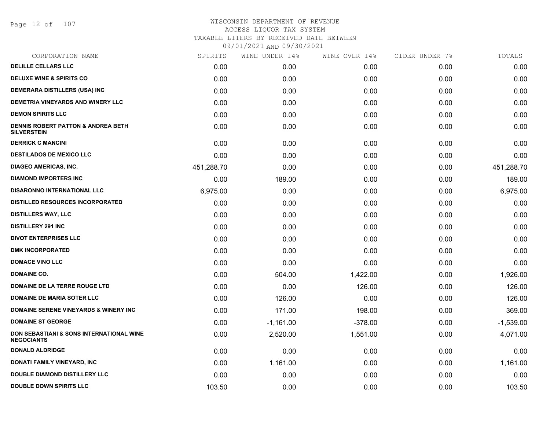Page 12 of 107

# WISCONSIN DEPARTMENT OF REVENUE ACCESS LIQUOR TAX SYSTEM TAXABLE LITERS BY RECEIVED DATE BETWEEN

| CORPORATION NAME                                                         | SPIRITS    | WINE UNDER 14% | WINE OVER 14% | CIDER UNDER 7% | TOTALS      |
|--------------------------------------------------------------------------|------------|----------------|---------------|----------------|-------------|
| <b>DELILLE CELLARS LLC</b>                                               | 0.00       | 0.00           | 0.00          | 0.00           | 0.00        |
| <b>DELUXE WINE &amp; SPIRITS CO</b>                                      | 0.00       | 0.00           | 0.00          | 0.00           | 0.00        |
| DEMERARA DISTILLERS (USA) INC                                            | 0.00       | 0.00           | 0.00          | 0.00           | 0.00        |
| DEMETRIA VINEYARDS AND WINERY LLC                                        | 0.00       | 0.00           | 0.00          | 0.00           | 0.00        |
| <b>DEMON SPIRITS LLC</b>                                                 | 0.00       | 0.00           | 0.00          | 0.00           | 0.00        |
| <b>DENNIS ROBERT PATTON &amp; ANDREA BETH</b><br><b>SILVERSTEIN</b>      | 0.00       | 0.00           | 0.00          | 0.00           | 0.00        |
| <b>DERRICK C MANCINI</b>                                                 | 0.00       | 0.00           | 0.00          | 0.00           | 0.00        |
| <b>DESTILADOS DE MEXICO LLC</b>                                          | 0.00       | 0.00           | 0.00          | 0.00           | 0.00        |
| <b>DIAGEO AMERICAS, INC.</b>                                             | 451,288.70 | 0.00           | 0.00          | 0.00           | 451,288.70  |
| <b>DIAMOND IMPORTERS INC</b>                                             | 0.00       | 189.00         | 0.00          | 0.00           | 189.00      |
| <b>DISARONNO INTERNATIONAL LLC</b>                                       | 6,975.00   | 0.00           | 0.00          | 0.00           | 6,975.00    |
| <b>DISTILLED RESOURCES INCORPORATED</b>                                  | 0.00       | 0.00           | 0.00          | 0.00           | 0.00        |
| <b>DISTILLERS WAY, LLC</b>                                               | 0.00       | 0.00           | 0.00          | 0.00           | 0.00        |
| <b>DISTILLERY 291 INC</b>                                                | 0.00       | 0.00           | 0.00          | 0.00           | 0.00        |
| <b>DIVOT ENTERPRISES LLC</b>                                             | 0.00       | 0.00           | 0.00          | 0.00           | 0.00        |
| <b>DMK INCORPORATED</b>                                                  | 0.00       | 0.00           | 0.00          | 0.00           | 0.00        |
| <b>DOMACE VINO LLC</b>                                                   | 0.00       | 0.00           | 0.00          | 0.00           | 0.00        |
| <b>DOMAINE CO.</b>                                                       | 0.00       | 504.00         | 1,422.00      | 0.00           | 1,926.00    |
| DOMAINE DE LA TERRE ROUGE LTD                                            | 0.00       | 0.00           | 126.00        | 0.00           | 126.00      |
| <b>DOMAINE DE MARIA SOTER LLC</b>                                        | 0.00       | 126.00         | 0.00          | 0.00           | 126.00      |
| <b>DOMAINE SERENE VINEYARDS &amp; WINERY INC</b>                         | 0.00       | 171.00         | 198.00        | 0.00           | 369.00      |
| <b>DOMAINE ST GEORGE</b>                                                 | 0.00       | $-1,161.00$    | $-378.00$     | 0.00           | $-1,539.00$ |
| <b>DON SEBASTIANI &amp; SONS INTERNATIONAL WINE</b><br><b>NEGOCIANTS</b> | 0.00       | 2,520.00       | 1,551.00      | 0.00           | 4,071.00    |
| <b>DONALD ALDRIDGE</b>                                                   | 0.00       | 0.00           | 0.00          | 0.00           | 0.00        |
| DONATI FAMILY VINEYARD, INC                                              | 0.00       | 1,161.00       | 0.00          | 0.00           | 1,161.00    |
| <b>DOUBLE DIAMOND DISTILLERY LLC</b>                                     | 0.00       | 0.00           | 0.00          | 0.00           | 0.00        |
| <b>DOUBLE DOWN SPIRITS LLC</b>                                           | 103.50     | 0.00           | 0.00          | 0.00           | 103.50      |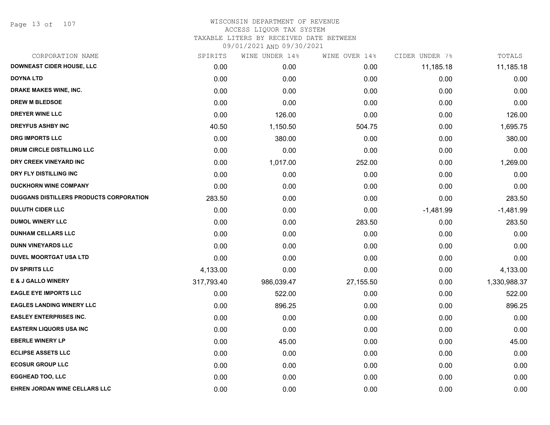Page 13 of 107

| CORPORATION NAME                               | SPIRITS    | WINE UNDER 14% | WINE OVER 14% | CIDER UNDER 7% | TOTALS       |
|------------------------------------------------|------------|----------------|---------------|----------------|--------------|
| <b>DOWNEAST CIDER HOUSE, LLC</b>               | 0.00       | 0.00           | 0.00          | 11,185.18      | 11,185.18    |
| DOYNA LTD                                      | 0.00       | 0.00           | 0.00          | 0.00           | 0.00         |
| DRAKE MAKES WINE, INC.                         | 0.00       | 0.00           | 0.00          | 0.00           | 0.00         |
| <b>DREW M BLEDSOE</b>                          | 0.00       | 0.00           | 0.00          | 0.00           | 0.00         |
| <b>DREYER WINE LLC</b>                         | 0.00       | 126.00         | 0.00          | 0.00           | 126.00       |
| <b>DREYFUS ASHBY INC</b>                       | 40.50      | 1,150.50       | 504.75        | 0.00           | 1,695.75     |
| <b>DRG IMPORTS LLC</b>                         | 0.00       | 380.00         | 0.00          | 0.00           | 380.00       |
| <b>DRUM CIRCLE DISTILLING LLC</b>              | 0.00       | 0.00           | 0.00          | 0.00           | 0.00         |
| DRY CREEK VINEYARD INC                         | 0.00       | 1,017.00       | 252.00        | 0.00           | 1,269.00     |
| DRY FLY DISTILLING INC                         | 0.00       | 0.00           | 0.00          | 0.00           | 0.00         |
| <b>DUCKHORN WINE COMPANY</b>                   | 0.00       | 0.00           | 0.00          | 0.00           | 0.00         |
| <b>DUGGANS DISTILLERS PRODUCTS CORPORATION</b> | 283.50     | 0.00           | 0.00          | 0.00           | 283.50       |
| <b>DULUTH CIDER LLC</b>                        | 0.00       | 0.00           | 0.00          | $-1,481.99$    | $-1,481.99$  |
| <b>DUMOL WINERY LLC</b>                        | 0.00       | 0.00           | 283.50        | 0.00           | 283.50       |
| <b>DUNHAM CELLARS LLC</b>                      | 0.00       | 0.00           | 0.00          | 0.00           | 0.00         |
| <b>DUNN VINEYARDS LLC</b>                      | 0.00       | 0.00           | 0.00          | 0.00           | 0.00         |
| <b>DUVEL MOORTGAT USA LTD</b>                  | 0.00       | 0.00           | 0.00          | 0.00           | 0.00         |
| <b>DV SPIRITS LLC</b>                          | 4,133.00   | 0.00           | 0.00          | 0.00           | 4,133.00     |
| E & J GALLO WINERY                             | 317,793.40 | 986,039.47     | 27,155.50     | 0.00           | 1,330,988.37 |
| <b>EAGLE EYE IMPORTS LLC</b>                   | 0.00       | 522.00         | 0.00          | 0.00           | 522.00       |
| <b>EAGLES LANDING WINERY LLC</b>               | 0.00       | 896.25         | 0.00          | 0.00           | 896.25       |
| <b>EASLEY ENTERPRISES INC.</b>                 | 0.00       | 0.00           | 0.00          | 0.00           | 0.00         |
| <b>EASTERN LIQUORS USA INC</b>                 | 0.00       | 0.00           | 0.00          | 0.00           | 0.00         |
| <b>EBERLE WINERY LP</b>                        | 0.00       | 45.00          | 0.00          | 0.00           | 45.00        |
| <b>ECLIPSE ASSETS LLC</b>                      | 0.00       | 0.00           | 0.00          | 0.00           | 0.00         |
| <b>ECOSUR GROUP LLC</b>                        | 0.00       | 0.00           | 0.00          | 0.00           | 0.00         |
| <b>EGGHEAD TOO, LLC</b>                        | 0.00       | 0.00           | 0.00          | 0.00           | 0.00         |
| <b>EHREN JORDAN WINE CELLARS LLC</b>           | 0.00       | 0.00           | 0.00          | 0.00           | 0.00         |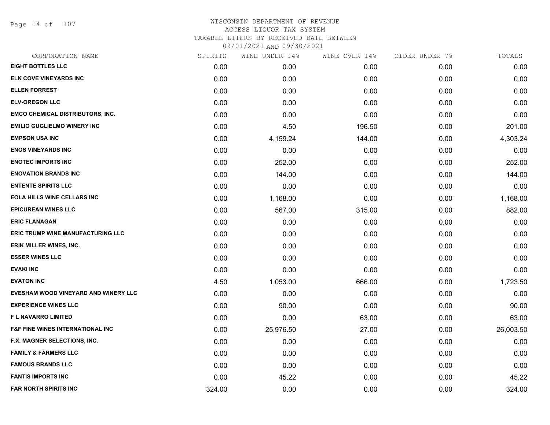Page 14 of 107

| SPIRITS | WINE UNDER 14% | WINE OVER 14% | CIDER UNDER 7% | TOTALS    |
|---------|----------------|---------------|----------------|-----------|
| 0.00    | 0.00           | 0.00          | 0.00           | 0.00      |
| 0.00    | 0.00           | 0.00          | 0.00           | 0.00      |
| 0.00    | 0.00           | 0.00          | 0.00           | 0.00      |
| 0.00    | 0.00           | 0.00          | 0.00           | 0.00      |
| 0.00    | 0.00           | 0.00          | 0.00           | 0.00      |
| 0.00    | 4.50           | 196.50        | 0.00           | 201.00    |
| 0.00    | 4,159.24       | 144.00        | 0.00           | 4,303.24  |
| 0.00    | 0.00           | 0.00          | 0.00           | 0.00      |
| 0.00    | 252.00         | 0.00          | 0.00           | 252.00    |
| 0.00    | 144.00         | 0.00          | 0.00           | 144.00    |
| 0.00    | 0.00           | 0.00          | 0.00           | 0.00      |
| 0.00    | 1,168.00       | 0.00          | 0.00           | 1,168.00  |
| 0.00    | 567.00         | 315.00        | 0.00           | 882.00    |
| 0.00    | 0.00           | 0.00          | 0.00           | 0.00      |
| 0.00    | 0.00           | 0.00          | 0.00           | 0.00      |
| 0.00    | 0.00           | 0.00          | 0.00           | 0.00      |
| 0.00    | 0.00           | 0.00          | 0.00           | 0.00      |
| 0.00    | 0.00           | 0.00          | 0.00           | 0.00      |
| 4.50    | 1,053.00       | 666.00        | 0.00           | 1,723.50  |
| 0.00    | 0.00           | 0.00          | 0.00           | 0.00      |
| 0.00    | 90.00          | 0.00          | 0.00           | 90.00     |
| 0.00    | 0.00           | 63.00         | 0.00           | 63.00     |
| 0.00    | 25,976.50      | 27.00         | 0.00           | 26,003.50 |
| 0.00    | 0.00           | 0.00          | 0.00           | 0.00      |
| 0.00    | 0.00           | 0.00          | 0.00           | 0.00      |
| 0.00    | 0.00           | 0.00          | 0.00           | 0.00      |
| 0.00    | 45.22          | 0.00          | 0.00           | 45.22     |
| 324.00  | 0.00           | 0.00          | 0.00           | 324.00    |
|         |                |               |                |           |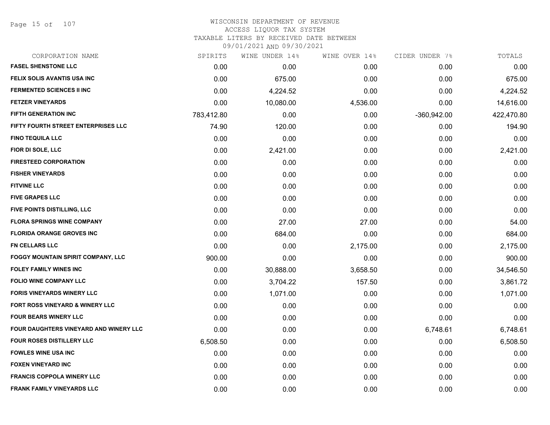Page 15 of 107

# WISCONSIN DEPARTMENT OF REVENUE ACCESS LIQUOR TAX SYSTEM

TAXABLE LITERS BY RECEIVED DATE BETWEEN

| CORPORATION NAME                       | SPIRITS    | WINE UNDER 14% | WINE OVER 14% | CIDER UNDER 7% | TOTALS     |
|----------------------------------------|------------|----------------|---------------|----------------|------------|
| <b>FASEL SHENSTONE LLC</b>             | 0.00       | 0.00           | 0.00          | 0.00           | 0.00       |
| FELIX SOLIS AVANTIS USA INC            | 0.00       | 675.00         | 0.00          | 0.00           | 675.00     |
| <b>FERMENTED SCIENCES II INC</b>       | 0.00       | 4,224.52       | 0.00          | 0.00           | 4,224.52   |
| <b>FETZER VINEYARDS</b>                | 0.00       | 10,080.00      | 4,536.00      | 0.00           | 14,616.00  |
| <b>FIFTH GENERATION INC</b>            | 783,412.80 | 0.00           | 0.00          | -360,942.00    | 422,470.80 |
| FIFTY FOURTH STREET ENTERPRISES LLC    | 74.90      | 120.00         | 0.00          | 0.00           | 194.90     |
| <b>FINO TEQUILA LLC</b>                | 0.00       | 0.00           | 0.00          | 0.00           | 0.00       |
| FIOR DI SOLE, LLC                      | 0.00       | 2,421.00       | 0.00          | 0.00           | 2,421.00   |
| <b>FIRESTEED CORPORATION</b>           | 0.00       | 0.00           | 0.00          | 0.00           | 0.00       |
| <b>FISHER VINEYARDS</b>                | 0.00       | 0.00           | 0.00          | 0.00           | 0.00       |
| <b>FITVINE LLC</b>                     | 0.00       | 0.00           | 0.00          | 0.00           | 0.00       |
| <b>FIVE GRAPES LLC</b>                 | 0.00       | 0.00           | 0.00          | 0.00           | 0.00       |
| FIVE POINTS DISTILLING, LLC            | 0.00       | 0.00           | 0.00          | 0.00           | 0.00       |
| <b>FLORA SPRINGS WINE COMPANY</b>      | 0.00       | 27.00          | 27.00         | 0.00           | 54.00      |
| <b>FLORIDA ORANGE GROVES INC</b>       | 0.00       | 684.00         | 0.00          | 0.00           | 684.00     |
| <b>FN CELLARS LLC</b>                  | 0.00       | 0.00           | 2,175.00      | 0.00           | 2,175.00   |
| FOGGY MOUNTAIN SPIRIT COMPANY, LLC     | 900.00     | 0.00           | 0.00          | 0.00           | 900.00     |
| <b>FOLEY FAMILY WINES INC</b>          | 0.00       | 30,888.00      | 3,658.50      | 0.00           | 34,546.50  |
| <b>FOLIO WINE COMPANY LLC</b>          | 0.00       | 3,704.22       | 157.50        | 0.00           | 3,861.72   |
| <b>FORIS VINEYARDS WINERY LLC</b>      | 0.00       | 1,071.00       | 0.00          | 0.00           | 1,071.00   |
| FORT ROSS VINEYARD & WINERY LLC        | 0.00       | 0.00           | 0.00          | 0.00           | 0.00       |
| <b>FOUR BEARS WINERY LLC</b>           | 0.00       | 0.00           | 0.00          | 0.00           | 0.00       |
| FOUR DAUGHTERS VINEYARD AND WINERY LLC | 0.00       | 0.00           | 0.00          | 6,748.61       | 6,748.61   |
| <b>FOUR ROSES DISTILLERY LLC</b>       | 6,508.50   | 0.00           | 0.00          | 0.00           | 6,508.50   |
| <b>FOWLES WINE USA INC</b>             | 0.00       | 0.00           | 0.00          | 0.00           | 0.00       |
| <b>FOXEN VINEYARD INC</b>              | 0.00       | 0.00           | 0.00          | 0.00           | 0.00       |
| <b>FRANCIS COPPOLA WINERY LLC</b>      | 0.00       | 0.00           | 0.00          | 0.00           | 0.00       |
| FRANK FAMILY VINEYARDS LLC             | 0.00       | 0.00           | 0.00          | 0.00           | 0.00       |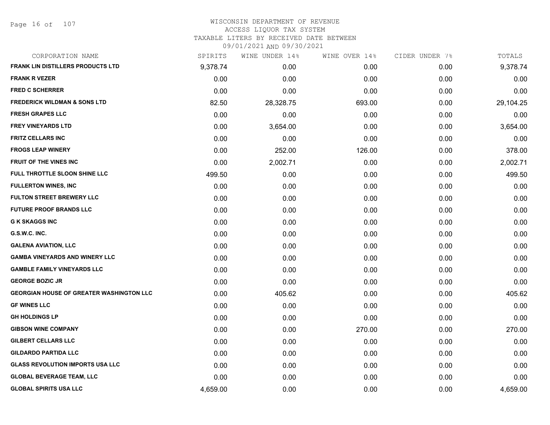Page 16 of 107

| CORPORATION NAME                                | SPIRITS  | WINE UNDER 14% | WINE OVER 14% | CIDER UNDER 7% | TOTALS    |
|-------------------------------------------------|----------|----------------|---------------|----------------|-----------|
| <b>FRANK LIN DISTILLERS PRODUCTS LTD</b>        | 9,378.74 | 0.00           | 0.00          | 0.00           | 9,378.74  |
| <b>FRANK R VEZER</b>                            | 0.00     | 0.00           | 0.00          | 0.00           | 0.00      |
| <b>FRED C SCHERRER</b>                          | 0.00     | 0.00           | 0.00          | 0.00           | 0.00      |
| <b>FREDERICK WILDMAN &amp; SONS LTD</b>         | 82.50    | 28,328.75      | 693.00        | 0.00           | 29,104.25 |
| <b>FRESH GRAPES LLC</b>                         | 0.00     | 0.00           | 0.00          | 0.00           | 0.00      |
| <b>FREY VINEYARDS LTD</b>                       | 0.00     | 3,654.00       | 0.00          | 0.00           | 3,654.00  |
| <b>FRITZ CELLARS INC</b>                        | 0.00     | 0.00           | 0.00          | 0.00           | 0.00      |
| <b>FROGS LEAP WINERY</b>                        | 0.00     | 252.00         | 126.00        | 0.00           | 378.00    |
| FRUIT OF THE VINES INC                          | 0.00     | 2,002.71       | 0.00          | 0.00           | 2,002.71  |
| FULL THROTTLE SLOON SHINE LLC                   | 499.50   | 0.00           | 0.00          | 0.00           | 499.50    |
| <b>FULLERTON WINES, INC</b>                     | 0.00     | 0.00           | 0.00          | 0.00           | 0.00      |
| <b>FULTON STREET BREWERY LLC</b>                | 0.00     | 0.00           | 0.00          | 0.00           | 0.00      |
| <b>FUTURE PROOF BRANDS LLC</b>                  | 0.00     | 0.00           | 0.00          | 0.00           | 0.00      |
| <b>G K SKAGGS INC</b>                           | 0.00     | 0.00           | 0.00          | 0.00           | 0.00      |
| G.S.W.C. INC.                                   | 0.00     | 0.00           | 0.00          | 0.00           | 0.00      |
| <b>GALENA AVIATION, LLC</b>                     | 0.00     | 0.00           | 0.00          | 0.00           | 0.00      |
| <b>GAMBA VINEYARDS AND WINERY LLC</b>           | 0.00     | 0.00           | 0.00          | 0.00           | 0.00      |
| <b>GAMBLE FAMILY VINEYARDS LLC</b>              | 0.00     | 0.00           | 0.00          | 0.00           | 0.00      |
| <b>GEORGE BOZIC JR</b>                          | 0.00     | 0.00           | 0.00          | 0.00           | 0.00      |
| <b>GEORGIAN HOUSE OF GREATER WASHINGTON LLC</b> | 0.00     | 405.62         | 0.00          | 0.00           | 405.62    |
| <b>GF WINES LLC</b>                             | 0.00     | 0.00           | 0.00          | 0.00           | 0.00      |
| <b>GH HOLDINGS LP</b>                           | 0.00     | 0.00           | 0.00          | 0.00           | 0.00      |
| <b>GIBSON WINE COMPANY</b>                      | 0.00     | 0.00           | 270.00        | 0.00           | 270.00    |
| <b>GILBERT CELLARS LLC</b>                      | 0.00     | 0.00           | 0.00          | 0.00           | 0.00      |
| <b>GILDARDO PARTIDA LLC</b>                     | 0.00     | 0.00           | 0.00          | 0.00           | 0.00      |
| <b>GLASS REVOLUTION IMPORTS USA LLC</b>         | 0.00     | 0.00           | 0.00          | 0.00           | 0.00      |
| <b>GLOBAL BEVERAGE TEAM, LLC</b>                | 0.00     | 0.00           | 0.00          | 0.00           | 0.00      |
| <b>GLOBAL SPIRITS USA LLC</b>                   | 4,659.00 | 0.00           | 0.00          | 0.00           | 4,659.00  |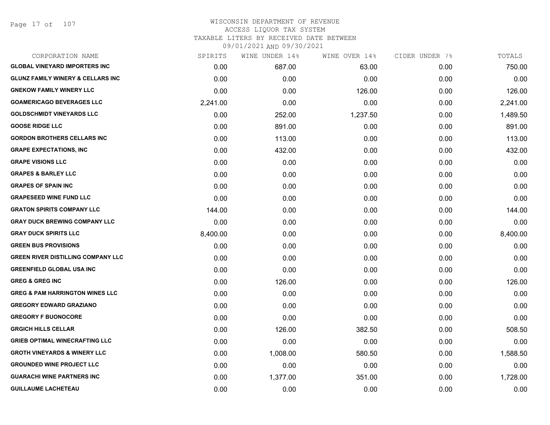| CORPORATION NAME                             | SPIRITS  | WINE UNDER 14% | WINE OVER 14% | CIDER UNDER 7%    | TOTALS   |
|----------------------------------------------|----------|----------------|---------------|-------------------|----------|
| <b>GLOBAL VINEYARD IMPORTERS INC</b>         | 0.00     | 687.00         | 63.00         | 0.00              | 750.00   |
| <b>GLUNZ FAMILY WINERY &amp; CELLARS INC</b> | 0.00     | 0.00           | 0.00          | 0.00              | 0.00     |
| <b>GNEKOW FAMILY WINERY LLC</b>              | 0.00     | 0.00           | 126.00        | 0.00              | 126.00   |
| <b>GOAMERICAGO BEVERAGES LLC</b>             | 2,241.00 | 0.00           | 0.00          | 0.00              | 2,241.00 |
| <b>GOLDSCHMIDT VINEYARDS LLC</b>             | 0.00     | 252.00         | 1,237.50      | 0.00              | 1,489.50 |
| <b>GOOSE RIDGE LLC</b>                       | 0.00     | 891.00         | 0.00          | 0.00              | 891.00   |
| <b>GORDON BROTHERS CELLARS INC</b>           | 0.00     | 113.00         | 0.00          | 0.00              | 113.00   |
| <b>GRAPE EXPECTATIONS, INC</b>               | 0.00     | 432.00         | 0.00          | 0.00              | 432.00   |
| <b>GRAPE VISIONS LLC</b>                     | 0.00     | 0.00           | 0.00          | 0.00              | 0.00     |
| <b>GRAPES &amp; BARLEY LLC</b>               | 0.00     | 0.00           | 0.00          | 0.00              | 0.00     |
| <b>GRAPES OF SPAIN INC</b>                   | 0.00     | 0.00           | 0.00          | 0.00              | 0.00     |
| <b>GRAPESEED WINE FUND LLC</b>               | 0.00     | 0.00           | 0.00          | 0.00              | 0.00     |
| <b>GRATON SPIRITS COMPANY LLC</b>            | 144.00   | 0.00           | 0.00          | 0.00              | 144.00   |
| <b>GRAY DUCK BREWING COMPANY LLC</b>         | 0.00     | 0.00           | 0.00          | 0.00              | 0.00     |
| <b>GRAY DUCK SPIRITS LLC</b>                 | 8,400.00 | 0.00           | 0.00          | 0.00              | 8,400.00 |
| <b>GREEN BUS PROVISIONS</b>                  | 0.00     | 0.00           | 0.00          | 0.00              | 0.00     |
| <b>GREEN RIVER DISTILLING COMPANY LLC</b>    | 0.00     | 0.00           | 0.00          | 0.00 <sub>1</sub> | 0.00     |
| <b>GREENFIELD GLOBAL USA INC</b>             | 0.00     | 0.00           | 0.00          | 0.00              | 0.00     |
| <b>GREG &amp; GREG INC</b>                   | 0.00     | 126.00         | 0.00          | 0.00              | 126.00   |
| <b>GREG &amp; PAM HARRINGTON WINES LLC</b>   | 0.00     | 0.00           | 0.00          | 0.00              | 0.00     |
| <b>GREGORY EDWARD GRAZIANO</b>               | 0.00     | 0.00           | 0.00          | 0.00              | 0.00     |
| <b>GREGORY F BUONOCORE</b>                   | 0.00     | 0.00           | 0.00          | 0.00              | 0.00     |
| <b>GRGICH HILLS CELLAR</b>                   | 0.00     | 126.00         | 382.50        | 0.00              | 508.50   |
| <b>GRIEB OPTIMAL WINECRAFTING LLC</b>        | 0.00     | 0.00           | 0.00          | 0.00              | 0.00     |
| <b>GROTH VINEYARDS &amp; WINERY LLC</b>      | 0.00     | 1,008.00       | 580.50        | 0.00              | 1,588.50 |
| <b>GROUNDED WINE PROJECT LLC</b>             | 0.00     | 0.00           | 0.00          | 0.00              | 0.00     |
| <b>GUARACHI WINE PARTNERS INC</b>            | 0.00     | 1,377.00       | 351.00        | 0.00              | 1,728.00 |
| <b>GUILLAUME LACHETEAU</b>                   | 0.00     | 0.00           | 0.00          | 0.00              | 0.00     |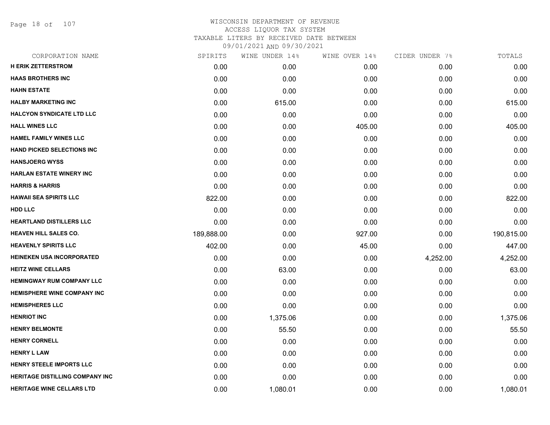Page 18 of 107

| CORPORATION NAME                       | SPIRITS    | WINE UNDER 14% | WINE OVER 14% | CIDER UNDER 7% | TOTALS     |
|----------------------------------------|------------|----------------|---------------|----------------|------------|
| <b>H ERIK ZETTERSTROM</b>              | 0.00       | 0.00           | 0.00          | 0.00           | 0.00       |
| <b>HAAS BROTHERS INC</b>               | 0.00       | 0.00           | 0.00          | 0.00           | 0.00       |
| <b>HAHN ESTATE</b>                     | 0.00       | 0.00           | 0.00          | 0.00           | 0.00       |
| <b>HALBY MARKETING INC</b>             | 0.00       | 615.00         | 0.00          | 0.00           | 615.00     |
| <b>HALCYON SYNDICATE LTD LLC</b>       | 0.00       | 0.00           | 0.00          | 0.00           | 0.00       |
| <b>HALL WINES LLC</b>                  | 0.00       | 0.00           | 405.00        | 0.00           | 405.00     |
| <b>HAMEL FAMILY WINES LLC</b>          | 0.00       | 0.00           | 0.00          | 0.00           | 0.00       |
| <b>HAND PICKED SELECTIONS INC</b>      | 0.00       | 0.00           | 0.00          | 0.00           | 0.00       |
| <b>HANSJOERG WYSS</b>                  | 0.00       | 0.00           | 0.00          | 0.00           | 0.00       |
| <b>HARLAN ESTATE WINERY INC</b>        | 0.00       | 0.00           | 0.00          | 0.00           | 0.00       |
| <b>HARRIS &amp; HARRIS</b>             | 0.00       | 0.00           | 0.00          | 0.00           | 0.00       |
| <b>HAWAII SEA SPIRITS LLC</b>          | 822.00     | 0.00           | 0.00          | 0.00           | 822.00     |
| <b>HDD LLC</b>                         | 0.00       | 0.00           | 0.00          | 0.00           | 0.00       |
| <b>HEARTLAND DISTILLERS LLC</b>        | 0.00       | 0.00           | 0.00          | 0.00           | 0.00       |
| <b>HEAVEN HILL SALES CO.</b>           | 189,888.00 | 0.00           | 927.00        | 0.00           | 190,815.00 |
| <b>HEAVENLY SPIRITS LLC</b>            | 402.00     | 0.00           | 45.00         | 0.00           | 447.00     |
| <b>HEINEKEN USA INCORPORATED</b>       | 0.00       | 0.00           | 0.00          | 4,252.00       | 4,252.00   |
| <b>HEITZ WINE CELLARS</b>              | 0.00       | 63.00          | 0.00          | 0.00           | 63.00      |
| <b>HEMINGWAY RUM COMPANY LLC</b>       | 0.00       | 0.00           | 0.00          | 0.00           | 0.00       |
| <b>HEMISPHERE WINE COMPANY INC</b>     | 0.00       | 0.00           | 0.00          | 0.00           | 0.00       |
| <b>HEMISPHERES LLC</b>                 | 0.00       | 0.00           | 0.00          | 0.00           | 0.00       |
| <b>HENRIOT INC</b>                     | 0.00       | 1,375.06       | 0.00          | 0.00           | 1,375.06   |
| <b>HENRY BELMONTE</b>                  | 0.00       | 55.50          | 0.00          | 0.00           | 55.50      |
| <b>HENRY CORNELL</b>                   | 0.00       | 0.00           | 0.00          | 0.00           | 0.00       |
| <b>HENRY L LAW</b>                     | 0.00       | 0.00           | 0.00          | 0.00           | 0.00       |
| <b>HENRY STEELE IMPORTS LLC</b>        | 0.00       | 0.00           | 0.00          | 0.00           | 0.00       |
| <b>HERITAGE DISTILLING COMPANY INC</b> | 0.00       | 0.00           | 0.00          | 0.00           | 0.00       |
| <b>HERITAGE WINE CELLARS LTD</b>       | 0.00       | 1,080.01       | 0.00          | 0.00           | 1,080.01   |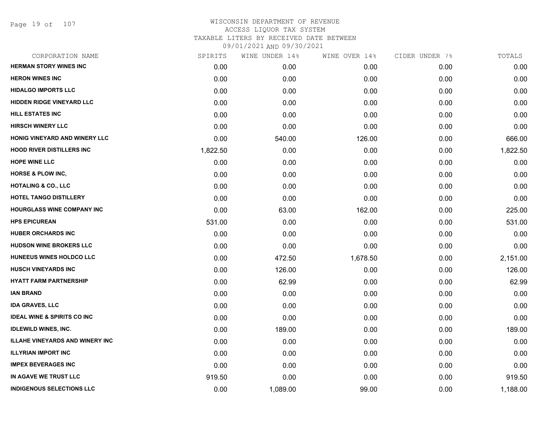Page 19 of 107

| CORPORATION NAME                       | SPIRITS  | WINE UNDER 14% | WINE OVER 14% | CIDER UNDER 7% | TOTALS   |
|----------------------------------------|----------|----------------|---------------|----------------|----------|
| <b>HERMAN STORY WINES INC</b>          | 0.00     | 0.00           | 0.00          | 0.00           | 0.00     |
| <b>HERON WINES INC</b>                 | 0.00     | 0.00           | 0.00          | 0.00           | 0.00     |
| <b>HIDALGO IMPORTS LLC</b>             | 0.00     | 0.00           | 0.00          | 0.00           | 0.00     |
| <b>HIDDEN RIDGE VINEYARD LLC</b>       | 0.00     | 0.00           | 0.00          | 0.00           | 0.00     |
| <b>HILL ESTATES INC</b>                | 0.00     | 0.00           | 0.00          | 0.00           | 0.00     |
| <b>HIRSCH WINERY LLC</b>               | 0.00     | 0.00           | 0.00          | 0.00           | 0.00     |
| HONIG VINEYARD AND WINERY LLC          | 0.00     | 540.00         | 126.00        | 0.00           | 666.00   |
| <b>HOOD RIVER DISTILLERS INC</b>       | 1,822.50 | 0.00           | 0.00          | 0.00           | 1,822.50 |
| <b>HOPE WINE LLC</b>                   | 0.00     | 0.00           | 0.00          | 0.00           | 0.00     |
| <b>HORSE &amp; PLOW INC,</b>           | 0.00     | 0.00           | 0.00          | 0.00           | 0.00     |
| <b>HOTALING &amp; CO., LLC</b>         | 0.00     | 0.00           | 0.00          | 0.00           | 0.00     |
| HOTEL TANGO DISTILLERY                 | 0.00     | 0.00           | 0.00          | 0.00           | 0.00     |
| HOURGLASS WINE COMPANY INC             | 0.00     | 63.00          | 162.00        | 0.00           | 225.00   |
| <b>HPS EPICUREAN</b>                   | 531.00   | 0.00           | 0.00          | 0.00           | 531.00   |
| <b>HUBER ORCHARDS INC</b>              | 0.00     | 0.00           | 0.00          | 0.00           | 0.00     |
| <b>HUDSON WINE BROKERS LLC</b>         | 0.00     | 0.00           | 0.00          | 0.00           | 0.00     |
| HUNEEUS WINES HOLDCO LLC               | 0.00     | 472.50         | 1,678.50      | 0.00           | 2,151.00 |
| <b>HUSCH VINEYARDS INC</b>             | 0.00     | 126.00         | 0.00          | 0.00           | 126.00   |
| <b>HYATT FARM PARTNERSHIP</b>          | 0.00     | 62.99          | 0.00          | 0.00           | 62.99    |
| <b>IAN BRAND</b>                       | 0.00     | 0.00           | 0.00          | 0.00           | 0.00     |
| <b>IDA GRAVES, LLC</b>                 | 0.00     | 0.00           | 0.00          | 0.00           | 0.00     |
| <b>IDEAL WINE &amp; SPIRITS CO INC</b> | 0.00     | 0.00           | 0.00          | 0.00           | 0.00     |
| <b>IDLEWILD WINES, INC.</b>            | 0.00     | 189.00         | 0.00          | 0.00           | 189.00   |
| <b>ILLAHE VINEYARDS AND WINERY INC</b> | 0.00     | 0.00           | 0.00          | 0.00           | 0.00     |
| <b>ILLYRIAN IMPORT INC</b>             | 0.00     | 0.00           | 0.00          | 0.00           | 0.00     |
| <b>IMPEX BEVERAGES INC</b>             | 0.00     | 0.00           | 0.00          | 0.00           | 0.00     |
| IN AGAVE WE TRUST LLC                  | 919.50   | 0.00           | 0.00          | 0.00           | 919.50   |
| <b>INDIGENOUS SELECTIONS LLC</b>       | 0.00     | 1,089.00       | 99.00         | 0.00           | 1,188.00 |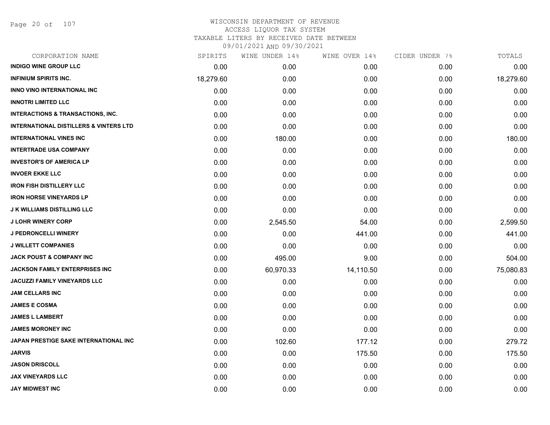Page 20 of 107

| CORPORATION NAME                                  | SPIRITS   | WINE UNDER 14% | WINE OVER 14% | CIDER UNDER 7% | TOTALS    |
|---------------------------------------------------|-----------|----------------|---------------|----------------|-----------|
| <b>INDIGO WINE GROUP LLC</b>                      | 0.00      | 0.00           | 0.00          | 0.00           | 0.00      |
| <b>INFINIUM SPIRITS INC.</b>                      | 18,279.60 | 0.00           | 0.00          | 0.00           | 18,279.60 |
| INNO VINO INTERNATIONAL INC                       | 0.00      | 0.00           | 0.00          | 0.00           | 0.00      |
| <b>INNOTRI LIMITED LLC</b>                        | 0.00      | 0.00           | 0.00          | 0.00           | 0.00      |
| <b>INTERACTIONS &amp; TRANSACTIONS, INC.</b>      | 0.00      | 0.00           | 0.00          | 0.00           | 0.00      |
| <b>INTERNATIONAL DISTILLERS &amp; VINTERS LTD</b> | 0.00      | 0.00           | 0.00          | 0.00           | 0.00      |
| <b>INTERNATIONAL VINES INC</b>                    | 0.00      | 180.00         | 0.00          | 0.00           | 180.00    |
| <b>INTERTRADE USA COMPANY</b>                     | 0.00      | 0.00           | 0.00          | 0.00           | 0.00      |
| <b>INVESTOR'S OF AMERICA LP</b>                   | 0.00      | 0.00           | 0.00          | 0.00           | 0.00      |
| <b>INVOER EKKE LLC</b>                            | 0.00      | 0.00           | 0.00          | 0.00           | 0.00      |
| <b>IRON FISH DISTILLERY LLC</b>                   | 0.00      | 0.00           | 0.00          | 0.00           | 0.00      |
| <b>IRON HORSE VINEYARDS LP</b>                    | 0.00      | 0.00           | 0.00          | 0.00           | 0.00      |
| <b>J K WILLIAMS DISTILLING LLC</b>                | 0.00      | 0.00           | 0.00          | 0.00           | 0.00      |
| <b>J LOHR WINERY CORP</b>                         | 0.00      | 2,545.50       | 54.00         | 0.00           | 2,599.50  |
| <b>J PEDRONCELLI WINERY</b>                       | 0.00      | 0.00           | 441.00        | 0.00           | 441.00    |
| <b>J WILLETT COMPANIES</b>                        | 0.00      | 0.00           | 0.00          | 0.00           | 0.00      |
| JACK POUST & COMPANY INC                          | 0.00      | 495.00         | 9.00          | 0.00           | 504.00    |
| JACKSON FAMILY ENTERPRISES INC                    | 0.00      | 60,970.33      | 14,110.50     | 0.00           | 75,080.83 |
| <b>JACUZZI FAMILY VINEYARDS LLC</b>               | 0.00      | 0.00           | 0.00          | 0.00           | 0.00      |
| <b>JAM CELLARS INC</b>                            | 0.00      | 0.00           | 0.00          | 0.00           | 0.00      |
| <b>JAMES E COSMA</b>                              | 0.00      | 0.00           | 0.00          | 0.00           | 0.00      |
| <b>JAMES L LAMBERT</b>                            | 0.00      | 0.00           | 0.00          | 0.00           | 0.00      |
| <b>JAMES MORONEY INC</b>                          | 0.00      | 0.00           | 0.00          | 0.00           | 0.00      |
| JAPAN PRESTIGE SAKE INTERNATIONAL INC             | 0.00      | 102.60         | 177.12        | 0.00           | 279.72    |
| <b>JARVIS</b>                                     | 0.00      | 0.00           | 175.50        | 0.00           | 175.50    |
| <b>JASON DRISCOLL</b>                             | 0.00      | 0.00           | 0.00          | 0.00           | 0.00      |
| JAX VINEYARDS LLC                                 | 0.00      | 0.00           | 0.00          | 0.00           | 0.00      |
| <b>JAY MIDWEST INC</b>                            | 0.00      | 0.00           | 0.00          | 0.00           | 0.00      |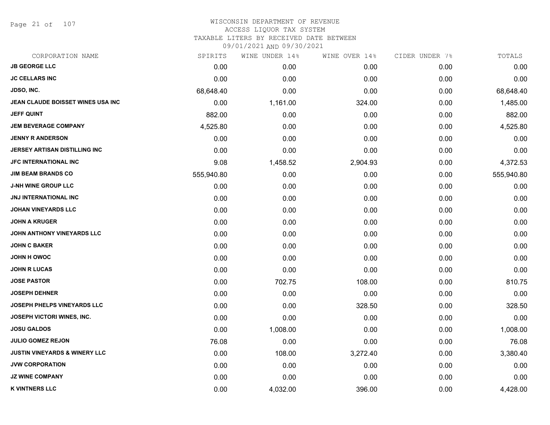Page 21 of 107

| CORPORATION NAME                         | SPIRITS    | WINE UNDER 14% | WINE OVER 14% | CIDER UNDER 7% | TOTALS     |
|------------------------------------------|------------|----------------|---------------|----------------|------------|
| <b>JB GEORGE LLC</b>                     | 0.00       | 0.00           | 0.00          | 0.00           | 0.00       |
| <b>JC CELLARS INC</b>                    | 0.00       | 0.00           | 0.00          | 0.00           | 0.00       |
| <b>JDSO, INC.</b>                        | 68,648.40  | 0.00           | 0.00          | 0.00           | 68,648.40  |
| JEAN CLAUDE BOISSET WINES USA INC        | 0.00       | 1,161.00       | 324.00        | 0.00           | 1,485.00   |
| <b>JEFF QUINT</b>                        | 882.00     | 0.00           | 0.00          | 0.00           | 882.00     |
| <b>JEM BEVERAGE COMPANY</b>              | 4,525.80   | 0.00           | 0.00          | 0.00           | 4,525.80   |
| <b>JENNY R ANDERSON</b>                  | 0.00       | 0.00           | 0.00          | 0.00           | 0.00       |
| JERSEY ARTISAN DISTILLING INC            | 0.00       | 0.00           | 0.00          | 0.00           | 0.00       |
| <b>JFC INTERNATIONAL INC</b>             | 9.08       | 1,458.52       | 2,904.93      | 0.00           | 4,372.53   |
| <b>JIM BEAM BRANDS CO</b>                | 555,940.80 | 0.00           | 0.00          | 0.00           | 555,940.80 |
| <b>J-NH WINE GROUP LLC</b>               | 0.00       | 0.00           | 0.00          | 0.00           | 0.00       |
| <b>JNJ INTERNATIONAL INC</b>             | 0.00       | 0.00           | 0.00          | 0.00           | 0.00       |
| <b>JOHAN VINEYARDS LLC</b>               | 0.00       | 0.00           | 0.00          | 0.00           | 0.00       |
| <b>JOHN A KRUGER</b>                     | 0.00       | 0.00           | 0.00          | 0.00           | 0.00       |
| JOHN ANTHONY VINEYARDS LLC               | 0.00       | 0.00           | 0.00          | 0.00           | 0.00       |
| <b>JOHN C BAKER</b>                      | 0.00       | 0.00           | 0.00          | 0.00           | 0.00       |
| <b>JOHN H OWOC</b>                       | 0.00       | 0.00           | 0.00          | 0.00           | 0.00       |
| <b>JOHN R LUCAS</b>                      | 0.00       | 0.00           | 0.00          | 0.00           | 0.00       |
| <b>JOSE PASTOR</b>                       | 0.00       | 702.75         | 108.00        | 0.00           | 810.75     |
| <b>JOSEPH DEHNER</b>                     | 0.00       | 0.00           | 0.00          | 0.00           | 0.00       |
| JOSEPH PHELPS VINEYARDS LLC              | 0.00       | 0.00           | 328.50        | 0.00           | 328.50     |
| JOSEPH VICTORI WINES, INC.               | 0.00       | 0.00           | 0.00          | 0.00           | 0.00       |
| <b>JOSU GALDOS</b>                       | 0.00       | 1,008.00       | 0.00          | 0.00           | 1,008.00   |
| <b>JULIO GOMEZ REJON</b>                 | 76.08      | 0.00           | 0.00          | 0.00           | 76.08      |
| <b>JUSTIN VINEYARDS &amp; WINERY LLC</b> | 0.00       | 108.00         | 3,272.40      | 0.00           | 3,380.40   |
| <b>JVW CORPORATION</b>                   | 0.00       | 0.00           | 0.00          | 0.00           | 0.00       |
| <b>JZ WINE COMPANY</b>                   | 0.00       | 0.00           | 0.00          | 0.00           | 0.00       |
| <b>K VINTNERS LLC</b>                    | 0.00       | 4,032.00       | 396.00        | 0.00           | 4,428.00   |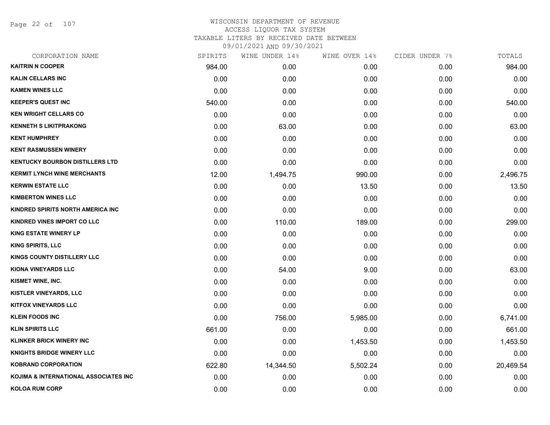Page 22 of 107

|        | WINE UNDER 14% | WINE OVER 14% | CIDER UNDER 7% | TOTALS    |
|--------|----------------|---------------|----------------|-----------|
| 984.00 | 0.00           | 0.00          | 0.00           | 984.00    |
| 0.00   | 0.00           | 0.00          | 0.00           | 0.00      |
| 0.00   | 0.00           | 0.00          | 0.00           | 0.00      |
| 540.00 | 0.00           | 0.00          | 0.00           | 540.00    |
| 0.00   | 0.00           | 0.00          | 0.00           | 0.00      |
| 0.00   | 63.00          | 0.00          | 0.00           | 63.00     |
| 0.00   | 0.00           | 0.00          | 0.00           | 0.00      |
| 0.00   | 0.00           | 0.00          | 0.00           | 0.00      |
| 0.00   | 0.00           | 0.00          | 0.00           | 0.00      |
| 12.00  | 1,494.75       | 990.00        | 0.00           | 2,496.75  |
| 0.00   | 0.00           | 13.50         | 0.00           | 13.50     |
| 0.00   | 0.00           | 0.00          | 0.00           | 0.00      |
| 0.00   | 0.00           | 0.00          | 0.00           | 0.00      |
| 0.00   | 110.00         | 189.00        | 0.00           | 299.00    |
| 0.00   | 0.00           | 0.00          | 0.00           | 0.00      |
| 0.00   | 0.00           | 0.00          | 0.00           | 0.00      |
| 0.00   | 0.00           | 0.00          | 0.00           | 0.00      |
| 0.00   | 54.00          | 9.00          | 0.00           | 63.00     |
| 0.00   | 0.00           | 0.00          | 0.00           | 0.00      |
| 0.00   | 0.00           | 0.00          | 0.00           | 0.00      |
| 0.00   | 0.00           | 0.00          | 0.00           | 0.00      |
| 0.00   | 756.00         | 5,985.00      | 0.00           | 6,741.00  |
| 661.00 | 0.00           | 0.00          | 0.00           | 661.00    |
| 0.00   | 0.00           | 1,453.50      | 0.00           | 1,453.50  |
| 0.00   | 0.00           | 0.00          | 0.00           | 0.00      |
| 622.80 | 14,344.50      | 5,502.24      | 0.00           | 20,469.54 |
| 0.00   | 0.00           | 0.00          | 0.00           | 0.00      |
| 0.00   | 0.00           | 0.00          | 0.00           | 0.00      |
|        | SPIRITS        |               |                |           |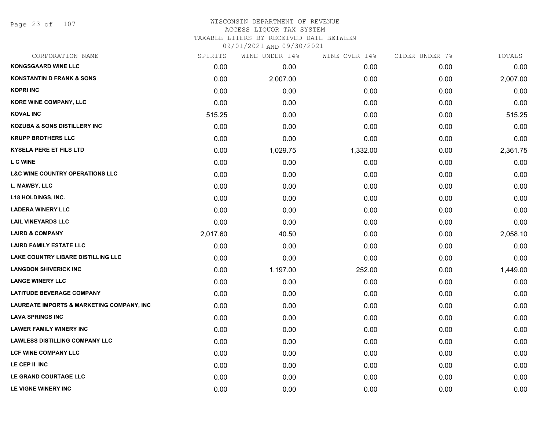Page 23 of 107

# WISCONSIN DEPARTMENT OF REVENUE ACCESS LIQUOR TAX SYSTEM

TAXABLE LITERS BY RECEIVED DATE BETWEEN

| CORPORATION NAME                                      | SPIRITS  | WINE UNDER 14% | WINE OVER 14% | CIDER UNDER 7% | TOTALS   |
|-------------------------------------------------------|----------|----------------|---------------|----------------|----------|
| <b>KONGSGAARD WINE LLC</b>                            | 0.00     | 0.00           | 0.00          | 0.00           | 0.00     |
| <b>KONSTANTIN D FRANK &amp; SONS</b>                  | 0.00     | 2,007.00       | 0.00          | 0.00           | 2,007.00 |
| <b>KOPRI INC</b>                                      | 0.00     | 0.00           | 0.00          | 0.00           | 0.00     |
| <b>KORE WINE COMPANY, LLC</b>                         | 0.00     | 0.00           | 0.00          | 0.00           | 0.00     |
| <b>KOVAL INC</b>                                      | 515.25   | 0.00           | 0.00          | 0.00           | 515.25   |
| <b>KOZUBA &amp; SONS DISTILLERY INC</b>               | 0.00     | 0.00           | 0.00          | 0.00           | 0.00     |
| <b>KRUPP BROTHERS LLC</b>                             | 0.00     | 0.00           | 0.00          | 0.00           | 0.00     |
| <b>KYSELA PERE ET FILS LTD</b>                        | 0.00     | 1,029.75       | 1,332.00      | 0.00           | 2,361.75 |
| L C WINE                                              | 0.00     | 0.00           | 0.00          | 0.00           | 0.00     |
| <b>L&amp;C WINE COUNTRY OPERATIONS LLC</b>            | 0.00     | 0.00           | 0.00          | 0.00           | 0.00     |
| L. MAWBY, LLC                                         | 0.00     | 0.00           | 0.00          | 0.00           | 0.00     |
| <b>L18 HOLDINGS, INC.</b>                             | 0.00     | 0.00           | 0.00          | 0.00           | 0.00     |
| <b>LADERA WINERY LLC</b>                              | 0.00     | 0.00           | 0.00          | 0.00           | 0.00     |
| <b>LAIL VINEYARDS LLC</b>                             | 0.00     | 0.00           | 0.00          | 0.00           | 0.00     |
| <b>LAIRD &amp; COMPANY</b>                            | 2,017.60 | 40.50          | 0.00          | 0.00           | 2,058.10 |
| <b>LAIRD FAMILY ESTATE LLC</b>                        | 0.00     | 0.00           | 0.00          | 0.00           | 0.00     |
| <b>LAKE COUNTRY LIBARE DISTILLING LLC</b>             | 0.00     | 0.00           | 0.00          | 0.00           | 0.00     |
| <b>LANGDON SHIVERICK INC</b>                          | 0.00     | 1,197.00       | 252.00        | 0.00           | 1,449.00 |
| <b>LANGE WINERY LLC</b>                               | 0.00     | 0.00           | 0.00          | 0.00           | 0.00     |
| <b>LATITUDE BEVERAGE COMPANY</b>                      | 0.00     | 0.00           | 0.00          | 0.00           | 0.00     |
| <b>LAUREATE IMPORTS &amp; MARKETING COMPANY, INC.</b> | 0.00     | 0.00           | 0.00          | 0.00           | 0.00     |
| <b>LAVA SPRINGS INC</b>                               | 0.00     | 0.00           | 0.00          | 0.00           | 0.00     |
| <b>LAWER FAMILY WINERY INC</b>                        | 0.00     | 0.00           | 0.00          | 0.00           | 0.00     |
| <b>LAWLESS DISTILLING COMPANY LLC</b>                 | 0.00     | 0.00           | 0.00          | 0.00           | 0.00     |
| <b>LCF WINE COMPANY LLC</b>                           | 0.00     | 0.00           | 0.00          | 0.00           | 0.00     |
| LE CEP II INC                                         | 0.00     | 0.00           | 0.00          | 0.00           | 0.00     |
| LE GRAND COURTAGE LLC                                 | 0.00     | 0.00           | 0.00          | 0.00           | 0.00     |
| LE VIGNE WINERY INC                                   | 0.00     | 0.00           | 0.00          | 0.00           | 0.00     |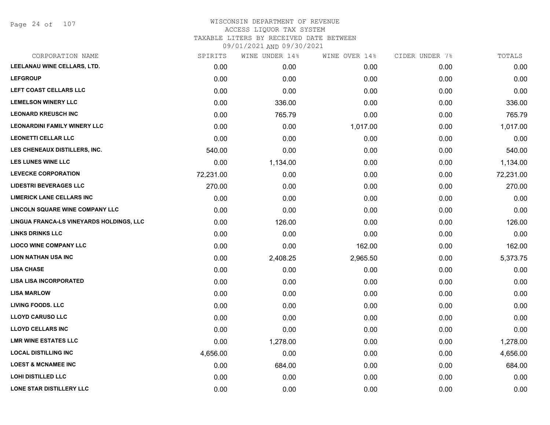Page 24 of 107

## WISCONSIN DEPARTMENT OF REVENUE ACCESS LIQUOR TAX SYSTEM TAXABLE LITERS BY RECEIVED DATE BETWEEN

| CORPORATION NAME                         | SPIRITS   | WINE UNDER 14% | WINE OVER 14% | CIDER UNDER 7% | TOTALS    |
|------------------------------------------|-----------|----------------|---------------|----------------|-----------|
| LEELANAU WINE CELLARS, LTD.              | 0.00      | 0.00           | 0.00          | 0.00           | 0.00      |
| <b>LEFGROUP</b>                          | 0.00      | 0.00           | 0.00          | 0.00           | 0.00      |
| LEFT COAST CELLARS LLC                   | 0.00      | 0.00           | 0.00          | 0.00           | 0.00      |
| <b>LEMELSON WINERY LLC</b>               | 0.00      | 336.00         | 0.00          | 0.00           | 336.00    |
| <b>LEONARD KREUSCH INC</b>               | 0.00      | 765.79         | 0.00          | 0.00           | 765.79    |
| <b>LEONARDINI FAMILY WINERY LLC</b>      | 0.00      | 0.00           | 1,017.00      | 0.00           | 1,017.00  |
| <b>LEONETTI CELLAR LLC</b>               | 0.00      | 0.00           | 0.00          | 0.00           | 0.00      |
| LES CHENEAUX DISTILLERS, INC.            | 540.00    | 0.00           | 0.00          | 0.00           | 540.00    |
| <b>LES LUNES WINE LLC</b>                | 0.00      | 1,134.00       | 0.00          | 0.00           | 1,134.00  |
| <b>LEVECKE CORPORATION</b>               | 72,231.00 | 0.00           | 0.00          | 0.00           | 72,231.00 |
| <b>LIDESTRI BEVERAGES LLC</b>            | 270.00    | 0.00           | 0.00          | 0.00           | 270.00    |
| <b>LIMERICK LANE CELLARS INC</b>         | 0.00      | 0.00           | 0.00          | 0.00           | 0.00      |
| LINCOLN SQUARE WINE COMPANY LLC          | 0.00      | 0.00           | 0.00          | 0.00           | 0.00      |
| LINGUA FRANCA-LS VINEYARDS HOLDINGS, LLC | 0.00      | 126.00         | 0.00          | 0.00           | 126.00    |
| <b>LINKS DRINKS LLC</b>                  | 0.00      | 0.00           | 0.00          | 0.00           | 0.00      |
| <b>LIOCO WINE COMPANY LLC</b>            | 0.00      | 0.00           | 162.00        | 0.00           | 162.00    |
| <b>LION NATHAN USA INC</b>               | 0.00      | 2,408.25       | 2,965.50      | 0.00           | 5,373.75  |
| <b>LISA CHASE</b>                        | 0.00      | 0.00           | 0.00          | 0.00           | 0.00      |
| <b>LISA LISA INCORPORATED</b>            | 0.00      | 0.00           | 0.00          | 0.00           | 0.00      |
| <b>LISA MARLOW</b>                       | 0.00      | 0.00           | 0.00          | 0.00           | 0.00      |
| <b>LIVING FOODS. LLC</b>                 | 0.00      | 0.00           | 0.00          | 0.00           | 0.00      |
| <b>LLOYD CARUSO LLC</b>                  | 0.00      | 0.00           | 0.00          | 0.00           | 0.00      |
| <b>LLOYD CELLARS INC</b>                 | 0.00      | 0.00           | 0.00          | 0.00           | 0.00      |
| <b>LMR WINE ESTATES LLC</b>              | 0.00      | 1,278.00       | 0.00          | 0.00           | 1,278.00  |
| <b>LOCAL DISTILLING INC</b>              | 4,656.00  | 0.00           | 0.00          | 0.00           | 4,656.00  |
| <b>LOEST &amp; MCNAMEE INC</b>           | 0.00      | 684.00         | 0.00          | 0.00           | 684.00    |
| <b>LOHI DISTILLED LLC</b>                | 0.00      | 0.00           | 0.00          | 0.00           | 0.00      |
| LONE STAR DISTILLERY LLC                 | 0.00      | 0.00           | 0.00          | 0.00           | 0.00      |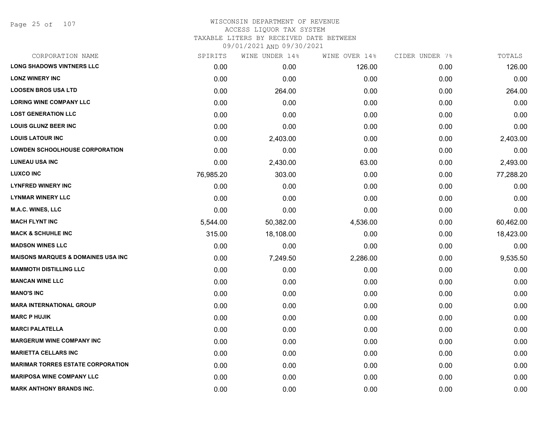Page 25 of 107

### WISCONSIN DEPARTMENT OF REVENUE ACCESS LIQUOR TAX SYSTEM TAXABLE LITERS BY RECEIVED DATE BETWEEN

| CORPORATION NAME                              | SPIRITS   | WINE UNDER 14% | WINE OVER 14% | CIDER UNDER 7% | TOTALS    |
|-----------------------------------------------|-----------|----------------|---------------|----------------|-----------|
| <b>LONG SHADOWS VINTNERS LLC</b>              | 0.00      | 0.00           | 126.00        | 0.00           | 126.00    |
| <b>LONZ WINERY INC</b>                        | 0.00      | 0.00           | 0.00          | 0.00           | 0.00      |
| <b>LOOSEN BROS USA LTD</b>                    | 0.00      | 264.00         | 0.00          | 0.00           | 264.00    |
| <b>LORING WINE COMPANY LLC</b>                | 0.00      | 0.00           | 0.00          | 0.00           | 0.00      |
| <b>LOST GENERATION LLC</b>                    | 0.00      | 0.00           | 0.00          | 0.00           | 0.00      |
| <b>LOUIS GLUNZ BEER INC</b>                   | 0.00      | 0.00           | 0.00          | 0.00           | 0.00      |
| <b>LOUIS LATOUR INC</b>                       | 0.00      | 2,403.00       | 0.00          | 0.00           | 2,403.00  |
| <b>LOWDEN SCHOOLHOUSE CORPORATION</b>         | 0.00      | 0.00           | 0.00          | 0.00           | 0.00      |
| <b>LUNEAU USA INC</b>                         | 0.00      | 2,430.00       | 63.00         | 0.00           | 2,493.00  |
| <b>LUXCO INC</b>                              | 76,985.20 | 303.00         | 0.00          | 0.00           | 77,288.20 |
| <b>LYNFRED WINERY INC</b>                     | 0.00      | 0.00           | 0.00          | 0.00           | 0.00      |
| <b>LYNMAR WINERY LLC</b>                      | 0.00      | 0.00           | 0.00          | 0.00           | 0.00      |
| <b>M.A.C. WINES, LLC</b>                      | 0.00      | 0.00           | 0.00          | 0.00           | 0.00      |
| <b>MACH FLYNT INC</b>                         | 5,544.00  | 50,382.00      | 4,536.00      | 0.00           | 60,462.00 |
| <b>MACK &amp; SCHUHLE INC</b>                 | 315.00    | 18,108.00      | 0.00          | 0.00           | 18,423.00 |
| <b>MADSON WINES LLC</b>                       | 0.00      | 0.00           | 0.00          | 0.00           | 0.00      |
| <b>MAISONS MARQUES &amp; DOMAINES USA INC</b> | 0.00      | 7,249.50       | 2,286.00      | 0.00           | 9,535.50  |
| <b>MAMMOTH DISTILLING LLC</b>                 | 0.00      | 0.00           | 0.00          | 0.00           | 0.00      |
| <b>MANCAN WINE LLC</b>                        | 0.00      | 0.00           | 0.00          | 0.00           | 0.00      |
| <b>MANO'S INC</b>                             | 0.00      | 0.00           | 0.00          | 0.00           | 0.00      |
| <b>MARA INTERNATIONAL GROUP</b>               | 0.00      | 0.00           | 0.00          | 0.00           | 0.00      |
| <b>MARC P HUJIK</b>                           | 0.00      | 0.00           | 0.00          | 0.00           | 0.00      |
| <b>MARCI PALATELLA</b>                        | 0.00      | 0.00           | 0.00          | 0.00           | 0.00      |
| <b>MARGERUM WINE COMPANY INC</b>              | 0.00      | 0.00           | 0.00          | 0.00           | 0.00      |
| <b>MARIETTA CELLARS INC</b>                   | 0.00      | 0.00           | 0.00          | 0.00           | 0.00      |
| <b>MARIMAR TORRES ESTATE CORPORATION</b>      | 0.00      | 0.00           | 0.00          | 0.00           | 0.00      |
| <b>MARIPOSA WINE COMPANY LLC</b>              | 0.00      | 0.00           | 0.00          | 0.00           | 0.00      |
| <b>MARK ANTHONY BRANDS INC.</b>               | 0.00      | 0.00           | 0.00          | 0.00           | 0.00      |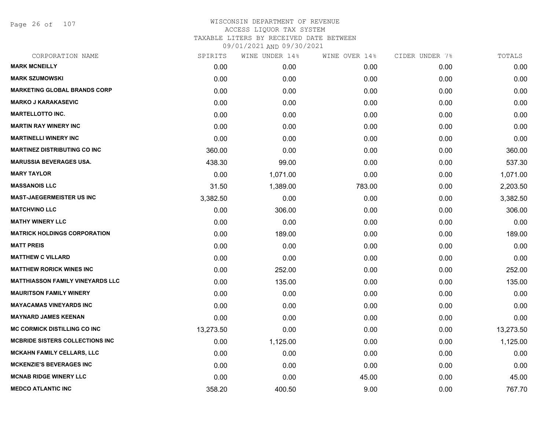Page 26 of 107

| CORPORATION NAME                        | SPIRITS   | WINE UNDER 14% | WINE OVER 14% | CIDER UNDER 7% | TOTALS    |
|-----------------------------------------|-----------|----------------|---------------|----------------|-----------|
| <b>MARK MCNEILLY</b>                    | 0.00      | 0.00           | 0.00          | 0.00           | 0.00      |
| <b>MARK SZUMOWSKI</b>                   | 0.00      | 0.00           | 0.00          | 0.00           | 0.00      |
| <b>MARKETING GLOBAL BRANDS CORP</b>     | 0.00      | 0.00           | 0.00          | 0.00           | 0.00      |
| <b>MARKO J KARAKASEVIC</b>              | 0.00      | 0.00           | 0.00          | 0.00           | 0.00      |
| <b>MARTELLOTTO INC.</b>                 | 0.00      | 0.00           | 0.00          | 0.00           | 0.00      |
| <b>MARTIN RAY WINERY INC</b>            | 0.00      | 0.00           | 0.00          | 0.00           | 0.00      |
| <b>MARTINELLI WINERY INC</b>            | 0.00      | 0.00           | 0.00          | 0.00           | 0.00      |
| <b>MARTINEZ DISTRIBUTING CO INC</b>     | 360.00    | 0.00           | 0.00          | 0.00           | 360.00    |
| <b>MARUSSIA BEVERAGES USA.</b>          | 438.30    | 99.00          | 0.00          | 0.00           | 537.30    |
| <b>MARY TAYLOR</b>                      | 0.00      | 1,071.00       | 0.00          | 0.00           | 1,071.00  |
| <b>MASSANOIS LLC</b>                    | 31.50     | 1,389.00       | 783.00        | 0.00           | 2,203.50  |
| <b>MAST-JAEGERMEISTER US INC</b>        | 3,382.50  | 0.00           | 0.00          | 0.00           | 3,382.50  |
| <b>MATCHVINO LLC</b>                    | 0.00      | 306.00         | 0.00          | 0.00           | 306.00    |
| <b>MATHY WINERY LLC</b>                 | 0.00      | 0.00           | 0.00          | 0.00           | 0.00      |
| <b>MATRICK HOLDINGS CORPORATION</b>     | 0.00      | 189.00         | 0.00          | 0.00           | 189.00    |
| <b>MATT PREIS</b>                       | 0.00      | 0.00           | 0.00          | 0.00           | 0.00      |
| <b>MATTHEW C VILLARD</b>                | 0.00      | 0.00           | 0.00          | 0.00           | 0.00      |
| <b>MATTHEW RORICK WINES INC</b>         | 0.00      | 252.00         | 0.00          | 0.00           | 252.00    |
| <b>MATTHIASSON FAMILY VINEYARDS LLC</b> | 0.00      | 135.00         | 0.00          | 0.00           | 135.00    |
| <b>MAURITSON FAMILY WINERY</b>          | 0.00      | 0.00           | 0.00          | 0.00           | 0.00      |
| <b>MAYACAMAS VINEYARDS INC</b>          | 0.00      | 0.00           | 0.00          | 0.00           | 0.00      |
| <b>MAYNARD JAMES KEENAN</b>             | 0.00      | 0.00           | 0.00          | 0.00           | 0.00      |
| <b>MC CORMICK DISTILLING CO INC</b>     | 13,273.50 | 0.00           | 0.00          | 0.00           | 13,273.50 |
| <b>MCBRIDE SISTERS COLLECTIONS INC.</b> | 0.00      | 1,125.00       | 0.00          | 0.00           | 1,125.00  |
| <b>MCKAHN FAMILY CELLARS, LLC</b>       | 0.00      | 0.00           | 0.00          | 0.00           | 0.00      |
| <b>MCKENZIE'S BEVERAGES INC</b>         | 0.00      | 0.00           | 0.00          | 0.00           | 0.00      |
| <b>MCNAB RIDGE WINERY LLC</b>           | 0.00      | 0.00           | 45.00         | 0.00           | 45.00     |
| <b>MEDCO ATLANTIC INC</b>               | 358.20    | 400.50         | 9.00          | 0.00           | 767.70    |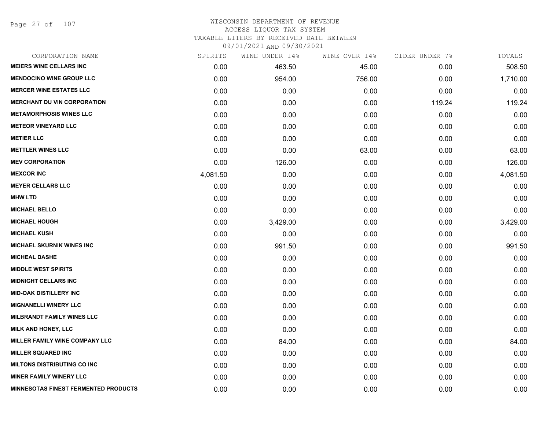Page 27 of 107

#### WISCONSIN DEPARTMENT OF REVENUE ACCESS LIQUOR TAX SYSTEM TAXABLE LITERS BY RECEIVED DATE BETWEEN

| CORPORATION NAME                            | SPIRITS  | WINE UNDER 14% | WINE OVER 14% | CIDER UNDER 7% | TOTALS   |
|---------------------------------------------|----------|----------------|---------------|----------------|----------|
| <b>MEIERS WINE CELLARS INC</b>              | 0.00     | 463.50         | 45.00         | 0.00           | 508.50   |
| <b>MENDOCINO WINE GROUP LLC</b>             | 0.00     | 954.00         | 756.00        | 0.00           | 1,710.00 |
| <b>MERCER WINE ESTATES LLC</b>              | 0.00     | 0.00           | 0.00          | 0.00           | 0.00     |
| <b>MERCHANT DU VIN CORPORATION</b>          | 0.00     | 0.00           | 0.00          | 119.24         | 119.24   |
| <b>METAMORPHOSIS WINES LLC</b>              | 0.00     | 0.00           | 0.00          | 0.00           | 0.00     |
| <b>METEOR VINEYARD LLC</b>                  | 0.00     | 0.00           | 0.00          | 0.00           | 0.00     |
| <b>METIER LLC</b>                           | 0.00     | 0.00           | 0.00          | 0.00           | 0.00     |
| <b>METTLER WINES LLC</b>                    | 0.00     | 0.00           | 63.00         | 0.00           | 63.00    |
| <b>MEV CORPORATION</b>                      | 0.00     | 126.00         | 0.00          | 0.00           | 126.00   |
| <b>MEXCOR INC</b>                           | 4,081.50 | 0.00           | 0.00          | 0.00           | 4,081.50 |
| <b>MEYER CELLARS LLC</b>                    | 0.00     | 0.00           | 0.00          | 0.00           | 0.00     |
| <b>MHW LTD</b>                              | 0.00     | 0.00           | 0.00          | 0.00           | 0.00     |
| <b>MICHAEL BELLO</b>                        | 0.00     | 0.00           | 0.00          | 0.00           | 0.00     |
| <b>MICHAEL HOUGH</b>                        | 0.00     | 3,429.00       | 0.00          | 0.00           | 3,429.00 |
| <b>MICHAEL KUSH</b>                         | 0.00     | 0.00           | 0.00          | 0.00           | 0.00     |
| <b>MICHAEL SKURNIK WINES INC</b>            | 0.00     | 991.50         | 0.00          | 0.00           | 991.50   |
| <b>MICHEAL DASHE</b>                        | 0.00     | 0.00           | 0.00          | 0.00           | 0.00     |
| <b>MIDDLE WEST SPIRITS</b>                  | 0.00     | 0.00           | 0.00          | 0.00           | 0.00     |
| <b>MIDNIGHT CELLARS INC</b>                 | 0.00     | 0.00           | 0.00          | 0.00           | 0.00     |
| <b>MID-OAK DISTILLERY INC</b>               | 0.00     | 0.00           | 0.00          | 0.00           | 0.00     |
| <b>MIGNANELLI WINERY LLC</b>                | 0.00     | 0.00           | 0.00          | 0.00           | 0.00     |
| <b>MILBRANDT FAMILY WINES LLC</b>           | 0.00     | 0.00           | 0.00          | 0.00           | 0.00     |
| <b>MILK AND HONEY, LLC</b>                  | 0.00     | 0.00           | 0.00          | 0.00           | 0.00     |
| <b>MILLER FAMILY WINE COMPANY LLC</b>       | 0.00     | 84.00          | 0.00          | 0.00           | 84.00    |
| <b>MILLER SQUARED INC</b>                   | 0.00     | 0.00           | 0.00          | 0.00           | 0.00     |
| <b>MILTONS DISTRIBUTING CO INC</b>          | 0.00     | 0.00           | 0.00          | 0.00           | 0.00     |
| <b>MINER FAMILY WINERY LLC</b>              | 0.00     | 0.00           | 0.00          | 0.00           | 0.00     |
| <b>MINNESOTAS FINEST FERMENTED PRODUCTS</b> | 0.00     | 0.00           | 0.00          | 0.00           | 0.00     |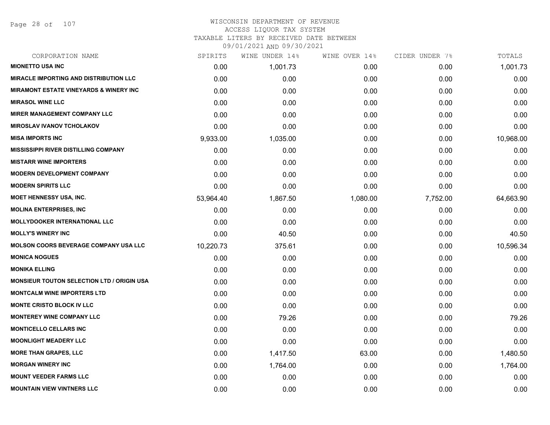Page 28 of 107

## WISCONSIN DEPARTMENT OF REVENUE ACCESS LIQUOR TAX SYSTEM TAXABLE LITERS BY RECEIVED DATE BETWEEN

| CORPORATION NAME                                  | SPIRITS   | WINE UNDER 14% | WINE OVER 14% | CIDER UNDER 7% | TOTALS    |
|---------------------------------------------------|-----------|----------------|---------------|----------------|-----------|
| <b>MIONETTO USA INC</b>                           | 0.00      | 1,001.73       | 0.00          | 0.00           | 1,001.73  |
| <b>MIRACLE IMPORTING AND DISTRIBUTION LLC</b>     | 0.00      | 0.00           | 0.00          | 0.00           | 0.00      |
| <b>MIRAMONT ESTATE VINEYARDS &amp; WINERY INC</b> | 0.00      | 0.00           | 0.00          | 0.00           | 0.00      |
| <b>MIRASOL WINE LLC</b>                           | 0.00      | 0.00           | 0.00          | 0.00           | 0.00      |
| <b>MIRER MANAGEMENT COMPANY LLC</b>               | 0.00      | 0.00           | 0.00          | 0.00           | 0.00      |
| <b>MIROSLAV IVANOV TCHOLAKOV</b>                  | 0.00      | 0.00           | 0.00          | 0.00           | 0.00      |
| <b>MISA IMPORTS INC</b>                           | 9,933.00  | 1,035.00       | 0.00          | 0.00           | 10,968.00 |
| <b>MISSISSIPPI RIVER DISTILLING COMPANY</b>       | 0.00      | 0.00           | 0.00          | 0.00           | 0.00      |
| <b>MISTARR WINE IMPORTERS</b>                     | 0.00      | 0.00           | 0.00          | 0.00           | 0.00      |
| <b>MODERN DEVELOPMENT COMPANY</b>                 | 0.00      | 0.00           | 0.00          | 0.00           | 0.00      |
| <b>MODERN SPIRITS LLC</b>                         | 0.00      | 0.00           | 0.00          | 0.00           | 0.00      |
| <b>MOET HENNESSY USA, INC.</b>                    | 53,964.40 | 1,867.50       | 1,080.00      | 7,752.00       | 64,663.90 |
| <b>MOLINA ENTERPRISES, INC</b>                    | 0.00      | 0.00           | 0.00          | 0.00           | 0.00      |
| <b>MOLLYDOOKER INTERNATIONAL LLC</b>              | 0.00      | 0.00           | 0.00          | 0.00           | 0.00      |
| <b>MOLLY'S WINERY INC</b>                         | 0.00      | 40.50          | 0.00          | 0.00           | 40.50     |
| <b>MOLSON COORS BEVERAGE COMPANY USA LLC</b>      | 10,220.73 | 375.61         | 0.00          | 0.00           | 10,596.34 |
| <b>MONICA NOGUES</b>                              | 0.00      | 0.00           | 0.00          | 0.00           | 0.00      |
| <b>MONIKA ELLING</b>                              | 0.00      | 0.00           | 0.00          | 0.00           | 0.00      |
| <b>MONSIEUR TOUTON SELECTION LTD / ORIGIN USA</b> | 0.00      | 0.00           | 0.00          | 0.00           | 0.00      |
| <b>MONTCALM WINE IMPORTERS LTD</b>                | 0.00      | 0.00           | 0.00          | 0.00           | 0.00      |
| <b>MONTE CRISTO BLOCK IV LLC</b>                  | 0.00      | 0.00           | 0.00          | 0.00           | 0.00      |
| <b>MONTEREY WINE COMPANY LLC</b>                  | 0.00      | 79.26          | 0.00          | 0.00           | 79.26     |
| <b>MONTICELLO CELLARS INC</b>                     | 0.00      | 0.00           | 0.00          | 0.00           | 0.00      |
| <b>MOONLIGHT MEADERY LLC</b>                      | 0.00      | 0.00           | 0.00          | 0.00           | 0.00      |
| <b>MORE THAN GRAPES, LLC</b>                      | 0.00      | 1,417.50       | 63.00         | 0.00           | 1,480.50  |
| <b>MORGAN WINERY INC</b>                          | 0.00      | 1,764.00       | 0.00          | 0.00           | 1,764.00  |
| <b>MOUNT VEEDER FARMS LLC</b>                     | 0.00      | 0.00           | 0.00          | 0.00           | 0.00      |
| <b>MOUNTAIN VIEW VINTNERS LLC</b>                 | 0.00      | 0.00           | 0.00          | 0.00           | 0.00      |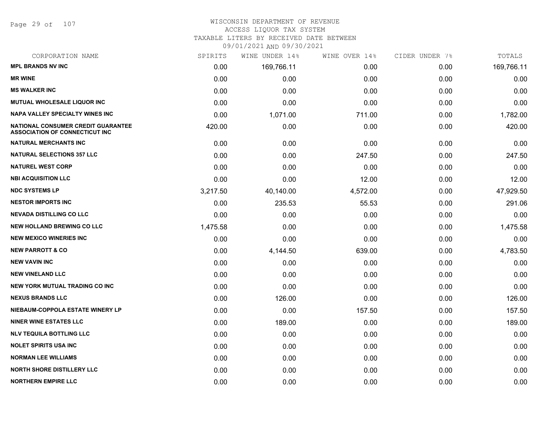Page 29 of 107

#### WISCONSIN DEPARTMENT OF REVENUE ACCESS LIQUOR TAX SYSTEM

TAXABLE LITERS BY RECEIVED DATE BETWEEN

| CORPORATION NAME                                                            | SPIRITS  | WINE UNDER 14% | WINE OVER 14% | CIDER UNDER 7% | TOTALS     |
|-----------------------------------------------------------------------------|----------|----------------|---------------|----------------|------------|
| <b>MPL BRANDS NV INC</b>                                                    | 0.00     | 169,766.11     | 0.00          | 0.00           | 169,766.11 |
| <b>MR WINE</b>                                                              | 0.00     | 0.00           | 0.00          | 0.00           | 0.00       |
| <b>MS WALKER INC</b>                                                        | 0.00     | 0.00           | 0.00          | 0.00           | 0.00       |
| <b>MUTUAL WHOLESALE LIQUOR INC</b>                                          | 0.00     | 0.00           | 0.00          | 0.00           | 0.00       |
| <b>NAPA VALLEY SPECIALTY WINES INC</b>                                      | 0.00     | 1,071.00       | 711.00        | 0.00           | 1,782.00   |
| NATIONAL CONSUMER CREDIT GUARANTEE<br><b>ASSOCIATION OF CONNECTICUT INC</b> | 420.00   | 0.00           | 0.00          | 0.00           | 420.00     |
| <b>NATURAL MERCHANTS INC</b>                                                | 0.00     | 0.00           | 0.00          | 0.00           | 0.00       |
| <b>NATURAL SELECTIONS 357 LLC</b>                                           | 0.00     | 0.00           | 247.50        | 0.00           | 247.50     |
| <b>NATUREL WEST CORP</b>                                                    | 0.00     | 0.00           | 0.00          | 0.00           | 0.00       |
| <b>NBI ACQUISITION LLC</b>                                                  | 0.00     | 0.00           | 12.00         | 0.00           | 12.00      |
| <b>NDC SYSTEMS LP</b>                                                       | 3,217.50 | 40,140.00      | 4,572.00      | 0.00           | 47,929.50  |
| <b>NESTOR IMPORTS INC</b>                                                   | 0.00     | 235.53         | 55.53         | 0.00           | 291.06     |
| <b>NEVADA DISTILLING CO LLC</b>                                             | 0.00     | 0.00           | 0.00          | 0.00           | 0.00       |
| <b>NEW HOLLAND BREWING CO LLC</b>                                           | 1,475.58 | 0.00           | 0.00          | 0.00           | 1,475.58   |
| <b>NEW MEXICO WINERIES INC.</b>                                             | 0.00     | 0.00           | 0.00          | 0.00           | 0.00       |
| <b>NEW PARROTT &amp; CO</b>                                                 | 0.00     | 4,144.50       | 639.00        | 0.00           | 4,783.50   |
| <b>NEW VAVIN INC</b>                                                        | 0.00     | 0.00           | 0.00          | 0.00           | 0.00       |
| <b>NEW VINELAND LLC</b>                                                     | 0.00     | 0.00           | 0.00          | 0.00           | 0.00       |
| <b>NEW YORK MUTUAL TRADING CO INC</b>                                       | 0.00     | 0.00           | 0.00          | 0.00           | 0.00       |
| <b>NEXUS BRANDS LLC</b>                                                     | 0.00     | 126.00         | 0.00          | 0.00           | 126.00     |
| NIEBAUM-COPPOLA ESTATE WINERY LP                                            | 0.00     | 0.00           | 157.50        | 0.00           | 157.50     |
| <b>NINER WINE ESTATES LLC</b>                                               | 0.00     | 189.00         | 0.00          | 0.00           | 189.00     |
| <b>NLV TEQUILA BOTTLING LLC</b>                                             | 0.00     | 0.00           | 0.00          | 0.00           | 0.00       |
| <b>NOLET SPIRITS USA INC</b>                                                | 0.00     | 0.00           | 0.00          | 0.00           | 0.00       |
| <b>NORMAN LEE WILLIAMS</b>                                                  | 0.00     | 0.00           | 0.00          | 0.00           | 0.00       |
| <b>NORTH SHORE DISTILLERY LLC</b>                                           | 0.00     | 0.00           | 0.00          | 0.00           | 0.00       |
| <b>NORTHERN EMPIRE LLC</b>                                                  | 0.00     | 0.00           | 0.00          | 0.00           | 0.00       |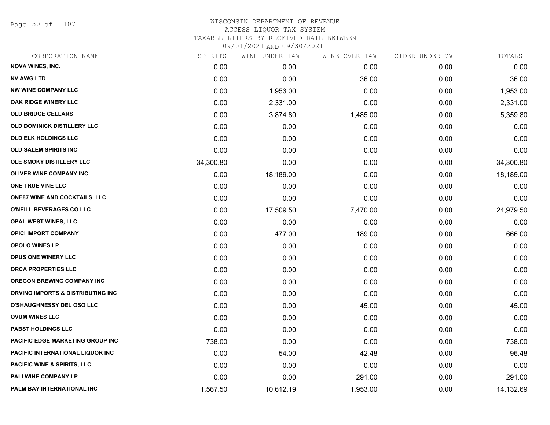Page 30 of 107

| CORPORATION NAME                       | SPIRITS   | WINE UNDER 14% | WINE OVER 14% | CIDER UNDER 7% | TOTALS    |
|----------------------------------------|-----------|----------------|---------------|----------------|-----------|
| <b>NOVA WINES, INC.</b>                | 0.00      | 0.00           | 0.00          | 0.00           | 0.00      |
| <b>NV AWG LTD</b>                      | 0.00      | 0.00           | 36.00         | 0.00           | 36.00     |
| <b>NW WINE COMPANY LLC</b>             | 0.00      | 1,953.00       | 0.00          | 0.00           | 1,953.00  |
| OAK RIDGE WINERY LLC                   | 0.00      | 2,331.00       | 0.00          | 0.00           | 2,331.00  |
| <b>OLD BRIDGE CELLARS</b>              | 0.00      | 3,874.80       | 1,485.00      | 0.00           | 5,359.80  |
| <b>OLD DOMINICK DISTILLERY LLC</b>     | 0.00      | 0.00           | 0.00          | 0.00           | 0.00      |
| OLD ELK HOLDINGS LLC                   | 0.00      | 0.00           | 0.00          | 0.00           | 0.00      |
| <b>OLD SALEM SPIRITS INC</b>           | 0.00      | 0.00           | 0.00          | 0.00           | 0.00      |
| OLE SMOKY DISTILLERY LLC               | 34,300.80 | 0.00           | 0.00          | 0.00           | 34,300.80 |
| <b>OLIVER WINE COMPANY INC</b>         | 0.00      | 18,189.00      | 0.00          | 0.00           | 18,189.00 |
| ONE TRUE VINE LLC                      | 0.00      | 0.00           | 0.00          | 0.00           | 0.00      |
| <b>ONE87 WINE AND COCKTAILS, LLC</b>   | 0.00      | 0.00           | 0.00          | 0.00           | 0.00      |
| O'NEILL BEVERAGES CO LLC               | 0.00      | 17,509.50      | 7,470.00      | 0.00           | 24,979.50 |
| <b>OPAL WEST WINES, LLC</b>            | 0.00      | 0.00           | 0.00          | 0.00           | 0.00      |
| <b>OPICI IMPORT COMPANY</b>            | 0.00      | 477.00         | 189.00        | 0.00           | 666.00    |
| <b>OPOLO WINES LP</b>                  | 0.00      | 0.00           | 0.00          | 0.00           | 0.00      |
| OPUS ONE WINERY LLC                    | 0.00      | 0.00           | 0.00          | 0.00           | 0.00      |
| ORCA PROPERTIES LLC                    | 0.00      | 0.00           | 0.00          | 0.00           | 0.00      |
| <b>OREGON BREWING COMPANY INC</b>      | 0.00      | 0.00           | 0.00          | 0.00           | 0.00      |
| ORVINO IMPORTS & DISTRIBUTING INC      | 0.00      | 0.00           | 0.00          | 0.00           | 0.00      |
| <b>O'SHAUGHNESSY DEL OSO LLC</b>       | 0.00      | 0.00           | 45.00         | 0.00           | 45.00     |
| <b>OVUM WINES LLC</b>                  | 0.00      | 0.00           | 0.00          | 0.00           | 0.00      |
| <b>PABST HOLDINGS LLC</b>              | 0.00      | 0.00           | 0.00          | 0.00           | 0.00      |
| PACIFIC EDGE MARKETING GROUP INC       | 738.00    | 0.00           | 0.00          | 0.00           | 738.00    |
| PACIFIC INTERNATIONAL LIQUOR INC       | 0.00      | 54.00          | 42.48         | 0.00           | 96.48     |
| <b>PACIFIC WINE &amp; SPIRITS, LLC</b> | 0.00      | 0.00           | 0.00          | 0.00           | 0.00      |
| <b>PALI WINE COMPANY LP</b>            | 0.00      | 0.00           | 291.00        | 0.00           | 291.00    |
| PALM BAY INTERNATIONAL INC             | 1,567.50  | 10,612.19      | 1,953.00      | 0.00           | 14,132.69 |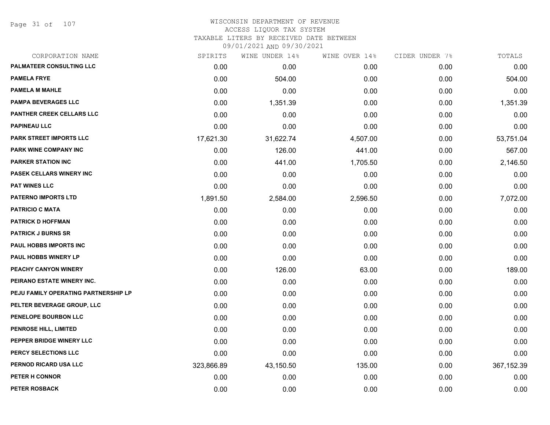Page 31 of 107

#### WISCONSIN DEPARTMENT OF REVENUE ACCESS LIQUOR TAX SYSTEM TAXABLE LITERS BY RECEIVED DATE BETWEEN

| CORPORATION NAME                     | SPIRITS    | WINE UNDER 14% | WINE OVER 14% | CIDER UNDER 7% | TOTALS      |
|--------------------------------------|------------|----------------|---------------|----------------|-------------|
| PALMATEER CONSULTING LLC             | 0.00       | 0.00           | 0.00          | 0.00           | 0.00        |
| <b>PAMELA FRYE</b>                   | 0.00       | 504.00         | 0.00          | 0.00           | 504.00      |
| <b>PAMELA M MAHLE</b>                | 0.00       | 0.00           | 0.00          | 0.00           | 0.00        |
| <b>PAMPA BEVERAGES LLC</b>           | 0.00       | 1,351.39       | 0.00          | 0.00           | 1,351.39    |
| PANTHER CREEK CELLARS LLC            | 0.00       | 0.00           | 0.00          | 0.00           | 0.00        |
| <b>PAPINEAU LLC</b>                  | 0.00       | 0.00           | 0.00          | 0.00           | 0.00        |
| PARK STREET IMPORTS LLC              | 17,621.30  | 31,622.74      | 4,507.00      | 0.00           | 53,751.04   |
| PARK WINE COMPANY INC                | 0.00       | 126.00         | 441.00        | 0.00           | 567.00      |
| <b>PARKER STATION INC</b>            | 0.00       | 441.00         | 1,705.50      | 0.00           | 2,146.50    |
| <b>PASEK CELLARS WINERY INC</b>      | 0.00       | 0.00           | 0.00          | 0.00           | 0.00        |
| <b>PAT WINES LLC</b>                 | 0.00       | 0.00           | 0.00          | 0.00           | 0.00        |
| <b>PATERNO IMPORTS LTD</b>           | 1,891.50   | 2,584.00       | 2,596.50      | 0.00           | 7,072.00    |
| <b>PATRICIO C MATA</b>               | 0.00       | 0.00           | 0.00          | 0.00           | 0.00        |
| <b>PATRICK D HOFFMAN</b>             | 0.00       | 0.00           | 0.00          | 0.00           | 0.00        |
| <b>PATRICK J BURNS SR</b>            | 0.00       | 0.00           | 0.00          | 0.00           | 0.00        |
| PAUL HOBBS IMPORTS INC               | 0.00       | 0.00           | 0.00          | 0.00           | 0.00        |
| PAUL HOBBS WINERY LP                 | 0.00       | 0.00           | 0.00          | 0.00           | 0.00        |
| PEACHY CANYON WINERY                 | 0.00       | 126.00         | 63.00         | 0.00           | 189.00      |
| PEIRANO ESTATE WINERY INC.           | 0.00       | 0.00           | 0.00          | 0.00           | 0.00        |
| PEJU FAMILY OPERATING PARTNERSHIP LP | 0.00       | 0.00           | 0.00          | 0.00           | 0.00        |
| PELTER BEVERAGE GROUP, LLC           | 0.00       | 0.00           | 0.00          | 0.00           | 0.00        |
| PENELOPE BOURBON LLC                 | 0.00       | 0.00           | 0.00          | 0.00           | 0.00        |
| PENROSE HILL, LIMITED                | 0.00       | 0.00           | 0.00          | 0.00           | 0.00        |
| PEPPER BRIDGE WINERY LLC             | 0.00       | 0.00           | 0.00          | 0.00           | 0.00        |
| PERCY SELECTIONS LLC                 | 0.00       | 0.00           | 0.00          | 0.00           | 0.00        |
| PERNOD RICARD USA LLC                | 323,866.89 | 43,150.50      | 135.00        | 0.00           | 367, 152.39 |
| PETER H CONNOR                       | 0.00       | 0.00           | 0.00          | 0.00           | 0.00        |
| PETER ROSBACK                        | 0.00       | 0.00           | 0.00          | 0.00           | 0.00        |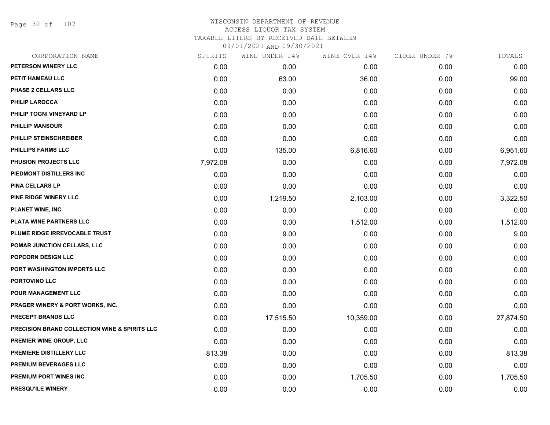Page 32 of 107

| CORPORATION NAME                                         | SPIRITS  | WINE UNDER 14% | WINE OVER 14% | CIDER UNDER 7% | TOTALS    |
|----------------------------------------------------------|----------|----------------|---------------|----------------|-----------|
| PETERSON WINERY LLC                                      | 0.00     | 0.00           | 0.00          | 0.00           | 0.00      |
| PETIT HAMEAU LLC                                         | 0.00     | 63.00          | 36.00         | 0.00           | 99.00     |
| PHASE 2 CELLARS LLC                                      | 0.00     | 0.00           | 0.00          | 0.00           | 0.00      |
| <b>PHILIP LAROCCA</b>                                    | 0.00     | 0.00           | 0.00          | 0.00           | 0.00      |
| PHILIP TOGNI VINEYARD LP                                 | 0.00     | 0.00           | 0.00          | 0.00           | 0.00      |
| <b>PHILLIP MANSOUR</b>                                   | 0.00     | 0.00           | 0.00          | 0.00           | 0.00      |
| PHILLIP STEINSCHREIBER                                   | 0.00     | 0.00           | 0.00          | 0.00           | 0.00      |
| <b>PHILLIPS FARMS LLC</b>                                | 0.00     | 135.00         | 6,816.60      | 0.00           | 6,951.60  |
| PHUSION PROJECTS LLC                                     | 7,972.08 | 0.00           | 0.00          | 0.00           | 7,972.08  |
| PIEDMONT DISTILLERS INC                                  | 0.00     | 0.00           | 0.00          | 0.00           | 0.00      |
| <b>PINA CELLARS LP</b>                                   | 0.00     | 0.00           | 0.00          | 0.00           | 0.00      |
| PINE RIDGE WINERY LLC                                    | 0.00     | 1,219.50       | 2,103.00      | 0.00           | 3,322.50  |
| <b>PLANET WINE, INC</b>                                  | 0.00     | 0.00           | 0.00          | 0.00           | 0.00      |
| PLATA WINE PARTNERS LLC                                  | 0.00     | 0.00           | 1,512.00      | 0.00           | 1,512.00  |
| PLUME RIDGE IRREVOCABLE TRUST                            | 0.00     | 9.00           | 0.00          | 0.00           | 9.00      |
| POMAR JUNCTION CELLARS, LLC                              | 0.00     | 0.00           | 0.00          | 0.00           | 0.00      |
| POPCORN DESIGN LLC                                       | 0.00     | 0.00           | 0.00          | 0.00           | 0.00      |
| PORT WASHINGTON IMPORTS LLC                              | 0.00     | 0.00           | 0.00          | 0.00           | 0.00      |
| PORTOVINO LLC                                            | 0.00     | 0.00           | 0.00          | 0.00           | 0.00      |
| POUR MANAGEMENT LLC                                      | 0.00     | 0.00           | 0.00          | 0.00           | 0.00      |
| <b>PRAGER WINERY &amp; PORT WORKS, INC.</b>              | 0.00     | 0.00           | 0.00          | 0.00           | 0.00      |
| PRECEPT BRANDS LLC                                       | 0.00     | 17,515.50      | 10,359.00     | 0.00           | 27,874.50 |
| <b>PRECISION BRAND COLLECTION WINE &amp; SPIRITS LLC</b> | 0.00     | 0.00           | 0.00          | 0.00           | 0.00      |
| <b>PREMIER WINE GROUP, LLC</b>                           | 0.00     | 0.00           | 0.00          | 0.00           | 0.00      |
| PREMIERE DISTILLERY LLC                                  | 813.38   | 0.00           | 0.00          | 0.00           | 813.38    |
| PREMIUM BEVERAGES LLC                                    | 0.00     | 0.00           | 0.00          | 0.00           | 0.00      |
| PREMIUM PORT WINES INC                                   | 0.00     | 0.00           | 1,705.50      | 0.00           | 1,705.50  |
| PRESQU'ILE WINERY                                        | 0.00     | 0.00           | 0.00          | 0.00           | 0.00      |
|                                                          |          |                |               |                |           |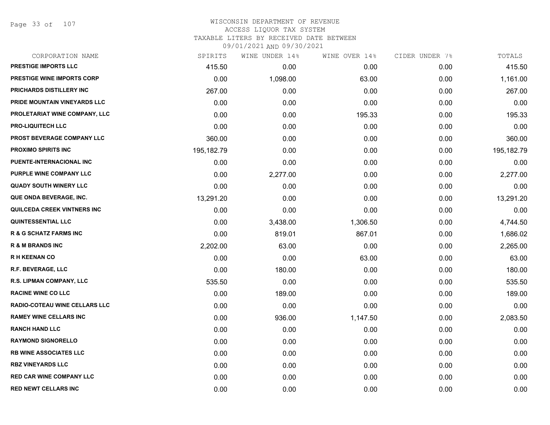Page 33 of 107

| CORPORATION NAME                  | SPIRITS    | WINE UNDER 14% | WINE OVER 14% | CIDER UNDER 7% | TOTALS     |
|-----------------------------------|------------|----------------|---------------|----------------|------------|
| <b>PRESTIGE IMPORTS LLC</b>       | 415.50     | 0.00           | 0.00          | 0.00           | 415.50     |
| PRESTIGE WINE IMPORTS CORP        | 0.00       | 1,098.00       | 63.00         | 0.00           | 1,161.00   |
| PRICHARDS DISTILLERY INC          | 267.00     | 0.00           | 0.00          | 0.00           | 267.00     |
| PRIDE MOUNTAIN VINEYARDS LLC      | 0.00       | 0.00           | 0.00          | 0.00           | 0.00       |
| PROLETARIAT WINE COMPANY, LLC     | 0.00       | 0.00           | 195.33        | 0.00           | 195.33     |
| <b>PRO-LIQUITECH LLC</b>          | 0.00       | 0.00           | 0.00          | 0.00           | 0.00       |
| PROST BEVERAGE COMPANY LLC        | 360.00     | 0.00           | 0.00          | 0.00           | 360.00     |
| <b>PROXIMO SPIRITS INC</b>        | 195,182.79 | 0.00           | 0.00          | 0.00           | 195,182.79 |
| PUENTE-INTERNACIONAL INC          | 0.00       | 0.00           | 0.00          | 0.00           | 0.00       |
| PURPLE WINE COMPANY LLC           | 0.00       | 2,277.00       | 0.00          | 0.00           | 2,277.00   |
| <b>QUADY SOUTH WINERY LLC</b>     | 0.00       | 0.00           | 0.00          | 0.00           | 0.00       |
| QUE ONDA BEVERAGE, INC.           | 13,291.20  | 0.00           | 0.00          | 0.00           | 13,291.20  |
| QUILCEDA CREEK VINTNERS INC       | 0.00       | 0.00           | 0.00          | 0.00           | 0.00       |
| <b>QUINTESSENTIAL LLC</b>         | 0.00       | 3,438.00       | 1,306.50      | 0.00           | 4,744.50   |
| <b>R &amp; G SCHATZ FARMS INC</b> | 0.00       | 819.01         | 867.01        | 0.00           | 1,686.02   |
| <b>R &amp; M BRANDS INC</b>       | 2,202.00   | 63.00          | 0.00          | 0.00           | 2,265.00   |
| <b>RH KEENAN CO</b>               | 0.00       | 0.00           | 63.00         | 0.00           | 63.00      |
| R.F. BEVERAGE, LLC                | 0.00       | 180.00         | 0.00          | 0.00           | 180.00     |
| R.S. LIPMAN COMPANY, LLC          | 535.50     | 0.00           | 0.00          | 0.00           | 535.50     |
| <b>RACINE WINE CO LLC</b>         | 0.00       | 189.00         | 0.00          | 0.00           | 189.00     |
| RADIO-COTEAU WINE CELLARS LLC     | 0.00       | 0.00           | 0.00          | 0.00           | 0.00       |
| <b>RAMEY WINE CELLARS INC</b>     | 0.00       | 936.00         | 1,147.50      | 0.00           | 2,083.50   |
| <b>RANCH HAND LLC</b>             | 0.00       | 0.00           | 0.00          | 0.00           | 0.00       |
| <b>RAYMOND SIGNORELLO</b>         | 0.00       | 0.00           | 0.00          | 0.00           | 0.00       |
| <b>RB WINE ASSOCIATES LLC</b>     | 0.00       | 0.00           | 0.00          | 0.00           | 0.00       |
| <b>RBZ VINEYARDS LLC</b>          | 0.00       | 0.00           | 0.00          | 0.00           | 0.00       |
| <b>RED CAR WINE COMPANY LLC</b>   | 0.00       | 0.00           | 0.00          | 0.00           | 0.00       |
| <b>RED NEWT CELLARS INC</b>       | 0.00       | 0.00           | 0.00          | 0.00           | 0.00       |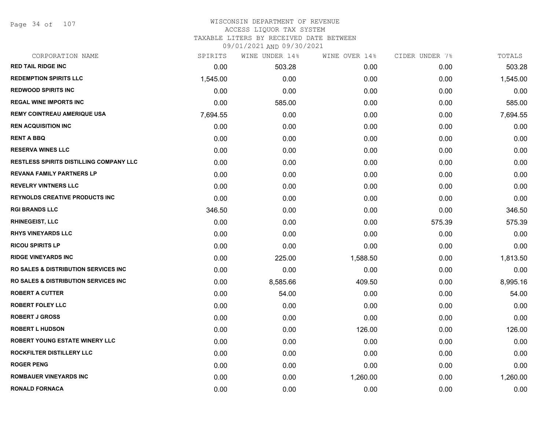Page 34 of 107

## WISCONSIN DEPARTMENT OF REVENUE ACCESS LIQUOR TAX SYSTEM TAXABLE LITERS BY RECEIVED DATE BETWEEN

| CORPORATION NAME                                 | SPIRITS  | WINE UNDER 14% | WINE OVER 14% | CIDER UNDER 7% | TOTALS   |
|--------------------------------------------------|----------|----------------|---------------|----------------|----------|
| <b>RED TAIL RIDGE INC</b>                        | 0.00     | 503.28         | 0.00          | 0.00           | 503.28   |
| <b>REDEMPTION SPIRITS LLC</b>                    | 1,545.00 | 0.00           | 0.00          | 0.00           | 1,545.00 |
| <b>REDWOOD SPIRITS INC</b>                       | 0.00     | 0.00           | 0.00          | 0.00           | 0.00     |
| <b>REGAL WINE IMPORTS INC</b>                    | 0.00     | 585.00         | 0.00          | 0.00           | 585.00   |
| <b>REMY COINTREAU AMERIQUE USA</b>               | 7,694.55 | 0.00           | 0.00          | 0.00           | 7,694.55 |
| <b>REN ACQUISITION INC</b>                       | 0.00     | 0.00           | 0.00          | 0.00           | 0.00     |
| <b>RENT A BBQ</b>                                | 0.00     | 0.00           | 0.00          | 0.00           | 0.00     |
| <b>RESERVA WINES LLC</b>                         | 0.00     | 0.00           | 0.00          | 0.00           | 0.00     |
| <b>RESTLESS SPIRITS DISTILLING COMPANY LLC</b>   | 0.00     | 0.00           | 0.00          | 0.00           | 0.00     |
| <b>REVANA FAMILY PARTNERS LP</b>                 | 0.00     | 0.00           | 0.00          | 0.00           | 0.00     |
| <b>REVELRY VINTNERS LLC</b>                      | 0.00     | 0.00           | 0.00          | 0.00           | 0.00     |
| <b>REYNOLDS CREATIVE PRODUCTS INC</b>            | 0.00     | 0.00           | 0.00          | 0.00           | 0.00     |
| <b>RGI BRANDS LLC</b>                            | 346.50   | 0.00           | 0.00          | 0.00           | 346.50   |
| <b>RHINEGEIST, LLC</b>                           | 0.00     | 0.00           | 0.00          | 575.39         | 575.39   |
| <b>RHYS VINEYARDS LLC</b>                        | 0.00     | 0.00           | 0.00          | 0.00           | 0.00     |
| <b>RICOU SPIRITS LP</b>                          | 0.00     | 0.00           | 0.00          | 0.00           | 0.00     |
| <b>RIDGE VINEYARDS INC</b>                       | 0.00     | 225.00         | 1,588.50      | 0.00           | 1,813.50 |
| <b>RO SALES &amp; DISTRIBUTION SERVICES INC.</b> | 0.00     | 0.00           | 0.00          | 0.00           | 0.00     |
| <b>RO SALES &amp; DISTRIBUTION SERVICES INC.</b> | 0.00     | 8,585.66       | 409.50        | 0.00           | 8,995.16 |
| <b>ROBERT A CUTTER</b>                           | 0.00     | 54.00          | 0.00          | 0.00           | 54.00    |
| <b>ROBERT FOLEY LLC</b>                          | 0.00     | 0.00           | 0.00          | 0.00           | 0.00     |
| <b>ROBERT J GROSS</b>                            | 0.00     | 0.00           | 0.00          | 0.00           | 0.00     |
| <b>ROBERT L HUDSON</b>                           | 0.00     | 0.00           | 126.00        | 0.00           | 126.00   |
| <b>ROBERT YOUNG ESTATE WINERY LLC</b>            | 0.00     | 0.00           | 0.00          | 0.00           | 0.00     |
| ROCKFILTER DISTILLERY LLC                        | 0.00     | 0.00           | 0.00          | 0.00           | 0.00     |
| <b>ROGER PENG</b>                                | 0.00     | 0.00           | 0.00          | 0.00           | 0.00     |
| <b>ROMBAUER VINEYARDS INC</b>                    | 0.00     | 0.00           | 1,260.00      | 0.00           | 1,260.00 |
| <b>RONALD FORNACA</b>                            | 0.00     | 0.00           | 0.00          | 0.00           | 0.00     |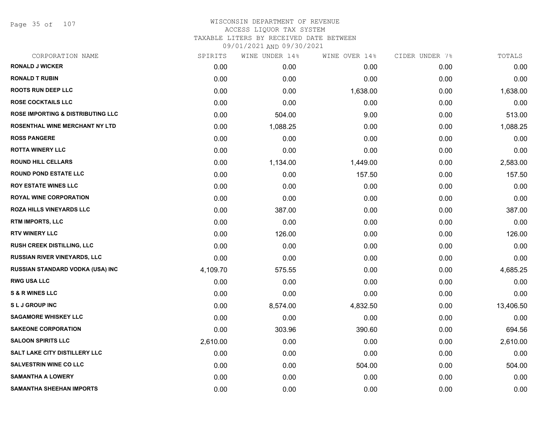Page 35 of 107

| CORPORATION NAME                             | SPIRITS  | WINE UNDER 14% | WINE OVER 14% | CIDER UNDER 7% | TOTALS    |
|----------------------------------------------|----------|----------------|---------------|----------------|-----------|
| <b>RONALD J WICKER</b>                       | 0.00     | 0.00           | 0.00          | 0.00           | 0.00      |
| <b>RONALD T RUBIN</b>                        | 0.00     | 0.00           | 0.00          | 0.00           | 0.00      |
| <b>ROOTS RUN DEEP LLC</b>                    | 0.00     | 0.00           | 1,638.00      | 0.00           | 1,638.00  |
| <b>ROSE COCKTAILS LLC</b>                    | 0.00     | 0.00           | 0.00          | 0.00           | 0.00      |
| <b>ROSE IMPORTING &amp; DISTRIBUTING LLC</b> | 0.00     | 504.00         | 9.00          | 0.00           | 513.00    |
| ROSENTHAL WINE MERCHANT NY LTD               | 0.00     | 1,088.25       | 0.00          | 0.00           | 1,088.25  |
| <b>ROSS PANGERE</b>                          | 0.00     | 0.00           | 0.00          | 0.00           | 0.00      |
| <b>ROTTA WINERY LLC</b>                      | 0.00     | 0.00           | 0.00          | 0.00           | 0.00      |
| <b>ROUND HILL CELLARS</b>                    | 0.00     | 1,134.00       | 1,449.00      | 0.00           | 2,583.00  |
| <b>ROUND POND ESTATE LLC</b>                 | 0.00     | 0.00           | 157.50        | 0.00           | 157.50    |
| <b>ROY ESTATE WINES LLC</b>                  | 0.00     | 0.00           | 0.00          | 0.00           | 0.00      |
| <b>ROYAL WINE CORPORATION</b>                | 0.00     | 0.00           | 0.00          | 0.00           | 0.00      |
| ROZA HILLS VINEYARDS LLC                     | 0.00     | 387.00         | 0.00          | 0.00           | 387.00    |
| <b>RTM IMPORTS, LLC</b>                      | 0.00     | 0.00           | 0.00          | 0.00           | 0.00      |
| <b>RTV WINERY LLC</b>                        | 0.00     | 126.00         | 0.00          | 0.00           | 126.00    |
| RUSH CREEK DISTILLING, LLC                   | 0.00     | 0.00           | 0.00          | 0.00           | 0.00      |
| <b>RUSSIAN RIVER VINEYARDS, LLC</b>          | 0.00     | 0.00           | 0.00          | 0.00           | 0.00      |
| RUSSIAN STANDARD VODKA (USA) INC             | 4,109.70 | 575.55         | 0.00          | 0.00           | 4,685.25  |
| <b>RWG USA LLC</b>                           | 0.00     | 0.00           | 0.00          | 0.00           | 0.00      |
| <b>S &amp; R WINES LLC</b>                   | 0.00     | 0.00           | 0.00          | 0.00           | 0.00      |
| <b>SLJ GROUP INC</b>                         | 0.00     | 8,574.00       | 4,832.50      | 0.00           | 13,406.50 |
| <b>SAGAMORE WHISKEY LLC</b>                  | 0.00     | 0.00           | 0.00          | 0.00           | 0.00      |
| <b>SAKEONE CORPORATION</b>                   | 0.00     | 303.96         | 390.60        | 0.00           | 694.56    |
| <b>SALOON SPIRITS LLC</b>                    | 2,610.00 | 0.00           | 0.00          | 0.00           | 2,610.00  |
| SALT LAKE CITY DISTILLERY LLC                | 0.00     | 0.00           | 0.00          | 0.00           | 0.00      |
| <b>SALVESTRIN WINE CO LLC</b>                | 0.00     | 0.00           | 504.00        | 0.00           | 504.00    |
| <b>SAMANTHA A LOWERY</b>                     | 0.00     | 0.00           | 0.00          | 0.00           | 0.00      |
| <b>SAMANTHA SHEEHAN IMPORTS</b>              | 0.00     | 0.00           | 0.00          | 0.00           | 0.00      |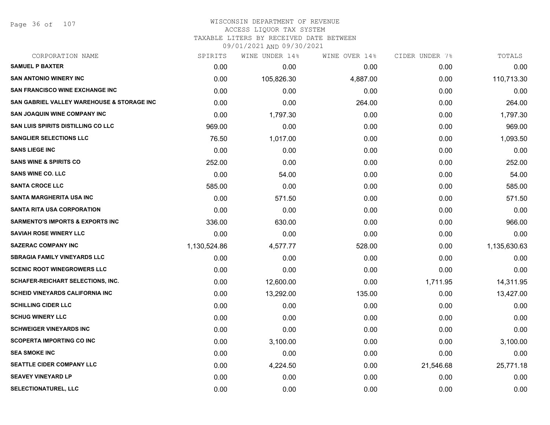#### WISCONSIN DEPARTMENT OF REVENUE ACCESS LIQUOR TAX SYSTEM TAXABLE LITERS BY RECEIVED DATE BETWEEN

| CORPORATION NAME                            | SPIRITS      | WINE UNDER 14% | WINE OVER 14% | CIDER UNDER 7% | TOTALS       |
|---------------------------------------------|--------------|----------------|---------------|----------------|--------------|
| <b>SAMUEL P BAXTER</b>                      | 0.00         | 0.00           | 0.00          | 0.00           | 0.00         |
| <b>SAN ANTONIO WINERY INC</b>               | 0.00         | 105,826.30     | 4,887.00      | 0.00           | 110,713.30   |
| <b>SAN FRANCISCO WINE EXCHANGE INC</b>      | 0.00         | 0.00           | 0.00          | 0.00           | 0.00         |
| SAN GABRIEL VALLEY WAREHOUSE & STORAGE INC  | 0.00         | 0.00           | 264.00        | 0.00           | 264.00       |
| <b>SAN JOAQUIN WINE COMPANY INC</b>         | 0.00         | 1,797.30       | 0.00          | 0.00           | 1,797.30     |
| <b>SAN LUIS SPIRITS DISTILLING CO LLC</b>   | 969.00       | 0.00           | 0.00          | 0.00           | 969.00       |
| <b>SANGLIER SELECTIONS LLC</b>              | 76.50        | 1,017.00       | 0.00          | 0.00           | 1,093.50     |
| <b>SANS LIEGE INC</b>                       | 0.00         | 0.00           | 0.00          | 0.00           | 0.00         |
| <b>SANS WINE &amp; SPIRITS CO</b>           | 252.00       | 0.00           | 0.00          | 0.00           | 252.00       |
| <b>SANS WINE CO. LLC</b>                    | 0.00         | 54.00          | 0.00          | 0.00           | 54.00        |
| <b>SANTA CROCE LLC</b>                      | 585.00       | 0.00           | 0.00          | 0.00           | 585.00       |
| <b>SANTA MARGHERITA USA INC</b>             | 0.00         | 571.50         | 0.00          | 0.00           | 571.50       |
| SANTA RITA USA CORPORATION                  | 0.00         | 0.00           | 0.00          | 0.00           | 0.00         |
| <b>SARMENTO'S IMPORTS &amp; EXPORTS INC</b> | 336.00       | 630.00         | 0.00          | 0.00           | 966.00       |
| <b>SAVIAH ROSE WINERY LLC</b>               | 0.00         | 0.00           | 0.00          | 0.00           | 0.00         |
| <b>SAZERAC COMPANY INC</b>                  | 1,130,524.86 | 4,577.77       | 528.00        | 0.00           | 1,135,630.63 |
| <b>SBRAGIA FAMILY VINEYARDS LLC</b>         | 0.00         | 0.00           | 0.00          | 0.00           | 0.00         |
| <b>SCENIC ROOT WINEGROWERS LLC</b>          | 0.00         | 0.00           | 0.00          | 0.00           | 0.00         |
| SCHAFER-REICHART SELECTIONS, INC.           | 0.00         | 12,600.00      | 0.00          | 1,711.95       | 14,311.95    |
| <b>SCHEID VINEYARDS CALIFORNIA INC</b>      | 0.00         | 13,292.00      | 135.00        | 0.00           | 13,427.00    |
| <b>SCHILLING CIDER LLC</b>                  | 0.00         | 0.00           | 0.00          | 0.00           | 0.00         |
| <b>SCHUG WINERY LLC</b>                     | 0.00         | 0.00           | 0.00          | 0.00           | 0.00         |
| <b>SCHWEIGER VINEYARDS INC</b>              | 0.00         | 0.00           | 0.00          | 0.00           | 0.00         |
| <b>SCOPERTA IMPORTING CO INC</b>            | 0.00         | 3,100.00       | 0.00          | 0.00           | 3,100.00     |
| <b>SEA SMOKE INC</b>                        | 0.00         | 0.00           | 0.00          | 0.00           | 0.00         |
| <b>SEATTLE CIDER COMPANY LLC</b>            | 0.00         | 4,224.50       | 0.00          | 21,546.68      | 25,771.18    |
| <b>SEAVEY VINEYARD LP</b>                   | 0.00         | 0.00           | 0.00          | 0.00           | 0.00         |
| SELECTIONATUREL, LLC                        | 0.00         | 0.00           | 0.00          | 0.00           | 0.00         |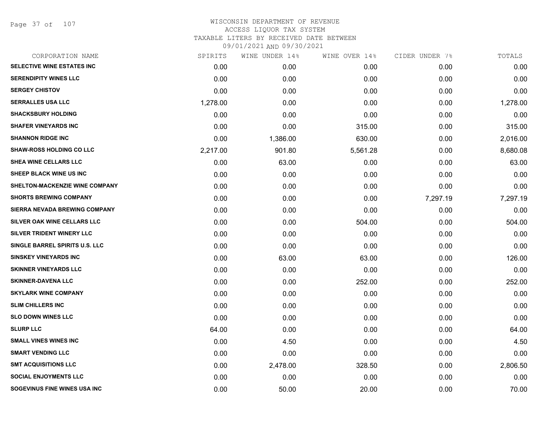Page 37 of 107

| CORPORATION NAME                | SPIRITS  | WINE UNDER 14% | WINE OVER 14% | CIDER UNDER 7% | TOTALS   |
|---------------------------------|----------|----------------|---------------|----------------|----------|
| SELECTIVE WINE ESTATES INC      | 0.00     | 0.00           | 0.00          | 0.00           | 0.00     |
| <b>SERENDIPITY WINES LLC</b>    | 0.00     | 0.00           | 0.00          | 0.00           | 0.00     |
| <b>SERGEY CHISTOV</b>           | 0.00     | 0.00           | 0.00          | 0.00           | 0.00     |
| <b>SERRALLES USA LLC</b>        | 1,278.00 | 0.00           | 0.00          | 0.00           | 1,278.00 |
| <b>SHACKSBURY HOLDING</b>       | 0.00     | 0.00           | 0.00          | 0.00           | 0.00     |
| <b>SHAFER VINEYARDS INC</b>     | 0.00     | 0.00           | 315.00        | 0.00           | 315.00   |
| <b>SHANNON RIDGE INC</b>        | 0.00     | 1,386.00       | 630.00        | 0.00           | 2,016.00 |
| <b>SHAW-ROSS HOLDING CO LLC</b> | 2,217.00 | 901.80         | 5,561.28      | 0.00           | 8,680.08 |
| SHEA WINE CELLARS LLC           | 0.00     | 63.00          | 0.00          | 0.00           | 63.00    |
| SHEEP BLACK WINE US INC         | 0.00     | 0.00           | 0.00          | 0.00           | 0.00     |
| SHELTON-MACKENZIE WINE COMPANY  | 0.00     | 0.00           | 0.00          | 0.00           | 0.00     |
| <b>SHORTS BREWING COMPANY</b>   | 0.00     | 0.00           | 0.00          | 7,297.19       | 7,297.19 |
| SIERRA NEVADA BREWING COMPANY   | 0.00     | 0.00           | 0.00          | 0.00           | 0.00     |
| SILVER OAK WINE CELLARS LLC     | 0.00     | 0.00           | 504.00        | 0.00           | 504.00   |
| SILVER TRIDENT WINERY LLC       | 0.00     | 0.00           | 0.00          | 0.00           | 0.00     |
| SINGLE BARREL SPIRITS U.S. LLC  | 0.00     | 0.00           | 0.00          | 0.00           | 0.00     |
| <b>SINSKEY VINEYARDS INC</b>    | 0.00     | 63.00          | 63.00         | 0.00           | 126.00   |
| <b>SKINNER VINEYARDS LLC</b>    | 0.00     | 0.00           | 0.00          | 0.00           | 0.00     |
| <b>SKINNER-DAVENA LLC</b>       | 0.00     | 0.00           | 252.00        | 0.00           | 252.00   |
| <b>SKYLARK WINE COMPANY</b>     | 0.00     | 0.00           | 0.00          | 0.00           | 0.00     |
| <b>SLIM CHILLERS INC</b>        | 0.00     | 0.00           | 0.00          | 0.00           | 0.00     |
| <b>SLO DOWN WINES LLC</b>       | 0.00     | 0.00           | 0.00          | 0.00           | 0.00     |
| <b>SLURP LLC</b>                | 64.00    | 0.00           | 0.00          | 0.00           | 64.00    |
| <b>SMALL VINES WINES INC</b>    | 0.00     | 4.50           | 0.00          | 0.00           | 4.50     |
| <b>SMART VENDING LLC</b>        | 0.00     | 0.00           | 0.00          | 0.00           | 0.00     |
| <b>SMT ACQUISITIONS LLC</b>     | 0.00     | 2,478.00       | 328.50        | 0.00           | 2,806.50 |
| <b>SOCIAL ENJOYMENTS LLC</b>    | 0.00     | 0.00           | 0.00          | 0.00           | 0.00     |
| SOGEVINUS FINE WINES USA INC    | 0.00     | 50.00          | 20.00         | 0.00           | 70.00    |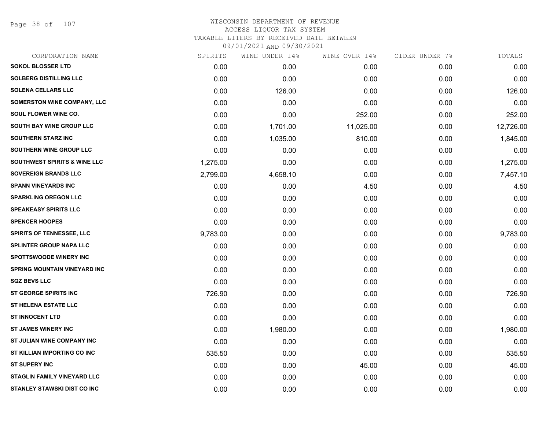Page 38 of 107

| CORPORATION NAME                        | SPIRITS  | WINE UNDER 14% | WINE OVER 14% | CIDER UNDER 7% | TOTALS    |
|-----------------------------------------|----------|----------------|---------------|----------------|-----------|
| <b>SOKOL BLOSSER LTD</b>                | 0.00     | 0.00           | 0.00          | 0.00           | 0.00      |
| <b>SOLBERG DISTILLING LLC</b>           | 0.00     | 0.00           | 0.00          | 0.00           | 0.00      |
| <b>SOLENA CELLARS LLC</b>               | 0.00     | 126.00         | 0.00          | 0.00           | 126.00    |
| <b>SOMERSTON WINE COMPANY, LLC</b>      | 0.00     | 0.00           | 0.00          | 0.00           | 0.00      |
| <b>SOUL FLOWER WINE CO.</b>             | 0.00     | 0.00           | 252.00        | 0.00           | 252.00    |
| SOUTH BAY WINE GROUP LLC                | 0.00     | 1,701.00       | 11,025.00     | 0.00           | 12,726.00 |
| <b>SOUTHERN STARZ INC</b>               | 0.00     | 1,035.00       | 810.00        | 0.00           | 1,845.00  |
| SOUTHERN WINE GROUP LLC                 | 0.00     | 0.00           | 0.00          | 0.00           | 0.00      |
| <b>SOUTHWEST SPIRITS &amp; WINE LLC</b> | 1,275.00 | 0.00           | 0.00          | 0.00           | 1,275.00  |
| <b>SOVEREIGN BRANDS LLC</b>             | 2,799.00 | 4,658.10       | 0.00          | 0.00           | 7,457.10  |
| <b>SPANN VINEYARDS INC</b>              | 0.00     | 0.00           | 4.50          | 0.00           | 4.50      |
| <b>SPARKLING OREGON LLC</b>             | 0.00     | 0.00           | 0.00          | 0.00           | 0.00      |
| <b>SPEAKEASY SPIRITS LLC</b>            | 0.00     | 0.00           | 0.00          | 0.00           | 0.00      |
| <b>SPENCER HOOPES</b>                   | 0.00     | 0.00           | 0.00          | 0.00           | 0.00      |
| SPIRITS OF TENNESSEE, LLC               | 9,783.00 | 0.00           | 0.00          | 0.00           | 9,783.00  |
| <b>SPLINTER GROUP NAPA LLC</b>          | 0.00     | 0.00           | 0.00          | 0.00           | 0.00      |
| <b>SPOTTSWOODE WINERY INC</b>           | 0.00     | 0.00           | 0.00          | 0.00           | 0.00      |
| <b>SPRING MOUNTAIN VINEYARD INC</b>     | 0.00     | 0.00           | 0.00          | 0.00           | 0.00      |
| <b>SQZ BEVS LLC</b>                     | 0.00     | 0.00           | 0.00          | 0.00           | 0.00      |
| <b>ST GEORGE SPIRITS INC</b>            | 726.90   | 0.00           | 0.00          | 0.00           | 726.90    |
| <b>ST HELENA ESTATE LLC</b>             | 0.00     | 0.00           | 0.00          | 0.00           | 0.00      |
| <b>ST INNOCENT LTD</b>                  | 0.00     | 0.00           | 0.00          | 0.00           | 0.00      |
| <b>ST JAMES WINERY INC</b>              | 0.00     | 1,980.00       | 0.00          | 0.00           | 1,980.00  |
| ST JULIAN WINE COMPANY INC              | 0.00     | 0.00           | 0.00          | 0.00           | 0.00      |
| ST KILLIAN IMPORTING CO INC             | 535.50   | 0.00           | 0.00          | 0.00           | 535.50    |
| <b>ST SUPERY INC</b>                    | 0.00     | 0.00           | 45.00         | 0.00           | 45.00     |
| <b>STAGLIN FAMILY VINEYARD LLC</b>      | 0.00     | 0.00           | 0.00          | 0.00           | 0.00      |
| <b>STANLEY STAWSKI DIST CO INC</b>      | 0.00     | 0.00           | 0.00          | 0.00           | 0.00      |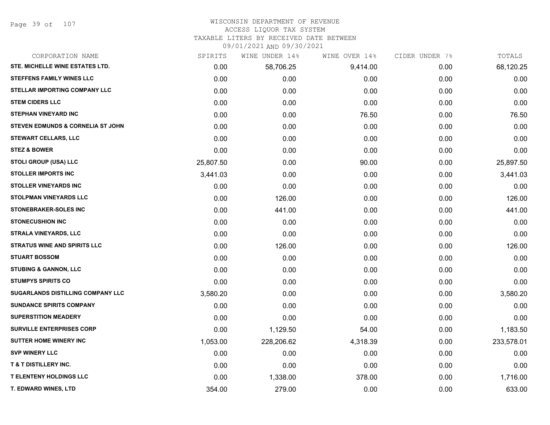Page 39 of 107

# WISCONSIN DEPARTMENT OF REVENUE

### ACCESS LIQUOR TAX SYSTEM

TAXABLE LITERS BY RECEIVED DATE BETWEEN

| CORPORATION NAME                         | SPIRITS   | WINE UNDER 14% | WINE OVER 14% | CIDER UNDER 7% | TOTALS     |
|------------------------------------------|-----------|----------------|---------------|----------------|------------|
| STE. MICHELLE WINE ESTATES LTD.          | 0.00      | 58,706.25      | 9,414.00      | 0.00           | 68,120.25  |
| <b>STEFFENS FAMILY WINES LLC</b>         | 0.00      | 0.00           | 0.00          | 0.00           | 0.00       |
| STELLAR IMPORTING COMPANY LLC            | 0.00      | 0.00           | 0.00          | 0.00           | 0.00       |
| <b>STEM CIDERS LLC</b>                   | 0.00      | 0.00           | 0.00          | 0.00           | 0.00       |
| <b>STEPHAN VINEYARD INC</b>              | 0.00      | 0.00           | 76.50         | 0.00           | 76.50      |
| STEVEN EDMUNDS & CORNELIA ST JOHN        | 0.00      | 0.00           | 0.00          | 0.00           | 0.00       |
| <b>STEWART CELLARS, LLC</b>              | 0.00      | 0.00           | 0.00          | 0.00           | 0.00       |
| <b>STEZ &amp; BOWER</b>                  | 0.00      | 0.00           | 0.00          | 0.00           | 0.00       |
| <b>STOLI GROUP (USA) LLC</b>             | 25,807.50 | 0.00           | 90.00         | 0.00           | 25,897.50  |
| <b>STOLLER IMPORTS INC</b>               | 3,441.03  | 0.00           | 0.00          | 0.00           | 3,441.03   |
| <b>STOLLER VINEYARDS INC</b>             | 0.00      | 0.00           | 0.00          | 0.00           | 0.00       |
| <b>STOLPMAN VINEYARDS LLC</b>            | 0.00      | 126.00         | 0.00          | 0.00           | 126.00     |
| STONEBRAKER-SOLES INC                    | 0.00      | 441.00         | 0.00          | 0.00           | 441.00     |
| <b>STONECUSHION INC</b>                  | 0.00      | 0.00           | 0.00          | 0.00           | 0.00       |
| <b>STRALA VINEYARDS, LLC</b>             | 0.00      | 0.00           | 0.00          | 0.00           | 0.00       |
| <b>STRATUS WINE AND SPIRITS LLC</b>      | 0.00      | 126.00         | 0.00          | 0.00           | 126.00     |
| <b>STUART BOSSOM</b>                     | 0.00      | 0.00           | 0.00          | 0.00           | 0.00       |
| <b>STUBING &amp; GANNON, LLC</b>         | 0.00      | 0.00           | 0.00          | 0.00           | 0.00       |
| <b>STUMPYS SPIRITS CO</b>                | 0.00      | 0.00           | 0.00          | 0.00           | 0.00       |
| <b>SUGARLANDS DISTILLING COMPANY LLC</b> | 3,580.20  | 0.00           | 0.00          | 0.00           | 3,580.20   |
| <b>SUNDANCE SPIRITS COMPANY</b>          | 0.00      | 0.00           | 0.00          | 0.00           | 0.00       |
| <b>SUPERSTITION MEADERY</b>              | 0.00      | 0.00           | 0.00          | 0.00           | 0.00       |
| <b>SURVILLE ENTERPRISES CORP</b>         | 0.00      | 1,129.50       | 54.00         | 0.00           | 1,183.50   |
| <b>SUTTER HOME WINERY INC</b>            | 1,053.00  | 228,206.62     | 4,318.39      | 0.00           | 233,578.01 |
| <b>SVP WINERY LLC</b>                    | 0.00      | 0.00           | 0.00          | 0.00           | 0.00       |
| <b>T &amp; T DISTILLERY INC.</b>         | 0.00      | 0.00           | 0.00          | 0.00           | 0.00       |
| <b>T ELENTENY HOLDINGS LLC</b>           | 0.00      | 1,338.00       | 378.00        | 0.00           | 1,716.00   |
| T. EDWARD WINES, LTD                     | 354.00    | 279.00         | 0.00          | 0.00           | 633.00     |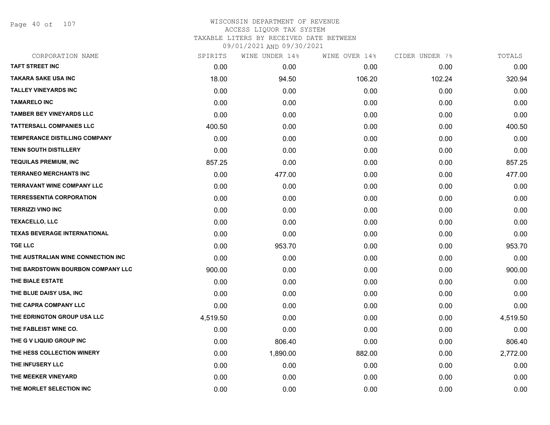Page 40 of 107

| CORPORATION NAME                     | SPIRITS  | WINE UNDER 14% | WINE OVER 14% | CIDER UNDER 7% | TOTALS   |
|--------------------------------------|----------|----------------|---------------|----------------|----------|
| <b>TAFT STREET INC</b>               | 0.00     | 0.00           | 0.00          | 0.00           | 0.00     |
| <b>TAKARA SAKE USA INC</b>           | 18.00    | 94.50          | 106.20        | 102.24         | 320.94   |
| <b>TALLEY VINEYARDS INC</b>          | 0.00     | 0.00           | 0.00          | 0.00           | 0.00     |
| <b>TAMARELO INC</b>                  | 0.00     | 0.00           | 0.00          | 0.00           | 0.00     |
| <b>TAMBER BEY VINEYARDS LLC</b>      | 0.00     | 0.00           | 0.00          | 0.00           | 0.00     |
| <b>TATTERSALL COMPANIES LLC</b>      | 400.50   | 0.00           | 0.00          | 0.00           | 400.50   |
| <b>TEMPERANCE DISTILLING COMPANY</b> | 0.00     | 0.00           | 0.00          | 0.00           | 0.00     |
| <b>TENN SOUTH DISTILLERY</b>         | 0.00     | 0.00           | 0.00          | 0.00           | 0.00     |
| <b>TEQUILAS PREMIUM, INC</b>         | 857.25   | 0.00           | 0.00          | 0.00           | 857.25   |
| <b>TERRANEO MERCHANTS INC</b>        | 0.00     | 477.00         | 0.00          | 0.00           | 477.00   |
| <b>TERRAVANT WINE COMPANY LLC</b>    | 0.00     | 0.00           | 0.00          | 0.00           | 0.00     |
| <b>TERRESSENTIA CORPORATION</b>      | 0.00     | 0.00           | 0.00          | 0.00           | 0.00     |
| <b>TERRIZZI VINO INC</b>             | 0.00     | 0.00           | 0.00          | 0.00           | 0.00     |
| <b>TEXACELLO, LLC</b>                | 0.00     | 0.00           | 0.00          | 0.00           | 0.00     |
| <b>TEXAS BEVERAGE INTERNATIONAL</b>  | 0.00     | 0.00           | 0.00          | 0.00           | 0.00     |
| <b>TGE LLC</b>                       | 0.00     | 953.70         | 0.00          | 0.00           | 953.70   |
| THE AUSTRALIAN WINE CONNECTION INC   | 0.00     | 0.00           | 0.00          | 0.00           | 0.00     |
| THE BARDSTOWN BOURBON COMPANY LLC    | 900.00   | 0.00           | 0.00          | 0.00           | 900.00   |
| THE BIALE ESTATE                     | 0.00     | 0.00           | 0.00          | 0.00           | 0.00     |
| THE BLUE DAISY USA, INC              | 0.00     | 0.00           | 0.00          | 0.00           | 0.00     |
| THE CAPRA COMPANY LLC                | 0.00     | 0.00           | 0.00          | 0.00           | 0.00     |
| THE EDRINGTON GROUP USA LLC          | 4,519.50 | 0.00           | 0.00          | 0.00           | 4,519.50 |
| THE FABLEIST WINE CO.                | 0.00     | 0.00           | 0.00          | 0.00           | 0.00     |
| THE G V LIQUID GROUP INC             | 0.00     | 806.40         | 0.00          | 0.00           | 806.40   |
| THE HESS COLLECTION WINERY           | 0.00     | 1,890.00       | 882.00        | 0.00           | 2,772.00 |
| THE INFUSERY LLC                     | 0.00     | 0.00           | 0.00          | 0.00           | 0.00     |
| THE MEEKER VINEYARD                  | 0.00     | 0.00           | 0.00          | 0.00           | 0.00     |
| THE MORLET SELECTION INC             | 0.00     | 0.00           | 0.00          | 0.00           | 0.00     |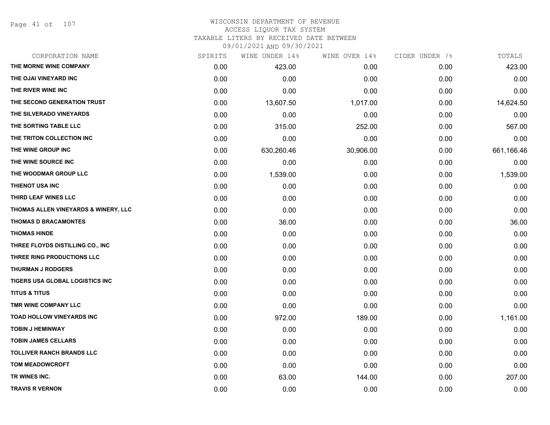Page 41 of 107

| CORPORATION NAME                     | SPIRITS | WINE UNDER 14% | WINE OVER 14% | CIDER UNDER 7% | TOTALS     |
|--------------------------------------|---------|----------------|---------------|----------------|------------|
| THE MORNE WINE COMPANY               | 0.00    | 423.00         | 0.00          | 0.00           | 423.00     |
| THE OJAI VINEYARD INC                | 0.00    | 0.00           | 0.00          | 0.00           | 0.00       |
| THE RIVER WINE INC                   | 0.00    | 0.00           | 0.00          | 0.00           | 0.00       |
| THE SECOND GENERATION TRUST          | 0.00    | 13,607.50      | 1,017.00      | 0.00           | 14,624.50  |
| THE SILVERADO VINEYARDS              | 0.00    | 0.00           | 0.00          | 0.00           | 0.00       |
| THE SORTING TABLE LLC                | 0.00    | 315.00         | 252.00        | 0.00           | 567.00     |
| THE TRITON COLLECTION INC            | 0.00    | 0.00           | 0.00          | 0.00           | 0.00       |
| THE WINE GROUP INC                   | 0.00    | 630,260.46     | 30,906.00     | 0.00           | 661,166.46 |
| THE WINE SOURCE INC                  | 0.00    | 0.00           | 0.00          | 0.00           | 0.00       |
| THE WOODMAR GROUP LLC                | 0.00    | 1,539.00       | 0.00          | 0.00           | 1,539.00   |
| <b>THIENOT USA INC</b>               | 0.00    | 0.00           | 0.00          | 0.00           | 0.00       |
| THIRD LEAF WINES LLC                 | 0.00    | 0.00           | 0.00          | 0.00           | 0.00       |
| THOMAS ALLEN VINEYARDS & WINERY, LLC | 0.00    | 0.00           | 0.00          | 0.00           | 0.00       |
| <b>THOMAS D BRACAMONTES</b>          | 0.00    | 36.00          | 0.00          | 0.00           | 36.00      |
| <b>THOMAS HINDE</b>                  | 0.00    | 0.00           | 0.00          | 0.00           | 0.00       |
| THREE FLOYDS DISTILLING CO., INC     | 0.00    | 0.00           | 0.00          | 0.00           | 0.00       |
| THREE RING PRODUCTIONS LLC           | 0.00    | 0.00           | 0.00          | 0.00           | 0.00       |
| <b>THURMAN J RODGERS</b>             | 0.00    | 0.00           | 0.00          | 0.00           | 0.00       |
| TIGERS USA GLOBAL LOGISTICS INC      | 0.00    | 0.00           | 0.00          | 0.00           | 0.00       |
| <b>TITUS &amp; TITUS</b>             | 0.00    | 0.00           | 0.00          | 0.00           | 0.00       |
| TMR WINE COMPANY LLC                 | 0.00    | 0.00           | 0.00          | 0.00           | 0.00       |
| <b>TOAD HOLLOW VINEYARDS INC</b>     | 0.00    | 972.00         | 189.00        | 0.00           | 1,161.00   |
| <b>TOBIN J HEMINWAY</b>              | 0.00    | 0.00           | 0.00          | 0.00           | 0.00       |
| <b>TOBIN JAMES CELLARS</b>           | 0.00    | 0.00           | 0.00          | 0.00           | 0.00       |
| <b>TOLLIVER RANCH BRANDS LLC</b>     | 0.00    | 0.00           | 0.00          | 0.00           | 0.00       |
| <b>TOM MEADOWCROFT</b>               | 0.00    | 0.00           | 0.00          | 0.00           | 0.00       |
| TR WINES INC.                        | 0.00    | 63.00          | 144.00        | 0.00           | 207.00     |
| <b>TRAVIS R VERNON</b>               | 0.00    | 0.00           | 0.00          | 0.00           | 0.00       |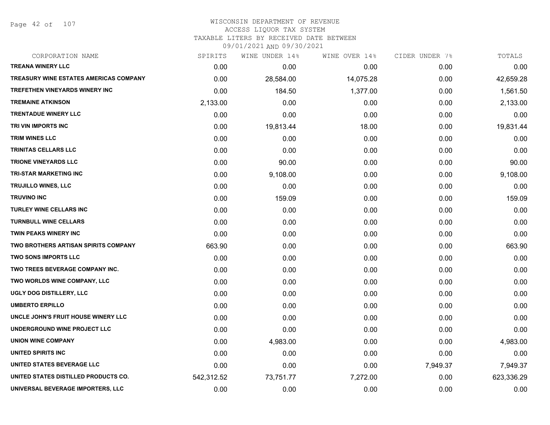Page 42 of 107

# WISCONSIN DEPARTMENT OF REVENUE ACCESS LIQUOR TAX SYSTEM TAXABLE LITERS BY RECEIVED DATE BETWEEN

| CORPORATION NAME                              | SPIRITS    | WINE UNDER 14% | WINE OVER 14% | CIDER UNDER 7% | TOTALS     |
|-----------------------------------------------|------------|----------------|---------------|----------------|------------|
| <b>TREANA WINERY LLC</b>                      | 0.00       | 0.00           | 0.00          | 0.00           | 0.00       |
| <b>TREASURY WINE ESTATES AMERICAS COMPANY</b> | 0.00       | 28,584.00      | 14,075.28     | 0.00           | 42,659.28  |
| <b>TREFETHEN VINEYARDS WINERY INC</b>         | 0.00       | 184.50         | 1,377.00      | 0.00           | 1,561.50   |
| <b>TREMAINE ATKINSON</b>                      | 2,133.00   | 0.00           | 0.00          | 0.00           | 2,133.00   |
| <b>TRENTADUE WINERY LLC</b>                   | 0.00       | 0.00           | 0.00          | 0.00           | 0.00       |
| TRI VIN IMPORTS INC                           | 0.00       | 19,813.44      | 18.00         | 0.00           | 19,831.44  |
| <b>TRIM WINES LLC</b>                         | 0.00       | 0.00           | 0.00          | 0.00           | 0.00       |
| <b>TRINITAS CELLARS LLC</b>                   | 0.00       | 0.00           | 0.00          | 0.00           | 0.00       |
| <b>TRIONE VINEYARDS LLC</b>                   | 0.00       | 90.00          | 0.00          | 0.00           | 90.00      |
| <b>TRI-STAR MARKETING INC</b>                 | 0.00       | 9,108.00       | 0.00          | 0.00           | 9,108.00   |
| <b>TRUJILLO WINES, LLC</b>                    | 0.00       | 0.00           | 0.00          | 0.00           | 0.00       |
| <b>TRUVINO INC</b>                            | 0.00       | 159.09         | 0.00          | 0.00           | 159.09     |
| <b>TURLEY WINE CELLARS INC</b>                | 0.00       | 0.00           | 0.00          | 0.00           | 0.00       |
| <b>TURNBULL WINE CELLARS</b>                  | 0.00       | 0.00           | 0.00          | 0.00           | 0.00       |
| <b>TWIN PEAKS WINERY INC</b>                  | 0.00       | 0.00           | 0.00          | 0.00           | 0.00       |
| TWO BROTHERS ARTISAN SPIRITS COMPANY          | 663.90     | 0.00           | 0.00          | 0.00           | 663.90     |
| <b>TWO SONS IMPORTS LLC</b>                   | 0.00       | 0.00           | 0.00          | 0.00           | 0.00       |
| TWO TREES BEVERAGE COMPANY INC.               | 0.00       | 0.00           | 0.00          | 0.00           | 0.00       |
| TWO WORLDS WINE COMPANY, LLC                  | 0.00       | 0.00           | 0.00          | 0.00           | 0.00       |
| UGLY DOG DISTILLERY, LLC                      | 0.00       | 0.00           | 0.00          | 0.00           | 0.00       |
| <b>UMBERTO ERPILLO</b>                        | 0.00       | 0.00           | 0.00          | 0.00           | 0.00       |
| UNCLE JOHN'S FRUIT HOUSE WINERY LLC           | 0.00       | 0.00           | 0.00          | 0.00           | 0.00       |
| UNDERGROUND WINE PROJECT LLC                  | 0.00       | 0.00           | 0.00          | 0.00           | 0.00       |
| <b>UNION WINE COMPANY</b>                     | 0.00       | 4,983.00       | 0.00          | 0.00           | 4,983.00   |
| UNITED SPIRITS INC                            | 0.00       | 0.00           | 0.00          | 0.00           | 0.00       |
| UNITED STATES BEVERAGE LLC                    | 0.00       | 0.00           | 0.00          | 7,949.37       | 7,949.37   |
| UNITED STATES DISTILLED PRODUCTS CO.          | 542,312.52 | 73,751.77      | 7,272.00      | 0.00           | 623,336.29 |
| UNIVERSAL BEVERAGE IMPORTERS, LLC             | 0.00       | 0.00           | 0.00          | 0.00           | 0.00       |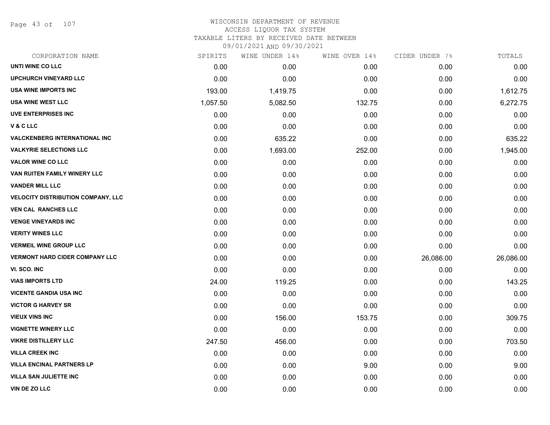Page 43 of 107

# WISCONSIN DEPARTMENT OF REVENUE ACCESS LIQUOR TAX SYSTEM TAXABLE LITERS BY RECEIVED DATE BETWEEN

| CORPORATION NAME                          | SPIRITS  | WINE UNDER 14% | WINE OVER 14% | CIDER UNDER 7% | TOTALS    |
|-------------------------------------------|----------|----------------|---------------|----------------|-----------|
| UNTI WINE CO LLC                          | 0.00     | 0.00           | 0.00          | 0.00           | 0.00      |
| <b>UPCHURCH VINEYARD LLC</b>              | 0.00     | 0.00           | 0.00          | 0.00           | 0.00      |
| <b>USA WINE IMPORTS INC</b>               | 193.00   | 1,419.75       | 0.00          | 0.00           | 1,612.75  |
| <b>USA WINE WEST LLC</b>                  | 1,057.50 | 5,082.50       | 132.75        | 0.00           | 6,272.75  |
| <b>UVE ENTERPRISES INC</b>                | 0.00     | 0.00           | 0.00          | 0.00           | 0.00      |
| V & C LLC                                 | 0.00     | 0.00           | 0.00          | 0.00           | 0.00      |
| <b>VALCKENBERG INTERNATIONAL INC</b>      | 0.00     | 635.22         | 0.00          | 0.00           | 635.22    |
| <b>VALKYRIE SELECTIONS LLC</b>            | 0.00     | 1,693.00       | 252.00        | 0.00           | 1,945.00  |
| <b>VALOR WINE CO LLC</b>                  | 0.00     | 0.00           | 0.00          | 0.00           | 0.00      |
| VAN RUITEN FAMILY WINERY LLC              | 0.00     | 0.00           | 0.00          | 0.00           | 0.00      |
| <b>VANDER MILL LLC</b>                    | 0.00     | 0.00           | 0.00          | 0.00           | 0.00      |
| <b>VELOCITY DISTRIBUTION COMPANY, LLC</b> | 0.00     | 0.00           | 0.00          | 0.00           | 0.00      |
| <b>VEN CAL RANCHES LLC</b>                | 0.00     | 0.00           | 0.00          | 0.00           | 0.00      |
| <b>VENGE VINEYARDS INC</b>                | 0.00     | 0.00           | 0.00          | 0.00           | 0.00      |
| <b>VERITY WINES LLC</b>                   | 0.00     | 0.00           | 0.00          | 0.00           | 0.00      |
| <b>VERMEIL WINE GROUP LLC</b>             | 0.00     | 0.00           | 0.00          | 0.00           | 0.00      |
| <b>VERMONT HARD CIDER COMPANY LLC</b>     | 0.00     | 0.00           | 0.00          | 26,086.00      | 26,086.00 |
| VI. SCO. INC                              | 0.00     | 0.00           | 0.00          | 0.00           | 0.00      |
| <b>VIAS IMPORTS LTD</b>                   | 24.00    | 119.25         | 0.00          | 0.00           | 143.25    |
| <b>VICENTE GANDIA USA INC</b>             | 0.00     | 0.00           | 0.00          | 0.00           | 0.00      |
| <b>VICTOR G HARVEY SR</b>                 | 0.00     | 0.00           | 0.00          | 0.00           | 0.00      |
| <b>VIEUX VINS INC</b>                     | 0.00     | 156.00         | 153.75        | 0.00           | 309.75    |
| <b>VIGNETTE WINERY LLC</b>                | 0.00     | 0.00           | 0.00          | 0.00           | 0.00      |
| <b>VIKRE DISTILLERY LLC</b>               | 247.50   | 456.00         | 0.00          | 0.00           | 703.50    |
| <b>VILLA CREEK INC</b>                    | 0.00     | 0.00           | 0.00          | 0.00           | 0.00      |
| <b>VILLA ENCINAL PARTNERS LP</b>          | 0.00     | 0.00           | 9.00          | 0.00           | 9.00      |
| <b>VILLA SAN JULIETTE INC</b>             | 0.00     | 0.00           | 0.00          | 0.00           | 0.00      |
| VIN DE ZO LLC                             | 0.00     | 0.00           | 0.00          | 0.00           | 0.00      |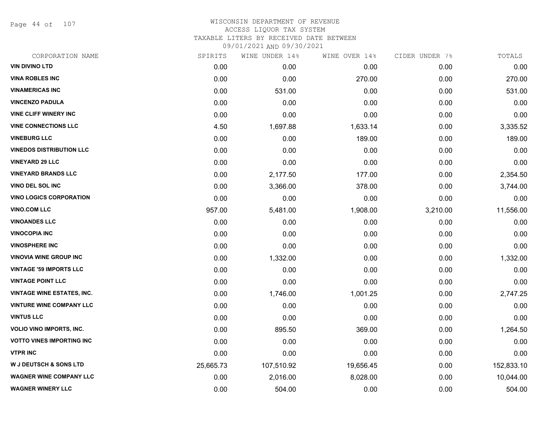Page 44 of 107

|           |            |                |               | TOTALS         |
|-----------|------------|----------------|---------------|----------------|
| 0.00      | 0.00       | 0.00           | 0.00          | 0.00           |
| 0.00      | 0.00       | 270.00         | 0.00          | 270.00         |
| 0.00      | 531.00     | 0.00           | 0.00          | 531.00         |
| 0.00      | 0.00       | 0.00           | 0.00          | 0.00           |
| 0.00      | 0.00       | 0.00           | 0.00          | 0.00           |
| 4.50      | 1,697.88   | 1,633.14       | 0.00          | 3,335.52       |
| 0.00      | 0.00       | 189.00         | 0.00          | 189.00         |
| 0.00      | 0.00       | 0.00           | 0.00          | 0.00           |
| 0.00      | 0.00       | 0.00           | 0.00          | 0.00           |
| 0.00      | 2,177.50   | 177.00         | 0.00          | 2,354.50       |
| 0.00      | 3,366.00   | 378.00         | 0.00          | 3,744.00       |
| 0.00      | 0.00       | 0.00           | 0.00          | 0.00           |
| 957.00    | 5,481.00   | 1,908.00       | 3,210.00      | 11,556.00      |
| 0.00      | 0.00       | 0.00           | 0.00          | 0.00           |
| 0.00      | 0.00       | 0.00           | 0.00          | 0.00           |
| 0.00      | 0.00       | 0.00           | 0.00          | 0.00           |
| 0.00      | 1,332.00   | 0.00           | 0.00          | 1,332.00       |
| 0.00      | 0.00       | 0.00           | 0.00          | 0.00           |
| 0.00      | 0.00       | 0.00           | 0.00          | 0.00           |
| 0.00      | 1,746.00   | 1,001.25       | 0.00          | 2,747.25       |
| 0.00      | 0.00       | 0.00           | 0.00          | 0.00           |
| 0.00      | 0.00       | 0.00           | 0.00          | 0.00           |
| 0.00      | 895.50     | 369.00         | 0.00          | 1,264.50       |
| 0.00      | 0.00       | 0.00           | 0.00          | 0.00           |
| 0.00      | 0.00       | 0.00           | 0.00          | 0.00           |
| 25,665.73 | 107,510.92 | 19,656.45      | 0.00          | 152,833.10     |
| 0.00      | 2,016.00   | 8,028.00       | 0.00          | 10,044.00      |
| 0.00      | 504.00     | 0.00           | 0.00          | 504.00         |
|           | SPIRITS    | WINE UNDER 14% | WINE OVER 14% | CIDER UNDER 7% |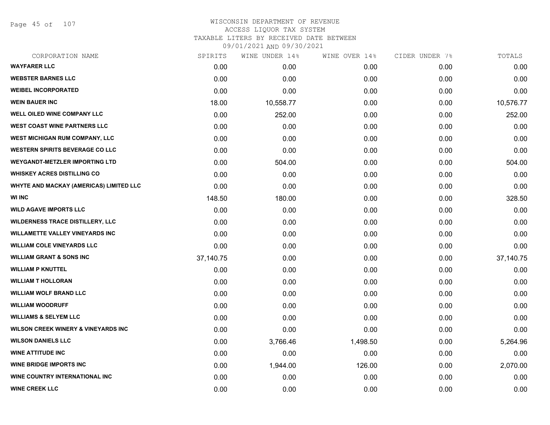Page 45 of 107

| CORPORATION NAME                               | SPIRITS   | WINE UNDER 14% | WINE OVER 14% | CIDER UNDER 7% | TOTALS    |
|------------------------------------------------|-----------|----------------|---------------|----------------|-----------|
| <b>WAYFARER LLC</b>                            | 0.00      | 0.00           | 0.00          | 0.00           | 0.00      |
| <b>WEBSTER BARNES LLC</b>                      | 0.00      | 0.00           | 0.00          | 0.00           | 0.00      |
| <b>WEIBEL INCORPORATED</b>                     | 0.00      | 0.00           | 0.00          | 0.00           | 0.00      |
| <b>WEIN BAUER INC</b>                          | 18.00     | 10,558.77      | 0.00          | 0.00           | 10,576.77 |
| WELL OILED WINE COMPANY LLC                    | 0.00      | 252.00         | 0.00          | 0.00           | 252.00    |
| <b>WEST COAST WINE PARTNERS LLC</b>            | 0.00      | 0.00           | 0.00          | 0.00           | 0.00      |
| <b>WEST MICHIGAN RUM COMPANY, LLC</b>          | 0.00      | 0.00           | 0.00          | 0.00           | 0.00      |
| <b>WESTERN SPIRITS BEVERAGE CO LLC</b>         | 0.00      | 0.00           | 0.00          | 0.00           | 0.00      |
| <b>WEYGANDT-METZLER IMPORTING LTD</b>          | 0.00      | 504.00         | 0.00          | 0.00           | 504.00    |
| <b>WHISKEY ACRES DISTILLING CO</b>             | 0.00      | 0.00           | 0.00          | 0.00           | 0.00      |
| <b>WHYTE AND MACKAY (AMERICAS) LIMITED LLC</b> | 0.00      | 0.00           | 0.00          | 0.00           | 0.00      |
| <b>WI INC</b>                                  | 148.50    | 180.00         | 0.00          | 0.00           | 328.50    |
| <b>WILD AGAVE IMPORTS LLC</b>                  | 0.00      | 0.00           | 0.00          | 0.00           | 0.00      |
| <b>WILDERNESS TRACE DISTILLERY, LLC</b>        | 0.00      | 0.00           | 0.00          | 0.00           | 0.00      |
| <b>WILLAMETTE VALLEY VINEYARDS INC</b>         | 0.00      | 0.00           | 0.00          | 0.00           | 0.00      |
| <b>WILLIAM COLE VINEYARDS LLC</b>              | 0.00      | 0.00           | 0.00          | 0.00           | 0.00      |
| <b>WILLIAM GRANT &amp; SONS INC</b>            | 37,140.75 | 0.00           | 0.00          | 0.00           | 37,140.75 |
| <b>WILLIAM P KNUTTEL</b>                       | 0.00      | 0.00           | 0.00          | 0.00           | 0.00      |
| <b>WILLIAM T HOLLORAN</b>                      | 0.00      | 0.00           | 0.00          | 0.00           | 0.00      |
| <b>WILLIAM WOLF BRAND LLC</b>                  | 0.00      | 0.00           | 0.00          | 0.00           | 0.00      |
| <b>WILLIAM WOODRUFF</b>                        | 0.00      | 0.00           | 0.00          | 0.00           | 0.00      |
| <b>WILLIAMS &amp; SELYEM LLC</b>               | 0.00      | 0.00           | 0.00          | 0.00           | 0.00      |
| <b>WILSON CREEK WINERY &amp; VINEYARDS INC</b> | 0.00      | 0.00           | 0.00          | 0.00           | 0.00      |
| <b>WILSON DANIELS LLC</b>                      | 0.00      | 3,766.46       | 1,498.50      | 0.00           | 5,264.96  |
| <b>WINE ATTITUDE INC</b>                       | 0.00      | 0.00           | 0.00          | 0.00           | 0.00      |
| <b>WINE BRIDGE IMPORTS INC</b>                 | 0.00      | 1,944.00       | 126.00        | 0.00           | 2,070.00  |
| <b>WINE COUNTRY INTERNATIONAL INC</b>          | 0.00      | 0.00           | 0.00          | 0.00           | 0.00      |
| <b>WINE CREEK LLC</b>                          | 0.00      | 0.00           | 0.00          | 0.00           | 0.00      |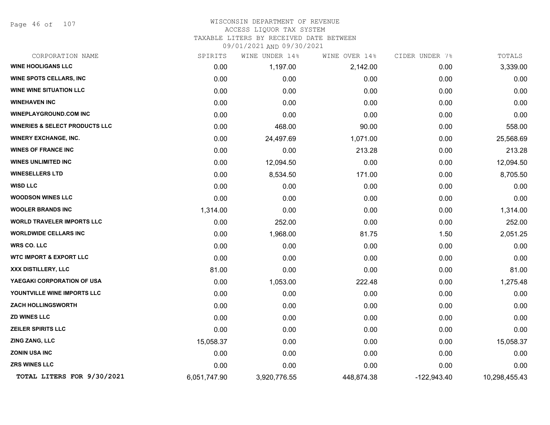Page 46 of 107

#### WISCONSIN DEPARTMENT OF REVENUE ACCESS LIQUOR TAX SYSTEM TAXABLE LITERS BY RECEIVED DATE BETWEEN

| CORPORATION NAME                          | SPIRITS      | WINE UNDER 14% | WINE OVER 14% | CIDER UNDER 7% | TOTALS        |
|-------------------------------------------|--------------|----------------|---------------|----------------|---------------|
| <b>WINE HOOLIGANS LLC</b>                 | 0.00         | 1,197.00       | 2,142.00      | 0.00           | 3,339.00      |
| <b>WINE SPOTS CELLARS, INC</b>            | 0.00         | 0.00           | 0.00          | 0.00           | 0.00          |
| <b>WINE WINE SITUATION LLC</b>            | 0.00         | 0.00           | 0.00          | 0.00           | 0.00          |
| <b>WINEHAVEN INC</b>                      | 0.00         | 0.00           | 0.00          | 0.00           | 0.00          |
| <b>WINEPLAYGROUND.COM INC</b>             | 0.00         | 0.00           | 0.00          | 0.00           | 0.00          |
| <b>WINERIES &amp; SELECT PRODUCTS LLC</b> | 0.00         | 468.00         | 90.00         | 0.00           | 558.00        |
| <b>WINERY EXCHANGE, INC.</b>              | 0.00         | 24,497.69      | 1,071.00      | 0.00           | 25,568.69     |
| <b>WINES OF FRANCE INC</b>                | 0.00         | 0.00           | 213.28        | 0.00           | 213.28        |
| <b>WINES UNLIMITED INC</b>                | 0.00         | 12,094.50      | 0.00          | 0.00           | 12,094.50     |
| <b>WINESELLERS LTD</b>                    | 0.00         | 8,534.50       | 171.00        | 0.00           | 8,705.50      |
| <b>WISD LLC</b>                           | 0.00         | 0.00           | 0.00          | 0.00           | 0.00          |
| <b>WOODSON WINES LLC</b>                  | 0.00         | 0.00           | 0.00          | 0.00           | 0.00          |
| <b>WOOLER BRANDS INC</b>                  | 1,314.00     | 0.00           | 0.00          | 0.00           | 1,314.00      |
| <b>WORLD TRAVELER IMPORTS LLC</b>         | 0.00         | 252.00         | 0.00          | 0.00           | 252.00        |
| <b>WORLDWIDE CELLARS INC</b>              | 0.00         | 1,968.00       | 81.75         | 1.50           | 2,051.25      |
| <b>WRS CO. LLC</b>                        | 0.00         | 0.00           | 0.00          | 0.00           | 0.00          |
| <b>WTC IMPORT &amp; EXPORT LLC</b>        | 0.00         | 0.00           | 0.00          | 0.00           | 0.00          |
| XXX DISTILLERY, LLC                       | 81.00        | 0.00           | 0.00          | 0.00           | 81.00         |
| YAEGAKI CORPORATION OF USA                | 0.00         | 1,053.00       | 222.48        | 0.00           | 1,275.48      |
| YOUNTVILLE WINE IMPORTS LLC               | 0.00         | 0.00           | 0.00          | 0.00           | 0.00          |
| <b>ZACH HOLLINGSWORTH</b>                 | 0.00         | 0.00           | 0.00          | 0.00           | 0.00          |
| <b>ZD WINES LLC</b>                       | 0.00         | 0.00           | 0.00          | 0.00           | 0.00          |
| <b>ZEILER SPIRITS LLC</b>                 | 0.00         | 0.00           | 0.00          | 0.00           | 0.00          |
| ZING ZANG, LLC                            | 15,058.37    | 0.00           | 0.00          | 0.00           | 15,058.37     |
| ZONIN USA INC                             | 0.00         | 0.00           | 0.00          | 0.00           | 0.00          |
| ZRS WINES LLC                             | 0.00         | 0.00           | 0.00          | 0.00           | 0.00          |
| TOTAL LITERS FOR 9/30/2021                | 6,051,747.90 | 3,920,776.55   | 448,874.38    | $-122,943.40$  | 10,298,455.43 |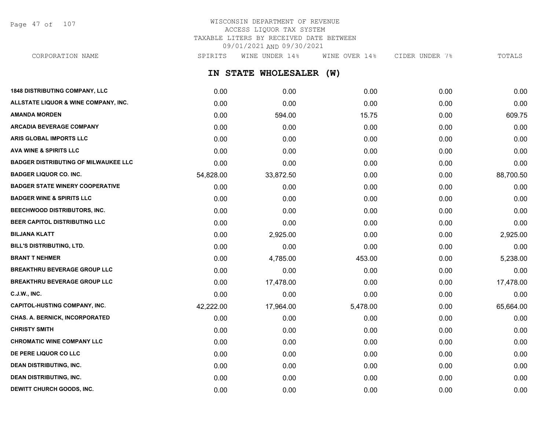Page 47 of 107

# WISCONSIN DEPARTMENT OF REVENUE ACCESS LIQUOR TAX SYSTEM TAXABLE LITERS BY RECEIVED DATE BETWEEN 09/01/2021 AND 09/30/2021

**IN STATE WHOLESALER (W) 1848 DISTRIBUTING COMPANY, LLC** 0.00 0.00 0.00 0.00 0.00 **ALLSTATE LIQUOR & WINE COMPANY, INC.** 0.00 0.00 0.00 0.00 0.00 **AMANDA MORDEN** 0.00 594.00 15.75 0.00 609.75 **ARCADIA BEVERAGE COMPANY**  $0.00$   $0.00$   $0.00$   $0.00$   $0.00$   $0.00$   $0.00$   $0.00$   $0.00$   $0.00$   $0.00$   $0.00$   $0.00$   $0.00$   $0.00$   $0.00$   $0.00$   $0.00$   $0.00$   $0.00$   $0.00$   $0.00$   $0.00$   $0.00$   $0.00$   $0.00$   $0.00$   $0.00$ **ARIS GLOBAL IMPORTS LLC** 0.00 0.00 0.00 0.00 0.00 **AVA WINE & SPIRITS LLC** 0.00 0.00 0.00 0.00 0.00 **BADGER DISTRIBUTING OF MILWAUKEE LLC** 0.00 0.00 0.00 0.00 0.00 **BADGER LIQUOR CO. INC.** 68,700.50 **54,828.00** 33,872.50 0.00 0.00 0.00 0.00 88,700.50 **BADGER STATE WINERY COOPERATIVE** 0.00 0.00 0.00 0.00 0.00 **BADGER WINE & SPIRITS LLC** 0.00 0.00 0.00 0.00 0.00 **BEECHWOOD DISTRIBUTORS, INC.** 0.00 0.00 0.00 0.00 0.00 **BEER CAPITOL DISTRIBUTING LLC** 0.00 0.00 0.00 0.00 0.00 **BILJANA KLATT** 0.00 2,925.00 0.00 0.00 2,925.00 **BILL'S DISTRIBUTING, LTD.** 0.00 0.00 0.00 0.00 0.00 **BRANT T NEHMER** 0.00 4,785.00 453.00 0.00 5,238.00 **BREAKTHRU BEVERAGE GROUP LLC** 0.00 0.00 0.00 0.00 0.00 **BREAKTHRU BEVERAGE GROUP LLC** 0.00 17,478.00 0.00 0.00 17,478.00 **C.J.W., INC.** 6.00 **0.00 0.00 0.00 0.00 0.00 0.00 0.00 0.00 0.00 0.00 0.00 0.00 0.00 CAPITOL-HUSTING COMPANY, INC.** 42,222.00 17,964.00 5,478.00 0.00 65,664.00 **CHAS. A. BERNICK, INCORPORATED** 0.00 0.00 0.00 0.00 0.00 **CHRISTY SMITH** 0.00 0.00 0.00 0.00 0.00 **CHROMATIC WINE COMPANY LLC** 0.00 0.00 0.00 0.00 0.00 **DE PERE LIQUOR CO LLC** 0.00 0.00 0.00 0.00 0.00 **DEAN DISTRIBUTING, INC.** 0.00 0.00 0.00 0.00 0.00 **DEAN DISTRIBUTING, INC.** 0.00 0.00 0.00 0.00 0.00 CORPORATION NAME SPIRITS WINE UNDER 14% WINE OVER 14% CIDER UNDER 7% TOTALS

**DEWITT CHURCH GOODS, INC.** 0.00 0.00 0.00 0.00 0.00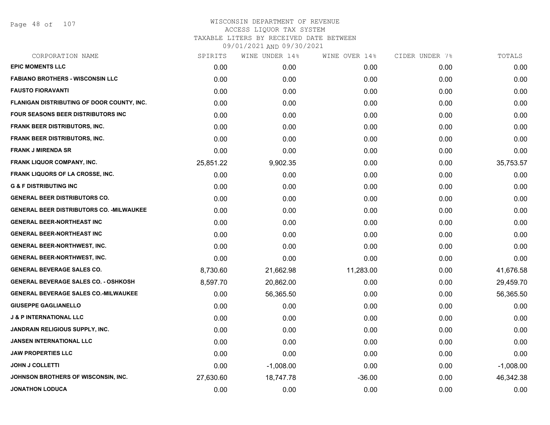Page 48 of 107

| CORPORATION NAME                                 | SPIRITS   | WINE UNDER 14% | WINE OVER 14% | CIDER UNDER 7% | TOTALS      |
|--------------------------------------------------|-----------|----------------|---------------|----------------|-------------|
| <b>EPIC MOMENTS LLC</b>                          | 0.00      | 0.00           | 0.00          | 0.00           | 0.00        |
| <b>FABIANO BROTHERS - WISCONSIN LLC</b>          | 0.00      | 0.00           | 0.00          | 0.00           | 0.00        |
| <b>FAUSTO FIORAVANTI</b>                         | 0.00      | 0.00           | 0.00          | 0.00           | 0.00        |
| FLANIGAN DISTRIBUTING OF DOOR COUNTY, INC.       | 0.00      | 0.00           | 0.00          | 0.00           | 0.00        |
| FOUR SEASONS BEER DISTRIBUTORS INC               | 0.00      | 0.00           | 0.00          | 0.00           | 0.00        |
| <b>FRANK BEER DISTRIBUTORS, INC.</b>             | 0.00      | 0.00           | 0.00          | 0.00           | 0.00        |
| <b>FRANK BEER DISTRIBUTORS, INC.</b>             | 0.00      | 0.00           | 0.00          | 0.00           | 0.00        |
| <b>FRANK J MIRENDA SR</b>                        | 0.00      | 0.00           | 0.00          | 0.00           | 0.00        |
| <b>FRANK LIQUOR COMPANY, INC.</b>                | 25,851.22 | 9,902.35       | 0.00          | 0.00           | 35,753.57   |
| FRANK LIQUORS OF LA CROSSE, INC.                 | 0.00      | 0.00           | 0.00          | 0.00           | 0.00        |
| <b>G &amp; F DISTRIBUTING INC</b>                | 0.00      | 0.00           | 0.00          | 0.00           | 0.00        |
| <b>GENERAL BEER DISTRIBUTORS CO.</b>             | 0.00      | 0.00           | 0.00          | 0.00           | 0.00        |
| <b>GENERAL BEER DISTRIBUTORS CO. - MILWAUKEE</b> | 0.00      | 0.00           | 0.00          | 0.00           | 0.00        |
| <b>GENERAL BEER-NORTHEAST INC</b>                | 0.00      | 0.00           | 0.00          | 0.00           | 0.00        |
| <b>GENERAL BEER-NORTHEAST INC</b>                | 0.00      | 0.00           | 0.00          | 0.00           | 0.00        |
| <b>GENERAL BEER-NORTHWEST, INC.</b>              | 0.00      | 0.00           | 0.00          | 0.00           | 0.00        |
| <b>GENERAL BEER-NORTHWEST, INC.</b>              | 0.00      | 0.00           | 0.00          | 0.00           | 0.00        |
| <b>GENERAL BEVERAGE SALES CO.</b>                | 8,730.60  | 21,662.98      | 11,283.00     | 0.00           | 41,676.58   |
| <b>GENERAL BEVERAGE SALES CO. - OSHKOSH</b>      | 8,597.70  | 20,862.00      | 0.00          | 0.00           | 29,459.70   |
| <b>GENERAL BEVERAGE SALES CO.-MILWAUKEE</b>      | 0.00      | 56,365.50      | 0.00          | 0.00           | 56,365.50   |
| <b>GIUSEPPE GAGLIANELLO</b>                      | 0.00      | 0.00           | 0.00          | 0.00           | 0.00        |
| <b>J &amp; P INTERNATIONAL LLC</b>               | 0.00      | 0.00           | 0.00          | 0.00           | 0.00        |
| <b>JANDRAIN RELIGIOUS SUPPLY, INC.</b>           | 0.00      | 0.00           | 0.00          | 0.00           | 0.00        |
| <b>JANSEN INTERNATIONAL LLC</b>                  | 0.00      | 0.00           | 0.00          | 0.00           | 0.00        |
| <b>JAW PROPERTIES LLC</b>                        | 0.00      | 0.00           | 0.00          | 0.00           | 0.00        |
| <b>JOHN J COLLETTI</b>                           | 0.00      | $-1,008.00$    | 0.00          | 0.00           | $-1,008.00$ |
| JOHNSON BROTHERS OF WISCONSIN, INC.              | 27,630.60 | 18,747.78      | $-36.00$      | 0.00           | 46,342.38   |
| <b>JONATHON LODUCA</b>                           | 0.00      | 0.00           | 0.00          | 0.00           | 0.00        |
|                                                  |           |                |               |                |             |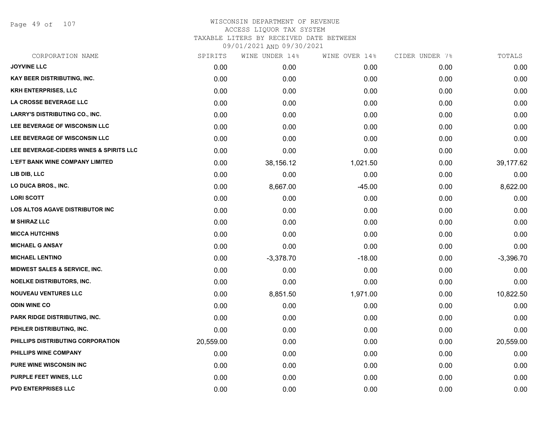Page 49 of 107

| CORPORATION NAME                         | SPIRITS   | WINE UNDER 14% | WINE OVER 14% | CIDER UNDER 7% | TOTALS      |
|------------------------------------------|-----------|----------------|---------------|----------------|-------------|
| <b>JOYVINE LLC</b>                       | 0.00      | 0.00           | 0.00          | 0.00           | 0.00        |
| <b>KAY BEER DISTRIBUTING, INC.</b>       | 0.00      | 0.00           | 0.00          | 0.00           | 0.00        |
| <b>KRH ENTERPRISES, LLC</b>              | 0.00      | 0.00           | 0.00          | 0.00           | 0.00        |
| LA CROSSE BEVERAGE LLC                   | 0.00      | 0.00           | 0.00          | 0.00           | 0.00        |
| LARRY'S DISTRIBUTING CO., INC.           | 0.00      | 0.00           | 0.00          | 0.00           | 0.00        |
| LEE BEVERAGE OF WISCONSIN LLC            | 0.00      | 0.00           | 0.00          | 0.00           | 0.00        |
| LEE BEVERAGE OF WISCONSIN LLC            | 0.00      | 0.00           | 0.00          | 0.00           | 0.00        |
| LEE BEVERAGE-CIDERS WINES & SPIRITS LLC  | 0.00      | 0.00           | 0.00          | 0.00           | 0.00        |
| <b>L'EFT BANK WINE COMPANY LIMITED</b>   | 0.00      | 38,156.12      | 1,021.50      | 0.00           | 39,177.62   |
| LIB DIB, LLC                             | 0.00      | 0.00           | 0.00          | 0.00           | 0.00        |
| LO DUCA BROS., INC.                      | 0.00      | 8,667.00       | $-45.00$      | 0.00           | 8,622.00    |
| <b>LORI SCOTT</b>                        | 0.00      | 0.00           | 0.00          | 0.00           | 0.00        |
| <b>LOS ALTOS AGAVE DISTRIBUTOR INC</b>   | 0.00      | 0.00           | 0.00          | 0.00           | 0.00        |
| <b>M SHIRAZ LLC</b>                      | 0.00      | 0.00           | 0.00          | 0.00           | 0.00        |
| <b>MICCA HUTCHINS</b>                    | 0.00      | 0.00           | 0.00          | 0.00           | 0.00        |
| <b>MICHAEL G ANSAY</b>                   | 0.00      | 0.00           | 0.00          | 0.00           | 0.00        |
| <b>MICHAEL LENTINO</b>                   | 0.00      | $-3,378.70$    | $-18.00$      | 0.00           | $-3,396.70$ |
| <b>MIDWEST SALES &amp; SERVICE, INC.</b> | 0.00      | 0.00           | 0.00          | 0.00           | 0.00        |
| <b>NOELKE DISTRIBUTORS, INC.</b>         | 0.00      | 0.00           | 0.00          | 0.00           | 0.00        |
| <b>NOUVEAU VENTURES LLC</b>              | 0.00      | 8,851.50       | 1,971.00      | 0.00           | 10,822.50   |
| <b>ODIN WINE CO</b>                      | 0.00      | 0.00           | 0.00          | 0.00           | 0.00        |
| PARK RIDGE DISTRIBUTING, INC.            | 0.00      | 0.00           | 0.00          | 0.00           | 0.00        |
| PEHLER DISTRIBUTING, INC.                | 0.00      | 0.00           | 0.00          | 0.00           | 0.00        |
| PHILLIPS DISTRIBUTING CORPORATION        | 20,559.00 | 0.00           | 0.00          | 0.00           | 20,559.00   |
| PHILLIPS WINE COMPANY                    | 0.00      | 0.00           | 0.00          | 0.00           | 0.00        |
| PURE WINE WISCONSIN INC                  | 0.00      | 0.00           | 0.00          | 0.00           | 0.00        |
| <b>PURPLE FEET WINES, LLC</b>            | 0.00      | 0.00           | 0.00          | 0.00           | 0.00        |
| <b>PVD ENTERPRISES LLC</b>               | 0.00      | 0.00           | 0.00          | 0.00           | 0.00        |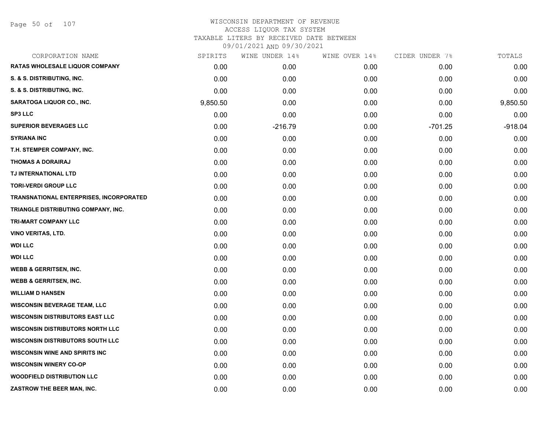Page 50 of 107

| CORPORATION NAME                        | SPIRITS  | WINE UNDER 14% | WINE OVER 14% | CIDER UNDER 7% | TOTALS    |
|-----------------------------------------|----------|----------------|---------------|----------------|-----------|
| <b>RATAS WHOLESALE LIQUOR COMPANY</b>   | 0.00     | 0.00           | 0.00          | 0.00           | 0.00      |
| S. & S. DISTRIBUTING, INC.              | 0.00     | 0.00           | 0.00          | 0.00           | 0.00      |
| S. & S. DISTRIBUTING, INC.              | 0.00     | 0.00           | 0.00          | 0.00           | 0.00      |
| SARATOGA LIQUOR CO., INC.               | 9,850.50 | 0.00           | 0.00          | 0.00           | 9,850.50  |
| <b>SP3 LLC</b>                          | 0.00     | 0.00           | 0.00          | 0.00           | 0.00      |
| <b>SUPERIOR BEVERAGES LLC</b>           | 0.00     | $-216.79$      | 0.00          | $-701.25$      | $-918.04$ |
| <b>SYRIANA INC</b>                      | 0.00     | 0.00           | 0.00          | 0.00           | 0.00      |
| T.H. STEMPER COMPANY, INC.              | 0.00     | 0.00           | 0.00          | 0.00           | 0.00      |
| <b>THOMAS A DORAIRAJ</b>                | 0.00     | 0.00           | 0.00          | 0.00           | 0.00      |
| TJ INTERNATIONAL LTD                    | 0.00     | 0.00           | 0.00          | 0.00           | 0.00      |
| <b>TORI-VERDI GROUP LLC</b>             | 0.00     | 0.00           | 0.00          | 0.00           | 0.00      |
| TRANSNATIONAL ENTERPRISES, INCORPORATED | 0.00     | 0.00           | 0.00          | 0.00           | 0.00      |
| TRIANGLE DISTRIBUTING COMPANY, INC.     | 0.00     | 0.00           | 0.00          | 0.00           | 0.00      |
| TRI-MART COMPANY LLC                    | 0.00     | 0.00           | 0.00          | 0.00           | 0.00      |
| <b>VINO VERITAS, LTD.</b>               | 0.00     | 0.00           | 0.00          | 0.00           | 0.00      |
| <b>WDI LLC</b>                          | 0.00     | 0.00           | 0.00          | 0.00           | 0.00      |
| <b>WDI LLC</b>                          | 0.00     | 0.00           | 0.00          | 0.00           | 0.00      |
| <b>WEBB &amp; GERRITSEN, INC.</b>       | 0.00     | 0.00           | 0.00          | 0.00           | 0.00      |
| <b>WEBB &amp; GERRITSEN, INC.</b>       | 0.00     | 0.00           | 0.00          | 0.00           | 0.00      |
| <b>WILLIAM D HANSEN</b>                 | 0.00     | 0.00           | 0.00          | 0.00           | 0.00      |
| <b>WISCONSIN BEVERAGE TEAM, LLC</b>     | 0.00     | 0.00           | 0.00          | 0.00           | 0.00      |
| <b>WISCONSIN DISTRIBUTORS EAST LLC</b>  | 0.00     | 0.00           | 0.00          | 0.00           | 0.00      |
| <b>WISCONSIN DISTRIBUTORS NORTH LLC</b> | 0.00     | 0.00           | 0.00          | 0.00           | 0.00      |
| <b>WISCONSIN DISTRIBUTORS SOUTH LLC</b> | 0.00     | 0.00           | 0.00          | 0.00           | 0.00      |
| <b>WISCONSIN WINE AND SPIRITS INC</b>   | 0.00     | 0.00           | 0.00          | 0.00           | 0.00      |
| <b>WISCONSIN WINERY CO-OP</b>           | 0.00     | 0.00           | 0.00          | 0.00           | 0.00      |
| <b>WOODFIELD DISTRIBUTION LLC</b>       | 0.00     | 0.00           | 0.00          | 0.00           | 0.00      |
| ZASTROW THE BEER MAN, INC.              | 0.00     | 0.00           | 0.00          | 0.00           | 0.00      |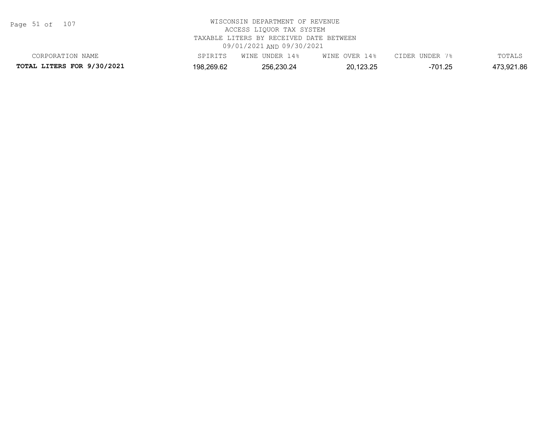Page 51 of 107

| CORPORATION NAME           | SPIRITS    | WINE UNDER 14% | WINE OVER 14% | CIDER UNDER 7% | TOTALS     |
|----------------------------|------------|----------------|---------------|----------------|------------|
| TOTAL LITERS FOR 9/30/2021 | 198,269.62 | 256,230.24     | 20,123.25     | -701.25        | 473,921.86 |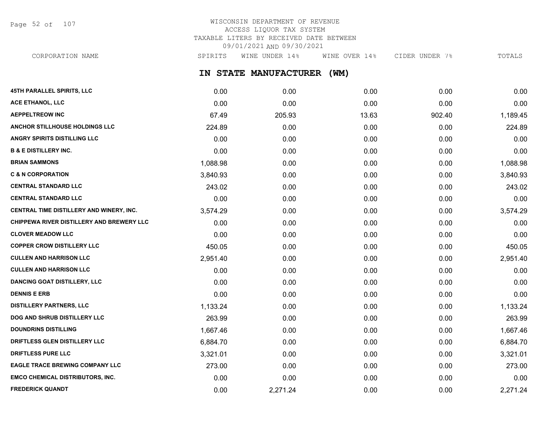Page 52 of 107

# WISCONSIN DEPARTMENT OF REVENUE ACCESS LIQUOR TAX SYSTEM TAXABLE LITERS BY RECEIVED DATE BETWEEN 09/01/2021 AND 09/30/2021

**IN STATE MANUFACTURER (WM) 45TH PARALLEL SPIRITS, LLC** 0.00 0.00 0.00 0.00 0.00 **ACE ETHANOL, LLC** 0.00 0.00 0.00 0.00 0.00 CORPORATION NAME SPIRITS WINE UNDER 14% WINE OVER 14% CIDER UNDER 7% TOTALS

| <b>AEPPELTREOW INC</b>                    | 67.49    | 205.93   | 13.63 | 902.40 | 1,189.45 |
|-------------------------------------------|----------|----------|-------|--------|----------|
| <b>ANCHOR STILLHOUSE HOLDINGS LLC</b>     | 224.89   | 0.00     | 0.00  | 0.00   | 224.89   |
| <b>ANGRY SPIRITS DISTILLING LLC</b>       | 0.00     | 0.00     | 0.00  | 0.00   | 0.00     |
| <b>B &amp; E DISTILLERY INC.</b>          | 0.00     | 0.00     | 0.00  | 0.00   | 0.00     |
| <b>BRIAN SAMMONS</b>                      | 1,088.98 | 0.00     | 0.00  | 0.00   | 1,088.98 |
| <b>C &amp; N CORPORATION</b>              | 3,840.93 | 0.00     | 0.00  | 0.00   | 3,840.93 |
| <b>CENTRAL STANDARD LLC</b>               | 243.02   | 0.00     | 0.00  | 0.00   | 243.02   |
| <b>CENTRAL STANDARD LLC</b>               | 0.00     | 0.00     | 0.00  | 0.00   | 0.00     |
| CENTRAL TIME DISTILLERY AND WINERY, INC.  | 3,574.29 | 0.00     | 0.00  | 0.00   | 3,574.29 |
| CHIPPEWA RIVER DISTILLERY AND BREWERY LLC | 0.00     | 0.00     | 0.00  | 0.00   | 0.00     |
| <b>CLOVER MEADOW LLC</b>                  | 0.00     | 0.00     | 0.00  | 0.00   | 0.00     |
| <b>COPPER CROW DISTILLERY LLC</b>         | 450.05   | 0.00     | 0.00  | 0.00   | 450.05   |
| <b>CULLEN AND HARRISON LLC</b>            | 2,951.40 | 0.00     | 0.00  | 0.00   | 2,951.40 |
| <b>CULLEN AND HARRISON LLC</b>            | 0.00     | 0.00     | 0.00  | 0.00   | 0.00     |
| <b>DANCING GOAT DISTILLERY, LLC</b>       | 0.00     | 0.00     | 0.00  | 0.00   | 0.00     |
| <b>DENNIS E ERB</b>                       | 0.00     | 0.00     | 0.00  | 0.00   | 0.00     |
| <b>DISTILLERY PARTNERS, LLC</b>           | 1,133.24 | 0.00     | 0.00  | 0.00   | 1,133.24 |
| DOG AND SHRUB DISTILLERY LLC              | 263.99   | 0.00     | 0.00  | 0.00   | 263.99   |
| <b>DOUNDRINS DISTILLING</b>               | 1,667.46 | 0.00     | 0.00  | 0.00   | 1,667.46 |
| DRIFTLESS GLEN DISTILLERY LLC             | 6,884.70 | 0.00     | 0.00  | 0.00   | 6,884.70 |
| <b>DRIFTLESS PURE LLC</b>                 | 3,321.01 | 0.00     | 0.00  | 0.00   | 3,321.01 |
| <b>EAGLE TRACE BREWING COMPANY LLC</b>    | 273.00   | 0.00     | 0.00  | 0.00   | 273.00   |
| <b>EMCO CHEMICAL DISTRIBUTORS, INC.</b>   | 0.00     | 0.00     | 0.00  | 0.00   | 0.00     |
| <b>FREDERICK QUANDT</b>                   | 0.00     | 2,271.24 | 0.00  | 0.00   | 2,271.24 |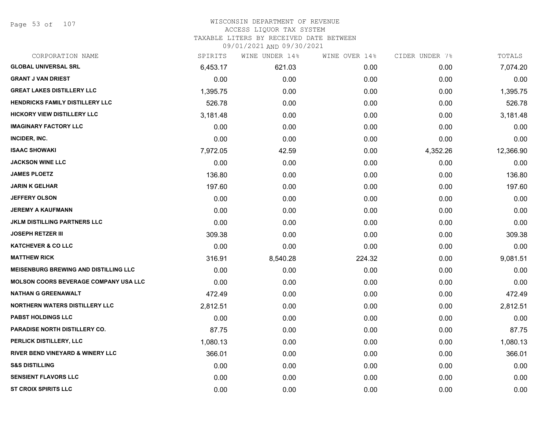Page 53 of 107

| SPIRITS  | WINE UNDER 14% | WINE OVER 14% | CIDER UNDER 7% | TOTALS    |
|----------|----------------|---------------|----------------|-----------|
| 6,453.17 | 621.03         | 0.00          | 0.00           | 7,074.20  |
| 0.00     | 0.00           | 0.00          | 0.00           | 0.00      |
| 1,395.75 | 0.00           | 0.00          | 0.00           | 1,395.75  |
| 526.78   | 0.00           | 0.00          | 0.00           | 526.78    |
| 3,181.48 | 0.00           | 0.00          | 0.00           | 3,181.48  |
| 0.00     | 0.00           | 0.00          | 0.00           | 0.00      |
| 0.00     | 0.00           | 0.00          | 0.00           | 0.00      |
| 7,972.05 | 42.59          | 0.00          | 4,352.26       | 12,366.90 |
| 0.00     | 0.00           | 0.00          | 0.00           | 0.00      |
| 136.80   | 0.00           | 0.00          | 0.00           | 136.80    |
| 197.60   | 0.00           | 0.00          | 0.00           | 197.60    |
| 0.00     | 0.00           | 0.00          | 0.00           | 0.00      |
| 0.00     | 0.00           | 0.00          | 0.00           | 0.00      |
| 0.00     | 0.00           | 0.00          | 0.00           | 0.00      |
| 309.38   | 0.00           | 0.00          | 0.00           | 309.38    |
| 0.00     | 0.00           | 0.00          | 0.00           | 0.00      |
| 316.91   | 8,540.28       | 224.32        | 0.00           | 9,081.51  |
| 0.00     | 0.00           | 0.00          | 0.00           | 0.00      |
| 0.00     | 0.00           | 0.00          | 0.00           | 0.00      |
| 472.49   | 0.00           | 0.00          | 0.00           | 472.49    |
| 2,812.51 | 0.00           | 0.00          | 0.00           | 2,812.51  |
| 0.00     | 0.00           | 0.00          | 0.00           | 0.00      |
| 87.75    | 0.00           | 0.00          | 0.00           | 87.75     |
| 1,080.13 | 0.00           | 0.00          | 0.00           | 1,080.13  |
| 366.01   | 0.00           | 0.00          | 0.00           | 366.01    |
| 0.00     | 0.00           | 0.00          | 0.00           | 0.00      |
| 0.00     | 0.00           | 0.00          | 0.00           | 0.00      |
| 0.00     | 0.00           | 0.00          | 0.00           | 0.00      |
|          |                |               |                |           |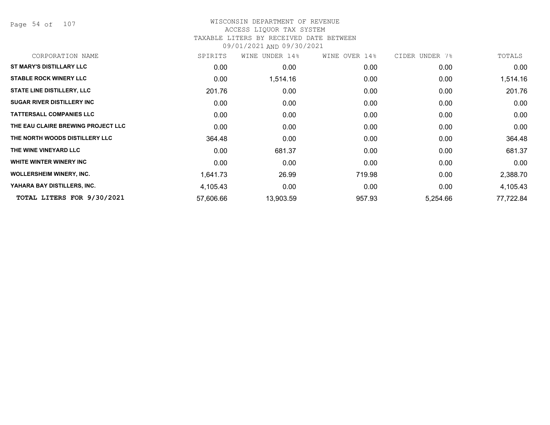Page 54 of 107

### WISCONSIN DEPARTMENT OF REVENUE ACCESS LIQUOR TAX SYSTEM TAXABLE LITERS BY RECEIVED DATE BETWEEN

| CORPORATION NAME                   | SPIRITS   | WINE UNDER 14%    | WINE OVER 14% | CIDER UNDER 7% | TOTALS    |
|------------------------------------|-----------|-------------------|---------------|----------------|-----------|
| <b>ST MARY'S DISTILLARY LLC</b>    | 0.00      | 0.00              | 0.00          | 0.00           | 0.00      |
| <b>STABLE ROCK WINERY LLC</b>      | 0.00      | 1,514.16          | 0.00          | 0.00           | 1,514.16  |
| <b>STATE LINE DISTILLERY, LLC</b>  | 201.76    | 0.00              | 0.00          | 0.00           | 201.76    |
| <b>SUGAR RIVER DISTILLERY INC</b>  | 0.00      | 0.00              | 0.00          | 0.00           | 0.00      |
| <b>TATTERSALL COMPANIES LLC</b>    | 0.00      | 0.00              | 0.00          | 0.00           | 0.00      |
| THE EAU CLAIRE BREWING PROJECT LLC | 0.00      | 0.00              | 0.00          | 0.00           | 0.00      |
| THE NORTH WOODS DISTILLERY LLC     | 364.48    | 0.00 <sub>1</sub> | 0.00          | 0.00           | 364.48    |
| THE WINE VINEYARD LLC              | 0.00      | 681.37            | 0.00          | 0.00           | 681.37    |
| WHITE WINTER WINERY INC            | 0.00      | 0.00              | 0.00          | 0.00           | 0.00      |
| <b>WOLLERSHEIM WINERY, INC.</b>    | 1,641.73  | 26.99             | 719.98        | 0.00           | 2,388.70  |
| YAHARA BAY DISTILLERS, INC.        | 4,105.43  | 0.00              | 0.00          | 0.00           | 4,105.43  |
| TOTAL LITERS FOR 9/30/2021         | 57,606.66 | 13,903.59         | 957.93        | 5,254.66       | 77,722.84 |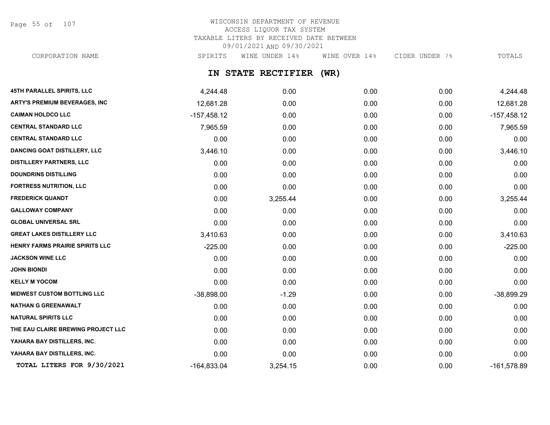Page 55 of 107

# WISCONSIN DEPARTMENT OF REVENUE ACCESS LIQUOR TAX SYSTEM TAXABLE LITERS BY RECEIVED DATE BETWEEN 09/01/2021 AND 09/30/2021

CORPORATION NAME SPIRITS WINE UNDER 14% WINE OVER 14% CIDER UNDER 7% TOTALS

# **IN STATE RECTIFIER (WR)**

| <b>45TH PARALLEL SPIRITS, LLC</b>    | 4,244.48      | 0.00     | 0.00 | 0.00 | 4,244.48      |
|--------------------------------------|---------------|----------|------|------|---------------|
| <b>ARTY'S PREMIUM BEVERAGES, INC</b> | 12,681.28     | 0.00     | 0.00 | 0.00 | 12,681.28     |
| <b>CAIMAN HOLDCO LLC</b>             | $-157,458.12$ | 0.00     | 0.00 | 0.00 | $-157,458.12$ |
| <b>CENTRAL STANDARD LLC</b>          | 7,965.59      | 0.00     | 0.00 | 0.00 | 7,965.59      |
| <b>CENTRAL STANDARD LLC</b>          | 0.00          | 0.00     | 0.00 | 0.00 | 0.00          |
| <b>DANCING GOAT DISTILLERY, LLC</b>  | 3,446.10      | 0.00     | 0.00 | 0.00 | 3,446.10      |
| <b>DISTILLERY PARTNERS, LLC</b>      | 0.00          | 0.00     | 0.00 | 0.00 | 0.00          |
| <b>DOUNDRINS DISTILLING</b>          | 0.00          | 0.00     | 0.00 | 0.00 | 0.00          |
| <b>FORTRESS NUTRITION, LLC</b>       | 0.00          | 0.00     | 0.00 | 0.00 | 0.00          |
| <b>FREDERICK QUANDT</b>              | 0.00          | 3,255.44 | 0.00 | 0.00 | 3,255.44      |
| <b>GALLOWAY COMPANY</b>              | 0.00          | 0.00     | 0.00 | 0.00 | 0.00          |
| <b>GLOBAL UNIVERSAL SRL</b>          | 0.00          | 0.00     | 0.00 | 0.00 | 0.00          |
| <b>GREAT LAKES DISTILLERY LLC</b>    | 3,410.63      | 0.00     | 0.00 | 0.00 | 3,410.63      |
| HENRY FARMS PRAIRIE SPIRITS LLC      | $-225.00$     | 0.00     | 0.00 | 0.00 | $-225.00$     |
| <b>JACKSON WINE LLC</b>              | 0.00          | 0.00     | 0.00 | 0.00 | 0.00          |
| <b>JOHN BIONDI</b>                   | 0.00          | 0.00     | 0.00 | 0.00 | 0.00          |
| <b>KELLY M YOCOM</b>                 | 0.00          | 0.00     | 0.00 | 0.00 | 0.00          |
| <b>MIDWEST CUSTOM BOTTLING LLC</b>   | $-38,898.00$  | $-1.29$  | 0.00 | 0.00 | -38,899.29    |
| <b>NATHAN G GREENAWALT</b>           | 0.00          | 0.00     | 0.00 | 0.00 | 0.00          |
| <b>NATURAL SPIRITS LLC</b>           | 0.00          | 0.00     | 0.00 | 0.00 | 0.00          |
| THE EAU CLAIRE BREWING PROJECT LLC   | 0.00          | 0.00     | 0.00 | 0.00 | 0.00          |
| YAHARA BAY DISTILLERS, INC.          | 0.00          | 0.00     | 0.00 | 0.00 | 0.00          |
| YAHARA BAY DISTILLERS, INC.          | 0.00          | 0.00     | 0.00 | 0.00 | 0.00          |
| TOTAL LITERS FOR 9/30/2021           | $-164,833.04$ | 3,254.15 | 0.00 | 0.00 | $-161,578.89$ |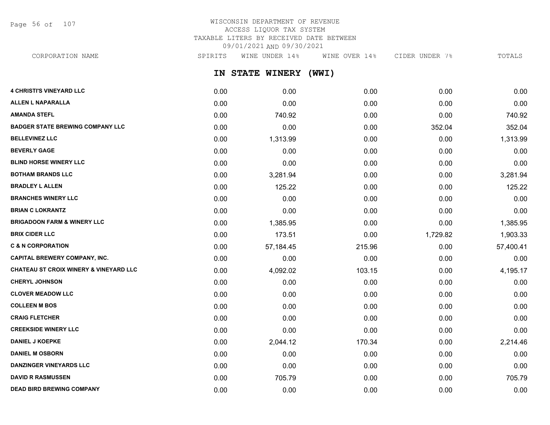Page 56 of 107

# WISCONSIN DEPARTMENT OF REVENUE ACCESS LIQUOR TAX SYSTEM TAXABLE LITERS BY RECEIVED DATE BETWEEN 09/01/2021 AND 09/30/2021

**IN STATE WINERY (WWI)** CORPORATION NAME SPIRITS WINE UNDER 14% WINE OVER 14% CIDER UNDER 7% TOTALS

| <b>4 CHRISTI'S VINEYARD LLC</b>                   | 0.00 | 0.00      | 0.00   | 0.00     | 0.00      |
|---------------------------------------------------|------|-----------|--------|----------|-----------|
| ALLEN L NAPARALLA                                 | 0.00 | 0.00      | 0.00   | 0.00     | 0.00      |
| AMANDA STEFL                                      | 0.00 | 740.92    | 0.00   | 0.00     | 740.92    |
| <b>BADGER STATE BREWING COMPANY LLC</b>           | 0.00 | 0.00      | 0.00   | 352.04   | 352.04    |
| <b>BELLEVINEZ LLC</b>                             | 0.00 | 1,313.99  | 0.00   | 0.00     | 1,313.99  |
| <b>BEVERLY GAGE</b>                               | 0.00 | 0.00      | 0.00   | 0.00     | 0.00      |
| <b>BLIND HORSE WINERY LLC</b>                     | 0.00 | 0.00      | 0.00   | 0.00     | 0.00      |
| <b>BOTHAM BRANDS LLC</b>                          | 0.00 | 3,281.94  | 0.00   | 0.00     | 3,281.94  |
| <b>BRADLEY L ALLEN</b>                            | 0.00 | 125.22    | 0.00   | 0.00     | 125.22    |
| <b>BRANCHES WINERY LLC</b>                        | 0.00 | 0.00      | 0.00   | 0.00     | 0.00      |
| <b>BRIAN C LOKRANTZ</b>                           | 0.00 | 0.00      | 0.00   | 0.00     | 0.00      |
| BRIGADOON FARM & WINERY LLC                       | 0.00 | 1,385.95  | 0.00   | 0.00     | 1,385.95  |
| <b>BRIX CIDER LLC</b>                             | 0.00 | 173.51    | 0.00   | 1,729.82 | 1,903.33  |
| <b>C &amp; N CORPORATION</b>                      | 0.00 | 57,184.45 | 215.96 | 0.00     | 57,400.41 |
| CAPITAL BREWERY COMPANY, INC.                     | 0.00 | 0.00      | 0.00   | 0.00     | 0.00      |
| <b>CHATEAU ST CROIX WINERY &amp; VINEYARD LLC</b> | 0.00 | 4,092.02  | 103.15 | 0.00     | 4,195.17  |
| <b>CHERYL JOHNSON</b>                             | 0.00 | 0.00      | 0.00   | 0.00     | 0.00      |
| <b>CLOVER MEADOW LLC</b>                          | 0.00 | 0.00      | 0.00   | 0.00     | 0.00      |
| COLLEEN M BOS                                     | 0.00 | 0.00      | 0.00   | 0.00     | 0.00      |
| <b>CRAIG FLETCHER</b>                             | 0.00 | 0.00      | 0.00   | 0.00     | 0.00      |
| <b>CREEKSIDE WINERY LLC</b>                       | 0.00 | 0.00      | 0.00   | 0.00     | 0.00      |
| <b>DANIEL J KOEPKE</b>                            | 0.00 | 2,044.12  | 170.34 | 0.00     | 2,214.46  |
| <b>DANIEL M OSBORN</b>                            | 0.00 | 0.00      | 0.00   | 0.00     | 0.00      |
| <b>DANZINGER VINEYARDS LLC</b>                    | 0.00 | 0.00      | 0.00   | 0.00     | 0.00      |
| <b>DAVID R RASMUSSEN</b>                          | 0.00 | 705.79    | 0.00   | 0.00     | 705.79    |
| <b>DEAD BIRD BREWING COMPANY</b>                  | 0.00 | 0.00      | 0.00   | 0.00     | 0.00      |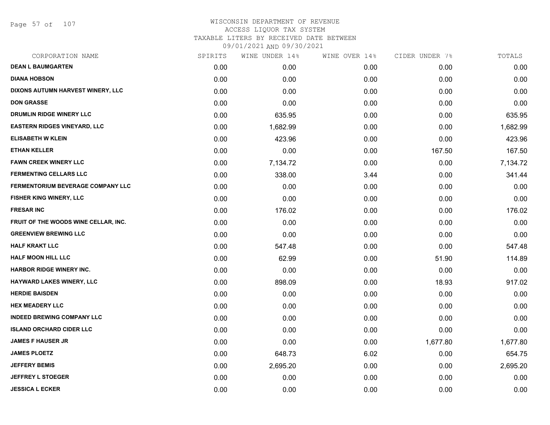Page 57 of 107

| CORPORATION NAME                     | SPIRITS | WINE UNDER 14% | WINE OVER 14% | CIDER UNDER 7% | TOTALS   |
|--------------------------------------|---------|----------------|---------------|----------------|----------|
| <b>DEAN L BAUMGARTEN</b>             | 0.00    | 0.00           | 0.00          | 0.00           | 0.00     |
| <b>DIANA HOBSON</b>                  | 0.00    | 0.00           | 0.00          | 0.00           | 0.00     |
| DIXONS AUTUMN HARVEST WINERY, LLC    | 0.00    | 0.00           | 0.00          | 0.00           | 0.00     |
| <b>DON GRASSE</b>                    | 0.00    | 0.00           | 0.00          | 0.00           | 0.00     |
| DRUMLIN RIDGE WINERY LLC             | 0.00    | 635.95         | 0.00          | 0.00           | 635.95   |
| <b>EASTERN RIDGES VINEYARD, LLC</b>  | 0.00    | 1,682.99       | 0.00          | 0.00           | 1,682.99 |
| <b>ELISABETH W KLEIN</b>             | 0.00    | 423.96         | 0.00          | 0.00           | 423.96   |
| <b>ETHAN KELLER</b>                  | 0.00    | 0.00           | 0.00          | 167.50         | 167.50   |
| <b>FAWN CREEK WINERY LLC</b>         | 0.00    | 7,134.72       | 0.00          | 0.00           | 7,134.72 |
| <b>FERMENTING CELLARS LLC</b>        | 0.00    | 338.00         | 3.44          | 0.00           | 341.44   |
| FERMENTORIUM BEVERAGE COMPANY LLC    | 0.00    | 0.00           | 0.00          | 0.00           | 0.00     |
| <b>FISHER KING WINERY, LLC</b>       | 0.00    | 0.00           | 0.00          | 0.00           | 0.00     |
| <b>FRESAR INC</b>                    | 0.00    | 176.02         | 0.00          | 0.00           | 176.02   |
| FRUIT OF THE WOODS WINE CELLAR, INC. | 0.00    | 0.00           | 0.00          | 0.00           | 0.00     |
| <b>GREENVIEW BREWING LLC</b>         | 0.00    | 0.00           | 0.00          | 0.00           | 0.00     |
| <b>HALF KRAKT LLC</b>                | 0.00    | 547.48         | 0.00          | 0.00           | 547.48   |
| <b>HALF MOON HILL LLC</b>            | 0.00    | 62.99          | 0.00          | 51.90          | 114.89   |
| <b>HARBOR RIDGE WINERY INC.</b>      | 0.00    | 0.00           | 0.00          | 0.00           | 0.00     |
| HAYWARD LAKES WINERY, LLC            | 0.00    | 898.09         | 0.00          | 18.93          | 917.02   |
| <b>HERDIE BAISDEN</b>                | 0.00    | 0.00           | 0.00          | 0.00           | 0.00     |
| <b>HEX MEADERY LLC</b>               | 0.00    | 0.00           | 0.00          | 0.00           | 0.00     |
| <b>INDEED BREWING COMPANY LLC</b>    | 0.00    | 0.00           | 0.00          | 0.00           | 0.00     |
| <b>ISLAND ORCHARD CIDER LLC</b>      | 0.00    | 0.00           | 0.00          | 0.00           | 0.00     |
| <b>JAMES F HAUSER JR</b>             | 0.00    | 0.00           | 0.00          | 1,677.80       | 1,677.80 |
| <b>JAMES PLOETZ</b>                  | 0.00    | 648.73         | 6.02          | 0.00           | 654.75   |
| <b>JEFFERY BEMIS</b>                 | 0.00    | 2,695.20       | 0.00          | 0.00           | 2,695.20 |
| <b>JEFFREY L STOEGER</b>             | 0.00    | 0.00           | 0.00          | 0.00           | 0.00     |
| <b>JESSICA L ECKER</b>               | 0.00    | 0.00           | 0.00          | 0.00           | 0.00     |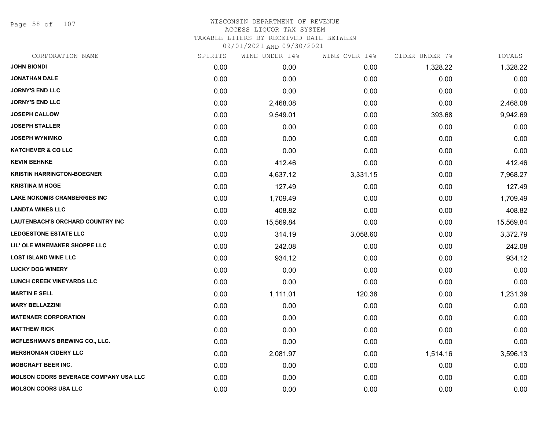Page 58 of 107

#### WISCONSIN DEPARTMENT OF REVENUE ACCESS LIQUOR TAX SYSTEM TAXABLE LITERS BY RECEIVED DATE BETWEEN

| CORPORATION NAME                             | SPIRITS | WINE UNDER 14% | WINE OVER 14% | CIDER UNDER 7% | TOTALS    |
|----------------------------------------------|---------|----------------|---------------|----------------|-----------|
| <b>JOHN BIONDI</b>                           | 0.00    | 0.00           | 0.00          | 1,328.22       | 1,328.22  |
| <b>JONATHAN DALE</b>                         | 0.00    | 0.00           | 0.00          | 0.00           | 0.00      |
| <b>JORNY'S END LLC</b>                       | 0.00    | 0.00           | 0.00          | 0.00           | 0.00      |
| <b>JORNY'S END LLC</b>                       | 0.00    | 2,468.08       | 0.00          | 0.00           | 2,468.08  |
| <b>JOSEPH CALLOW</b>                         | 0.00    | 9,549.01       | 0.00          | 393.68         | 9,942.69  |
| <b>JOSEPH STALLER</b>                        | 0.00    | 0.00           | 0.00          | 0.00           | 0.00      |
| <b>JOSEPH WYNIMKO</b>                        | 0.00    | 0.00           | 0.00          | 0.00           | 0.00      |
| <b>KATCHEVER &amp; CO LLC</b>                | 0.00    | 0.00           | 0.00          | 0.00           | 0.00      |
| <b>KEVIN BEHNKE</b>                          | 0.00    | 412.46         | 0.00          | 0.00           | 412.46    |
| <b>KRISTIN HARRINGTON-BOEGNER</b>            | 0.00    | 4,637.12       | 3,331.15      | 0.00           | 7,968.27  |
| <b>KRISTINA M HOGE</b>                       | 0.00    | 127.49         | 0.00          | 0.00           | 127.49    |
| <b>LAKE NOKOMIS CRANBERRIES INC</b>          | 0.00    | 1,709.49       | 0.00          | 0.00           | 1,709.49  |
| <b>LANDTA WINES LLC</b>                      | 0.00    | 408.82         | 0.00          | 0.00           | 408.82    |
| <b>LAUTENBACH'S ORCHARD COUNTRY INC</b>      | 0.00    | 15,569.84      | 0.00          | 0.00           | 15,569.84 |
| <b>LEDGESTONE ESTATE LLC</b>                 | 0.00    | 314.19         | 3,058.60      | 0.00           | 3,372.79  |
| LIL' OLE WINEMAKER SHOPPE LLC                | 0.00    | 242.08         | 0.00          | 0.00           | 242.08    |
| <b>LOST ISLAND WINE LLC</b>                  | 0.00    | 934.12         | 0.00          | 0.00           | 934.12    |
| <b>LUCKY DOG WINERY</b>                      | 0.00    | 0.00           | 0.00          | 0.00           | 0.00      |
| <b>LUNCH CREEK VINEYARDS LLC</b>             | 0.00    | 0.00           | 0.00          | 0.00           | 0.00      |
| <b>MARTIN E SELL</b>                         | 0.00    | 1,111.01       | 120.38        | 0.00           | 1,231.39  |
| <b>MARY BELLAZZINI</b>                       | 0.00    | 0.00           | 0.00          | 0.00           | 0.00      |
| <b>MATENAER CORPORATION</b>                  | 0.00    | 0.00           | 0.00          | 0.00           | 0.00      |
| <b>MATTHEW RICK</b>                          | 0.00    | 0.00           | 0.00          | 0.00           | 0.00      |
| <b>MCFLESHMAN'S BREWING CO., LLC.</b>        | 0.00    | 0.00           | 0.00          | 0.00           | 0.00      |
| <b>MERSHONIAN CIDERY LLC</b>                 | 0.00    | 2,081.97       | 0.00          | 1,514.16       | 3,596.13  |
| <b>MOBCRAFT BEER INC.</b>                    | 0.00    | 0.00           | 0.00          | 0.00           | 0.00      |
| <b>MOLSON COORS BEVERAGE COMPANY USA LLC</b> | 0.00    | 0.00           | 0.00          | 0.00           | 0.00      |
| <b>MOLSON COORS USA LLC</b>                  | 0.00    | 0.00           | 0.00          | 0.00           | 0.00      |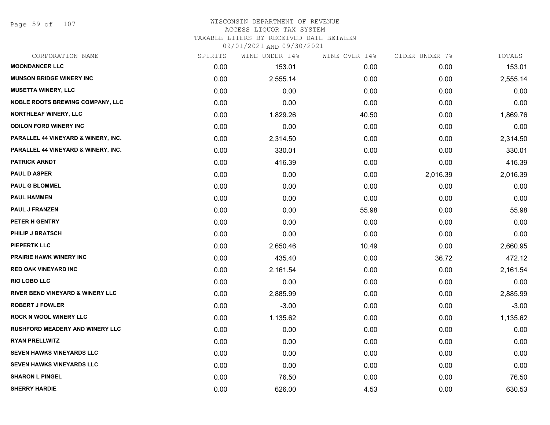Page 59 of 107

| CORPORATION NAME                        | SPIRITS | WINE UNDER 14% | WINE OVER 14% | CIDER UNDER 7% | TOTALS   |
|-----------------------------------------|---------|----------------|---------------|----------------|----------|
| <b>MOONDANCER LLC</b>                   | 0.00    | 153.01         | 0.00          | 0.00           | 153.01   |
| <b>MUNSON BRIDGE WINERY INC</b>         | 0.00    | 2,555.14       | 0.00          | 0.00           | 2,555.14 |
| <b>MUSETTA WINERY, LLC</b>              | 0.00    | 0.00           | 0.00          | 0.00           | 0.00     |
| <b>NOBLE ROOTS BREWING COMPANY, LLC</b> | 0.00    | 0.00           | 0.00          | 0.00           | 0.00     |
| <b>NORTHLEAF WINERY, LLC</b>            | 0.00    | 1,829.26       | 40.50         | 0.00           | 1,869.76 |
| <b>ODILON FORD WINERY INC</b>           | 0.00    | 0.00           | 0.00          | 0.00           | 0.00     |
| PARALLEL 44 VINEYARD & WINERY, INC.     | 0.00    | 2,314.50       | 0.00          | 0.00           | 2,314.50 |
| PARALLEL 44 VINEYARD & WINERY, INC.     | 0.00    | 330.01         | 0.00          | 0.00           | 330.01   |
| <b>PATRICK ARNDT</b>                    | 0.00    | 416.39         | 0.00          | 0.00           | 416.39   |
| <b>PAUL D ASPER</b>                     | 0.00    | 0.00           | 0.00          | 2,016.39       | 2,016.39 |
| <b>PAUL G BLOMMEL</b>                   | 0.00    | 0.00           | 0.00          | 0.00           | 0.00     |
| <b>PAUL HAMMEN</b>                      | 0.00    | 0.00           | 0.00          | 0.00           | 0.00     |
| <b>PAUL J FRANZEN</b>                   | 0.00    | 0.00           | 55.98         | 0.00           | 55.98    |
| PETER H GENTRY                          | 0.00    | 0.00           | 0.00          | 0.00           | 0.00     |
| <b>PHILIP J BRATSCH</b>                 | 0.00    | 0.00           | 0.00          | 0.00           | 0.00     |
| <b>PIEPERTK LLC</b>                     | 0.00    | 2,650.46       | 10.49         | 0.00           | 2,660.95 |
| <b>PRAIRIE HAWK WINERY INC</b>          | 0.00    | 435.40         | 0.00          | 36.72          | 472.12   |
| <b>RED OAK VINEYARD INC</b>             | 0.00    | 2,161.54       | 0.00          | 0.00           | 2,161.54 |
| <b>RIO LOBO LLC</b>                     | 0.00    | 0.00           | 0.00          | 0.00           | 0.00     |
| RIVER BEND VINEYARD & WINERY LLC        | 0.00    | 2,885.99       | 0.00          | 0.00           | 2,885.99 |
| <b>ROBERT J FOWLER</b>                  | 0.00    | $-3.00$        | 0.00          | 0.00           | $-3.00$  |
| ROCK N WOOL WINERY LLC                  | 0.00    | 1,135.62       | 0.00          | 0.00           | 1,135.62 |
| <b>RUSHFORD MEADERY AND WINERY LLC</b>  | 0.00    | 0.00           | 0.00          | 0.00           | 0.00     |
| <b>RYAN PRELLWITZ</b>                   | 0.00    | 0.00           | 0.00          | 0.00           | 0.00     |
| <b>SEVEN HAWKS VINEYARDS LLC</b>        | 0.00    | 0.00           | 0.00          | 0.00           | 0.00     |
| SEVEN HAWKS VINEYARDS LLC               | 0.00    | 0.00           | 0.00          | 0.00           | 0.00     |
| <b>SHARON L PINGEL</b>                  | 0.00    | 76.50          | 0.00          | 0.00           | 76.50    |
| <b>SHERRY HARDIE</b>                    | 0.00    | 626.00         | 4.53          | 0.00           | 630.53   |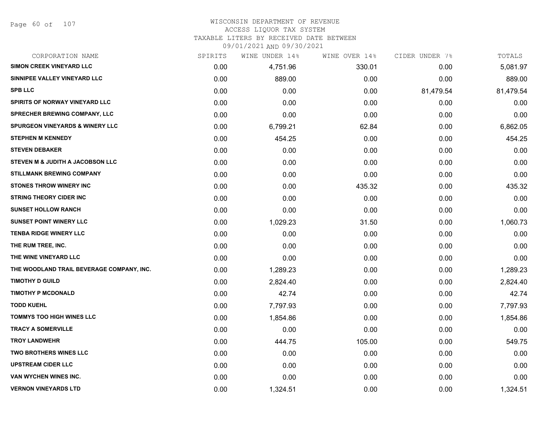Page 60 of 107

# WISCONSIN DEPARTMENT OF REVENUE

ACCESS LIQUOR TAX SYSTEM

TAXABLE LITERS BY RECEIVED DATE BETWEEN

| CORPORATION NAME                           | SPIRITS | WINE UNDER 14% | WINE OVER 14% | CIDER UNDER 7% | TOTALS    |
|--------------------------------------------|---------|----------------|---------------|----------------|-----------|
| SIMON CREEK VINEYARD LLC                   | 0.00    | 4,751.96       | 330.01        | 0.00           | 5,081.97  |
| SINNIPEE VALLEY VINEYARD LLC               | 0.00    | 889.00         | 0.00          | 0.00           | 889.00    |
| <b>SPB LLC</b>                             | 0.00    | 0.00           | 0.00          | 81,479.54      | 81,479.54 |
| <b>SPIRITS OF NORWAY VINEYARD LLC</b>      | 0.00    | 0.00           | 0.00          | 0.00           | 0.00      |
| <b>SPRECHER BREWING COMPANY, LLC</b>       | 0.00    | 0.00           | 0.00          | 0.00           | 0.00      |
| <b>SPURGEON VINEYARDS &amp; WINERY LLC</b> | 0.00    | 6,799.21       | 62.84         | 0.00           | 6,862.05  |
| <b>STEPHEN M KENNEDY</b>                   | 0.00    | 454.25         | 0.00          | 0.00           | 454.25    |
| <b>STEVEN DEBAKER</b>                      | 0.00    | 0.00           | 0.00          | 0.00           | 0.00      |
| STEVEN M & JUDITH A JACOBSON LLC           | 0.00    | 0.00           | 0.00          | 0.00           | 0.00      |
| <b>STILLMANK BREWING COMPANY</b>           | 0.00    | 0.00           | 0.00          | 0.00           | 0.00      |
| <b>STONES THROW WINERY INC</b>             | 0.00    | 0.00           | 435.32        | 0.00           | 435.32    |
| <b>STRING THEORY CIDER INC</b>             | 0.00    | 0.00           | 0.00          | 0.00           | 0.00      |
| <b>SUNSET HOLLOW RANCH</b>                 | 0.00    | 0.00           | 0.00          | 0.00           | 0.00      |
| <b>SUNSET POINT WINERY LLC</b>             | 0.00    | 1,029.23       | 31.50         | 0.00           | 1,060.73  |
| <b>TENBA RIDGE WINERY LLC</b>              | 0.00    | 0.00           | 0.00          | 0.00           | 0.00      |
| THE RUM TREE, INC.                         | 0.00    | 0.00           | 0.00          | 0.00           | 0.00      |
| THE WINE VINEYARD LLC                      | 0.00    | 0.00           | 0.00          | 0.00           | 0.00      |
| THE WOODLAND TRAIL BEVERAGE COMPANY, INC.  | 0.00    | 1,289.23       | 0.00          | 0.00           | 1,289.23  |
| <b>TIMOTHY D GUILD</b>                     | 0.00    | 2,824.40       | 0.00          | 0.00           | 2,824.40  |
| <b>TIMOTHY P MCDONALD</b>                  | 0.00    | 42.74          | 0.00          | 0.00           | 42.74     |
| <b>TODD KUEHL</b>                          | 0.00    | 7,797.93       | 0.00          | 0.00           | 7,797.93  |
| <b>TOMMYS TOO HIGH WINES LLC</b>           | 0.00    | 1,854.86       | 0.00          | 0.00           | 1,854.86  |
| <b>TRACY A SOMERVILLE</b>                  | 0.00    | 0.00           | 0.00          | 0.00           | 0.00      |
| <b>TROY LANDWEHR</b>                       | 0.00    | 444.75         | 105.00        | 0.00           | 549.75    |
| <b>TWO BROTHERS WINES LLC</b>              | 0.00    | 0.00           | 0.00          | 0.00           | 0.00      |
| <b>UPSTREAM CIDER LLC</b>                  | 0.00    | 0.00           | 0.00          | 0.00           | 0.00      |
| VAN WYCHEN WINES INC.                      | 0.00    | 0.00           | 0.00          | 0.00           | 0.00      |
| <b>VERNON VINEYARDS LTD</b>                | 0.00    | 1,324.51       | 0.00          | 0.00           | 1,324.51  |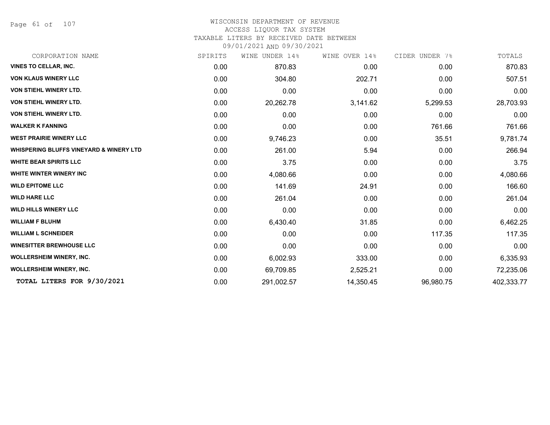Page 61 of 107

#### WISCONSIN DEPARTMENT OF REVENUE ACCESS LIQUOR TAX SYSTEM

TAXABLE LITERS BY RECEIVED DATE BETWEEN

| CORPORATION NAME                                   | SPIRITS | UNDER 14%<br>WINE | WINE OVER 14% | CIDER UNDER 7% | TOTALS     |
|----------------------------------------------------|---------|-------------------|---------------|----------------|------------|
| <b>VINES TO CELLAR, INC.</b>                       | 0.00    | 870.83            | 0.00          | 0.00           | 870.83     |
| <b>VON KLAUS WINERY LLC</b>                        | 0.00    | 304.80            | 202.71        | 0.00           | 507.51     |
| VON STIEHL WINERY LTD.                             | 0.00    | 0.00              | 0.00          | 0.00           | 0.00       |
| <b>VON STIEHL WINERY LTD.</b>                      | 0.00    | 20,262.78         | 3,141.62      | 5,299.53       | 28,703.93  |
| VON STIEHL WINERY LTD.                             | 0.00    | 0.00              | 0.00          | 0.00           | 0.00       |
| <b>WALKER K FANNING</b>                            | 0.00    | 0.00              | 0.00          | 761.66         | 761.66     |
| <b>WEST PRAIRIE WINERY LLC</b>                     | 0.00    | 9,746.23          | 0.00          | 35.51          | 9,781.74   |
| <b>WHISPERING BLUFFS VINEYARD &amp; WINERY LTD</b> | 0.00    | 261.00            | 5.94          | 0.00           | 266.94     |
| <b>WHITE BEAR SPIRITS LLC</b>                      | 0.00    | 3.75              | 0.00          | 0.00           | 3.75       |
| <b>WHITE WINTER WINERY INC</b>                     | 0.00    | 4,080.66          | 0.00          | 0.00           | 4,080.66   |
| <b>WILD EPITOME LLC</b>                            | 0.00    | 141.69            | 24.91         | 0.00           | 166.60     |
| <b>WILD HARE LLC</b>                               | 0.00    | 261.04            | 0.00          | 0.00           | 261.04     |
| <b>WILD HILLS WINERY LLC</b>                       | 0.00    | 0.00              | 0.00          | 0.00           | 0.00       |
| <b>WILLIAM F BLUHM</b>                             | 0.00    | 6,430.40          | 31.85         | 0.00           | 6,462.25   |
| <b>WILLIAM L SCHNEIDER</b>                         | 0.00    | 0.00              | 0.00          | 117.35         | 117.35     |
| <b>WINESITTER BREWHOUSE LLC</b>                    | 0.00    | 0.00              | 0.00          | 0.00           | 0.00       |
| <b>WOLLERSHEIM WINERY, INC.</b>                    | 0.00    | 6,002.93          | 333.00        | 0.00           | 6,335.93   |
| <b>WOLLERSHEIM WINERY, INC.</b>                    | 0.00    | 69,709.85         | 2,525.21      | 0.00           | 72,235.06  |
| TOTAL LITERS FOR 9/30/2021                         | 0.00    | 291,002.57        | 14,350.45     | 96,980.75      | 402,333.77 |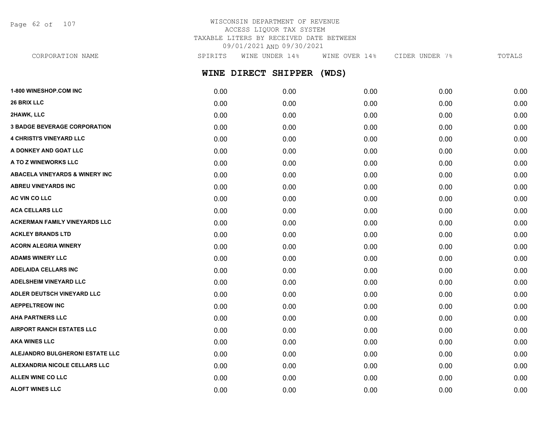Page 62 of 107

# WISCONSIN DEPARTMENT OF REVENUE ACCESS LIQUOR TAX SYSTEM TAXABLE LITERS BY RECEIVED DATE BETWEEN 09/01/2021 AND 09/30/2021

**WINE DIRECT SHIPPER (WDS)** CORPORATION NAME SPIRITS WINE UNDER 14% WINE OVER 14% CIDER UNDER 7% TOTALS

| <b>1-800 WINESHOP.COM INC</b>              | 0.00 | 0.00 | 0.00 | 0.00 | 0.00 |
|--------------------------------------------|------|------|------|------|------|
| <b>26 BRIX LLC</b>                         | 0.00 | 0.00 | 0.00 | 0.00 | 0.00 |
| 2HAWK, LLC                                 | 0.00 | 0.00 | 0.00 | 0.00 | 0.00 |
| <b>3 BADGE BEVERAGE CORPORATION</b>        | 0.00 | 0.00 | 0.00 | 0.00 | 0.00 |
| <b>4 CHRISTI'S VINEYARD LLC</b>            | 0.00 | 0.00 | 0.00 | 0.00 | 0.00 |
| A DONKEY AND GOAT LLC                      | 0.00 | 0.00 | 0.00 | 0.00 | 0.00 |
| A TO Z WINEWORKS LLC                       | 0.00 | 0.00 | 0.00 | 0.00 | 0.00 |
| <b>ABACELA VINEYARDS &amp; WINERY INC.</b> | 0.00 | 0.00 | 0.00 | 0.00 | 0.00 |
| <b>ABREU VINEYARDS INC</b>                 | 0.00 | 0.00 | 0.00 | 0.00 | 0.00 |
| AC VIN CO LLC                              | 0.00 | 0.00 | 0.00 | 0.00 | 0.00 |
| <b>ACA CELLARS LLC</b>                     | 0.00 | 0.00 | 0.00 | 0.00 | 0.00 |
| <b>ACKERMAN FAMILY VINEYARDS LLC</b>       | 0.00 | 0.00 | 0.00 | 0.00 | 0.00 |
| <b>ACKLEY BRANDS LTD</b>                   | 0.00 | 0.00 | 0.00 | 0.00 | 0.00 |
| <b>ACORN ALEGRIA WINERY</b>                | 0.00 | 0.00 | 0.00 | 0.00 | 0.00 |
| <b>ADAMS WINERY LLC</b>                    | 0.00 | 0.00 | 0.00 | 0.00 | 0.00 |
| <b>ADELAIDA CELLARS INC</b>                | 0.00 | 0.00 | 0.00 | 0.00 | 0.00 |
| <b>ADELSHEIM VINEYARD LLC</b>              | 0.00 | 0.00 | 0.00 | 0.00 | 0.00 |
| ADLER DEUTSCH VINEYARD LLC                 | 0.00 | 0.00 | 0.00 | 0.00 | 0.00 |
| <b>AEPPELTREOW INC</b>                     | 0.00 | 0.00 | 0.00 | 0.00 | 0.00 |
| <b>AHA PARTNERS LLC</b>                    | 0.00 | 0.00 | 0.00 | 0.00 | 0.00 |
| <b>AIRPORT RANCH ESTATES LLC</b>           | 0.00 | 0.00 | 0.00 | 0.00 | 0.00 |
| <b>AKA WINES LLC</b>                       | 0.00 | 0.00 | 0.00 | 0.00 | 0.00 |
| ALEJANDRO BULGHERONI ESTATE LLC            | 0.00 | 0.00 | 0.00 | 0.00 | 0.00 |
| ALEXANDRIA NICOLE CELLARS LLC              | 0.00 | 0.00 | 0.00 | 0.00 | 0.00 |
| <b>ALLEN WINE CO LLC</b>                   | 0.00 | 0.00 | 0.00 | 0.00 | 0.00 |
| <b>ALOFT WINES LLC</b>                     | 0.00 | 0.00 | 0.00 | 0.00 | 0.00 |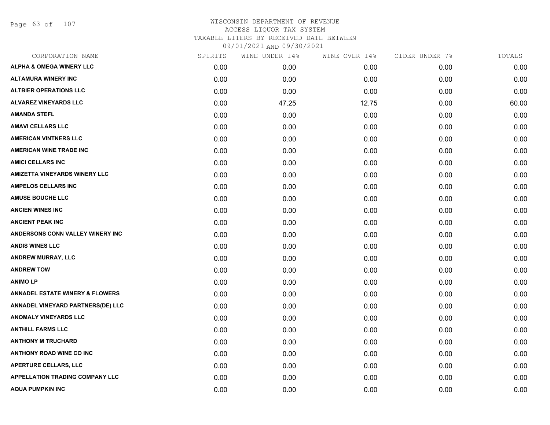Page 63 of 107

| SPIRITS | WINE UNDER 14% | WINE OVER 14% | CIDER UNDER 7% | TOTALS |
|---------|----------------|---------------|----------------|--------|
| 0.00    | 0.00           | 0.00          | 0.00           | 0.00   |
| 0.00    | 0.00           | 0.00          | 0.00           | 0.00   |
| 0.00    | 0.00           | 0.00          | 0.00           | 0.00   |
| 0.00    | 47.25          | 12.75         | 0.00           | 60.00  |
| 0.00    | 0.00           | 0.00          | 0.00           | 0.00   |
| 0.00    | 0.00           | 0.00          | 0.00           | 0.00   |
| 0.00    | 0.00           | 0.00          | 0.00           | 0.00   |
| 0.00    | 0.00           | 0.00          | 0.00           | 0.00   |
| 0.00    | 0.00           | 0.00          | 0.00           | 0.00   |
| 0.00    | 0.00           | 0.00          | 0.00           | 0.00   |
| 0.00    | 0.00           | 0.00          | 0.00           | 0.00   |
| 0.00    | 0.00           | 0.00          | 0.00           | 0.00   |
| 0.00    | 0.00           | 0.00          | 0.00           | 0.00   |
| 0.00    | 0.00           | 0.00          | 0.00           | 0.00   |
| 0.00    | 0.00           | 0.00          | 0.00           | 0.00   |
| 0.00    | 0.00           | 0.00          | 0.00           | 0.00   |
| 0.00    | 0.00           | 0.00          | 0.00           | 0.00   |
| 0.00    | 0.00           | 0.00          | 0.00           | 0.00   |
| 0.00    | 0.00           | 0.00          | 0.00           | 0.00   |
| 0.00    | 0.00           | 0.00          | 0.00           | 0.00   |
| 0.00    | 0.00           | 0.00          | 0.00           | 0.00   |
| 0.00    | 0.00           | 0.00          | 0.00           | 0.00   |
| 0.00    | 0.00           | 0.00          | 0.00           | 0.00   |
| 0.00    | 0.00           | 0.00          | 0.00           | 0.00   |
| 0.00    | 0.00           | 0.00          | 0.00           | 0.00   |
| 0.00    | 0.00           | 0.00          | 0.00           | 0.00   |
| 0.00    | 0.00           | 0.00          | 0.00           | 0.00   |
| 0.00    | 0.00           | 0.00          | 0.00           | 0.00   |
|         |                |               |                |        |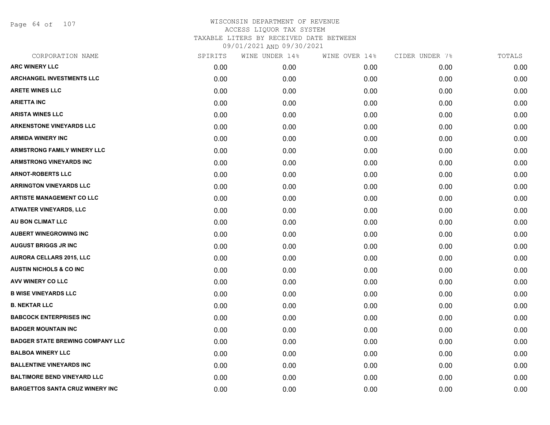Page 64 of 107

| CORPORATION NAME                        | SPIRITS | WINE UNDER 14% | WINE OVER 14% | CIDER UNDER 7% | TOTALS |
|-----------------------------------------|---------|----------------|---------------|----------------|--------|
| <b>ARC WINERY LLC</b>                   | 0.00    | 0.00           | 0.00          | 0.00           | 0.00   |
| <b>ARCHANGEL INVESTMENTS LLC</b>        | 0.00    | 0.00           | 0.00          | 0.00           | 0.00   |
| <b>ARETE WINES LLC</b>                  | 0.00    | 0.00           | 0.00          | 0.00           | 0.00   |
| <b>ARIETTA INC</b>                      | 0.00    | 0.00           | 0.00          | 0.00           | 0.00   |
| <b>ARISTA WINES LLC</b>                 | 0.00    | 0.00           | 0.00          | 0.00           | 0.00   |
| <b>ARKENSTONE VINEYARDS LLC</b>         | 0.00    | 0.00           | 0.00          | 0.00           | 0.00   |
| <b>ARMIDA WINERY INC</b>                | 0.00    | 0.00           | 0.00          | 0.00           | 0.00   |
| <b>ARMSTRONG FAMILY WINERY LLC</b>      | 0.00    | 0.00           | 0.00          | 0.00           | 0.00   |
| <b>ARMSTRONG VINEYARDS INC</b>          | 0.00    | 0.00           | 0.00          | 0.00           | 0.00   |
| <b>ARNOT-ROBERTS LLC</b>                | 0.00    | 0.00           | 0.00          | 0.00           | 0.00   |
| <b>ARRINGTON VINEYARDS LLC</b>          | 0.00    | 0.00           | 0.00          | 0.00           | 0.00   |
| <b>ARTISTE MANAGEMENT CO LLC</b>        | 0.00    | 0.00           | 0.00          | 0.00           | 0.00   |
| ATWATER VINEYARDS, LLC                  | 0.00    | 0.00           | 0.00          | 0.00           | 0.00   |
| AU BON CLIMAT LLC                       | 0.00    | 0.00           | 0.00          | 0.00           | 0.00   |
| <b>AUBERT WINEGROWING INC</b>           | 0.00    | 0.00           | 0.00          | 0.00           | 0.00   |
| <b>AUGUST BRIGGS JR INC</b>             | 0.00    | 0.00           | 0.00          | 0.00           | 0.00   |
| <b>AURORA CELLARS 2015, LLC</b>         | 0.00    | 0.00           | 0.00          | 0.00           | 0.00   |
| <b>AUSTIN NICHOLS &amp; CO INC</b>      | 0.00    | 0.00           | 0.00          | 0.00           | 0.00   |
| AVV WINERY CO LLC                       | 0.00    | 0.00           | 0.00          | 0.00           | 0.00   |
| <b>B WISE VINEYARDS LLC</b>             | 0.00    | 0.00           | 0.00          | 0.00           | 0.00   |
| <b>B. NEKTAR LLC</b>                    | 0.00    | 0.00           | 0.00          | 0.00           | 0.00   |
| <b>BABCOCK ENTERPRISES INC</b>          | 0.00    | 0.00           | 0.00          | 0.00           | 0.00   |
| <b>BADGER MOUNTAIN INC</b>              | 0.00    | 0.00           | 0.00          | 0.00           | 0.00   |
| <b>BADGER STATE BREWING COMPANY LLC</b> | 0.00    | 0.00           | 0.00          | 0.00           | 0.00   |
| <b>BALBOA WINERY LLC</b>                | 0.00    | 0.00           | 0.00          | 0.00           | 0.00   |
| <b>BALLENTINE VINEYARDS INC</b>         | 0.00    | 0.00           | 0.00          | 0.00           | 0.00   |
| <b>BALTIMORE BEND VINEYARD LLC</b>      | 0.00    | 0.00           | 0.00          | 0.00           | 0.00   |
| <b>BARGETTOS SANTA CRUZ WINERY INC</b>  | 0.00    | 0.00           | 0.00          | 0.00           | 0.00   |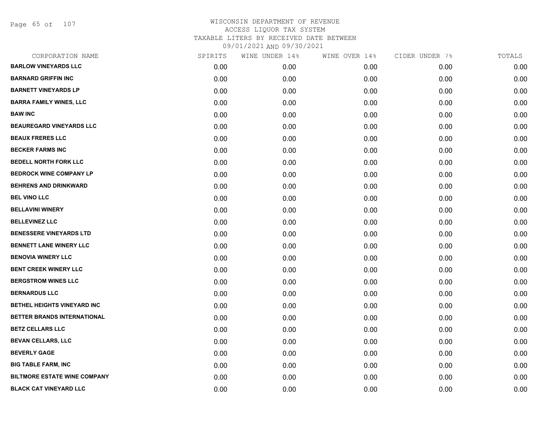Page 65 of 107

| CORPORATION NAME                    | SPIRITS | WINE UNDER 14% | WINE OVER 14% | CIDER UNDER 7% | TOTALS |
|-------------------------------------|---------|----------------|---------------|----------------|--------|
| <b>BARLOW VINEYARDS LLC</b>         | 0.00    | 0.00           | 0.00          | 0.00           | 0.00   |
| <b>BARNARD GRIFFIN INC</b>          | 0.00    | 0.00           | 0.00          | 0.00           | 0.00   |
| <b>BARNETT VINEYARDS LP</b>         | 0.00    | 0.00           | 0.00          | 0.00           | 0.00   |
| <b>BARRA FAMILY WINES, LLC</b>      | 0.00    | 0.00           | 0.00          | 0.00           | 0.00   |
| <b>BAW INC</b>                      | 0.00    | 0.00           | 0.00          | 0.00           | 0.00   |
| <b>BEAUREGARD VINEYARDS LLC</b>     | 0.00    | 0.00           | 0.00          | 0.00           | 0.00   |
| <b>BEAUX FRERES LLC</b>             | 0.00    | 0.00           | 0.00          | 0.00           | 0.00   |
| <b>BECKER FARMS INC</b>             | 0.00    | 0.00           | 0.00          | 0.00           | 0.00   |
| <b>BEDELL NORTH FORK LLC</b>        | 0.00    | 0.00           | 0.00          | 0.00           | 0.00   |
| <b>BEDROCK WINE COMPANY LP</b>      | 0.00    | 0.00           | 0.00          | 0.00           | 0.00   |
| <b>BEHRENS AND DRINKWARD</b>        | 0.00    | 0.00           | 0.00          | 0.00           | 0.00   |
| <b>BEL VINO LLC</b>                 | 0.00    | 0.00           | 0.00          | 0.00           | 0.00   |
| <b>BELLAVINI WINERY</b>             | 0.00    | 0.00           | 0.00          | 0.00           | 0.00   |
| <b>BELLEVINEZ LLC</b>               | 0.00    | 0.00           | 0.00          | 0.00           | 0.00   |
| <b>BENESSERE VINEYARDS LTD</b>      | 0.00    | 0.00           | 0.00          | 0.00           | 0.00   |
| <b>BENNETT LANE WINERY LLC</b>      | 0.00    | 0.00           | 0.00          | 0.00           | 0.00   |
| <b>BENOVIA WINERY LLC</b>           | 0.00    | 0.00           | 0.00          | 0.00           | 0.00   |
| <b>BENT CREEK WINERY LLC</b>        | 0.00    | 0.00           | 0.00          | 0.00           | 0.00   |
| <b>BERGSTROM WINES LLC</b>          | 0.00    | 0.00           | 0.00          | 0.00           | 0.00   |
| <b>BERNARDUS LLC</b>                | 0.00    | 0.00           | 0.00          | 0.00           | 0.00   |
| BETHEL HEIGHTS VINEYARD INC         | 0.00    | 0.00           | 0.00          | 0.00           | 0.00   |
| BETTER BRANDS INTERNATIONAL         | 0.00    | 0.00           | 0.00          | 0.00           | 0.00   |
| <b>BETZ CELLARS LLC</b>             | 0.00    | 0.00           | 0.00          | 0.00           | 0.00   |
| <b>BEVAN CELLARS, LLC</b>           | 0.00    | 0.00           | 0.00          | 0.00           | 0.00   |
| <b>BEVERLY GAGE</b>                 | 0.00    | 0.00           | 0.00          | 0.00           | 0.00   |
| <b>BIG TABLE FARM, INC</b>          | 0.00    | 0.00           | 0.00          | 0.00           | 0.00   |
| <b>BILTMORE ESTATE WINE COMPANY</b> | 0.00    | 0.00           | 0.00          | 0.00           | 0.00   |
| <b>BLACK CAT VINEYARD LLC</b>       | 0.00    | 0.00           | 0.00          | 0.00           | 0.00   |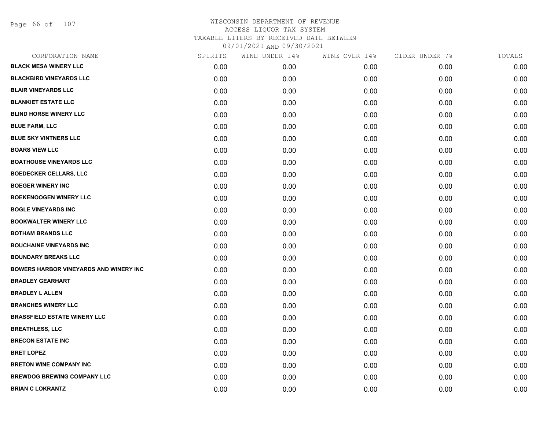Page 66 of 107

| CORPORATION NAME                               | SPIRITS | WINE UNDER 14% | WINE OVER 14% | CIDER UNDER 7% | TOTALS |
|------------------------------------------------|---------|----------------|---------------|----------------|--------|
| <b>BLACK MESA WINERY LLC</b>                   | 0.00    | 0.00           | 0.00          | 0.00           | 0.00   |
| <b>BLACKBIRD VINEYARDS LLC</b>                 | 0.00    | 0.00           | 0.00          | 0.00           | 0.00   |
| <b>BLAIR VINEYARDS LLC</b>                     | 0.00    | 0.00           | 0.00          | 0.00           | 0.00   |
| <b>BLANKIET ESTATE LLC</b>                     | 0.00    | 0.00           | 0.00          | 0.00           | 0.00   |
| <b>BLIND HORSE WINERY LLC</b>                  | 0.00    | 0.00           | 0.00          | 0.00           | 0.00   |
| <b>BLUE FARM, LLC</b>                          | 0.00    | 0.00           | 0.00          | 0.00           | 0.00   |
| <b>BLUE SKY VINTNERS LLC</b>                   | 0.00    | 0.00           | 0.00          | 0.00           | 0.00   |
| <b>BOARS VIEW LLC</b>                          | 0.00    | 0.00           | 0.00          | 0.00           | 0.00   |
| <b>BOATHOUSE VINEYARDS LLC</b>                 | 0.00    | 0.00           | 0.00          | 0.00           | 0.00   |
| <b>BOEDECKER CELLARS, LLC</b>                  | 0.00    | 0.00           | 0.00          | 0.00           | 0.00   |
| <b>BOEGER WINERY INC</b>                       | 0.00    | 0.00           | 0.00          | 0.00           | 0.00   |
| <b>BOEKENOOGEN WINERY LLC</b>                  | 0.00    | 0.00           | 0.00          | 0.00           | 0.00   |
| <b>BOGLE VINEYARDS INC</b>                     | 0.00    | 0.00           | 0.00          | 0.00           | 0.00   |
| <b>BOOKWALTER WINERY LLC</b>                   | 0.00    | 0.00           | 0.00          | 0.00           | 0.00   |
| <b>BOTHAM BRANDS LLC</b>                       | 0.00    | 0.00           | 0.00          | 0.00           | 0.00   |
| <b>BOUCHAINE VINEYARDS INC</b>                 | 0.00    | 0.00           | 0.00          | 0.00           | 0.00   |
| <b>BOUNDARY BREAKS LLC</b>                     | 0.00    | 0.00           | 0.00          | 0.00           | 0.00   |
| <b>BOWERS HARBOR VINEYARDS AND WINERY INC.</b> | 0.00    | 0.00           | 0.00          | 0.00           | 0.00   |
| <b>BRADLEY GEARHART</b>                        | 0.00    | 0.00           | 0.00          | 0.00           | 0.00   |
| <b>BRADLEY L ALLEN</b>                         | 0.00    | 0.00           | 0.00          | 0.00           | 0.00   |
| <b>BRANCHES WINERY LLC</b>                     | 0.00    | 0.00           | 0.00          | 0.00           | 0.00   |
| <b>BRASSFIELD ESTATE WINERY LLC</b>            | 0.00    | 0.00           | 0.00          | 0.00           | 0.00   |
| <b>BREATHLESS, LLC</b>                         | 0.00    | 0.00           | 0.00          | 0.00           | 0.00   |
| <b>BRECON ESTATE INC</b>                       | 0.00    | 0.00           | 0.00          | 0.00           | 0.00   |
| <b>BRET LOPEZ</b>                              | 0.00    | 0.00           | 0.00          | 0.00           | 0.00   |
| <b>BRETON WINE COMPANY INC</b>                 | 0.00    | 0.00           | 0.00          | 0.00           | 0.00   |
| <b>BREWDOG BREWING COMPANY LLC</b>             | 0.00    | 0.00           | 0.00          | 0.00           | 0.00   |
| <b>BRIAN C LOKRANTZ</b>                        | 0.00    | 0.00           | 0.00          | 0.00           | 0.00   |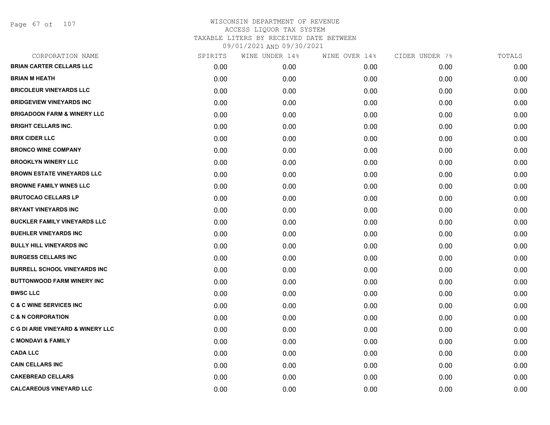Page 67 of 107

| CORPORATION NAME                             | SPIRITS | WINE UNDER 14% | WINE OVER 14% | CIDER UNDER 7% | TOTALS |
|----------------------------------------------|---------|----------------|---------------|----------------|--------|
| <b>BRIAN CARTER CELLARS LLC</b>              | 0.00    | 0.00           | 0.00          | 0.00           | 0.00   |
| <b>BRIAN M HEATH</b>                         | 0.00    | 0.00           | 0.00          | 0.00           | 0.00   |
| <b>BRICOLEUR VINEYARDS LLC</b>               | 0.00    | 0.00           | 0.00          | 0.00           | 0.00   |
| <b>BRIDGEVIEW VINEYARDS INC</b>              | 0.00    | 0.00           | 0.00          | 0.00           | 0.00   |
| <b>BRIGADOON FARM &amp; WINERY LLC</b>       | 0.00    | 0.00           | 0.00          | 0.00           | 0.00   |
| <b>BRIGHT CELLARS INC.</b>                   | 0.00    | 0.00           | 0.00          | 0.00           | 0.00   |
| <b>BRIX CIDER LLC</b>                        | 0.00    | 0.00           | 0.00          | 0.00           | 0.00   |
| <b>BRONCO WINE COMPANY</b>                   | 0.00    | 0.00           | 0.00          | 0.00           | 0.00   |
| <b>BROOKLYN WINERY LLC</b>                   | 0.00    | 0.00           | 0.00          | 0.00           | 0.00   |
| <b>BROWN ESTATE VINEYARDS LLC</b>            | 0.00    | 0.00           | 0.00          | 0.00           | 0.00   |
| <b>BROWNE FAMILY WINES LLC</b>               | 0.00    | 0.00           | 0.00          | 0.00           | 0.00   |
| <b>BRUTOCAO CELLARS LP</b>                   | 0.00    | 0.00           | 0.00          | 0.00           | 0.00   |
| <b>BRYANT VINEYARDS INC</b>                  | 0.00    | 0.00           | 0.00          | 0.00           | 0.00   |
| <b>BUCKLER FAMILY VINEYARDS LLC</b>          | 0.00    | 0.00           | 0.00          | 0.00           | 0.00   |
| <b>BUEHLER VINEYARDS INC</b>                 | 0.00    | 0.00           | 0.00          | 0.00           | 0.00   |
| <b>BULLY HILL VINEYARDS INC</b>              | 0.00    | 0.00           | 0.00          | 0.00           | 0.00   |
| <b>BURGESS CELLARS INC</b>                   | 0.00    | 0.00           | 0.00          | 0.00           | 0.00   |
| <b>BURRELL SCHOOL VINEYARDS INC</b>          | 0.00    | 0.00           | 0.00          | 0.00           | 0.00   |
| <b>BUTTONWOOD FARM WINERY INC</b>            | 0.00    | 0.00           | 0.00          | 0.00           | 0.00   |
| <b>BWSC LLC</b>                              | 0.00    | 0.00           | 0.00          | 0.00           | 0.00   |
| <b>C &amp; C WINE SERVICES INC</b>           | 0.00    | 0.00           | 0.00          | 0.00           | 0.00   |
| <b>C &amp; N CORPORATION</b>                 | 0.00    | 0.00           | 0.00          | 0.00           | 0.00   |
| <b>C G DI ARIE VINEYARD &amp; WINERY LLC</b> | 0.00    | 0.00           | 0.00          | 0.00           | 0.00   |
| <b>C MONDAVI &amp; FAMILY</b>                | 0.00    | 0.00           | 0.00          | 0.00           | 0.00   |
| <b>CADA LLC</b>                              | 0.00    | 0.00           | 0.00          | 0.00           | 0.00   |
| <b>CAIN CELLARS INC</b>                      | 0.00    | 0.00           | 0.00          | 0.00           | 0.00   |
| <b>CAKEBREAD CELLARS</b>                     | 0.00    | 0.00           | 0.00          | 0.00           | 0.00   |
| <b>CALCAREOUS VINEYARD LLC</b>               | 0.00    | 0.00           | 0.00          | 0.00           | 0.00   |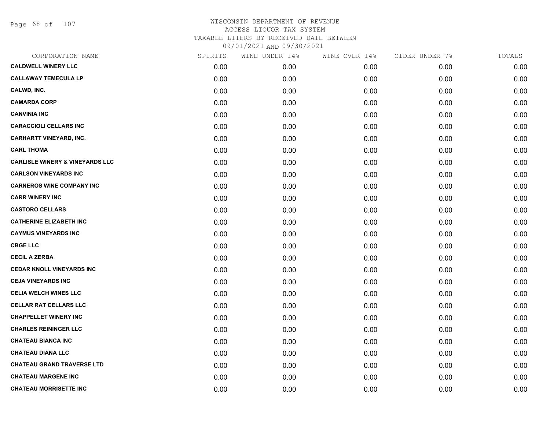Page 68 of 107

| CORPORATION NAME                           | SPIRITS | WINE UNDER 14% | WINE OVER 14% | CIDER UNDER 7% | TOTALS |
|--------------------------------------------|---------|----------------|---------------|----------------|--------|
| <b>CALDWELL WINERY LLC</b>                 | 0.00    | 0.00           | 0.00          | 0.00           | 0.00   |
| <b>CALLAWAY TEMECULA LP</b>                | 0.00    | 0.00           | 0.00          | 0.00           | 0.00   |
| CALWD, INC.                                | 0.00    | 0.00           | 0.00          | 0.00           | 0.00   |
| <b>CAMARDA CORP</b>                        | 0.00    | 0.00           | 0.00          | 0.00           | 0.00   |
| <b>CANVINIA INC</b>                        | 0.00    | 0.00           | 0.00          | 0.00           | 0.00   |
| <b>CARACCIOLI CELLARS INC</b>              | 0.00    | 0.00           | 0.00          | 0.00           | 0.00   |
| <b>CARHARTT VINEYARD, INC.</b>             | 0.00    | 0.00           | 0.00          | 0.00           | 0.00   |
| <b>CARL THOMA</b>                          | 0.00    | 0.00           | 0.00          | 0.00           | 0.00   |
| <b>CARLISLE WINERY &amp; VINEYARDS LLC</b> | 0.00    | 0.00           | 0.00          | 0.00           | 0.00   |
| <b>CARLSON VINEYARDS INC</b>               | 0.00    | 0.00           | 0.00          | 0.00           | 0.00   |
| <b>CARNEROS WINE COMPANY INC</b>           | 0.00    | 0.00           | 0.00          | 0.00           | 0.00   |
| <b>CARR WINERY INC</b>                     | 0.00    | 0.00           | 0.00          | 0.00           | 0.00   |
| <b>CASTORO CELLARS</b>                     | 0.00    | 0.00           | 0.00          | 0.00           | 0.00   |
| <b>CATHERINE ELIZABETH INC</b>             | 0.00    | 0.00           | 0.00          | 0.00           | 0.00   |
| <b>CAYMUS VINEYARDS INC</b>                | 0.00    | 0.00           | 0.00          | 0.00           | 0.00   |
| <b>CBGE LLC</b>                            | 0.00    | 0.00           | 0.00          | 0.00           | 0.00   |
| <b>CECIL A ZERBA</b>                       | 0.00    | 0.00           | 0.00          | 0.00           | 0.00   |
| <b>CEDAR KNOLL VINEYARDS INC</b>           | 0.00    | 0.00           | 0.00          | 0.00           | 0.00   |
| <b>CEJA VINEYARDS INC</b>                  | 0.00    | 0.00           | 0.00          | 0.00           | 0.00   |
| <b>CELIA WELCH WINES LLC</b>               | 0.00    | 0.00           | 0.00          | 0.00           | 0.00   |
| <b>CELLAR RAT CELLARS LLC</b>              | 0.00    | 0.00           | 0.00          | 0.00           | 0.00   |
| <b>CHAPPELLET WINERY INC</b>               | 0.00    | 0.00           | 0.00          | 0.00           | 0.00   |
| <b>CHARLES REININGER LLC</b>               | 0.00    | 0.00           | 0.00          | 0.00           | 0.00   |
| <b>CHATEAU BIANCA INC</b>                  | 0.00    | 0.00           | 0.00          | 0.00           | 0.00   |
| <b>CHATEAU DIANA LLC</b>                   | 0.00    | 0.00           | 0.00          | 0.00           | 0.00   |
| <b>CHATEAU GRAND TRAVERSE LTD</b>          | 0.00    | 0.00           | 0.00          | 0.00           | 0.00   |
| <b>CHATEAU MARGENE INC</b>                 | 0.00    | 0.00           | 0.00          | 0.00           | 0.00   |
| <b>CHATEAU MORRISETTE INC</b>              | 0.00    | 0.00           | 0.00          | 0.00           | 0.00   |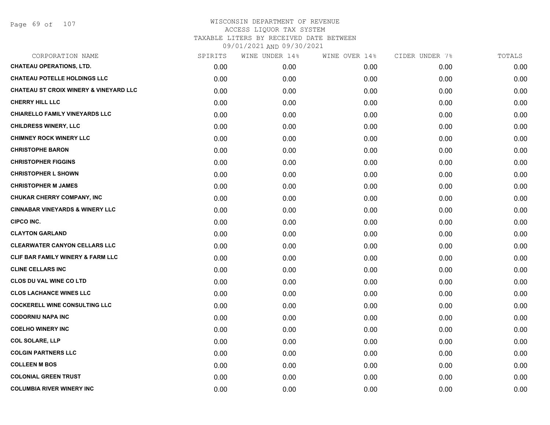| CORPORATION NAME                                  | SPIRITS | WINE UNDER 14% | WINE OVER 14% | CIDER UNDER 7% | TOTALS |
|---------------------------------------------------|---------|----------------|---------------|----------------|--------|
| <b>CHATEAU OPERATIONS, LTD.</b>                   | 0.00    | 0.00           | 0.00          | 0.00           | 0.00   |
| <b>CHATEAU POTELLE HOLDINGS LLC</b>               | 0.00    | 0.00           | 0.00          | 0.00           | 0.00   |
| <b>CHATEAU ST CROIX WINERY &amp; VINEYARD LLC</b> | 0.00    | 0.00           | 0.00          | 0.00           | 0.00   |
| CHERRY HILL LLC                                   | 0.00    | 0.00           | 0.00          | 0.00           | 0.00   |
| <b>CHIARELLO FAMILY VINEYARDS LLC</b>             | 0.00    | 0.00           | 0.00          | 0.00           | 0.00   |
| <b>CHILDRESS WINERY, LLC</b>                      | 0.00    | 0.00           | 0.00          | 0.00           | 0.00   |
| <b>CHIMNEY ROCK WINERY LLC</b>                    | 0.00    | 0.00           | 0.00          | 0.00           | 0.00   |
| <b>CHRISTOPHE BARON</b>                           | 0.00    | 0.00           | 0.00          | 0.00           | 0.00   |
| <b>CHRISTOPHER FIGGINS</b>                        | 0.00    | 0.00           | 0.00          | 0.00           | 0.00   |
| <b>CHRISTOPHER L SHOWN</b>                        | 0.00    | 0.00           | 0.00          | 0.00           | 0.00   |
| <b>CHRISTOPHER M JAMES</b>                        | 0.00    | 0.00           | 0.00          | 0.00           | 0.00   |
| CHUKAR CHERRY COMPANY, INC                        | 0.00    | 0.00           | 0.00          | 0.00           | 0.00   |
| <b>CINNABAR VINEYARDS &amp; WINERY LLC</b>        | 0.00    | 0.00           | 0.00          | 0.00           | 0.00   |
| CIPCO INC.                                        | 0.00    | 0.00           | 0.00          | 0.00           | 0.00   |
| <b>CLAYTON GARLAND</b>                            | 0.00    | 0.00           | 0.00          | 0.00           | 0.00   |
| <b>CLEARWATER CANYON CELLARS LLC</b>              | 0.00    | 0.00           | 0.00          | 0.00           | 0.00   |
| CLIF BAR FAMILY WINERY & FARM LLC                 | 0.00    | 0.00           | 0.00          | 0.00           | 0.00   |
| <b>CLINE CELLARS INC</b>                          | 0.00    | 0.00           | 0.00          | 0.00           | 0.00   |
| <b>CLOS DU VAL WINE CO LTD</b>                    | 0.00    | 0.00           | 0.00          | 0.00           | 0.00   |
| <b>CLOS LACHANCE WINES LLC</b>                    | 0.00    | 0.00           | 0.00          | 0.00           | 0.00   |
| <b>COCKERELL WINE CONSULTING LLC</b>              | 0.00    | 0.00           | 0.00          | 0.00           | 0.00   |
| <b>CODORNIU NAPA INC</b>                          | 0.00    | 0.00           | 0.00          | 0.00           | 0.00   |
| <b>COELHO WINERY INC</b>                          | 0.00    | 0.00           | 0.00          | 0.00           | 0.00   |
| <b>COL SOLARE, LLP</b>                            | 0.00    | 0.00           | 0.00          | 0.00           | 0.00   |
| <b>COLGIN PARTNERS LLC</b>                        | 0.00    | 0.00           | 0.00          | 0.00           | 0.00   |
| <b>COLLEEN M BOS</b>                              | 0.00    | 0.00           | 0.00          | 0.00           | 0.00   |
| <b>COLONIAL GREEN TRUST</b>                       | 0.00    | 0.00           | 0.00          | 0.00           | 0.00   |
| <b>COLUMBIA RIVER WINERY INC</b>                  | 0.00    | 0.00           | 0.00          | 0.00           | 0.00   |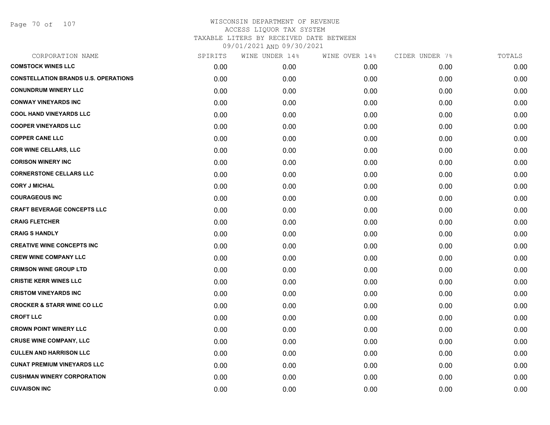Page 70 of 107

| CORPORATION NAME                            | SPIRITS | WINE UNDER 14% | WINE OVER 14% | CIDER UNDER 7% | TOTALS |
|---------------------------------------------|---------|----------------|---------------|----------------|--------|
| <b>COMSTOCK WINES LLC</b>                   | 0.00    | 0.00           | 0.00          | 0.00           | 0.00   |
| <b>CONSTELLATION BRANDS U.S. OPERATIONS</b> | 0.00    | 0.00           | 0.00          | 0.00           | 0.00   |
| <b>CONUNDRUM WINERY LLC</b>                 | 0.00    | 0.00           | 0.00          | 0.00           | 0.00   |
| <b>CONWAY VINEYARDS INC</b>                 | 0.00    | 0.00           | 0.00          | 0.00           | 0.00   |
| <b>COOL HAND VINEYARDS LLC</b>              | 0.00    | 0.00           | 0.00          | 0.00           | 0.00   |
| <b>COOPER VINEYARDS LLC</b>                 | 0.00    | 0.00           | 0.00          | 0.00           | 0.00   |
| <b>COPPER CANE LLC</b>                      | 0.00    | 0.00           | 0.00          | 0.00           | 0.00   |
| <b>COR WINE CELLARS, LLC</b>                | 0.00    | 0.00           | 0.00          | 0.00           | 0.00   |
| <b>CORISON WINERY INC</b>                   | 0.00    | 0.00           | 0.00          | 0.00           | 0.00   |
| <b>CORNERSTONE CELLARS LLC</b>              | 0.00    | 0.00           | 0.00          | 0.00           | 0.00   |
| <b>CORY J MICHAL</b>                        | 0.00    | 0.00           | 0.00          | 0.00           | 0.00   |
| <b>COURAGEOUS INC</b>                       | 0.00    | 0.00           | 0.00          | 0.00           | 0.00   |
| <b>CRAFT BEVERAGE CONCEPTS LLC</b>          | 0.00    | 0.00           | 0.00          | 0.00           | 0.00   |
| <b>CRAIG FLETCHER</b>                       | 0.00    | 0.00           | 0.00          | 0.00           | 0.00   |
| <b>CRAIG S HANDLY</b>                       | 0.00    | 0.00           | 0.00          | 0.00           | 0.00   |
| <b>CREATIVE WINE CONCEPTS INC</b>           | 0.00    | 0.00           | 0.00          | 0.00           | 0.00   |
| <b>CREW WINE COMPANY LLC</b>                | 0.00    | 0.00           | 0.00          | 0.00           | 0.00   |
| <b>CRIMSON WINE GROUP LTD</b>               | 0.00    | 0.00           | 0.00          | 0.00           | 0.00   |
| <b>CRISTIE KERR WINES LLC</b>               | 0.00    | 0.00           | 0.00          | 0.00           | 0.00   |
| <b>CRISTOM VINEYARDS INC</b>                | 0.00    | 0.00           | 0.00          | 0.00           | 0.00   |
| <b>CROCKER &amp; STARR WINE CO LLC</b>      | 0.00    | 0.00           | 0.00          | 0.00           | 0.00   |
| <b>CROFT LLC</b>                            | 0.00    | 0.00           | 0.00          | 0.00           | 0.00   |
| <b>CROWN POINT WINERY LLC</b>               | 0.00    | 0.00           | 0.00          | 0.00           | 0.00   |
| <b>CRUSE WINE COMPANY, LLC</b>              | 0.00    | 0.00           | 0.00          | 0.00           | 0.00   |
| <b>CULLEN AND HARRISON LLC</b>              | 0.00    | 0.00           | 0.00          | 0.00           | 0.00   |
| <b>CUNAT PREMIUM VINEYARDS LLC</b>          | 0.00    | 0.00           | 0.00          | 0.00           | 0.00   |
| <b>CUSHMAN WINERY CORPORATION</b>           | 0.00    | 0.00           | 0.00          | 0.00           | 0.00   |
| <b>CUVAISON INC</b>                         | 0.00    | 0.00           | 0.00          | 0.00           | 0.00   |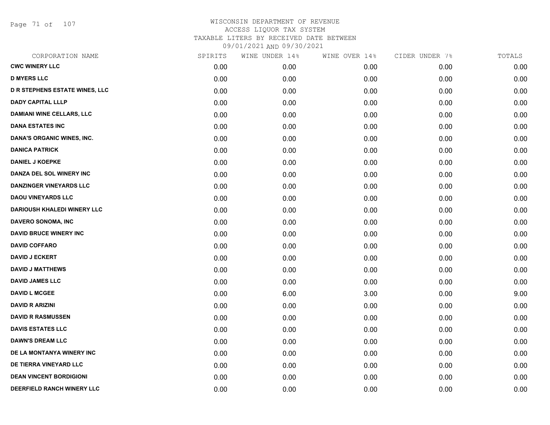Page 71 of 107

| CORPORATION NAME                      | SPIRITS | WINE UNDER 14% | WINE OVER 14% | CIDER UNDER 7% | TOTALS |
|---------------------------------------|---------|----------------|---------------|----------------|--------|
| <b>CWC WINERY LLC</b>                 | 0.00    | 0.00           | 0.00          | 0.00           | 0.00   |
| <b>D MYERS LLC</b>                    | 0.00    | 0.00           | 0.00          | 0.00           | 0.00   |
| <b>D R STEPHENS ESTATE WINES, LLC</b> | 0.00    | 0.00           | 0.00          | 0.00           | 0.00   |
| <b>DADY CAPITAL LLLP</b>              | 0.00    | 0.00           | 0.00          | 0.00           | 0.00   |
| <b>DAMIANI WINE CELLARS, LLC</b>      | 0.00    | 0.00           | 0.00          | 0.00           | 0.00   |
| <b>DANA ESTATES INC</b>               | 0.00    | 0.00           | 0.00          | 0.00           | 0.00   |
| <b>DANA'S ORGANIC WINES, INC.</b>     | 0.00    | 0.00           | 0.00          | 0.00           | 0.00   |
| <b>DANICA PATRICK</b>                 | 0.00    | 0.00           | 0.00          | 0.00           | 0.00   |
| <b>DANIEL J KOEPKE</b>                | 0.00    | 0.00           | 0.00          | 0.00           | 0.00   |
| DANZA DEL SOL WINERY INC              | 0.00    | 0.00           | 0.00          | 0.00           | 0.00   |
| <b>DANZINGER VINEYARDS LLC</b>        | 0.00    | 0.00           | 0.00          | 0.00           | 0.00   |
| <b>DAOU VINEYARDS LLC</b>             | 0.00    | 0.00           | 0.00          | 0.00           | 0.00   |
| <b>DARIOUSH KHALEDI WINERY LLC</b>    | 0.00    | 0.00           | 0.00          | 0.00           | 0.00   |
| DAVERO SONOMA, INC                    | 0.00    | 0.00           | 0.00          | 0.00           | 0.00   |
| <b>DAVID BRUCE WINERY INC</b>         | 0.00    | 0.00           | 0.00          | 0.00           | 0.00   |
| <b>DAVID COFFARO</b>                  | 0.00    | 0.00           | 0.00          | 0.00           | 0.00   |
| <b>DAVID J ECKERT</b>                 | 0.00    | 0.00           | 0.00          | 0.00           | 0.00   |
| <b>DAVID J MATTHEWS</b>               | 0.00    | 0.00           | 0.00          | 0.00           | 0.00   |
| <b>DAVID JAMES LLC</b>                | 0.00    | 0.00           | 0.00          | 0.00           | 0.00   |
| <b>DAVID L MCGEE</b>                  | 0.00    | 6.00           | 3.00          | 0.00           | 9.00   |
| <b>DAVID R ARIZINI</b>                | 0.00    | 0.00           | 0.00          | 0.00           | 0.00   |
| <b>DAVID R RASMUSSEN</b>              | 0.00    | 0.00           | 0.00          | 0.00           | 0.00   |
| <b>DAVIS ESTATES LLC</b>              | 0.00    | 0.00           | 0.00          | 0.00           | 0.00   |
| <b>DAWN'S DREAM LLC</b>               | 0.00    | 0.00           | 0.00          | 0.00           | 0.00   |
| DE LA MONTANYA WINERY INC             | 0.00    | 0.00           | 0.00          | 0.00           | 0.00   |
| DE TIERRA VINEYARD LLC                | 0.00    | 0.00           | 0.00          | 0.00           | 0.00   |
| <b>DEAN VINCENT BORDIGIONI</b>        | 0.00    | 0.00           | 0.00          | 0.00           | 0.00   |
| DEERFIELD RANCH WINERY LLC            | 0.00    | 0.00           | 0.00          | 0.00           | 0.00   |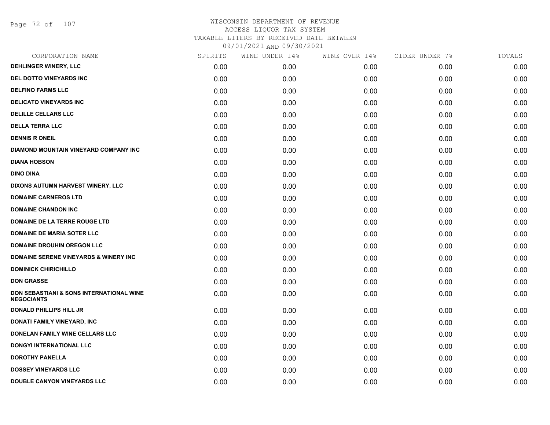Page 72 of 107

| CORPORATION NAME                                                         | SPIRITS | WINE UNDER 14% | WINE OVER 14% | CIDER UNDER 7% | TOTALS |
|--------------------------------------------------------------------------|---------|----------------|---------------|----------------|--------|
| DEHLINGER WINERY, LLC                                                    | 0.00    | 0.00           | 0.00          | 0.00           | 0.00   |
| DEL DOTTO VINEYARDS INC                                                  | 0.00    | 0.00           | 0.00          | 0.00           | 0.00   |
| <b>DELFINO FARMS LLC</b>                                                 | 0.00    | 0.00           | 0.00          | 0.00           | 0.00   |
| <b>DELICATO VINEYARDS INC</b>                                            | 0.00    | 0.00           | 0.00          | 0.00           | 0.00   |
| <b>DELILLE CELLARS LLC</b>                                               | 0.00    | 0.00           | 0.00          | 0.00           | 0.00   |
| <b>DELLA TERRA LLC</b>                                                   | 0.00    | 0.00           | 0.00          | 0.00           | 0.00   |
| <b>DENNIS R ONEIL</b>                                                    | 0.00    | 0.00           | 0.00          | 0.00           | 0.00   |
| DIAMOND MOUNTAIN VINEYARD COMPANY INC                                    | 0.00    | 0.00           | 0.00          | 0.00           | 0.00   |
| <b>DIANA HOBSON</b>                                                      | 0.00    | 0.00           | 0.00          | 0.00           | 0.00   |
| <b>DINO DINA</b>                                                         | 0.00    | 0.00           | 0.00          | 0.00           | 0.00   |
| DIXONS AUTUMN HARVEST WINERY, LLC                                        | 0.00    | 0.00           | 0.00          | 0.00           | 0.00   |
| <b>DOMAINE CARNEROS LTD</b>                                              | 0.00    | 0.00           | 0.00          | 0.00           | 0.00   |
| <b>DOMAINE CHANDON INC</b>                                               | 0.00    | 0.00           | 0.00          | 0.00           | 0.00   |
| DOMAINE DE LA TERRE ROUGE LTD                                            | 0.00    | 0.00           | 0.00          | 0.00           | 0.00   |
| <b>DOMAINE DE MARIA SOTER LLC</b>                                        | 0.00    | 0.00           | 0.00          | 0.00           | 0.00   |
| <b>DOMAINE DROUHIN OREGON LLC</b>                                        | 0.00    | 0.00           | 0.00          | 0.00           | 0.00   |
| <b>DOMAINE SERENE VINEYARDS &amp; WINERY INC</b>                         | 0.00    | 0.00           | 0.00          | 0.00           | 0.00   |
| <b>DOMINICK CHIRICHILLO</b>                                              | 0.00    | 0.00           | 0.00          | 0.00           | 0.00   |
| <b>DON GRASSE</b>                                                        | 0.00    | 0.00           | 0.00          | 0.00           | 0.00   |
| <b>DON SEBASTIANI &amp; SONS INTERNATIONAL WINE</b><br><b>NEGOCIANTS</b> | 0.00    | 0.00           | 0.00          | 0.00           | 0.00   |
| <b>DONALD PHILLIPS HILL JR</b>                                           | 0.00    | 0.00           | 0.00          | 0.00           | 0.00   |
| DONATI FAMILY VINEYARD, INC                                              | 0.00    | 0.00           | 0.00          | 0.00           | 0.00   |
| DONELAN FAMILY WINE CELLARS LLC                                          | 0.00    | 0.00           | 0.00          | 0.00           | 0.00   |
| <b>DONGYI INTERNATIONAL LLC</b>                                          | 0.00    | 0.00           | 0.00          | 0.00           | 0.00   |
| <b>DOROTHY PANELLA</b>                                                   | 0.00    | 0.00           | 0.00          | 0.00           | 0.00   |
| <b>DOSSEY VINEYARDS LLC</b>                                              | 0.00    | 0.00           | 0.00          | 0.00           | 0.00   |
| DOUBLE CANYON VINEYARDS LLC                                              | 0.00    | 0.00           | 0.00          | 0.00           | 0.00   |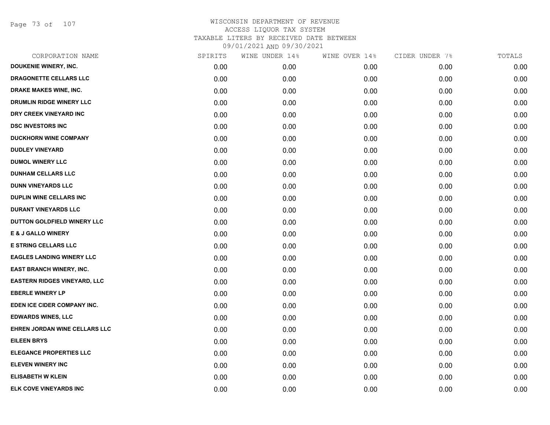Page 73 of 107

| CORPORATION NAME                    | SPIRITS | WINE UNDER 14% | WINE OVER 14% | CIDER UNDER 7% | TOTALS |
|-------------------------------------|---------|----------------|---------------|----------------|--------|
| <b>DOUKENIE WINERY, INC.</b>        | 0.00    | 0.00           | 0.00          | 0.00           | 0.00   |
| DRAGONETTE CELLARS LLC              | 0.00    | 0.00           | 0.00          | 0.00           | 0.00   |
| DRAKE MAKES WINE, INC.              | 0.00    | 0.00           | 0.00          | 0.00           | 0.00   |
| DRUMLIN RIDGE WINERY LLC            | 0.00    | 0.00           | 0.00          | 0.00           | 0.00   |
| DRY CREEK VINEYARD INC              | 0.00    | 0.00           | 0.00          | 0.00           | 0.00   |
| <b>DSC INVESTORS INC</b>            | 0.00    | 0.00           | 0.00          | 0.00           | 0.00   |
| <b>DUCKHORN WINE COMPANY</b>        | 0.00    | 0.00           | 0.00          | 0.00           | 0.00   |
| <b>DUDLEY VINEYARD</b>              | 0.00    | 0.00           | 0.00          | 0.00           | 0.00   |
| <b>DUMOL WINERY LLC</b>             | 0.00    | 0.00           | 0.00          | 0.00           | 0.00   |
| <b>DUNHAM CELLARS LLC</b>           | 0.00    | 0.00           | 0.00          | 0.00           | 0.00   |
| <b>DUNN VINEYARDS LLC</b>           | 0.00    | 0.00           | 0.00          | 0.00           | 0.00   |
| DUPLIN WINE CELLARS INC             | 0.00    | 0.00           | 0.00          | 0.00           | 0.00   |
| <b>DURANT VINEYARDS LLC</b>         | 0.00    | 0.00           | 0.00          | 0.00           | 0.00   |
| DUTTON GOLDFIELD WINERY LLC         | 0.00    | 0.00           | 0.00          | 0.00           | 0.00   |
| <b>E &amp; J GALLO WINERY</b>       | 0.00    | 0.00           | 0.00          | 0.00           | 0.00   |
| <b>E STRING CELLARS LLC</b>         | 0.00    | 0.00           | 0.00          | 0.00           | 0.00   |
| <b>EAGLES LANDING WINERY LLC</b>    | 0.00    | 0.00           | 0.00          | 0.00           | 0.00   |
| <b>EAST BRANCH WINERY, INC.</b>     | 0.00    | 0.00           | 0.00          | 0.00           | 0.00   |
| <b>EASTERN RIDGES VINEYARD, LLC</b> | 0.00    | 0.00           | 0.00          | 0.00           | 0.00   |
| <b>EBERLE WINERY LP</b>             | 0.00    | 0.00           | 0.00          | 0.00           | 0.00   |
| EDEN ICE CIDER COMPANY INC.         | 0.00    | 0.00           | 0.00          | 0.00           | 0.00   |
| <b>EDWARDS WINES, LLC</b>           | 0.00    | 0.00           | 0.00          | 0.00           | 0.00   |
| EHREN JORDAN WINE CELLARS LLC       | 0.00    | 0.00           | 0.00          | 0.00           | 0.00   |
| <b>EILEEN BRYS</b>                  | 0.00    | 0.00           | 0.00          | 0.00           | 0.00   |
| <b>ELEGANCE PROPERTIES LLC</b>      | 0.00    | 0.00           | 0.00          | 0.00           | 0.00   |
| <b>ELEVEN WINERY INC</b>            | 0.00    | 0.00           | 0.00          | 0.00           | 0.00   |
| <b>ELISABETH W KLEIN</b>            | 0.00    | 0.00           | 0.00          | 0.00           | 0.00   |
| ELK COVE VINEYARDS INC              | 0.00    | 0.00           | 0.00          | 0.00           | 0.00   |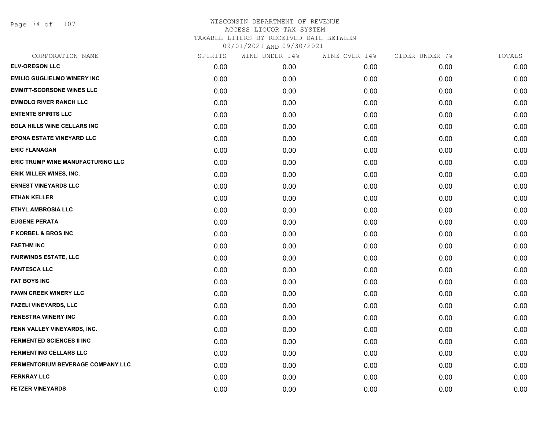Page 74 of 107

| CORPORATION NAME                   | SPIRITS | WINE UNDER 14% | WINE OVER 14% | CIDER UNDER 7% | TOTALS |
|------------------------------------|---------|----------------|---------------|----------------|--------|
| <b>ELV-OREGON LLC</b>              | 0.00    | 0.00           | 0.00          | 0.00           | 0.00   |
| <b>EMILIO GUGLIELMO WINERY INC</b> | 0.00    | 0.00           | 0.00          | 0.00           | 0.00   |
| <b>EMMITT-SCORSONE WINES LLC</b>   | 0.00    | 0.00           | 0.00          | 0.00           | 0.00   |
| <b>EMMOLO RIVER RANCH LLC</b>      | 0.00    | 0.00           | 0.00          | 0.00           | 0.00   |
| <b>ENTENTE SPIRITS LLC</b>         | 0.00    | 0.00           | 0.00          | 0.00           | 0.00   |
| <b>EOLA HILLS WINE CELLARS INC</b> | 0.00    | 0.00           | 0.00          | 0.00           | 0.00   |
| EPONA ESTATE VINEYARD LLC          | 0.00    | 0.00           | 0.00          | 0.00           | 0.00   |
| <b>ERIC FLANAGAN</b>               | 0.00    | 0.00           | 0.00          | 0.00           | 0.00   |
| ERIC TRUMP WINE MANUFACTURING LLC  | 0.00    | 0.00           | 0.00          | 0.00           | 0.00   |
| <b>ERIK MILLER WINES, INC.</b>     | 0.00    | 0.00           | 0.00          | 0.00           | 0.00   |
| <b>ERNEST VINEYARDS LLC</b>        | 0.00    | 0.00           | 0.00          | 0.00           | 0.00   |
| <b>ETHAN KELLER</b>                | 0.00    | 0.00           | 0.00          | 0.00           | 0.00   |
| <b>ETHYL AMBROSIA LLC</b>          | 0.00    | 0.00           | 0.00          | 0.00           | 0.00   |
| <b>EUGENE PERATA</b>               | 0.00    | 0.00           | 0.00          | 0.00           | 0.00   |
| <b>F KORBEL &amp; BROS INC</b>     | 0.00    | 0.00           | 0.00          | 0.00           | 0.00   |
| <b>FAETHM INC</b>                  | 0.00    | 0.00           | 0.00          | 0.00           | 0.00   |
| <b>FAIRWINDS ESTATE, LLC</b>       | 0.00    | 0.00           | 0.00          | 0.00           | 0.00   |
| <b>FANTESCA LLC</b>                | 0.00    | 0.00           | 0.00          | 0.00           | 0.00   |
| <b>FAT BOYS INC</b>                | 0.00    | 0.00           | 0.00          | 0.00           | 0.00   |
| <b>FAWN CREEK WINERY LLC</b>       | 0.00    | 0.00           | 0.00          | 0.00           | 0.00   |
| <b>FAZELI VINEYARDS, LLC</b>       | 0.00    | 0.00           | 0.00          | 0.00           | 0.00   |
| <b>FENESTRA WINERY INC</b>         | 0.00    | 0.00           | 0.00          | 0.00           | 0.00   |
| FENN VALLEY VINEYARDS, INC.        | 0.00    | 0.00           | 0.00          | 0.00           | 0.00   |
| <b>FERMENTED SCIENCES II INC</b>   | 0.00    | 0.00           | 0.00          | 0.00           | 0.00   |
| <b>FERMENTING CELLARS LLC</b>      | 0.00    | 0.00           | 0.00          | 0.00           | 0.00   |
| FERMENTORIUM BEVERAGE COMPANY LLC  | 0.00    | 0.00           | 0.00          | 0.00           | 0.00   |
| <b>FERNRAY LLC</b>                 | 0.00    | 0.00           | 0.00          | 0.00           | 0.00   |
| <b>FETZER VINEYARDS</b>            | 0.00    | 0.00           | 0.00          | 0.00           | 0.00   |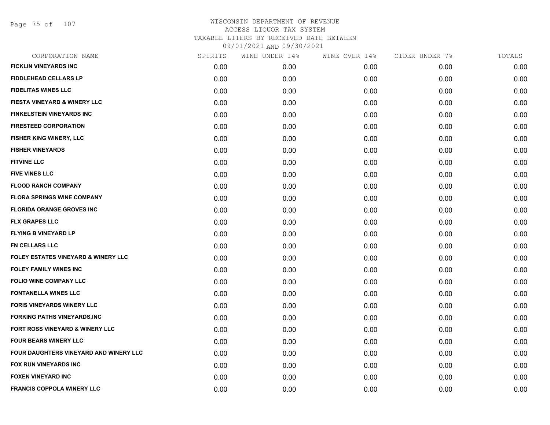Page 75 of 107

| CORPORATION NAME                       | SPIRITS | WINE UNDER 14% | WINE OVER 14% | CIDER UNDER 7% | TOTALS |
|----------------------------------------|---------|----------------|---------------|----------------|--------|
| <b>FICKLIN VINEYARDS INC</b>           | 0.00    | 0.00           | 0.00          | 0.00           | 0.00   |
| <b>FIDDLEHEAD CELLARS LP</b>           | 0.00    | 0.00           | 0.00          | 0.00           | 0.00   |
| <b>FIDELITAS WINES LLC</b>             | 0.00    | 0.00           | 0.00          | 0.00           | 0.00   |
| FIESTA VINEYARD & WINERY LLC           | 0.00    | 0.00           | 0.00          | 0.00           | 0.00   |
| <b>FINKELSTEIN VINEYARDS INC</b>       | 0.00    | 0.00           | 0.00          | 0.00           | 0.00   |
| <b>FIRESTEED CORPORATION</b>           | 0.00    | 0.00           | 0.00          | 0.00           | 0.00   |
| FISHER KING WINERY, LLC                | 0.00    | 0.00           | 0.00          | 0.00           | 0.00   |
| <b>FISHER VINEYARDS</b>                | 0.00    | 0.00           | 0.00          | 0.00           | 0.00   |
| <b>FITVINE LLC</b>                     | 0.00    | 0.00           | 0.00          | 0.00           | 0.00   |
| <b>FIVE VINES LLC</b>                  | 0.00    | 0.00           | 0.00          | 0.00           | 0.00   |
| <b>FLOOD RANCH COMPANY</b>             | 0.00    | 0.00           | 0.00          | 0.00           | 0.00   |
| <b>FLORA SPRINGS WINE COMPANY</b>      | 0.00    | 0.00           | 0.00          | 0.00           | 0.00   |
| <b>FLORIDA ORANGE GROVES INC</b>       | 0.00    | 0.00           | 0.00          | 0.00           | 0.00   |
| <b>FLX GRAPES LLC</b>                  | 0.00    | 0.00           | 0.00          | 0.00           | 0.00   |
| <b>FLYING B VINEYARD LP</b>            | 0.00    | 0.00           | 0.00          | 0.00           | 0.00   |
| FN CELLARS LLC                         | 0.00    | 0.00           | 0.00          | 0.00           | 0.00   |
| FOLEY ESTATES VINEYARD & WINERY LLC    | 0.00    | 0.00           | 0.00          | 0.00           | 0.00   |
| <b>FOLEY FAMILY WINES INC</b>          | 0.00    | 0.00           | 0.00          | 0.00           | 0.00   |
| <b>FOLIO WINE COMPANY LLC</b>          | 0.00    | 0.00           | 0.00          | 0.00           | 0.00   |
| <b>FONTANELLA WINES LLC</b>            | 0.00    | 0.00           | 0.00          | 0.00           | 0.00   |
| <b>FORIS VINEYARDS WINERY LLC</b>      | 0.00    | 0.00           | 0.00          | 0.00           | 0.00   |
| <b>FORKING PATHS VINEYARDS,INC</b>     | 0.00    | 0.00           | 0.00          | 0.00           | 0.00   |
| FORT ROSS VINEYARD & WINERY LLC        | 0.00    | 0.00           | 0.00          | 0.00           | 0.00   |
| FOUR BEARS WINERY LLC                  | 0.00    | 0.00           | 0.00          | 0.00           | 0.00   |
| FOUR DAUGHTERS VINEYARD AND WINERY LLC | 0.00    | 0.00           | 0.00          | 0.00           | 0.00   |
| FOX RUN VINEYARDS INC                  | 0.00    | 0.00           | 0.00          | 0.00           | 0.00   |
| <b>FOXEN VINEYARD INC</b>              | 0.00    | 0.00           | 0.00          | 0.00           | 0.00   |
| <b>FRANCIS COPPOLA WINERY LLC</b>      | 0.00    | 0.00           | 0.00          | 0.00           | 0.00   |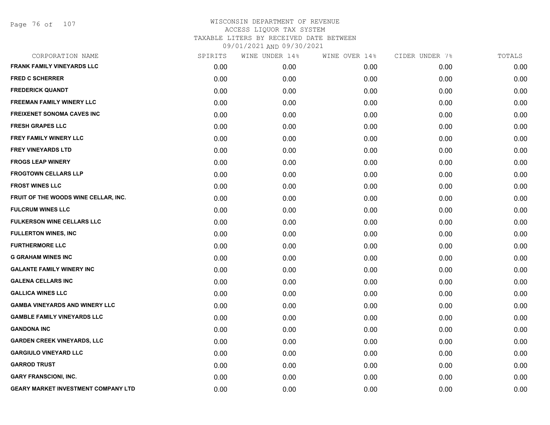Page 76 of 107

| SPIRITS | WINE UNDER 14% | WINE OVER 14% | CIDER UNDER 7% | TOTALS |
|---------|----------------|---------------|----------------|--------|
| 0.00    | 0.00           | 0.00          | 0.00           | 0.00   |
| 0.00    | 0.00           | 0.00          | 0.00           | 0.00   |
| 0.00    | 0.00           | 0.00          | 0.00           | 0.00   |
| 0.00    | 0.00           | 0.00          | 0.00           | 0.00   |
| 0.00    | 0.00           | 0.00          | 0.00           | 0.00   |
| 0.00    | 0.00           | 0.00          | 0.00           | 0.00   |
| 0.00    | 0.00           | 0.00          | 0.00           | 0.00   |
| 0.00    | 0.00           | 0.00          | 0.00           | 0.00   |
| 0.00    | 0.00           | 0.00          | 0.00           | 0.00   |
| 0.00    | 0.00           | 0.00          | 0.00           | 0.00   |
| 0.00    | 0.00           | 0.00          | 0.00           | 0.00   |
| 0.00    | 0.00           | 0.00          | 0.00           | 0.00   |
| 0.00    | 0.00           | 0.00          | 0.00           | 0.00   |
| 0.00    | 0.00           | 0.00          | 0.00           | 0.00   |
| 0.00    | 0.00           | 0.00          | 0.00           | 0.00   |
| 0.00    | 0.00           | 0.00          | 0.00           | 0.00   |
| 0.00    | 0.00           | 0.00          | 0.00           | 0.00   |
| 0.00    | 0.00           | 0.00          | 0.00           | 0.00   |
| 0.00    | 0.00           | 0.00          | 0.00           | 0.00   |
| 0.00    | 0.00           | 0.00          | 0.00           | 0.00   |
| 0.00    | 0.00           | 0.00          | 0.00           | 0.00   |
| 0.00    | 0.00           | 0.00          | 0.00           | 0.00   |
| 0.00    | 0.00           | 0.00          | 0.00           | 0.00   |
| 0.00    | 0.00           | 0.00          | 0.00           | 0.00   |
| 0.00    | 0.00           | 0.00          | 0.00           | 0.00   |
| 0.00    | 0.00           | 0.00          | 0.00           | 0.00   |
| 0.00    | 0.00           | 0.00          | 0.00           | 0.00   |
| 0.00    | 0.00           | 0.00          | 0.00           | 0.00   |
|         |                |               |                |        |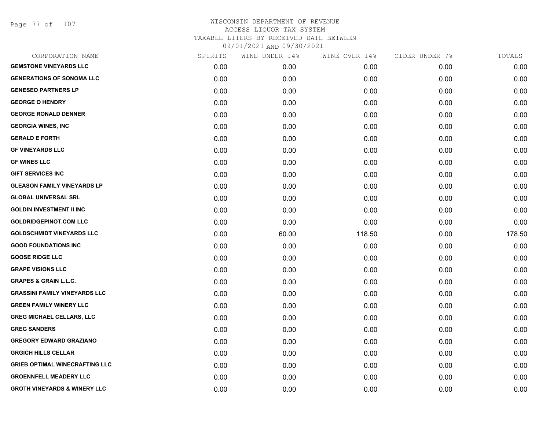Page 77 of 107

| CORPORATION NAME                        | SPIRITS | WINE UNDER 14% | WINE OVER 14% | CIDER UNDER 7% | TOTALS |
|-----------------------------------------|---------|----------------|---------------|----------------|--------|
| <b>GEMSTONE VINEYARDS LLC</b>           | 0.00    | 0.00           | 0.00          | 0.00           | 0.00   |
| <b>GENERATIONS OF SONOMA LLC</b>        | 0.00    | 0.00           | 0.00          | 0.00           | 0.00   |
| <b>GENESEO PARTNERS LP</b>              | 0.00    | 0.00           | 0.00          | 0.00           | 0.00   |
| <b>GEORGE O HENDRY</b>                  | 0.00    | 0.00           | 0.00          | 0.00           | 0.00   |
| <b>GEORGE RONALD DENNER</b>             | 0.00    | 0.00           | 0.00          | 0.00           | 0.00   |
| <b>GEORGIA WINES, INC.</b>              | 0.00    | 0.00           | 0.00          | 0.00           | 0.00   |
| <b>GERALD E FORTH</b>                   | 0.00    | 0.00           | 0.00          | 0.00           | 0.00   |
| <b>GF VINEYARDS LLC</b>                 | 0.00    | 0.00           | 0.00          | 0.00           | 0.00   |
| <b>GF WINES LLC</b>                     | 0.00    | 0.00           | 0.00          | 0.00           | 0.00   |
| <b>GIFT SERVICES INC</b>                | 0.00    | 0.00           | 0.00          | 0.00           | 0.00   |
| <b>GLEASON FAMILY VINEYARDS LP</b>      | 0.00    | 0.00           | 0.00          | 0.00           | 0.00   |
| <b>GLOBAL UNIVERSAL SRL</b>             | 0.00    | 0.00           | 0.00          | 0.00           | 0.00   |
| <b>GOLDIN INVESTMENT II INC</b>         | 0.00    | 0.00           | 0.00          | 0.00           | 0.00   |
| <b>GOLDRIDGEPINOT.COM LLC</b>           | 0.00    | 0.00           | 0.00          | 0.00           | 0.00   |
| <b>GOLDSCHMIDT VINEYARDS LLC</b>        | 0.00    | 60.00          | 118.50        | 0.00           | 178.50 |
| <b>GOOD FOUNDATIONS INC</b>             | 0.00    | 0.00           | 0.00          | 0.00           | 0.00   |
| <b>GOOSE RIDGE LLC</b>                  | 0.00    | 0.00           | 0.00          | 0.00           | 0.00   |
| <b>GRAPE VISIONS LLC</b>                | 0.00    | 0.00           | 0.00          | 0.00           | 0.00   |
| <b>GRAPES &amp; GRAIN L.L.C.</b>        | 0.00    | 0.00           | 0.00          | 0.00           | 0.00   |
| <b>GRASSINI FAMILY VINEYARDS LLC</b>    | 0.00    | 0.00           | 0.00          | 0.00           | 0.00   |
| <b>GREEN FAMILY WINERY LLC</b>          | 0.00    | 0.00           | 0.00          | 0.00           | 0.00   |
| <b>GREG MICHAEL CELLARS, LLC</b>        | 0.00    | 0.00           | 0.00          | 0.00           | 0.00   |
| <b>GREG SANDERS</b>                     | 0.00    | 0.00           | 0.00          | 0.00           | 0.00   |
| <b>GREGORY EDWARD GRAZIANO</b>          | 0.00    | 0.00           | 0.00          | 0.00           | 0.00   |
| <b>GRGICH HILLS CELLAR</b>              | 0.00    | 0.00           | 0.00          | 0.00           | 0.00   |
| <b>GRIEB OPTIMAL WINECRAFTING LLC</b>   | 0.00    | 0.00           | 0.00          | 0.00           | 0.00   |
| <b>GROENNFELL MEADERY LLC</b>           | 0.00    | 0.00           | 0.00          | 0.00           | 0.00   |
| <b>GROTH VINEYARDS &amp; WINERY LLC</b> | 0.00    | 0.00           | 0.00          | 0.00           | 0.00   |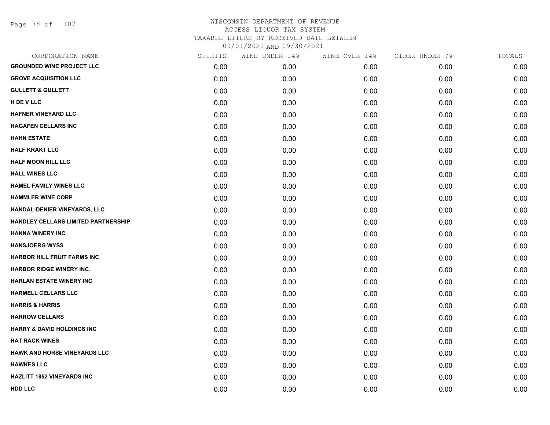Page 78 of 107

| CORPORATION NAME                      | SPIRITS | WINE UNDER 14% | WINE OVER 14% | CIDER UNDER 7% | TOTALS |
|---------------------------------------|---------|----------------|---------------|----------------|--------|
| <b>GROUNDED WINE PROJECT LLC</b>      | 0.00    | 0.00           | 0.00          | 0.00           | 0.00   |
| <b>GROVE ACQUISITION LLC</b>          | 0.00    | 0.00           | 0.00          | 0.00           | 0.00   |
| <b>GULLETT &amp; GULLETT</b>          | 0.00    | 0.00           | 0.00          | 0.00           | 0.00   |
| H DE V LLC                            | 0.00    | 0.00           | 0.00          | 0.00           | 0.00   |
| <b>HAFNER VINEYARD LLC</b>            | 0.00    | 0.00           | 0.00          | 0.00           | 0.00   |
| <b>HAGAFEN CELLARS INC</b>            | 0.00    | 0.00           | 0.00          | 0.00           | 0.00   |
| <b>HAHN ESTATE</b>                    | 0.00    | 0.00           | 0.00          | 0.00           | 0.00   |
| <b>HALF KRAKT LLC</b>                 | 0.00    | 0.00           | 0.00          | 0.00           | 0.00   |
| <b>HALF MOON HILL LLC</b>             | 0.00    | 0.00           | 0.00          | 0.00           | 0.00   |
| <b>HALL WINES LLC</b>                 | 0.00    | 0.00           | 0.00          | 0.00           | 0.00   |
| <b>HAMEL FAMILY WINES LLC</b>         | 0.00    | 0.00           | 0.00          | 0.00           | 0.00   |
| <b>HAMMLER WINE CORP</b>              | 0.00    | 0.00           | 0.00          | 0.00           | 0.00   |
| HANDAL-DENIER VINEYARDS, LLC          | 0.00    | 0.00           | 0.00          | 0.00           | 0.00   |
| HANDLEY CELLARS LIMITED PARTNERSHIP   | 0.00    | 0.00           | 0.00          | 0.00           | 0.00   |
| <b>HANNA WINERY INC</b>               | 0.00    | 0.00           | 0.00          | 0.00           | 0.00   |
| <b>HANSJOERG WYSS</b>                 | 0.00    | 0.00           | 0.00          | 0.00           | 0.00   |
| <b>HARBOR HILL FRUIT FARMS INC</b>    | 0.00    | 0.00           | 0.00          | 0.00           | 0.00   |
| <b>HARBOR RIDGE WINERY INC.</b>       | 0.00    | 0.00           | 0.00          | 0.00           | 0.00   |
| <b>HARLAN ESTATE WINERY INC</b>       | 0.00    | 0.00           | 0.00          | 0.00           | 0.00   |
| HARMELL CELLARS LLC                   | 0.00    | 0.00           | 0.00          | 0.00           | 0.00   |
| <b>HARRIS &amp; HARRIS</b>            | 0.00    | 0.00           | 0.00          | 0.00           | 0.00   |
| <b>HARROW CELLARS</b>                 | 0.00    | 0.00           | 0.00          | 0.00           | 0.00   |
| <b>HARRY &amp; DAVID HOLDINGS INC</b> | 0.00    | 0.00           | 0.00          | 0.00           | 0.00   |
| <b>HAT RACK WINES</b>                 | 0.00    | 0.00           | 0.00          | 0.00           | 0.00   |
| <b>HAWK AND HORSE VINEYARDS LLC</b>   | 0.00    | 0.00           | 0.00          | 0.00           | 0.00   |
| <b>HAWKES LLC</b>                     | 0.00    | 0.00           | 0.00          | 0.00           | 0.00   |
| <b>HAZLITT 1852 VINEYARDS INC</b>     | 0.00    | 0.00           | 0.00          | 0.00           | 0.00   |
| <b>HDD LLC</b>                        | 0.00    | 0.00           | 0.00          | 0.00           | 0.00   |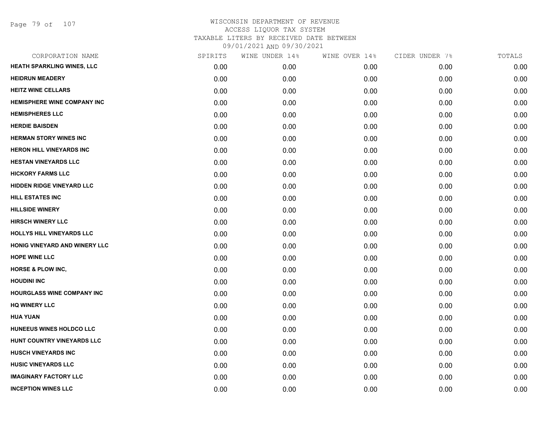| CORPORATION NAME                   | SPIRITS | WINE UNDER 14% | WINE OVER 14% | CIDER UNDER 7% | TOTALS |
|------------------------------------|---------|----------------|---------------|----------------|--------|
| HEATH SPARKLING WINES, LLC         | 0.00    | 0.00           | 0.00          | 0.00           | 0.00   |
| <b>HEIDRUN MEADERY</b>             | 0.00    | 0.00           | 0.00          | 0.00           | 0.00   |
| <b>HEITZ WINE CELLARS</b>          | 0.00    | 0.00           | 0.00          | 0.00           | 0.00   |
| <b>HEMISPHERE WINE COMPANY INC</b> | 0.00    | 0.00           | 0.00          | 0.00           | 0.00   |
| <b>HEMISPHERES LLC</b>             | 0.00    | 0.00           | 0.00          | 0.00           | 0.00   |
| <b>HERDIE BAISDEN</b>              | 0.00    | 0.00           | 0.00          | 0.00           | 0.00   |
| <b>HERMAN STORY WINES INC</b>      | 0.00    | 0.00           | 0.00          | 0.00           | 0.00   |
| <b>HERON HILL VINEYARDS INC</b>    | 0.00    | 0.00           | 0.00          | 0.00           | 0.00   |
| <b>HESTAN VINEYARDS LLC</b>        | 0.00    | 0.00           | 0.00          | 0.00           | 0.00   |
| <b>HICKORY FARMS LLC</b>           | 0.00    | 0.00           | 0.00          | 0.00           | 0.00   |
| HIDDEN RIDGE VINEYARD LLC          | 0.00    | 0.00           | 0.00          | 0.00           | 0.00   |
| <b>HILL ESTATES INC</b>            | 0.00    | 0.00           | 0.00          | 0.00           | 0.00   |
| <b>HILLSIDE WINERY</b>             | 0.00    | 0.00           | 0.00          | 0.00           | 0.00   |
| <b>HIRSCH WINERY LLC</b>           | 0.00    | 0.00           | 0.00          | 0.00           | 0.00   |
| <b>HOLLYS HILL VINEYARDS LLC</b>   | 0.00    | 0.00           | 0.00          | 0.00           | 0.00   |
| HONIG VINEYARD AND WINERY LLC      | 0.00    | 0.00           | 0.00          | 0.00           | 0.00   |
| <b>HOPE WINE LLC</b>               | 0.00    | 0.00           | 0.00          | 0.00           | 0.00   |
| <b>HORSE &amp; PLOW INC,</b>       | 0.00    | 0.00           | 0.00          | 0.00           | 0.00   |
| <b>HOUDINI INC</b>                 | 0.00    | 0.00           | 0.00          | 0.00           | 0.00   |
| <b>HOURGLASS WINE COMPANY INC</b>  | 0.00    | 0.00           | 0.00          | 0.00           | 0.00   |
| <b>HQ WINERY LLC</b>               | 0.00    | 0.00           | 0.00          | 0.00           | 0.00   |
| <b>HUA YUAN</b>                    | 0.00    | 0.00           | 0.00          | 0.00           | 0.00   |
| HUNEEUS WINES HOLDCO LLC           | 0.00    | 0.00           | 0.00          | 0.00           | 0.00   |
| HUNT COUNTRY VINEYARDS LLC         | 0.00    | 0.00           | 0.00          | 0.00           | 0.00   |
| <b>HUSCH VINEYARDS INC</b>         | 0.00    | 0.00           | 0.00          | 0.00           | 0.00   |
| <b>HUSIC VINEYARDS LLC</b>         | 0.00    | 0.00           | 0.00          | 0.00           | 0.00   |
| <b>IMAGINARY FACTORY LLC</b>       | 0.00    | 0.00           | 0.00          | 0.00           | 0.00   |
| <b>INCEPTION WINES LLC</b>         | 0.00    | 0.00           | 0.00          | 0.00           | 0.00   |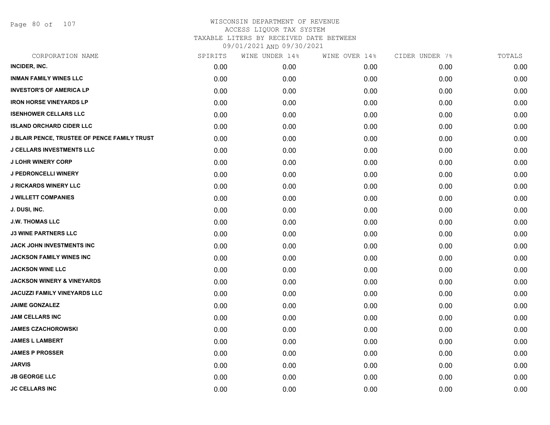Page 80 of 107

| CORPORATION NAME                             | SPIRITS | WINE UNDER 14% | WINE OVER 14% | CIDER UNDER 7% | TOTALS |
|----------------------------------------------|---------|----------------|---------------|----------------|--------|
| INCIDER, INC.                                | 0.00    | 0.00           | 0.00          | 0.00           | 0.00   |
| <b>INMAN FAMILY WINES LLC</b>                | 0.00    | 0.00           | 0.00          | 0.00           | 0.00   |
| <b>INVESTOR'S OF AMERICA LP</b>              | 0.00    | 0.00           | 0.00          | 0.00           | 0.00   |
| <b>IRON HORSE VINEYARDS LP</b>               | 0.00    | 0.00           | 0.00          | 0.00           | 0.00   |
| <b>ISENHOWER CELLARS LLC</b>                 | 0.00    | 0.00           | 0.00          | 0.00           | 0.00   |
| <b>ISLAND ORCHARD CIDER LLC</b>              | 0.00    | 0.00           | 0.00          | 0.00           | 0.00   |
| J BLAIR PENCE, TRUSTEE OF PENCE FAMILY TRUST | 0.00    | 0.00           | 0.00          | 0.00           | 0.00   |
| <b>J CELLARS INVESTMENTS LLC</b>             | 0.00    | 0.00           | 0.00          | 0.00           | 0.00   |
| <b>J LOHR WINERY CORP</b>                    | 0.00    | 0.00           | 0.00          | 0.00           | 0.00   |
| <b>J PEDRONCELLI WINERY</b>                  | 0.00    | 0.00           | 0.00          | 0.00           | 0.00   |
| <b>J RICKARDS WINERY LLC</b>                 | 0.00    | 0.00           | 0.00          | 0.00           | 0.00   |
| <b>J WILLETT COMPANIES</b>                   | 0.00    | 0.00           | 0.00          | 0.00           | 0.00   |
| J. DUSI, INC.                                | 0.00    | 0.00           | 0.00          | 0.00           | 0.00   |
| <b>J.W. THOMAS LLC</b>                       | 0.00    | 0.00           | 0.00          | 0.00           | 0.00   |
| <b>J3 WINE PARTNERS LLC</b>                  | 0.00    | 0.00           | 0.00          | 0.00           | 0.00   |
| JACK JOHN INVESTMENTS INC                    | 0.00    | 0.00           | 0.00          | 0.00           | 0.00   |
| JACKSON FAMILY WINES INC                     | 0.00    | 0.00           | 0.00          | 0.00           | 0.00   |
| <b>JACKSON WINE LLC</b>                      | 0.00    | 0.00           | 0.00          | 0.00           | 0.00   |
| <b>JACKSON WINERY &amp; VINEYARDS</b>        | 0.00    | 0.00           | 0.00          | 0.00           | 0.00   |
| <b>JACUZZI FAMILY VINEYARDS LLC</b>          | 0.00    | 0.00           | 0.00          | 0.00           | 0.00   |
| <b>JAIME GONZALEZ</b>                        | 0.00    | 0.00           | 0.00          | 0.00           | 0.00   |
| <b>JAM CELLARS INC</b>                       | 0.00    | 0.00           | 0.00          | 0.00           | 0.00   |
| <b>JAMES CZACHOROWSKI</b>                    | 0.00    | 0.00           | 0.00          | 0.00           | 0.00   |
| <b>JAMES L LAMBERT</b>                       | 0.00    | 0.00           | 0.00          | 0.00           | 0.00   |
| <b>JAMES P PROSSER</b>                       | 0.00    | 0.00           | 0.00          | 0.00           | 0.00   |
| <b>JARVIS</b>                                | 0.00    | 0.00           | 0.00          | 0.00           | 0.00   |
| <b>JB GEORGE LLC</b>                         | 0.00    | 0.00           | 0.00          | 0.00           | 0.00   |
| <b>JC CELLARS INC</b>                        | 0.00    | 0.00           | 0.00          | 0.00           | 0.00   |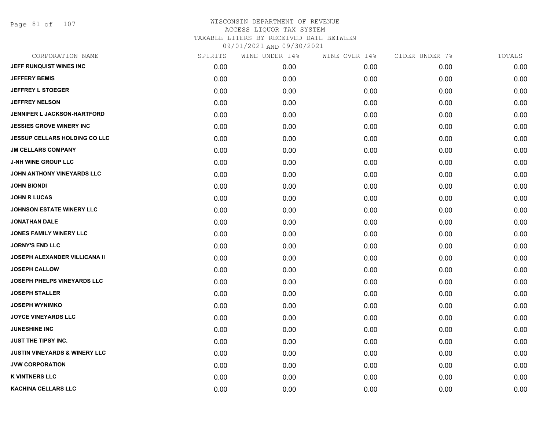| CORPORATION NAME                         | SPIRITS | WINE UNDER 14% | WINE OVER 14% | CIDER UNDER 7% | TOTALS |
|------------------------------------------|---------|----------------|---------------|----------------|--------|
| JEFF RUNQUIST WINES INC                  | 0.00    | 0.00           | 0.00          | 0.00           | 0.00   |
| <b>JEFFERY BEMIS</b>                     | 0.00    | 0.00           | 0.00          | 0.00           | 0.00   |
| <b>JEFFREY L STOEGER</b>                 | 0.00    | 0.00           | 0.00          | 0.00           | 0.00   |
| <b>JEFFREY NELSON</b>                    | 0.00    | 0.00           | 0.00          | 0.00           | 0.00   |
| <b>JENNIFER L JACKSON-HARTFORD</b>       | 0.00    | 0.00           | 0.00          | 0.00           | 0.00   |
| <b>JESSIES GROVE WINERY INC</b>          | 0.00    | 0.00           | 0.00          | 0.00           | 0.00   |
| <b>JESSUP CELLARS HOLDING CO LLC</b>     | 0.00    | 0.00           | 0.00          | 0.00           | 0.00   |
| <b>JM CELLARS COMPANY</b>                | 0.00    | 0.00           | 0.00          | 0.00           | 0.00   |
| <b>J-NH WINE GROUP LLC</b>               | 0.00    | 0.00           | 0.00          | 0.00           | 0.00   |
| JOHN ANTHONY VINEYARDS LLC               | 0.00    | 0.00           | 0.00          | 0.00           | 0.00   |
| <b>JOHN BIONDI</b>                       | 0.00    | 0.00           | 0.00          | 0.00           | 0.00   |
| <b>JOHN R LUCAS</b>                      | 0.00    | 0.00           | 0.00          | 0.00           | 0.00   |
| <b>JOHNSON ESTATE WINERY LLC</b>         | 0.00    | 0.00           | 0.00          | 0.00           | 0.00   |
| <b>JONATHAN DALE</b>                     | 0.00    | 0.00           | 0.00          | 0.00           | 0.00   |
| <b>JONES FAMILY WINERY LLC</b>           | 0.00    | 0.00           | 0.00          | 0.00           | 0.00   |
| <b>JORNY'S END LLC</b>                   | 0.00    | 0.00           | 0.00          | 0.00           | 0.00   |
| <b>JOSEPH ALEXANDER VILLICANA II</b>     | 0.00    | 0.00           | 0.00          | 0.00           | 0.00   |
| <b>JOSEPH CALLOW</b>                     | 0.00    | 0.00           | 0.00          | 0.00           | 0.00   |
| <b>JOSEPH PHELPS VINEYARDS LLC</b>       | 0.00    | 0.00           | 0.00          | 0.00           | 0.00   |
| <b>JOSEPH STALLER</b>                    | 0.00    | 0.00           | 0.00          | 0.00           | 0.00   |
| <b>JOSEPH WYNIMKO</b>                    | 0.00    | 0.00           | 0.00          | 0.00           | 0.00   |
| <b>JOYCE VINEYARDS LLC</b>               | 0.00    | 0.00           | 0.00          | 0.00           | 0.00   |
| <b>JUNESHINE INC</b>                     | 0.00    | 0.00           | 0.00          | 0.00           | 0.00   |
| <b>JUST THE TIPSY INC.</b>               | 0.00    | 0.00           | 0.00          | 0.00           | 0.00   |
| <b>JUSTIN VINEYARDS &amp; WINERY LLC</b> | 0.00    | 0.00           | 0.00          | 0.00           | 0.00   |
| <b>JVW CORPORATION</b>                   | 0.00    | 0.00           | 0.00          | 0.00           | 0.00   |
| <b>K VINTNERS LLC</b>                    | 0.00    | 0.00           | 0.00          | 0.00           | 0.00   |
| <b>KACHINA CELLARS LLC</b>               | 0.00    | 0.00           | 0.00          | 0.00           | 0.00   |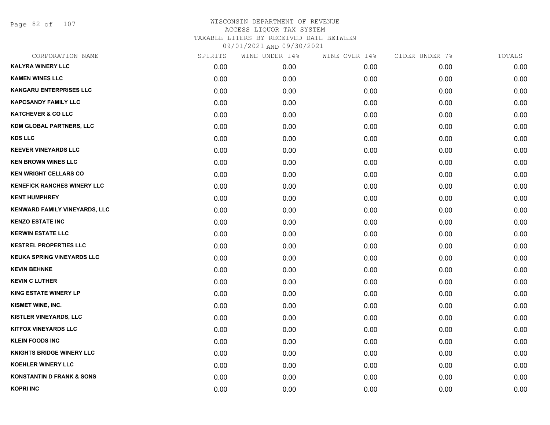Page 82 of 107

| CORPORATION NAME                     | SPIRITS | WINE UNDER 14% | WINE OVER 14% | CIDER UNDER 7% | TOTALS |
|--------------------------------------|---------|----------------|---------------|----------------|--------|
| <b>KALYRA WINERY LLC</b>             | 0.00    | 0.00           | 0.00          | 0.00           | 0.00   |
| <b>KAMEN WINES LLC</b>               | 0.00    | 0.00           | 0.00          | 0.00           | 0.00   |
| <b>KANGARU ENTERPRISES LLC</b>       | 0.00    | 0.00           | 0.00          | 0.00           | 0.00   |
| <b>KAPCSANDY FAMILY LLC</b>          | 0.00    | 0.00           | 0.00          | 0.00           | 0.00   |
| <b>KATCHEVER &amp; CO LLC</b>        | 0.00    | 0.00           | 0.00          | 0.00           | 0.00   |
| <b>KDM GLOBAL PARTNERS, LLC</b>      | 0.00    | 0.00           | 0.00          | 0.00           | 0.00   |
| <b>KDS LLC</b>                       | 0.00    | 0.00           | 0.00          | 0.00           | 0.00   |
| <b>KEEVER VINEYARDS LLC</b>          | 0.00    | 0.00           | 0.00          | 0.00           | 0.00   |
| <b>KEN BROWN WINES LLC</b>           | 0.00    | 0.00           | 0.00          | 0.00           | 0.00   |
| <b>KEN WRIGHT CELLARS CO</b>         | 0.00    | 0.00           | 0.00          | 0.00           | 0.00   |
| <b>KENEFICK RANCHES WINERY LLC</b>   | 0.00    | 0.00           | 0.00          | 0.00           | 0.00   |
| <b>KENT HUMPHREY</b>                 | 0.00    | 0.00           | 0.00          | 0.00           | 0.00   |
| KENWARD FAMILY VINEYARDS, LLC        | 0.00    | 0.00           | 0.00          | 0.00           | 0.00   |
| <b>KENZO ESTATE INC</b>              | 0.00    | 0.00           | 0.00          | 0.00           | 0.00   |
| <b>KERWIN ESTATE LLC</b>             | 0.00    | 0.00           | 0.00          | 0.00           | 0.00   |
| <b>KESTREL PROPERTIES LLC</b>        | 0.00    | 0.00           | 0.00          | 0.00           | 0.00   |
| <b>KEUKA SPRING VINEYARDS LLC</b>    | 0.00    | 0.00           | 0.00          | 0.00           | 0.00   |
| <b>KEVIN BEHNKE</b>                  | 0.00    | 0.00           | 0.00          | 0.00           | 0.00   |
| <b>KEVIN C LUTHER</b>                | 0.00    | 0.00           | 0.00          | 0.00           | 0.00   |
| <b>KING ESTATE WINERY LP</b>         | 0.00    | 0.00           | 0.00          | 0.00           | 0.00   |
| KISMET WINE, INC.                    | 0.00    | 0.00           | 0.00          | 0.00           | 0.00   |
| KISTLER VINEYARDS, LLC               | 0.00    | 0.00           | 0.00          | 0.00           | 0.00   |
| <b>KITFOX VINEYARDS LLC</b>          | 0.00    | 0.00           | 0.00          | 0.00           | 0.00   |
| <b>KLEIN FOODS INC</b>               | 0.00    | 0.00           | 0.00          | 0.00           | 0.00   |
| <b>KNIGHTS BRIDGE WINERY LLC</b>     | 0.00    | 0.00           | 0.00          | 0.00           | 0.00   |
| KOEHLER WINERY LLC                   | 0.00    | 0.00           | 0.00          | 0.00           | 0.00   |
| <b>KONSTANTIN D FRANK &amp; SONS</b> | 0.00    | 0.00           | 0.00          | 0.00           | 0.00   |
| <b>KOPRI INC</b>                     | 0.00    | 0.00           | 0.00          | 0.00           | 0.00   |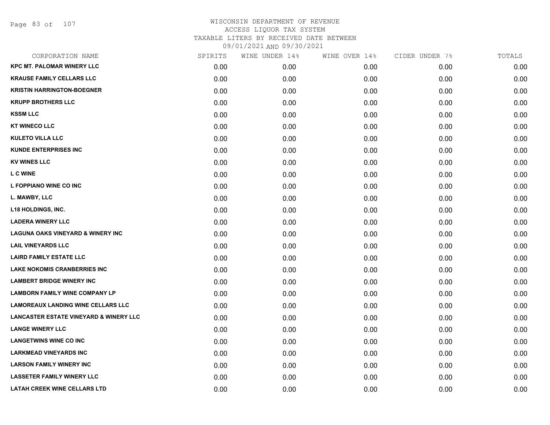Page 83 of 107

| CORPORATION NAME                                  | SPIRITS | WINE UNDER 14% | WINE OVER 14% | CIDER UNDER 7% | TOTALS |
|---------------------------------------------------|---------|----------------|---------------|----------------|--------|
| <b>KPC MT. PALOMAR WINERY LLC</b>                 | 0.00    | 0.00           | 0.00          | 0.00           | 0.00   |
| <b>KRAUSE FAMILY CELLARS LLC</b>                  | 0.00    | 0.00           | 0.00          | 0.00           | 0.00   |
| <b>KRISTIN HARRINGTON-BOEGNER</b>                 | 0.00    | 0.00           | 0.00          | 0.00           | 0.00   |
| <b>KRUPP BROTHERS LLC</b>                         | 0.00    | 0.00           | 0.00          | 0.00           | 0.00   |
| <b>KSSM LLC</b>                                   | 0.00    | 0.00           | 0.00          | 0.00           | 0.00   |
| <b>KT WINECO LLC</b>                              | 0.00    | 0.00           | 0.00          | 0.00           | 0.00   |
| <b>KULETO VILLA LLC</b>                           | 0.00    | 0.00           | 0.00          | 0.00           | 0.00   |
| <b>KUNDE ENTERPRISES INC</b>                      | 0.00    | 0.00           | 0.00          | 0.00           | 0.00   |
| <b>KV WINES LLC</b>                               | 0.00    | 0.00           | 0.00          | 0.00           | 0.00   |
| <b>L C WINE</b>                                   | 0.00    | 0.00           | 0.00          | 0.00           | 0.00   |
| L FOPPIANO WINE CO INC                            | 0.00    | 0.00           | 0.00          | 0.00           | 0.00   |
| L. MAWBY, LLC                                     | 0.00    | 0.00           | 0.00          | 0.00           | 0.00   |
| L18 HOLDINGS, INC.                                | 0.00    | 0.00           | 0.00          | 0.00           | 0.00   |
| <b>LADERA WINERY LLC</b>                          | 0.00    | 0.00           | 0.00          | 0.00           | 0.00   |
| <b>LAGUNA OAKS VINEYARD &amp; WINERY INC</b>      | 0.00    | 0.00           | 0.00          | 0.00           | 0.00   |
| <b>LAIL VINEYARDS LLC</b>                         | 0.00    | 0.00           | 0.00          | 0.00           | 0.00   |
| <b>LAIRD FAMILY ESTATE LLC</b>                    | 0.00    | 0.00           | 0.00          | 0.00           | 0.00   |
| <b>LAKE NOKOMIS CRANBERRIES INC</b>               | 0.00    | 0.00           | 0.00          | 0.00           | 0.00   |
| <b>LAMBERT BRIDGE WINERY INC</b>                  | 0.00    | 0.00           | 0.00          | 0.00           | 0.00   |
| <b>LAMBORN FAMILY WINE COMPANY LP</b>             | 0.00    | 0.00           | 0.00          | 0.00           | 0.00   |
| <b>LAMOREAUX LANDING WINE CELLARS LLC</b>         | 0.00    | 0.00           | 0.00          | 0.00           | 0.00   |
| <b>LANCASTER ESTATE VINEYARD &amp; WINERY LLC</b> | 0.00    | 0.00           | 0.00          | 0.00           | 0.00   |
| <b>LANGE WINERY LLC</b>                           | 0.00    | 0.00           | 0.00          | 0.00           | 0.00   |
| <b>LANGETWINS WINE CO INC</b>                     | 0.00    | 0.00           | 0.00          | 0.00           | 0.00   |
| <b>LARKMEAD VINEYARDS INC</b>                     | 0.00    | 0.00           | 0.00          | 0.00           | 0.00   |
| <b>LARSON FAMILY WINERY INC</b>                   | 0.00    | 0.00           | 0.00          | 0.00           | 0.00   |
| <b>LASSETER FAMILY WINERY LLC</b>                 | 0.00    | 0.00           | 0.00          | 0.00           | 0.00   |
| <b>LATAH CREEK WINE CELLARS LTD</b>               | 0.00    | 0.00           | 0.00          | 0.00           | 0.00   |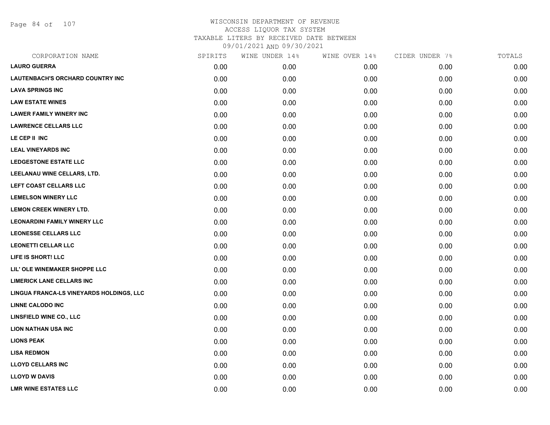Page 84 of 107

| CORPORATION NAME                         | SPIRITS | WINE UNDER 14% | WINE OVER 14% | CIDER UNDER 7% | TOTALS |
|------------------------------------------|---------|----------------|---------------|----------------|--------|
| <b>LAURO GUERRA</b>                      | 0.00    | 0.00           | 0.00          | 0.00           | 0.00   |
| LAUTENBACH'S ORCHARD COUNTRY INC         | 0.00    | 0.00           | 0.00          | 0.00           | 0.00   |
| <b>LAVA SPRINGS INC</b>                  | 0.00    | 0.00           | 0.00          | 0.00           | 0.00   |
| <b>LAW ESTATE WINES</b>                  | 0.00    | 0.00           | 0.00          | 0.00           | 0.00   |
| <b>LAWER FAMILY WINERY INC</b>           | 0.00    | 0.00           | 0.00          | 0.00           | 0.00   |
| <b>LAWRENCE CELLARS LLC</b>              | 0.00    | 0.00           | 0.00          | 0.00           | 0.00   |
| LE CEP II INC                            | 0.00    | 0.00           | 0.00          | 0.00           | 0.00   |
| <b>LEAL VINEYARDS INC</b>                | 0.00    | 0.00           | 0.00          | 0.00           | 0.00   |
| <b>LEDGESTONE ESTATE LLC</b>             | 0.00    | 0.00           | 0.00          | 0.00           | 0.00   |
| LEELANAU WINE CELLARS, LTD.              | 0.00    | 0.00           | 0.00          | 0.00           | 0.00   |
| LEFT COAST CELLARS LLC                   | 0.00    | 0.00           | 0.00          | 0.00           | 0.00   |
| <b>LEMELSON WINERY LLC</b>               | 0.00    | 0.00           | 0.00          | 0.00           | 0.00   |
| LEMON CREEK WINERY LTD.                  | 0.00    | 0.00           | 0.00          | 0.00           | 0.00   |
| <b>LEONARDINI FAMILY WINERY LLC</b>      | 0.00    | 0.00           | 0.00          | 0.00           | 0.00   |
| <b>LEONESSE CELLARS LLC</b>              | 0.00    | 0.00           | 0.00          | 0.00           | 0.00   |
| <b>LEONETTI CELLAR LLC</b>               | 0.00    | 0.00           | 0.00          | 0.00           | 0.00   |
| LIFE IS SHORT! LLC                       | 0.00    | 0.00           | 0.00          | 0.00           | 0.00   |
| LIL' OLE WINEMAKER SHOPPE LLC            | 0.00    | 0.00           | 0.00          | 0.00           | 0.00   |
| <b>LIMERICK LANE CELLARS INC</b>         | 0.00    | 0.00           | 0.00          | 0.00           | 0.00   |
| LINGUA FRANCA-LS VINEYARDS HOLDINGS, LLC | 0.00    | 0.00           | 0.00          | 0.00           | 0.00   |
| <b>LINNE CALODO INC</b>                  | 0.00    | 0.00           | 0.00          | 0.00           | 0.00   |
| LINSFIELD WINE CO., LLC                  | 0.00    | 0.00           | 0.00          | 0.00           | 0.00   |
| <b>LION NATHAN USA INC</b>               | 0.00    | 0.00           | 0.00          | 0.00           | 0.00   |
| <b>LIONS PEAK</b>                        | 0.00    | 0.00           | 0.00          | 0.00           | 0.00   |
| <b>LISA REDMON</b>                       | 0.00    | 0.00           | 0.00          | 0.00           | 0.00   |
| <b>LLOYD CELLARS INC</b>                 | 0.00    | 0.00           | 0.00          | 0.00           | 0.00   |
| <b>LLOYD W DAVIS</b>                     | 0.00    | 0.00           | 0.00          | 0.00           | 0.00   |
| <b>LMR WINE ESTATES LLC</b>              | 0.00    | 0.00           | 0.00          | 0.00           | 0.00   |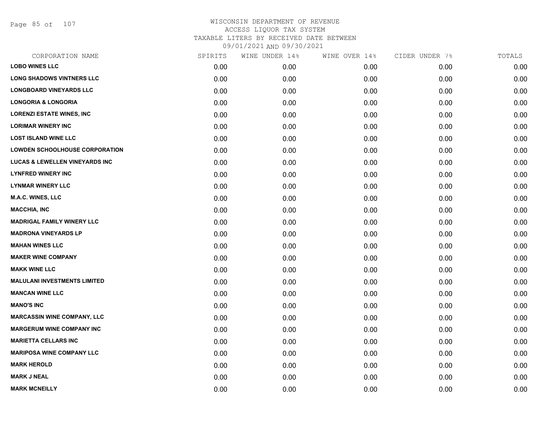Page 85 of 107

| CORPORATION NAME                          | SPIRITS | WINE UNDER 14% | WINE OVER 14% | CIDER UNDER 7% | TOTALS |
|-------------------------------------------|---------|----------------|---------------|----------------|--------|
| <b>LOBO WINES LLC</b>                     | 0.00    | 0.00           | 0.00          | 0.00           | 0.00   |
| <b>LONG SHADOWS VINTNERS LLC</b>          | 0.00    | 0.00           | 0.00          | 0.00           | 0.00   |
| <b>LONGBOARD VINEYARDS LLC</b>            | 0.00    | 0.00           | 0.00          | 0.00           | 0.00   |
| <b>LONGORIA &amp; LONGORIA</b>            | 0.00    | 0.00           | 0.00          | 0.00           | 0.00   |
| <b>LORENZI ESTATE WINES, INC</b>          | 0.00    | 0.00           | 0.00          | 0.00           | 0.00   |
| <b>LORIMAR WINERY INC</b>                 | 0.00    | 0.00           | 0.00          | 0.00           | 0.00   |
| <b>LOST ISLAND WINE LLC</b>               | 0.00    | 0.00           | 0.00          | 0.00           | 0.00   |
| <b>LOWDEN SCHOOLHOUSE CORPORATION</b>     | 0.00    | 0.00           | 0.00          | 0.00           | 0.00   |
| <b>LUCAS &amp; LEWELLEN VINEYARDS INC</b> | 0.00    | 0.00           | 0.00          | 0.00           | 0.00   |
| <b>LYNFRED WINERY INC</b>                 | 0.00    | 0.00           | 0.00          | 0.00           | 0.00   |
| <b>LYNMAR WINERY LLC</b>                  | 0.00    | 0.00           | 0.00          | 0.00           | 0.00   |
| <b>M.A.C. WINES, LLC</b>                  | 0.00    | 0.00           | 0.00          | 0.00           | 0.00   |
| <b>MACCHIA, INC</b>                       | 0.00    | 0.00           | 0.00          | 0.00           | 0.00   |
| <b>MADRIGAL FAMILY WINERY LLC</b>         | 0.00    | 0.00           | 0.00          | 0.00           | 0.00   |
| <b>MADRONA VINEYARDS LP</b>               | 0.00    | 0.00           | 0.00          | 0.00           | 0.00   |
| <b>MAHAN WINES LLC</b>                    | 0.00    | 0.00           | 0.00          | 0.00           | 0.00   |
| <b>MAKER WINE COMPANY</b>                 | 0.00    | 0.00           | 0.00          | 0.00           | 0.00   |
| <b>MAKK WINE LLC</b>                      | 0.00    | 0.00           | 0.00          | 0.00           | 0.00   |
| <b>MALULANI INVESTMENTS LIMITED</b>       | 0.00    | 0.00           | 0.00          | 0.00           | 0.00   |
| <b>MANCAN WINE LLC</b>                    | 0.00    | 0.00           | 0.00          | 0.00           | 0.00   |
| <b>MANO'S INC</b>                         | 0.00    | 0.00           | 0.00          | 0.00           | 0.00   |
| <b>MARCASSIN WINE COMPANY, LLC</b>        | 0.00    | 0.00           | 0.00          | 0.00           | 0.00   |
| <b>MARGERUM WINE COMPANY INC</b>          | 0.00    | 0.00           | 0.00          | 0.00           | 0.00   |
| <b>MARIETTA CELLARS INC</b>               | 0.00    | 0.00           | 0.00          | 0.00           | 0.00   |
| <b>MARIPOSA WINE COMPANY LLC</b>          | 0.00    | 0.00           | 0.00          | 0.00           | 0.00   |
| <b>MARK HEROLD</b>                        | 0.00    | 0.00           | 0.00          | 0.00           | 0.00   |
| <b>MARK J NEAL</b>                        | 0.00    | 0.00           | 0.00          | 0.00           | 0.00   |
| <b>MARK MCNEILLY</b>                      | 0.00    | 0.00           | 0.00          | 0.00           | 0.00   |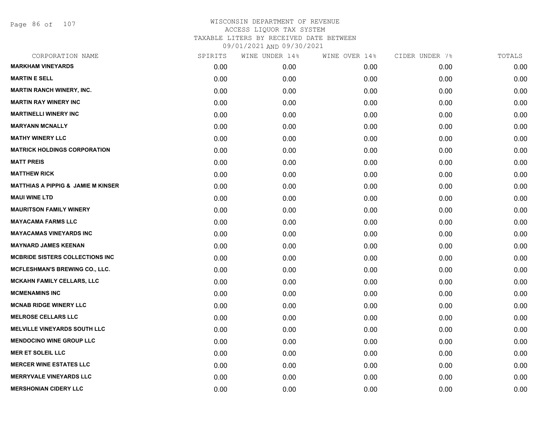Page 86 of 107

| CORPORATION NAME                              | SPIRITS | WINE UNDER 14% | WINE OVER 14% | CIDER UNDER 7% | TOTALS |
|-----------------------------------------------|---------|----------------|---------------|----------------|--------|
| <b>MARKHAM VINEYARDS</b>                      | 0.00    | 0.00           | 0.00          | 0.00           | 0.00   |
| <b>MARTIN E SELL</b>                          | 0.00    | 0.00           | 0.00          | 0.00           | 0.00   |
| <b>MARTIN RANCH WINERY, INC.</b>              | 0.00    | 0.00           | 0.00          | 0.00           | 0.00   |
| <b>MARTIN RAY WINERY INC</b>                  | 0.00    | 0.00           | 0.00          | 0.00           | 0.00   |
| <b>MARTINELLI WINERY INC</b>                  | 0.00    | 0.00           | 0.00          | 0.00           | 0.00   |
| <b>MARYANN MCNALLY</b>                        | 0.00    | 0.00           | 0.00          | 0.00           | 0.00   |
| <b>MATHY WINERY LLC</b>                       | 0.00    | 0.00           | 0.00          | 0.00           | 0.00   |
| <b>MATRICK HOLDINGS CORPORATION</b>           | 0.00    | 0.00           | 0.00          | 0.00           | 0.00   |
| <b>MATT PREIS</b>                             | 0.00    | 0.00           | 0.00          | 0.00           | 0.00   |
| <b>MATTHEW RICK</b>                           | 0.00    | 0.00           | 0.00          | 0.00           | 0.00   |
| <b>MATTHIAS A PIPPIG &amp; JAMIE M KINSER</b> | 0.00    | 0.00           | 0.00          | 0.00           | 0.00   |
| <b>MAUI WINE LTD</b>                          | 0.00    | 0.00           | 0.00          | 0.00           | 0.00   |
| <b>MAURITSON FAMILY WINERY</b>                | 0.00    | 0.00           | 0.00          | 0.00           | 0.00   |
| <b>MAYACAMA FARMS LLC</b>                     | 0.00    | 0.00           | 0.00          | 0.00           | 0.00   |
| <b>MAYACAMAS VINEYARDS INC</b>                | 0.00    | 0.00           | 0.00          | 0.00           | 0.00   |
| <b>MAYNARD JAMES KEENAN</b>                   | 0.00    | 0.00           | 0.00          | 0.00           | 0.00   |
| <b>MCBRIDE SISTERS COLLECTIONS INC</b>        | 0.00    | 0.00           | 0.00          | 0.00           | 0.00   |
| MCFLESHMAN'S BREWING CO., LLC.                | 0.00    | 0.00           | 0.00          | 0.00           | 0.00   |
| <b>MCKAHN FAMILY CELLARS, LLC</b>             | 0.00    | 0.00           | 0.00          | 0.00           | 0.00   |
| <b>MCMENAMINS INC</b>                         | 0.00    | 0.00           | 0.00          | 0.00           | 0.00   |
| <b>MCNAB RIDGE WINERY LLC</b>                 | 0.00    | 0.00           | 0.00          | 0.00           | 0.00   |
| <b>MELROSE CELLARS LLC</b>                    | 0.00    | 0.00           | 0.00          | 0.00           | 0.00   |
| <b>MELVILLE VINEYARDS SOUTH LLC</b>           | 0.00    | 0.00           | 0.00          | 0.00           | 0.00   |
| <b>MENDOCINO WINE GROUP LLC</b>               | 0.00    | 0.00           | 0.00          | 0.00           | 0.00   |
| <b>MER ET SOLEIL LLC</b>                      | 0.00    | 0.00           | 0.00          | 0.00           | 0.00   |
| <b>MERCER WINE ESTATES LLC</b>                | 0.00    | 0.00           | 0.00          | 0.00           | 0.00   |
| <b>MERRYVALE VINEYARDS LLC</b>                | 0.00    | 0.00           | 0.00          | 0.00           | 0.00   |
| <b>MERSHONIAN CIDERY LLC</b>                  | 0.00    | 0.00           | 0.00          | 0.00           | 0.00   |
|                                               |         |                |               |                |        |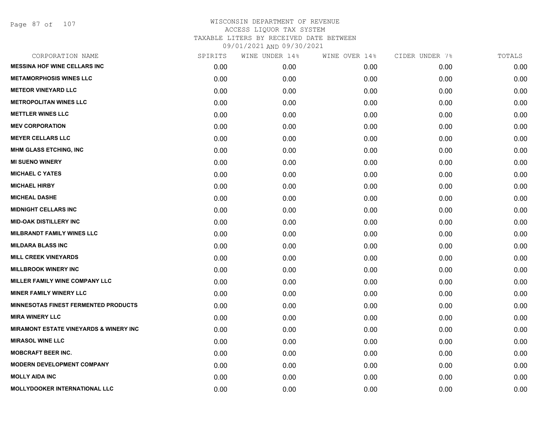Page 87 of 107

| CORPORATION NAME                                  | SPIRITS | WINE UNDER 14% | WINE OVER 14% | CIDER UNDER 7% | TOTALS |
|---------------------------------------------------|---------|----------------|---------------|----------------|--------|
| <b>MESSINA HOF WINE CELLARS INC</b>               | 0.00    | 0.00           | 0.00          | 0.00           | 0.00   |
| <b>METAMORPHOSIS WINES LLC</b>                    | 0.00    | 0.00           | 0.00          | 0.00           | 0.00   |
| <b>METEOR VINEYARD LLC</b>                        | 0.00    | 0.00           | 0.00          | 0.00           | 0.00   |
| <b>METROPOLITAN WINES LLC</b>                     | 0.00    | 0.00           | 0.00          | 0.00           | 0.00   |
| <b>METTLER WINES LLC</b>                          | 0.00    | 0.00           | 0.00          | 0.00           | 0.00   |
| <b>MEV CORPORATION</b>                            | 0.00    | 0.00           | 0.00          | 0.00           | 0.00   |
| <b>MEYER CELLARS LLC</b>                          | 0.00    | 0.00           | 0.00          | 0.00           | 0.00   |
| <b>MHM GLASS ETCHING, INC</b>                     | 0.00    | 0.00           | 0.00          | 0.00           | 0.00   |
| <b>MI SUENO WINERY</b>                            | 0.00    | 0.00           | 0.00          | 0.00           | 0.00   |
| <b>MICHAEL C YATES</b>                            | 0.00    | 0.00           | 0.00          | 0.00           | 0.00   |
| <b>MICHAEL HIRBY</b>                              | 0.00    | 0.00           | 0.00          | 0.00           | 0.00   |
| <b>MICHEAL DASHE</b>                              | 0.00    | 0.00           | 0.00          | 0.00           | 0.00   |
| <b>MIDNIGHT CELLARS INC</b>                       | 0.00    | 0.00           | 0.00          | 0.00           | 0.00   |
| <b>MID-OAK DISTILLERY INC</b>                     | 0.00    | 0.00           | 0.00          | 0.00           | 0.00   |
| <b>MILBRANDT FAMILY WINES LLC</b>                 | 0.00    | 0.00           | 0.00          | 0.00           | 0.00   |
| <b>MILDARA BLASS INC</b>                          | 0.00    | 0.00           | 0.00          | 0.00           | 0.00   |
| <b>MILL CREEK VINEYARDS</b>                       | 0.00    | 0.00           | 0.00          | 0.00           | 0.00   |
| <b>MILLBROOK WINERY INC</b>                       | 0.00    | 0.00           | 0.00          | 0.00           | 0.00   |
| MILLER FAMILY WINE COMPANY LLC                    | 0.00    | 0.00           | 0.00          | 0.00           | 0.00   |
| <b>MINER FAMILY WINERY LLC</b>                    | 0.00    | 0.00           | 0.00          | 0.00           | 0.00   |
| <b>MINNESOTAS FINEST FERMENTED PRODUCTS</b>       | 0.00    | 0.00           | 0.00          | 0.00           | 0.00   |
| <b>MIRA WINERY LLC</b>                            | 0.00    | 0.00           | 0.00          | 0.00           | 0.00   |
| <b>MIRAMONT ESTATE VINEYARDS &amp; WINERY INC</b> | 0.00    | 0.00           | 0.00          | 0.00           | 0.00   |
| <b>MIRASOL WINE LLC</b>                           | 0.00    | 0.00           | 0.00          | 0.00           | 0.00   |
| <b>MOBCRAFT BEER INC.</b>                         | 0.00    | 0.00           | 0.00          | 0.00           | 0.00   |
| <b>MODERN DEVELOPMENT COMPANY</b>                 | 0.00    | 0.00           | 0.00          | 0.00           | 0.00   |
| <b>MOLLY AIDA INC</b>                             | 0.00    | 0.00           | 0.00          | 0.00           | 0.00   |
| MOLLYDOOKER INTERNATIONAL LLC                     | 0.00    | 0.00           | 0.00          | 0.00           | 0.00   |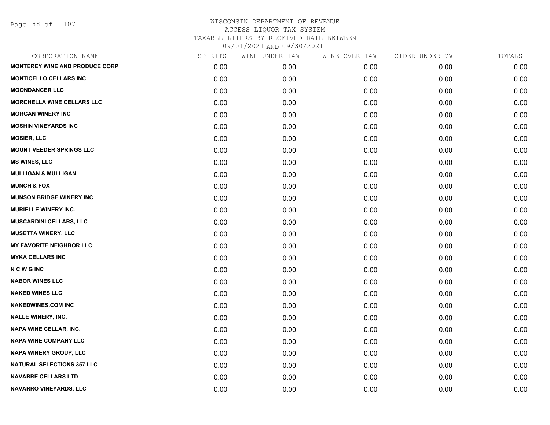| CORPORATION NAME                      | SPIRITS | WINE UNDER 14% | WINE OVER 14% | CIDER UNDER 7% | TOTALS |
|---------------------------------------|---------|----------------|---------------|----------------|--------|
| <b>MONTEREY WINE AND PRODUCE CORP</b> | 0.00    | 0.00           | 0.00          | 0.00           | 0.00   |
| <b>MONTICELLO CELLARS INC</b>         | 0.00    | 0.00           | 0.00          | 0.00           | 0.00   |
| <b>MOONDANCER LLC</b>                 | 0.00    | 0.00           | 0.00          | 0.00           | 0.00   |
| MORCHELLA WINE CELLARS LLC            | 0.00    | 0.00           | 0.00          | 0.00           | 0.00   |
| <b>MORGAN WINERY INC</b>              | 0.00    | 0.00           | 0.00          | 0.00           | 0.00   |
| <b>MOSHIN VINEYARDS INC</b>           | 0.00    | 0.00           | 0.00          | 0.00           | 0.00   |
| <b>MOSIER, LLC</b>                    | 0.00    | 0.00           | 0.00          | 0.00           | 0.00   |
| <b>MOUNT VEEDER SPRINGS LLC</b>       | 0.00    | 0.00           | 0.00          | 0.00           | 0.00   |
| <b>MS WINES, LLC</b>                  | 0.00    | 0.00           | 0.00          | 0.00           | 0.00   |
| <b>MULLIGAN &amp; MULLIGAN</b>        | 0.00    | 0.00           | 0.00          | 0.00           | 0.00   |
| <b>MUNCH &amp; FOX</b>                | 0.00    | 0.00           | 0.00          | 0.00           | 0.00   |
| <b>MUNSON BRIDGE WINERY INC</b>       | 0.00    | 0.00           | 0.00          | 0.00           | 0.00   |
| <b>MURIELLE WINERY INC.</b>           | 0.00    | 0.00           | 0.00          | 0.00           | 0.00   |
| <b>MUSCARDINI CELLARS, LLC</b>        | 0.00    | 0.00           | 0.00          | 0.00           | 0.00   |
| <b>MUSETTA WINERY, LLC</b>            | 0.00    | 0.00           | 0.00          | 0.00           | 0.00   |
| <b>MY FAVORITE NEIGHBOR LLC</b>       | 0.00    | 0.00           | 0.00          | 0.00           | 0.00   |
| <b>MYKA CELLARS INC</b>               | 0.00    | 0.00           | 0.00          | 0.00           | 0.00   |
| <b>NCWGINC</b>                        | 0.00    | 0.00           | 0.00          | 0.00           | 0.00   |
| <b>NABOR WINES LLC</b>                | 0.00    | 0.00           | 0.00          | 0.00           | 0.00   |
| <b>NAKED WINES LLC</b>                | 0.00    | 0.00           | 0.00          | 0.00           | 0.00   |
| <b>NAKEDWINES.COM INC</b>             | 0.00    | 0.00           | 0.00          | 0.00           | 0.00   |
| <b>NALLE WINERY, INC.</b>             | 0.00    | 0.00           | 0.00          | 0.00           | 0.00   |
| <b>NAPA WINE CELLAR, INC.</b>         | 0.00    | 0.00           | 0.00          | 0.00           | 0.00   |
| <b>NAPA WINE COMPANY LLC</b>          | 0.00    | 0.00           | 0.00          | 0.00           | 0.00   |
| <b>NAPA WINERY GROUP, LLC</b>         | 0.00    | 0.00           | 0.00          | 0.00           | 0.00   |
| <b>NATURAL SELECTIONS 357 LLC</b>     | 0.00    | 0.00           | 0.00          | 0.00           | 0.00   |
| <b>NAVARRE CELLARS LTD</b>            | 0.00    | 0.00           | 0.00          | 0.00           | 0.00   |
| NAVARRO VINEYARDS, LLC                | 0.00    | 0.00           | 0.00          | 0.00           | 0.00   |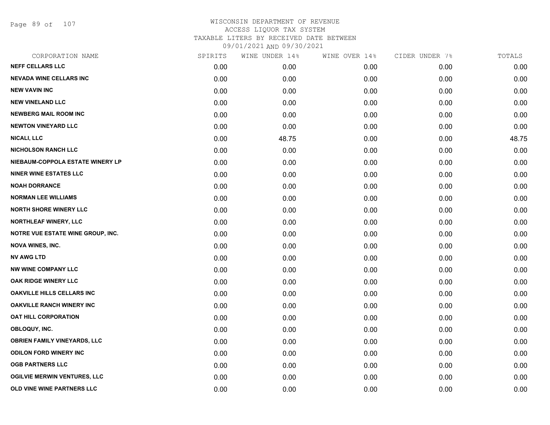Page 89 of 107

| CORPORATION NAME                         | SPIRITS | WINE UNDER 14% | WINE OVER 14% | CIDER UNDER 7% | TOTALS |
|------------------------------------------|---------|----------------|---------------|----------------|--------|
| <b>NEFF CELLARS LLC</b>                  | 0.00    | 0.00           | 0.00          | 0.00           | 0.00   |
| <b>NEVADA WINE CELLARS INC</b>           | 0.00    | 0.00           | 0.00          | 0.00           | 0.00   |
| <b>NEW VAVIN INC</b>                     | 0.00    | 0.00           | 0.00          | 0.00           | 0.00   |
| <b>NEW VINELAND LLC</b>                  | 0.00    | 0.00           | 0.00          | 0.00           | 0.00   |
| <b>NEWBERG MAIL ROOM INC</b>             | 0.00    | 0.00           | 0.00          | 0.00           | 0.00   |
| <b>NEWTON VINEYARD LLC</b>               | 0.00    | 0.00           | 0.00          | 0.00           | 0.00   |
| <b>NICALI, LLC</b>                       | 0.00    | 48.75          | 0.00          | 0.00           | 48.75  |
| <b>NICHOLSON RANCH LLC</b>               | 0.00    | 0.00           | 0.00          | 0.00           | 0.00   |
| NIEBAUM-COPPOLA ESTATE WINERY LP         | 0.00    | 0.00           | 0.00          | 0.00           | 0.00   |
| <b>NINER WINE ESTATES LLC</b>            | 0.00    | 0.00           | 0.00          | 0.00           | 0.00   |
| <b>NOAH DORRANCE</b>                     | 0.00    | 0.00           | 0.00          | 0.00           | 0.00   |
| <b>NORMAN LEE WILLIAMS</b>               | 0.00    | 0.00           | 0.00          | 0.00           | 0.00   |
| <b>NORTH SHORE WINERY LLC</b>            | 0.00    | 0.00           | 0.00          | 0.00           | 0.00   |
| <b>NORTHLEAF WINERY, LLC</b>             | 0.00    | 0.00           | 0.00          | 0.00           | 0.00   |
| <b>NOTRE VUE ESTATE WINE GROUP, INC.</b> | 0.00    | 0.00           | 0.00          | 0.00           | 0.00   |
| <b>NOVA WINES, INC.</b>                  | 0.00    | 0.00           | 0.00          | 0.00           | 0.00   |
| <b>NV AWG LTD</b>                        | 0.00    | 0.00           | 0.00          | 0.00           | 0.00   |
| <b>NW WINE COMPANY LLC</b>               | 0.00    | 0.00           | 0.00          | 0.00           | 0.00   |
| <b>OAK RIDGE WINERY LLC</b>              | 0.00    | 0.00           | 0.00          | 0.00           | 0.00   |
| <b>OAKVILLE HILLS CELLARS INC</b>        | 0.00    | 0.00           | 0.00          | 0.00           | 0.00   |
| <b>OAKVILLE RANCH WINERY INC</b>         | 0.00    | 0.00           | 0.00          | 0.00           | 0.00   |
| <b>OAT HILL CORPORATION</b>              | 0.00    | 0.00           | 0.00          | 0.00           | 0.00   |
| OBLOQUY, INC.                            | 0.00    | 0.00           | 0.00          | 0.00           | 0.00   |
| <b>OBRIEN FAMILY VINEYARDS, LLC</b>      | 0.00    | 0.00           | 0.00          | 0.00           | 0.00   |
| <b>ODILON FORD WINERY INC</b>            | 0.00    | 0.00           | 0.00          | 0.00           | 0.00   |
| <b>OGB PARTNERS LLC</b>                  | 0.00    | 0.00           | 0.00          | 0.00           | 0.00   |
| <b>OGILVIE MERWIN VENTURES, LLC</b>      | 0.00    | 0.00           | 0.00          | 0.00           | 0.00   |
| OLD VINE WINE PARTNERS LLC               | 0.00    | 0.00           | 0.00          | 0.00           | 0.00   |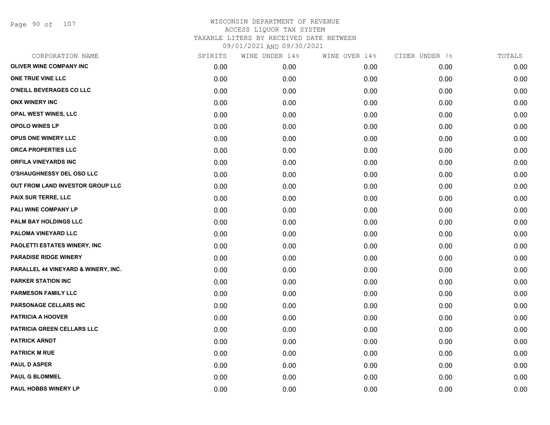Page 90 of 107

| CORPORATION NAME                    | SPIRITS | WINE UNDER 14% | WINE OVER 14% | CIDER UNDER 7% | TOTALS |
|-------------------------------------|---------|----------------|---------------|----------------|--------|
| <b>OLIVER WINE COMPANY INC</b>      | 0.00    | 0.00           | 0.00          | 0.00           | 0.00   |
| ONE TRUE VINE LLC                   | 0.00    | 0.00           | 0.00          | 0.00           | 0.00   |
| O'NEILL BEVERAGES CO LLC            | 0.00    | 0.00           | 0.00          | 0.00           | 0.00   |
| <b>ONX WINERY INC</b>               | 0.00    | 0.00           | 0.00          | 0.00           | 0.00   |
| <b>OPAL WEST WINES, LLC</b>         | 0.00    | 0.00           | 0.00          | 0.00           | 0.00   |
| <b>OPOLO WINES LP</b>               | 0.00    | 0.00           | 0.00          | 0.00           | 0.00   |
| <b>OPUS ONE WINERY LLC</b>          | 0.00    | 0.00           | 0.00          | 0.00           | 0.00   |
| ORCA PROPERTIES LLC                 | 0.00    | 0.00           | 0.00          | 0.00           | 0.00   |
| <b>ORFILA VINEYARDS INC</b>         | 0.00    | 0.00           | 0.00          | 0.00           | 0.00   |
| <b>O'SHAUGHNESSY DEL OSO LLC</b>    | 0.00    | 0.00           | 0.00          | 0.00           | 0.00   |
| OUT FROM LAND INVESTOR GROUP LLC    | 0.00    | 0.00           | 0.00          | 0.00           | 0.00   |
| PAIX SUR TERRE, LLC                 | 0.00    | 0.00           | 0.00          | 0.00           | 0.00   |
| PALI WINE COMPANY LP                | 0.00    | 0.00           | 0.00          | 0.00           | 0.00   |
| PALM BAY HOLDINGS LLC               | 0.00    | 0.00           | 0.00          | 0.00           | 0.00   |
| PALOMA VINEYARD LLC                 | 0.00    | 0.00           | 0.00          | 0.00           | 0.00   |
| PAOLETTI ESTATES WINERY, INC        | 0.00    | 0.00           | 0.00          | 0.00           | 0.00   |
| <b>PARADISE RIDGE WINERY</b>        | 0.00    | 0.00           | 0.00          | 0.00           | 0.00   |
| PARALLEL 44 VINEYARD & WINERY, INC. | 0.00    | 0.00           | 0.00          | 0.00           | 0.00   |
| <b>PARKER STATION INC</b>           | 0.00    | 0.00           | 0.00          | 0.00           | 0.00   |
| <b>PARMESON FAMILY LLC</b>          | 0.00    | 0.00           | 0.00          | 0.00           | 0.00   |
| PARSONAGE CELLARS INC               | 0.00    | 0.00           | 0.00          | 0.00           | 0.00   |
| <b>PATRICIA A HOOVER</b>            | 0.00    | 0.00           | 0.00          | 0.00           | 0.00   |
| PATRICIA GREEN CELLARS LLC          | 0.00    | 0.00           | 0.00          | 0.00           | 0.00   |
| <b>PATRICK ARNDT</b>                | 0.00    | 0.00           | 0.00          | 0.00           | 0.00   |
| <b>PATRICK M RUE</b>                | 0.00    | 0.00           | 0.00          | 0.00           | 0.00   |
| <b>PAUL D ASPER</b>                 | 0.00    | 0.00           | 0.00          | 0.00           | 0.00   |
| <b>PAUL G BLOMMEL</b>               | 0.00    | 0.00           | 0.00          | 0.00           | 0.00   |
| <b>PAUL HOBBS WINERY LP</b>         | 0.00    | 0.00           | 0.00          | 0.00           | 0.00   |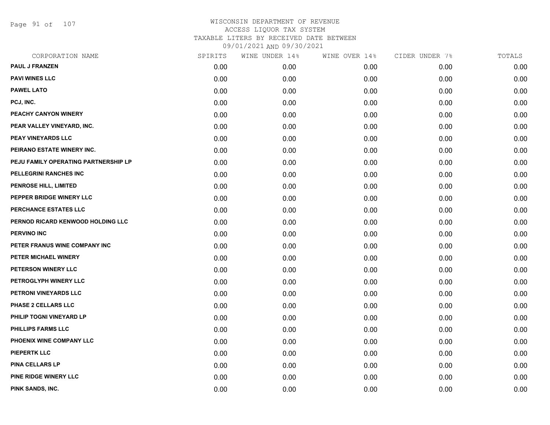Page 91 of 107

| CORPORATION NAME                     | SPIRITS | WINE UNDER 14% | WINE OVER 14% | CIDER UNDER 7% | TOTALS |
|--------------------------------------|---------|----------------|---------------|----------------|--------|
| <b>PAUL J FRANZEN</b>                | 0.00    | 0.00           | 0.00          | 0.00           | 0.00   |
| <b>PAVI WINES LLC</b>                | 0.00    | 0.00           | 0.00          | 0.00           | 0.00   |
| <b>PAWEL LATO</b>                    | 0.00    | 0.00           | 0.00          | 0.00           | 0.00   |
| PCJ, INC.                            | 0.00    | 0.00           | 0.00          | 0.00           | 0.00   |
| PEACHY CANYON WINERY                 | 0.00    | 0.00           | 0.00          | 0.00           | 0.00   |
| PEAR VALLEY VINEYARD, INC.           | 0.00    | 0.00           | 0.00          | 0.00           | 0.00   |
| PEAY VINEYARDS LLC                   | 0.00    | 0.00           | 0.00          | 0.00           | 0.00   |
| PEIRANO ESTATE WINERY INC.           | 0.00    | 0.00           | 0.00          | 0.00           | 0.00   |
| PEJU FAMILY OPERATING PARTNERSHIP LP | 0.00    | 0.00           | 0.00          | 0.00           | 0.00   |
| PELLEGRINI RANCHES INC               | 0.00    | 0.00           | 0.00          | 0.00           | 0.00   |
| <b>PENROSE HILL, LIMITED</b>         | 0.00    | 0.00           | 0.00          | 0.00           | 0.00   |
| PEPPER BRIDGE WINERY LLC             | 0.00    | 0.00           | 0.00          | 0.00           | 0.00   |
| PERCHANCE ESTATES LLC                | 0.00    | 0.00           | 0.00          | 0.00           | 0.00   |
| PERNOD RICARD KENWOOD HOLDING LLC    | 0.00    | 0.00           | 0.00          | 0.00           | 0.00   |
| <b>PERVINO INC</b>                   | 0.00    | 0.00           | 0.00          | 0.00           | 0.00   |
| PETER FRANUS WINE COMPANY INC        | 0.00    | 0.00           | 0.00          | 0.00           | 0.00   |
| PETER MICHAEL WINERY                 | 0.00    | 0.00           | 0.00          | 0.00           | 0.00   |
| PETERSON WINERY LLC                  | 0.00    | 0.00           | 0.00          | 0.00           | 0.00   |
| PETROGLYPH WINERY LLC                | 0.00    | 0.00           | 0.00          | 0.00           | 0.00   |
| PETRONI VINEYARDS LLC                | 0.00    | 0.00           | 0.00          | 0.00           | 0.00   |
| PHASE 2 CELLARS LLC                  | 0.00    | 0.00           | 0.00          | 0.00           | 0.00   |
| PHILIP TOGNI VINEYARD LP             | 0.00    | 0.00           | 0.00          | 0.00           | 0.00   |
| PHILLIPS FARMS LLC                   | 0.00    | 0.00           | 0.00          | 0.00           | 0.00   |
| PHOENIX WINE COMPANY LLC             | 0.00    | 0.00           | 0.00          | 0.00           | 0.00   |
| <b>PIEPERTK LLC</b>                  | 0.00    | 0.00           | 0.00          | 0.00           | 0.00   |
| <b>PINA CELLARS LP</b>               | 0.00    | 0.00           | 0.00          | 0.00           | 0.00   |
| PINE RIDGE WINERY LLC                | 0.00    | 0.00           | 0.00          | 0.00           | 0.00   |
| PINK SANDS, INC.                     | 0.00    | 0.00           | 0.00          | 0.00           | 0.00   |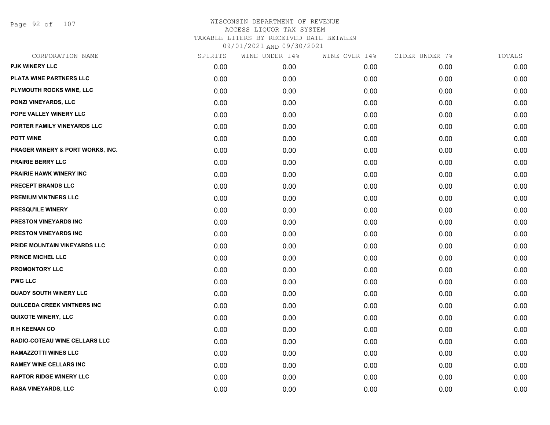Page 92 of 107

| CORPORATION NAME                     | SPIRITS | WINE UNDER 14% | WINE OVER 14% | CIDER UNDER 7% | TOTALS |
|--------------------------------------|---------|----------------|---------------|----------------|--------|
| <b>PJK WINERY LLC</b>                | 0.00    | 0.00           | 0.00          | 0.00           | 0.00   |
| PLATA WINE PARTNERS LLC              | 0.00    | 0.00           | 0.00          | 0.00           | 0.00   |
| PLYMOUTH ROCKS WINE, LLC             | 0.00    | 0.00           | 0.00          | 0.00           | 0.00   |
| <b>PONZI VINEYARDS, LLC</b>          | 0.00    | 0.00           | 0.00          | 0.00           | 0.00   |
| POPE VALLEY WINERY LLC               | 0.00    | 0.00           | 0.00          | 0.00           | 0.00   |
| PORTER FAMILY VINEYARDS LLC          | 0.00    | 0.00           | 0.00          | 0.00           | 0.00   |
| <b>POTT WINE</b>                     | 0.00    | 0.00           | 0.00          | 0.00           | 0.00   |
| PRAGER WINERY & PORT WORKS, INC.     | 0.00    | 0.00           | 0.00          | 0.00           | 0.00   |
| <b>PRAIRIE BERRY LLC</b>             | 0.00    | 0.00           | 0.00          | 0.00           | 0.00   |
| <b>PRAIRIE HAWK WINERY INC</b>       | 0.00    | 0.00           | 0.00          | 0.00           | 0.00   |
| PRECEPT BRANDS LLC                   | 0.00    | 0.00           | 0.00          | 0.00           | 0.00   |
| <b>PREMIUM VINTNERS LLC</b>          | 0.00    | 0.00           | 0.00          | 0.00           | 0.00   |
| PRESQU'ILE WINERY                    | 0.00    | 0.00           | 0.00          | 0.00           | 0.00   |
| PRESTON VINEYARDS INC                | 0.00    | 0.00           | 0.00          | 0.00           | 0.00   |
| <b>PRESTON VINEYARDS INC</b>         | 0.00    | 0.00           | 0.00          | 0.00           | 0.00   |
| PRIDE MOUNTAIN VINEYARDS LLC         | 0.00    | 0.00           | 0.00          | 0.00           | 0.00   |
| <b>PRINCE MICHEL LLC</b>             | 0.00    | 0.00           | 0.00          | 0.00           | 0.00   |
| <b>PROMONTORY LLC</b>                | 0.00    | 0.00           | 0.00          | 0.00           | 0.00   |
| <b>PWG LLC</b>                       | 0.00    | 0.00           | 0.00          | 0.00           | 0.00   |
| <b>QUADY SOUTH WINERY LLC</b>        | 0.00    | 0.00           | 0.00          | 0.00           | 0.00   |
| <b>QUILCEDA CREEK VINTNERS INC</b>   | 0.00    | 0.00           | 0.00          | 0.00           | 0.00   |
| <b>QUIXOTE WINERY, LLC</b>           | 0.00    | 0.00           | 0.00          | 0.00           | 0.00   |
| <b>RH KEENAN CO</b>                  | 0.00    | 0.00           | 0.00          | 0.00           | 0.00   |
| <b>RADIO-COTEAU WINE CELLARS LLC</b> | 0.00    | 0.00           | 0.00          | 0.00           | 0.00   |
| <b>RAMAZZOTTI WINES LLC</b>          | 0.00    | 0.00           | 0.00          | 0.00           | 0.00   |
| <b>RAMEY WINE CELLARS INC</b>        | 0.00    | 0.00           | 0.00          | 0.00           | 0.00   |
| <b>RAPTOR RIDGE WINERY LLC</b>       | 0.00    | 0.00           | 0.00          | 0.00           | 0.00   |
| RASA VINEYARDS, LLC                  | 0.00    | 0.00           | 0.00          | 0.00           | 0.00   |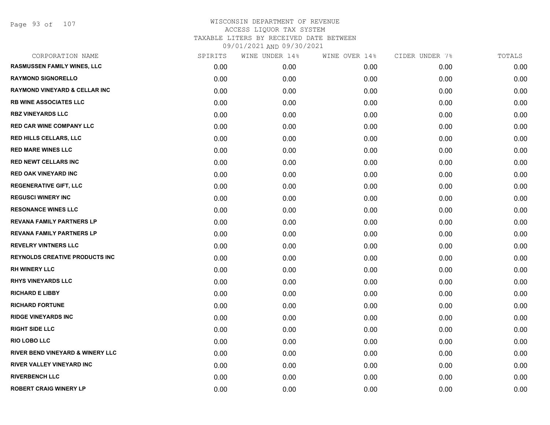Page 93 of 107

| CORPORATION NAME                         | SPIRITS | WINE UNDER 14% | WINE OVER 14% | CIDER UNDER 7% | TOTALS |
|------------------------------------------|---------|----------------|---------------|----------------|--------|
| <b>RASMUSSEN FAMILY WINES, LLC</b>       | 0.00    | 0.00           | 0.00          | 0.00           | 0.00   |
| <b>RAYMOND SIGNORELLO</b>                | 0.00    | 0.00           | 0.00          | 0.00           | 0.00   |
| <b>RAYMOND VINEYARD &amp; CELLAR INC</b> | 0.00    | 0.00           | 0.00          | 0.00           | 0.00   |
| <b>RB WINE ASSOCIATES LLC</b>            | 0.00    | 0.00           | 0.00          | 0.00           | 0.00   |
| <b>RBZ VINEYARDS LLC</b>                 | 0.00    | 0.00           | 0.00          | 0.00           | 0.00   |
| <b>RED CAR WINE COMPANY LLC</b>          | 0.00    | 0.00           | 0.00          | 0.00           | 0.00   |
| RED HILLS CELLARS, LLC                   | 0.00    | 0.00           | 0.00          | 0.00           | 0.00   |
| <b>RED MARE WINES LLC</b>                | 0.00    | 0.00           | 0.00          | 0.00           | 0.00   |
| <b>RED NEWT CELLARS INC</b>              | 0.00    | 0.00           | 0.00          | 0.00           | 0.00   |
| <b>RED OAK VINEYARD INC</b>              | 0.00    | 0.00           | 0.00          | 0.00           | 0.00   |
| <b>REGENERATIVE GIFT, LLC</b>            | 0.00    | 0.00           | 0.00          | 0.00           | 0.00   |
| <b>REGUSCI WINERY INC</b>                | 0.00    | 0.00           | 0.00          | 0.00           | 0.00   |
| <b>RESONANCE WINES LLC</b>               | 0.00    | 0.00           | 0.00          | 0.00           | 0.00   |
| <b>REVANA FAMILY PARTNERS LP</b>         | 0.00    | 0.00           | 0.00          | 0.00           | 0.00   |
| REVANA FAMILY PARTNERS LP                | 0.00    | 0.00           | 0.00          | 0.00           | 0.00   |
| <b>REVELRY VINTNERS LLC</b>              | 0.00    | 0.00           | 0.00          | 0.00           | 0.00   |
| <b>REYNOLDS CREATIVE PRODUCTS INC</b>    | 0.00    | 0.00           | 0.00          | 0.00           | 0.00   |
| <b>RH WINERY LLC</b>                     | 0.00    | 0.00           | 0.00          | 0.00           | 0.00   |
| <b>RHYS VINEYARDS LLC</b>                | 0.00    | 0.00           | 0.00          | 0.00           | 0.00   |
| <b>RICHARD E LIBBY</b>                   | 0.00    | 0.00           | 0.00          | 0.00           | 0.00   |
| <b>RICHARD FORTUNE</b>                   | 0.00    | 0.00           | 0.00          | 0.00           | 0.00   |
| <b>RIDGE VINEYARDS INC</b>               | 0.00    | 0.00           | 0.00          | 0.00           | 0.00   |
| <b>RIGHT SIDE LLC</b>                    | 0.00    | 0.00           | 0.00          | 0.00           | 0.00   |
| <b>RIO LOBO LLC</b>                      | 0.00    | 0.00           | 0.00          | 0.00           | 0.00   |
| RIVER BEND VINEYARD & WINERY LLC         | 0.00    | 0.00           | 0.00          | 0.00           | 0.00   |
| RIVER VALLEY VINEYARD INC                | 0.00    | 0.00           | 0.00          | 0.00           | 0.00   |
| <b>RIVERBENCH LLC</b>                    | 0.00    | 0.00           | 0.00          | 0.00           | 0.00   |
| <b>ROBERT CRAIG WINERY LP</b>            | 0.00    | 0.00           | 0.00          | 0.00           | 0.00   |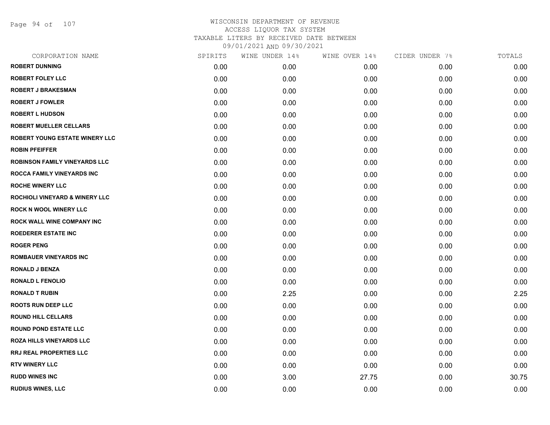Page 94 of 107

| CORPORATION NAME                      | SPIRITS | WINE UNDER 14% | WINE OVER 14% | CIDER UNDER 7% | TOTALS |
|---------------------------------------|---------|----------------|---------------|----------------|--------|
| <b>ROBERT DUNNING</b>                 | 0.00    | 0.00           | 0.00          | 0.00           | 0.00   |
| <b>ROBERT FOLEY LLC</b>               | 0.00    | 0.00           | 0.00          | 0.00           | 0.00   |
| <b>ROBERT J BRAKESMAN</b>             | 0.00    | 0.00           | 0.00          | 0.00           | 0.00   |
| <b>ROBERT J FOWLER</b>                | 0.00    | 0.00           | 0.00          | 0.00           | 0.00   |
| <b>ROBERT L HUDSON</b>                | 0.00    | 0.00           | 0.00          | 0.00           | 0.00   |
| <b>ROBERT MUELLER CELLARS</b>         | 0.00    | 0.00           | 0.00          | 0.00           | 0.00   |
| <b>ROBERT YOUNG ESTATE WINERY LLC</b> | 0.00    | 0.00           | 0.00          | 0.00           | 0.00   |
| <b>ROBIN PFEIFFER</b>                 | 0.00    | 0.00           | 0.00          | 0.00           | 0.00   |
| <b>ROBINSON FAMILY VINEYARDS LLC</b>  | 0.00    | 0.00           | 0.00          | 0.00           | 0.00   |
| ROCCA FAMILY VINEYARDS INC            | 0.00    | 0.00           | 0.00          | 0.00           | 0.00   |
| <b>ROCHE WINERY LLC</b>               | 0.00    | 0.00           | 0.00          | 0.00           | 0.00   |
| ROCHIOLI VINEYARD & WINERY LLC        | 0.00    | 0.00           | 0.00          | 0.00           | 0.00   |
| <b>ROCK N WOOL WINERY LLC</b>         | 0.00    | 0.00           | 0.00          | 0.00           | 0.00   |
| <b>ROCK WALL WINE COMPANY INC</b>     | 0.00    | 0.00           | 0.00          | 0.00           | 0.00   |
| <b>ROEDERER ESTATE INC</b>            | 0.00    | 0.00           | 0.00          | 0.00           | 0.00   |
| <b>ROGER PENG</b>                     | 0.00    | 0.00           | 0.00          | 0.00           | 0.00   |
| <b>ROMBAUER VINEYARDS INC</b>         | 0.00    | 0.00           | 0.00          | 0.00           | 0.00   |
| <b>RONALD J BENZA</b>                 | 0.00    | 0.00           | 0.00          | 0.00           | 0.00   |
| <b>RONALD L FENOLIO</b>               | 0.00    | 0.00           | 0.00          | 0.00           | 0.00   |
| <b>RONALD T RUBIN</b>                 | 0.00    | 2.25           | 0.00          | 0.00           | 2.25   |
| <b>ROOTS RUN DEEP LLC</b>             | 0.00    | 0.00           | 0.00          | 0.00           | 0.00   |
| <b>ROUND HILL CELLARS</b>             | 0.00    | 0.00           | 0.00          | 0.00           | 0.00   |
| <b>ROUND POND ESTATE LLC</b>          | 0.00    | 0.00           | 0.00          | 0.00           | 0.00   |
| <b>ROZA HILLS VINEYARDS LLC</b>       | 0.00    | 0.00           | 0.00          | 0.00           | 0.00   |
| RRJ REAL PROPERTIES LLC               | 0.00    | 0.00           | 0.00          | 0.00           | 0.00   |
| <b>RTV WINERY LLC</b>                 | 0.00    | 0.00           | 0.00          | 0.00           | 0.00   |
| <b>RUDD WINES INC</b>                 | 0.00    | 3.00           | 27.75         | 0.00           | 30.75  |
| <b>RUDIUS WINES, LLC</b>              | 0.00    | 0.00           | 0.00          | 0.00           | 0.00   |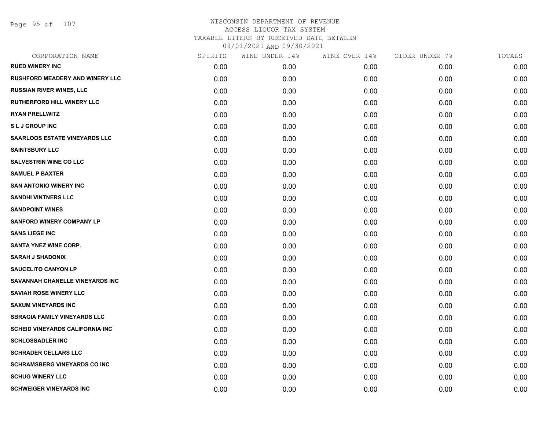Page 95 of 107

| CORPORATION NAME                        | SPIRITS | WINE UNDER 14% | WINE OVER 14% | CIDER UNDER 7% | TOTALS |
|-----------------------------------------|---------|----------------|---------------|----------------|--------|
| <b>RUED WINERY INC</b>                  | 0.00    | 0.00           | 0.00          | 0.00           | 0.00   |
| <b>RUSHFORD MEADERY AND WINERY LLC</b>  | 0.00    | 0.00           | 0.00          | 0.00           | 0.00   |
| <b>RUSSIAN RIVER WINES, LLC</b>         | 0.00    | 0.00           | 0.00          | 0.00           | 0.00   |
| <b>RUTHERFORD HILL WINERY LLC</b>       | 0.00    | 0.00           | 0.00          | 0.00           | 0.00   |
| <b>RYAN PRELLWITZ</b>                   | 0.00    | 0.00           | 0.00          | 0.00           | 0.00   |
| <b>SLJ GROUP INC</b>                    | 0.00    | 0.00           | 0.00          | 0.00           | 0.00   |
| <b>SAARLOOS ESTATE VINEYARDS LLC</b>    | 0.00    | 0.00           | 0.00          | 0.00           | 0.00   |
| <b>SAINTSBURY LLC</b>                   | 0.00    | 0.00           | 0.00          | 0.00           | 0.00   |
| <b>SALVESTRIN WINE CO LLC</b>           | 0.00    | 0.00           | 0.00          | 0.00           | 0.00   |
| <b>SAMUEL P BAXTER</b>                  | 0.00    | 0.00           | 0.00          | 0.00           | 0.00   |
| <b>SAN ANTONIO WINERY INC</b>           | 0.00    | 0.00           | 0.00          | 0.00           | 0.00   |
| <b>SANDHI VINTNERS LLC</b>              | 0.00    | 0.00           | 0.00          | 0.00           | 0.00   |
| <b>SANDPOINT WINES</b>                  | 0.00    | 0.00           | 0.00          | 0.00           | 0.00   |
| <b>SANFORD WINERY COMPANY LP</b>        | 0.00    | 0.00           | 0.00          | 0.00           | 0.00   |
| <b>SANS LIEGE INC</b>                   | 0.00    | 0.00           | 0.00          | 0.00           | 0.00   |
| <b>SANTA YNEZ WINE CORP.</b>            | 0.00    | 0.00           | 0.00          | 0.00           | 0.00   |
| <b>SARAH J SHADONIX</b>                 | 0.00    | 0.00           | 0.00          | 0.00           | 0.00   |
| <b>SAUCELITO CANYON LP</b>              | 0.00    | 0.00           | 0.00          | 0.00           | 0.00   |
| SAVANNAH CHANELLE VINEYARDS INC         | 0.00    | 0.00           | 0.00          | 0.00           | 0.00   |
| <b>SAVIAH ROSE WINERY LLC</b>           | 0.00    | 0.00           | 0.00          | 0.00           | 0.00   |
| <b>SAXUM VINEYARDS INC</b>              | 0.00    | 0.00           | 0.00          | 0.00           | 0.00   |
| <b>SBRAGIA FAMILY VINEYARDS LLC</b>     | 0.00    | 0.00           | 0.00          | 0.00           | 0.00   |
| <b>SCHEID VINEYARDS CALIFORNIA INC.</b> | 0.00    | 0.00           | 0.00          | 0.00           | 0.00   |
| <b>SCHLOSSADLER INC</b>                 | 0.00    | 0.00           | 0.00          | 0.00           | 0.00   |
| <b>SCHRADER CELLARS LLC</b>             | 0.00    | 0.00           | 0.00          | 0.00           | 0.00   |
| <b>SCHRAMSBERG VINEYARDS CO INC</b>     | 0.00    | 0.00           | 0.00          | 0.00           | 0.00   |
| <b>SCHUG WINERY LLC</b>                 | 0.00    | 0.00           | 0.00          | 0.00           | 0.00   |
| <b>SCHWEIGER VINEYARDS INC</b>          | 0.00    | 0.00           | 0.00          | 0.00           | 0.00   |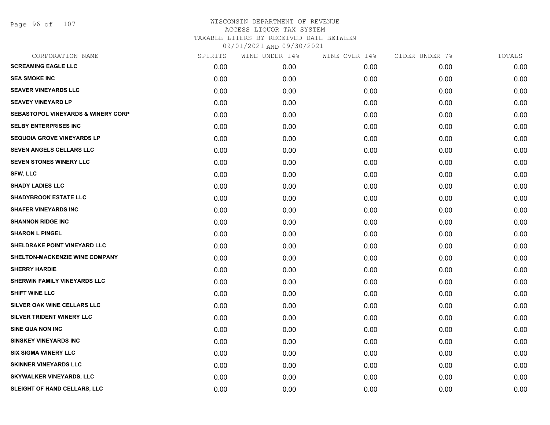| CORPORATION NAME                              | SPIRITS | WINE UNDER 14% | WINE OVER 14% | CIDER UNDER 7% | TOTALS |
|-----------------------------------------------|---------|----------------|---------------|----------------|--------|
| <b>SCREAMING EAGLE LLC</b>                    | 0.00    | 0.00           | 0.00          | 0.00           | 0.00   |
| <b>SEA SMOKE INC</b>                          | 0.00    | 0.00           | 0.00          | 0.00           | 0.00   |
| <b>SEAVER VINEYARDS LLC</b>                   | 0.00    | 0.00           | 0.00          | 0.00           | 0.00   |
| <b>SEAVEY VINEYARD LP</b>                     | 0.00    | 0.00           | 0.00          | 0.00           | 0.00   |
| <b>SEBASTOPOL VINEYARDS &amp; WINERY CORP</b> | 0.00    | 0.00           | 0.00          | 0.00           | 0.00   |
| <b>SELBY ENTERPRISES INC</b>                  | 0.00    | 0.00           | 0.00          | 0.00           | 0.00   |
| <b>SEQUOIA GROVE VINEYARDS LP</b>             | 0.00    | 0.00           | 0.00          | 0.00           | 0.00   |
| <b>SEVEN ANGELS CELLARS LLC</b>               | 0.00    | 0.00           | 0.00          | 0.00           | 0.00   |
| <b>SEVEN STONES WINERY LLC</b>                | 0.00    | 0.00           | 0.00          | 0.00           | 0.00   |
| <b>SFW, LLC</b>                               | 0.00    | 0.00           | 0.00          | 0.00           | 0.00   |
| <b>SHADY LADIES LLC</b>                       | 0.00    | 0.00           | 0.00          | 0.00           | 0.00   |
| <b>SHADYBROOK ESTATE LLC</b>                  | 0.00    | 0.00           | 0.00          | 0.00           | 0.00   |
| <b>SHAFER VINEYARDS INC</b>                   | 0.00    | 0.00           | 0.00          | 0.00           | 0.00   |
| <b>SHANNON RIDGE INC</b>                      | 0.00    | 0.00           | 0.00          | 0.00           | 0.00   |
| <b>SHARON L PINGEL</b>                        | 0.00    | 0.00           | 0.00          | 0.00           | 0.00   |
| SHELDRAKE POINT VINEYARD LLC                  | 0.00    | 0.00           | 0.00          | 0.00           | 0.00   |
| SHELTON-MACKENZIE WINE COMPANY                | 0.00    | 0.00           | 0.00          | 0.00           | 0.00   |
| <b>SHERRY HARDIE</b>                          | 0.00    | 0.00           | 0.00          | 0.00           | 0.00   |
| SHERWIN FAMILY VINEYARDS LLC                  | 0.00    | 0.00           | 0.00          | 0.00           | 0.00   |
| <b>SHIFT WINE LLC</b>                         | 0.00    | 0.00           | 0.00          | 0.00           | 0.00   |
| SILVER OAK WINE CELLARS LLC                   | 0.00    | 0.00           | 0.00          | 0.00           | 0.00   |
| SILVER TRIDENT WINERY LLC                     | 0.00    | 0.00           | 0.00          | 0.00           | 0.00   |
| <b>SINE QUA NON INC</b>                       | 0.00    | 0.00           | 0.00          | 0.00           | 0.00   |
| <b>SINSKEY VINEYARDS INC</b>                  | 0.00    | 0.00           | 0.00          | 0.00           | 0.00   |
| <b>SIX SIGMA WINERY LLC</b>                   | 0.00    | 0.00           | 0.00          | 0.00           | 0.00   |
| <b>SKINNER VINEYARDS LLC</b>                  | 0.00    | 0.00           | 0.00          | 0.00           | 0.00   |
| <b>SKYWALKER VINEYARDS, LLC</b>               | 0.00    | 0.00           | 0.00          | 0.00           | 0.00   |
| SLEIGHT OF HAND CELLARS, LLC                  | 0.00    | 0.00           | 0.00          | 0.00           | 0.00   |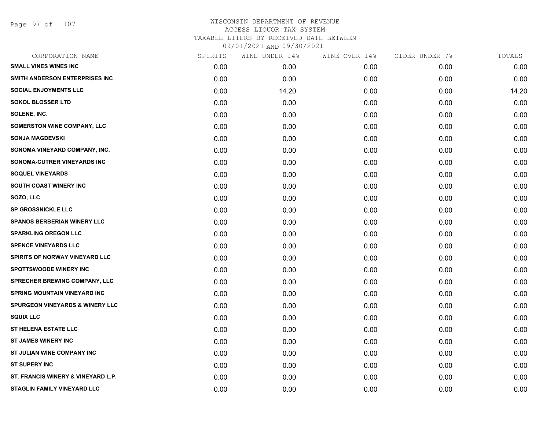Page 97 of 107

| SPIRITS | WINE UNDER 14% | WINE OVER 14% | CIDER UNDER 7% | TOTALS |
|---------|----------------|---------------|----------------|--------|
| 0.00    | 0.00           | 0.00          | 0.00           | 0.00   |
| 0.00    | 0.00           | 0.00          | 0.00           | 0.00   |
| 0.00    | 14.20          | 0.00          | 0.00           | 14.20  |
| 0.00    | 0.00           | 0.00          | 0.00           | 0.00   |
| 0.00    | 0.00           | 0.00          | 0.00           | 0.00   |
| 0.00    | 0.00           | 0.00          | 0.00           | 0.00   |
| 0.00    | 0.00           | 0.00          | 0.00           | 0.00   |
| 0.00    | 0.00           | 0.00          | 0.00           | 0.00   |
| 0.00    | 0.00           | 0.00          | 0.00           | 0.00   |
| 0.00    | 0.00           | 0.00          | 0.00           | 0.00   |
| 0.00    | 0.00           | 0.00          | 0.00           | 0.00   |
| 0.00    | 0.00           | 0.00          | 0.00           | 0.00   |
| 0.00    | 0.00           | 0.00          | 0.00           | 0.00   |
| 0.00    | 0.00           | 0.00          | 0.00           | 0.00   |
| 0.00    | 0.00           | 0.00          | 0.00           | 0.00   |
| 0.00    | 0.00           | 0.00          | 0.00           | 0.00   |
| 0.00    | 0.00           | 0.00          | 0.00           | 0.00   |
| 0.00    | 0.00           | 0.00          | 0.00           | 0.00   |
| 0.00    | 0.00           | 0.00          | 0.00           | 0.00   |
| 0.00    | 0.00           | 0.00          | 0.00           | 0.00   |
| 0.00    | 0.00           | 0.00          | 0.00           | 0.00   |
| 0.00    | 0.00           | 0.00          | 0.00           | 0.00   |
| 0.00    | 0.00           | 0.00          | 0.00           | 0.00   |
| 0.00    | 0.00           | 0.00          | 0.00           | 0.00   |
| 0.00    | 0.00           | 0.00          | 0.00           | 0.00   |
| 0.00    | 0.00           | 0.00          | 0.00           | 0.00   |
| 0.00    | 0.00           | 0.00          | 0.00           | 0.00   |
| 0.00    | 0.00           | 0.00          | 0.00           | 0.00   |
|         |                |               |                |        |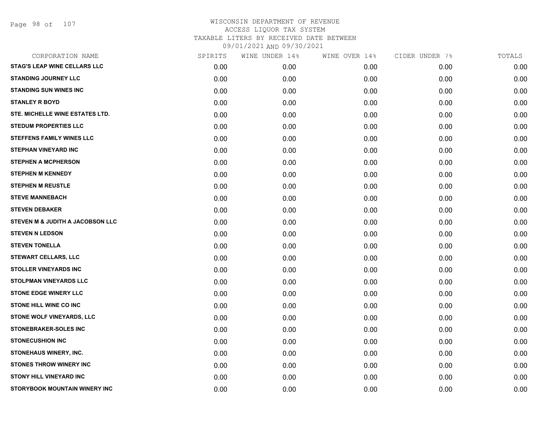Page 98 of 107

| CORPORATION NAME                    | SPIRITS | WINE UNDER 14% | WINE OVER 14% | CIDER UNDER 7% | TOTALS |
|-------------------------------------|---------|----------------|---------------|----------------|--------|
| <b>STAG'S LEAP WINE CELLARS LLC</b> | 0.00    | 0.00           | 0.00          | 0.00           | 0.00   |
| <b>STANDING JOURNEY LLC</b>         | 0.00    | 0.00           | 0.00          | 0.00           | 0.00   |
| <b>STANDING SUN WINES INC</b>       | 0.00    | 0.00           | 0.00          | 0.00           | 0.00   |
| <b>STANLEY R BOYD</b>               | 0.00    | 0.00           | 0.00          | 0.00           | 0.00   |
| STE. MICHELLE WINE ESTATES LTD.     | 0.00    | 0.00           | 0.00          | 0.00           | 0.00   |
| <b>STEDUM PROPERTIES LLC</b>        | 0.00    | 0.00           | 0.00          | 0.00           | 0.00   |
| <b>STEFFENS FAMILY WINES LLC</b>    | 0.00    | 0.00           | 0.00          | 0.00           | 0.00   |
| <b>STEPHAN VINEYARD INC</b>         | 0.00    | 0.00           | 0.00          | 0.00           | 0.00   |
| <b>STEPHEN A MCPHERSON</b>          | 0.00    | 0.00           | 0.00          | 0.00           | 0.00   |
| <b>STEPHEN M KENNEDY</b>            | 0.00    | 0.00           | 0.00          | 0.00           | 0.00   |
| <b>STEPHEN M REUSTLE</b>            | 0.00    | 0.00           | 0.00          | 0.00           | 0.00   |
| <b>STEVE MANNEBACH</b>              | 0.00    | 0.00           | 0.00          | 0.00           | 0.00   |
| <b>STEVEN DEBAKER</b>               | 0.00    | 0.00           | 0.00          | 0.00           | 0.00   |
| STEVEN M & JUDITH A JACOBSON LLC    | 0.00    | 0.00           | 0.00          | 0.00           | 0.00   |
| <b>STEVEN N LEDSON</b>              | 0.00    | 0.00           | 0.00          | 0.00           | 0.00   |
| <b>STEVEN TONELLA</b>               | 0.00    | 0.00           | 0.00          | 0.00           | 0.00   |
| <b>STEWART CELLARS, LLC</b>         | 0.00    | 0.00           | 0.00          | 0.00           | 0.00   |
| <b>STOLLER VINEYARDS INC</b>        | 0.00    | 0.00           | 0.00          | 0.00           | 0.00   |
| STOLPMAN VINEYARDS LLC              | 0.00    | 0.00           | 0.00          | 0.00           | 0.00   |
| <b>STONE EDGE WINERY LLC</b>        | 0.00    | 0.00           | 0.00          | 0.00           | 0.00   |
| <b>STONE HILL WINE CO INC</b>       | 0.00    | 0.00           | 0.00          | 0.00           | 0.00   |
| STONE WOLF VINEYARDS, LLC           | 0.00    | 0.00           | 0.00          | 0.00           | 0.00   |
| STONEBRAKER-SOLES INC               | 0.00    | 0.00           | 0.00          | 0.00           | 0.00   |
| <b>STONECUSHION INC</b>             | 0.00    | 0.00           | 0.00          | 0.00           | 0.00   |
| STONEHAUS WINERY, INC.              | 0.00    | 0.00           | 0.00          | 0.00           | 0.00   |
| <b>STONES THROW WINERY INC</b>      | 0.00    | 0.00           | 0.00          | 0.00           | 0.00   |
| <b>STONY HILL VINEYARD INC</b>      | 0.00    | 0.00           | 0.00          | 0.00           | 0.00   |
| STORYBOOK MOUNTAIN WINERY INC       | 0.00    | 0.00           | 0.00          | 0.00           | 0.00   |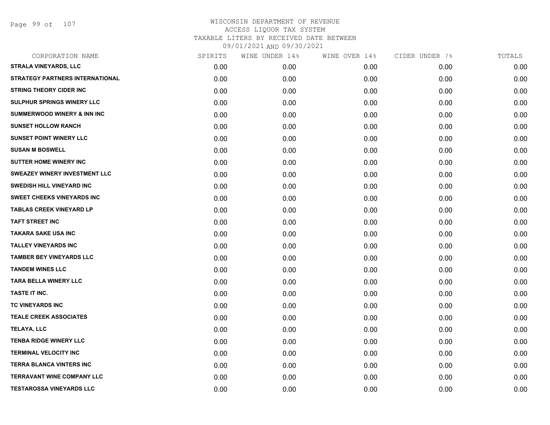Page 99 of 107

| CORPORATION NAME                       | SPIRITS | WINE UNDER 14% | WINE OVER 14% | CIDER UNDER 7% | TOTALS |
|----------------------------------------|---------|----------------|---------------|----------------|--------|
| <b>STRALA VINEYARDS, LLC</b>           | 0.00    | 0.00           | 0.00          | 0.00           | 0.00   |
| <b>STRATEGY PARTNERS INTERNATIONAL</b> | 0.00    | 0.00           | 0.00          | 0.00           | 0.00   |
| <b>STRING THEORY CIDER INC</b>         | 0.00    | 0.00           | 0.00          | 0.00           | 0.00   |
| SULPHUR SPRINGS WINERY LLC             | 0.00    | 0.00           | 0.00          | 0.00           | 0.00   |
| <b>SUMMERWOOD WINERY &amp; INN INC</b> | 0.00    | 0.00           | 0.00          | 0.00           | 0.00   |
| <b>SUNSET HOLLOW RANCH</b>             | 0.00    | 0.00           | 0.00          | 0.00           | 0.00   |
| <b>SUNSET POINT WINERY LLC</b>         | 0.00    | 0.00           | 0.00          | 0.00           | 0.00   |
| <b>SUSAN M BOSWELL</b>                 | 0.00    | 0.00           | 0.00          | 0.00           | 0.00   |
| <b>SUTTER HOME WINERY INC</b>          | 0.00    | 0.00           | 0.00          | 0.00           | 0.00   |
| <b>SWEAZEY WINERY INVESTMENT LLC</b>   | 0.00    | 0.00           | 0.00          | 0.00           | 0.00   |
| <b>SWEDISH HILL VINEYARD INC</b>       | 0.00    | 0.00           | 0.00          | 0.00           | 0.00   |
| <b>SWEET CHEEKS VINEYARDS INC</b>      | 0.00    | 0.00           | 0.00          | 0.00           | 0.00   |
| <b>TABLAS CREEK VINEYARD LP</b>        | 0.00    | 0.00           | 0.00          | 0.00           | 0.00   |
| <b>TAFT STREET INC</b>                 | 0.00    | 0.00           | 0.00          | 0.00           | 0.00   |
| <b>TAKARA SAKE USA INC</b>             | 0.00    | 0.00           | 0.00          | 0.00           | 0.00   |
| <b>TALLEY VINEYARDS INC</b>            | 0.00    | 0.00           | 0.00          | 0.00           | 0.00   |
| <b>TAMBER BEY VINEYARDS LLC</b>        | 0.00    | 0.00           | 0.00          | 0.00           | 0.00   |
| <b>TANDEM WINES LLC</b>                | 0.00    | 0.00           | 0.00          | 0.00           | 0.00   |
| <b>TARA BELLA WINERY LLC</b>           | 0.00    | 0.00           | 0.00          | 0.00           | 0.00   |
| TASTE IT INC.                          | 0.00    | 0.00           | 0.00          | 0.00           | 0.00   |
| TC VINEYARDS INC                       | 0.00    | 0.00           | 0.00          | 0.00           | 0.00   |
| <b>TEALE CREEK ASSOCIATES</b>          | 0.00    | 0.00           | 0.00          | 0.00           | 0.00   |
| TELAYA, LLC                            | 0.00    | 0.00           | 0.00          | 0.00           | 0.00   |
| <b>TENBA RIDGE WINERY LLC</b>          | 0.00    | 0.00           | 0.00          | 0.00           | 0.00   |
| <b>TERMINAL VELOCITY INC</b>           | 0.00    | 0.00           | 0.00          | 0.00           | 0.00   |
| <b>TERRA BLANCA VINTERS INC</b>        | 0.00    | 0.00           | 0.00          | 0.00           | 0.00   |
| <b>TERRAVANT WINE COMPANY LLC</b>      | 0.00    | 0.00           | 0.00          | 0.00           | 0.00   |
| <b>TESTAROSSA VINEYARDS LLC</b>        | 0.00    | 0.00           | 0.00          | 0.00           | 0.00   |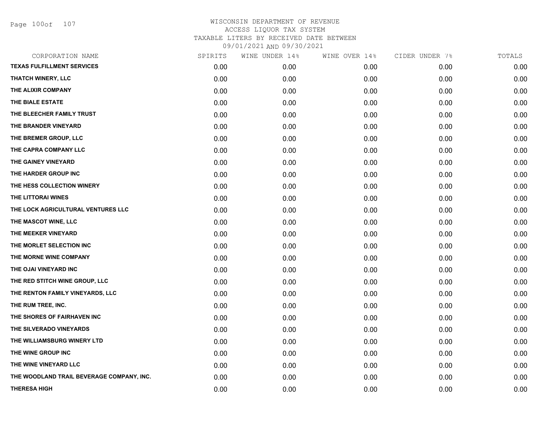Page 100of 107

| CORPORATION NAME                          | SPIRITS | WINE UNDER 14% | WINE OVER 14% | CIDER UNDER 7% | TOTALS |
|-------------------------------------------|---------|----------------|---------------|----------------|--------|
| <b>TEXAS FULFILLMENT SERVICES</b>         | 0.00    | 0.00           | 0.00          | 0.00           | 0.00   |
| <b>THATCH WINERY, LLC</b>                 | 0.00    | 0.00           | 0.00          | 0.00           | 0.00   |
| THE ALIXIR COMPANY                        | 0.00    | 0.00           | 0.00          | 0.00           | 0.00   |
| THE BIALE ESTATE                          | 0.00    | 0.00           | 0.00          | 0.00           | 0.00   |
| THE BLEECHER FAMILY TRUST                 | 0.00    | 0.00           | 0.00          | 0.00           | 0.00   |
| THE BRANDER VINEYARD                      | 0.00    | 0.00           | 0.00          | 0.00           | 0.00   |
| THE BREMER GROUP, LLC                     | 0.00    | 0.00           | 0.00          | 0.00           | 0.00   |
| THE CAPRA COMPANY LLC                     | 0.00    | 0.00           | 0.00          | 0.00           | 0.00   |
| THE GAINEY VINEYARD                       | 0.00    | 0.00           | 0.00          | 0.00           | 0.00   |
| THE HARDER GROUP INC                      | 0.00    | 0.00           | 0.00          | 0.00           | 0.00   |
| THE HESS COLLECTION WINERY                | 0.00    | 0.00           | 0.00          | 0.00           | 0.00   |
| THE LITTORAI WINES                        | 0.00    | 0.00           | 0.00          | 0.00           | 0.00   |
| THE LOCK AGRICULTURAL VENTURES LLC        | 0.00    | 0.00           | 0.00          | 0.00           | 0.00   |
| THE MASCOT WINE, LLC                      | 0.00    | 0.00           | 0.00          | 0.00           | 0.00   |
| THE MEEKER VINEYARD                       | 0.00    | 0.00           | 0.00          | 0.00           | 0.00   |
| THE MORLET SELECTION INC                  | 0.00    | 0.00           | 0.00          | 0.00           | 0.00   |
| THE MORNE WINE COMPANY                    | 0.00    | 0.00           | 0.00          | 0.00           | 0.00   |
| THE OJAI VINEYARD INC                     | 0.00    | 0.00           | 0.00          | 0.00           | 0.00   |
| THE RED STITCH WINE GROUP, LLC            | 0.00    | 0.00           | 0.00          | 0.00           | 0.00   |
| THE RENTON FAMILY VINEYARDS, LLC          | 0.00    | 0.00           | 0.00          | 0.00           | 0.00   |
| THE RUM TREE, INC.                        | 0.00    | 0.00           | 0.00          | 0.00           | 0.00   |
| THE SHORES OF FAIRHAVEN INC               | 0.00    | 0.00           | 0.00          | 0.00           | 0.00   |
| THE SILVERADO VINEYARDS                   | 0.00    | 0.00           | 0.00          | 0.00           | 0.00   |
| THE WILLIAMSBURG WINERY LTD               | 0.00    | 0.00           | 0.00          | 0.00           | 0.00   |
| THE WINE GROUP INC                        | 0.00    | 0.00           | 0.00          | 0.00           | 0.00   |
| THE WINE VINEYARD LLC                     | 0.00    | 0.00           | 0.00          | 0.00           | 0.00   |
| THE WOODLAND TRAIL BEVERAGE COMPANY, INC. | 0.00    | 0.00           | 0.00          | 0.00           | 0.00   |
| <b>THERESA HIGH</b>                       | 0.00    | 0.00           | 0.00          | 0.00           | 0.00   |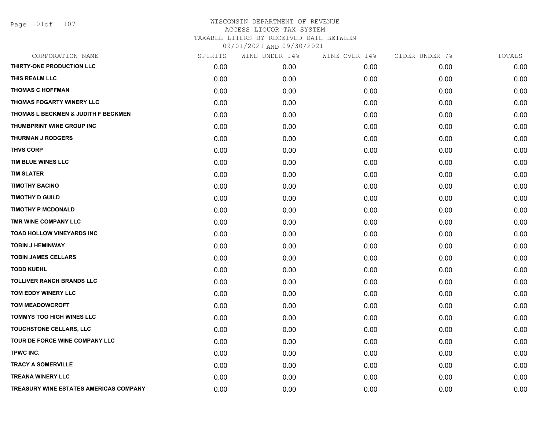| CORPORATION NAME                       | SPIRITS | WINE UNDER 14% | WINE OVER 14% | CIDER UNDER 7% | TOTALS |
|----------------------------------------|---------|----------------|---------------|----------------|--------|
| THIRTY-ONE PRODUCTION LLC              | 0.00    | 0.00           | 0.00          | 0.00           | 0.00   |
| THIS REALM LLC                         | 0.00    | 0.00           | 0.00          | 0.00           | 0.00   |
| <b>THOMAS C HOFFMAN</b>                | 0.00    | 0.00           | 0.00          | 0.00           | 0.00   |
| THOMAS FOGARTY WINERY LLC              | 0.00    | 0.00           | 0.00          | 0.00           | 0.00   |
| THOMAS L BECKMEN & JUDITH F BECKMEN    | 0.00    | 0.00           | 0.00          | 0.00           | 0.00   |
| THUMBPRINT WINE GROUP INC              | 0.00    | 0.00           | 0.00          | 0.00           | 0.00   |
| <b>THURMAN J RODGERS</b>               | 0.00    | 0.00           | 0.00          | 0.00           | 0.00   |
| <b>THVS CORP</b>                       | 0.00    | 0.00           | 0.00          | 0.00           | 0.00   |
| TIM BLUE WINES LLC                     | 0.00    | 0.00           | 0.00          | 0.00           | 0.00   |
| <b>TIM SLATER</b>                      | 0.00    | 0.00           | 0.00          | 0.00           | 0.00   |
| <b>TIMOTHY BACINO</b>                  | 0.00    | 0.00           | 0.00          | 0.00           | 0.00   |
| <b>TIMOTHY D GUILD</b>                 | 0.00    | 0.00           | 0.00          | 0.00           | 0.00   |
| <b>TIMOTHY P MCDONALD</b>              | 0.00    | 0.00           | 0.00          | 0.00           | 0.00   |
| TMR WINE COMPANY LLC                   | 0.00    | 0.00           | 0.00          | 0.00           | 0.00   |
| TOAD HOLLOW VINEYARDS INC              | 0.00    | 0.00           | 0.00          | 0.00           | 0.00   |
| <b>TOBIN J HEMINWAY</b>                | 0.00    | 0.00           | 0.00          | 0.00           | 0.00   |
| <b>TOBIN JAMES CELLARS</b>             | 0.00    | 0.00           | 0.00          | 0.00           | 0.00   |
| <b>TODD KUEHL</b>                      | 0.00    | 0.00           | 0.00          | 0.00           | 0.00   |
| <b>TOLLIVER RANCH BRANDS LLC</b>       | 0.00    | 0.00           | 0.00          | 0.00           | 0.00   |
| TOM EDDY WINERY LLC                    | 0.00    | 0.00           | 0.00          | 0.00           | 0.00   |
| <b>TOM MEADOWCROFT</b>                 | 0.00    | 0.00           | 0.00          | 0.00           | 0.00   |
| <b>TOMMYS TOO HIGH WINES LLC</b>       | 0.00    | 0.00           | 0.00          | 0.00           | 0.00   |
| TOUCHSTONE CELLARS, LLC                | 0.00    | 0.00           | 0.00          | 0.00           | 0.00   |
| TOUR DE FORCE WINE COMPANY LLC         | 0.00    | 0.00           | 0.00          | 0.00           | 0.00   |
| TPWC INC.                              | 0.00    | 0.00           | 0.00          | 0.00           | 0.00   |
| <b>TRACY A SOMERVILLE</b>              | 0.00    | 0.00           | 0.00          | 0.00           | 0.00   |
| <b>TREANA WINERY LLC</b>               | 0.00    | 0.00           | 0.00          | 0.00           | 0.00   |
| TREASURY WINE ESTATES AMERICAS COMPANY | 0.00    | 0.00           | 0.00          | 0.00           | 0.00   |
|                                        |         |                |               |                |        |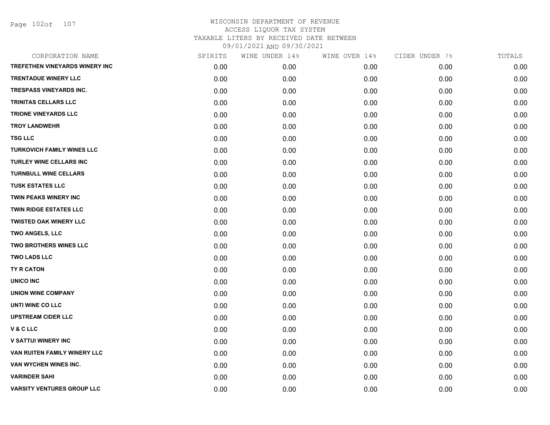Page 102of 107

| CORPORATION NAME                  | SPIRITS | WINE UNDER 14% | WINE OVER 14% | CIDER UNDER 7% | TOTALS |
|-----------------------------------|---------|----------------|---------------|----------------|--------|
| TREFETHEN VINEYARDS WINERY INC    | 0.00    | 0.00           | 0.00          | 0.00           | 0.00   |
| <b>TRENTADUE WINERY LLC</b>       | 0.00    | 0.00           | 0.00          | 0.00           | 0.00   |
| <b>TRESPASS VINEYARDS INC.</b>    | 0.00    | 0.00           | 0.00          | 0.00           | 0.00   |
| TRINITAS CELLARS LLC              | 0.00    | 0.00           | 0.00          | 0.00           | 0.00   |
| <b>TRIONE VINEYARDS LLC</b>       | 0.00    | 0.00           | 0.00          | 0.00           | 0.00   |
| <b>TROY LANDWEHR</b>              | 0.00    | 0.00           | 0.00          | 0.00           | 0.00   |
| <b>TSG LLC</b>                    | 0.00    | 0.00           | 0.00          | 0.00           | 0.00   |
| <b>TURKOVICH FAMILY WINES LLC</b> | 0.00    | 0.00           | 0.00          | 0.00           | 0.00   |
| <b>TURLEY WINE CELLARS INC</b>    | 0.00    | 0.00           | 0.00          | 0.00           | 0.00   |
| <b>TURNBULL WINE CELLARS</b>      | 0.00    | 0.00           | 0.00          | 0.00           | 0.00   |
| <b>TUSK ESTATES LLC</b>           | 0.00    | 0.00           | 0.00          | 0.00           | 0.00   |
| <b>TWIN PEAKS WINERY INC</b>      | 0.00    | 0.00           | 0.00          | 0.00           | 0.00   |
| <b>TWIN RIDGE ESTATES LLC</b>     | 0.00    | 0.00           | 0.00          | 0.00           | 0.00   |
| <b>TWISTED OAK WINERY LLC</b>     | 0.00    | 0.00           | 0.00          | 0.00           | 0.00   |
| <b>TWO ANGELS, LLC</b>            | 0.00    | 0.00           | 0.00          | 0.00           | 0.00   |
| TWO BROTHERS WINES LLC            | 0.00    | 0.00           | 0.00          | 0.00           | 0.00   |
| <b>TWO LADS LLC</b>               | 0.00    | 0.00           | 0.00          | 0.00           | 0.00   |
| TY R CATON                        | 0.00    | 0.00           | 0.00          | 0.00           | 0.00   |
| UNICO INC                         | 0.00    | 0.00           | 0.00          | 0.00           | 0.00   |
| <b>UNION WINE COMPANY</b>         | 0.00    | 0.00           | 0.00          | 0.00           | 0.00   |
| UNTI WINE CO LLC                  | 0.00    | 0.00           | 0.00          | 0.00           | 0.00   |
| <b>UPSTREAM CIDER LLC</b>         | 0.00    | 0.00           | 0.00          | 0.00           | 0.00   |
| V & C LLC                         | 0.00    | 0.00           | 0.00          | 0.00           | 0.00   |
| <b>V SATTUI WINERY INC</b>        | 0.00    | 0.00           | 0.00          | 0.00           | 0.00   |
| VAN RUITEN FAMILY WINERY LLC      | 0.00    | 0.00           | 0.00          | 0.00           | 0.00   |
| VAN WYCHEN WINES INC.             | 0.00    | 0.00           | 0.00          | 0.00           | 0.00   |
| <b>VARINDER SAHI</b>              | 0.00    | 0.00           | 0.00          | 0.00           | 0.00   |
| <b>VARSITY VENTURES GROUP LLC</b> | 0.00    | 0.00           | 0.00          | 0.00           | 0.00   |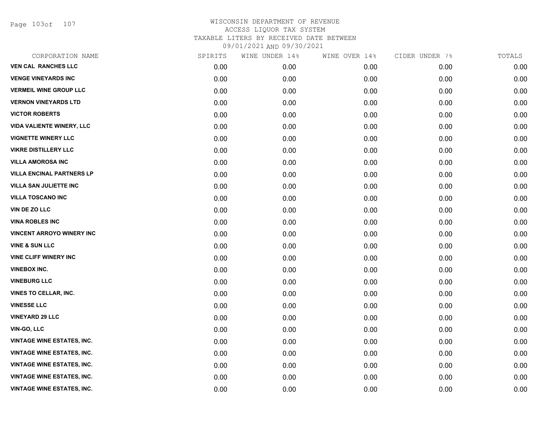Page 103of 107

| CORPORATION NAME                  | SPIRITS | WINE UNDER 14% | WINE OVER 14% | CIDER UNDER 7% | TOTALS |
|-----------------------------------|---------|----------------|---------------|----------------|--------|
| <b>VEN CAL RANCHES LLC</b>        | 0.00    | 0.00           | 0.00          | 0.00           | 0.00   |
| <b>VENGE VINEYARDS INC</b>        | 0.00    | 0.00           | 0.00          | 0.00           | 0.00   |
| <b>VERMEIL WINE GROUP LLC</b>     | 0.00    | 0.00           | 0.00          | 0.00           | 0.00   |
| <b>VERNON VINEYARDS LTD</b>       | 0.00    | 0.00           | 0.00          | 0.00           | 0.00   |
| <b>VICTOR ROBERTS</b>             | 0.00    | 0.00           | 0.00          | 0.00           | 0.00   |
| <b>VIDA VALIENTE WINERY, LLC</b>  | 0.00    | 0.00           | 0.00          | 0.00           | 0.00   |
| <b>VIGNETTE WINERY LLC</b>        | 0.00    | 0.00           | 0.00          | 0.00           | 0.00   |
| <b>VIKRE DISTILLERY LLC</b>       | 0.00    | 0.00           | 0.00          | 0.00           | 0.00   |
| <b>VILLA AMOROSA INC</b>          | 0.00    | 0.00           | 0.00          | 0.00           | 0.00   |
| <b>VILLA ENCINAL PARTNERS LP</b>  | 0.00    | 0.00           | 0.00          | 0.00           | 0.00   |
| <b>VILLA SAN JULIETTE INC</b>     | 0.00    | 0.00           | 0.00          | 0.00           | 0.00   |
| <b>VILLA TOSCANO INC</b>          | 0.00    | 0.00           | 0.00          | 0.00           | 0.00   |
| VIN DE ZO LLC                     | 0.00    | 0.00           | 0.00          | 0.00           | 0.00   |
| <b>VINA ROBLES INC</b>            | 0.00    | 0.00           | 0.00          | 0.00           | 0.00   |
| <b>VINCENT ARROYO WINERY INC</b>  | 0.00    | 0.00           | 0.00          | 0.00           | 0.00   |
| <b>VINE &amp; SUN LLC</b>         | 0.00    | 0.00           | 0.00          | 0.00           | 0.00   |
| <b>VINE CLIFF WINERY INC</b>      | 0.00    | 0.00           | 0.00          | 0.00           | 0.00   |
| <b>VINEBOX INC.</b>               | 0.00    | 0.00           | 0.00          | 0.00           | 0.00   |
| <b>VINEBURG LLC</b>               | 0.00    | 0.00           | 0.00          | 0.00           | 0.00   |
| VINES TO CELLAR, INC.             | 0.00    | 0.00           | 0.00          | 0.00           | 0.00   |
| <b>VINESSE LLC</b>                | 0.00    | 0.00           | 0.00          | 0.00           | 0.00   |
| <b>VINEYARD 29 LLC</b>            | 0.00    | 0.00           | 0.00          | 0.00           | 0.00   |
| <b>VIN-GO, LLC</b>                | 0.00    | 0.00           | 0.00          | 0.00           | 0.00   |
| <b>VINTAGE WINE ESTATES, INC.</b> | 0.00    | 0.00           | 0.00          | 0.00           | 0.00   |
| <b>VINTAGE WINE ESTATES, INC.</b> | 0.00    | 0.00           | 0.00          | 0.00           | 0.00   |
| <b>VINTAGE WINE ESTATES, INC.</b> | 0.00    | 0.00           | 0.00          | 0.00           | 0.00   |
| <b>VINTAGE WINE ESTATES, INC.</b> | 0.00    | 0.00           | 0.00          | 0.00           | 0.00   |
| <b>VINTAGE WINE ESTATES, INC.</b> | 0.00    | 0.00           | 0.00          | 0.00           | 0.00   |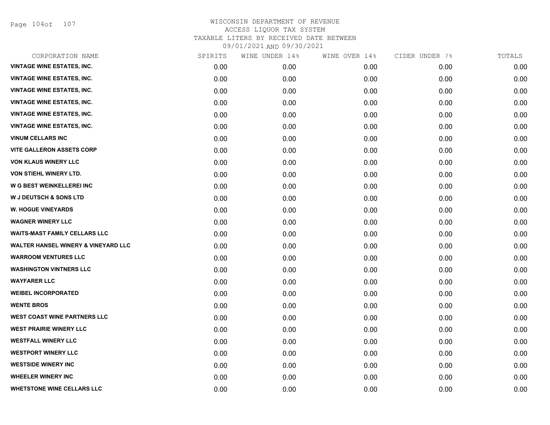Page 104of 107

| CORPORATION NAME                     | SPIRITS | WINE UNDER 14% | WINE OVER 14% | CIDER UNDER 7% | TOTALS |
|--------------------------------------|---------|----------------|---------------|----------------|--------|
| <b>VINTAGE WINE ESTATES, INC.</b>    | 0.00    | 0.00           | 0.00          | 0.00           | 0.00   |
| <b>VINTAGE WINE ESTATES, INC.</b>    | 0.00    | 0.00           | 0.00          | 0.00           | 0.00   |
| <b>VINTAGE WINE ESTATES, INC.</b>    | 0.00    | 0.00           | 0.00          | 0.00           | 0.00   |
| <b>VINTAGE WINE ESTATES, INC.</b>    | 0.00    | 0.00           | 0.00          | 0.00           | 0.00   |
| <b>VINTAGE WINE ESTATES, INC.</b>    | 0.00    | 0.00           | 0.00          | 0.00           | 0.00   |
| <b>VINTAGE WINE ESTATES, INC.</b>    | 0.00    | 0.00           | 0.00          | 0.00           | 0.00   |
| <b>VINUM CELLARS INC</b>             | 0.00    | 0.00           | 0.00          | 0.00           | 0.00   |
| <b>VITE GALLERON ASSETS CORP</b>     | 0.00    | 0.00           | 0.00          | 0.00           | 0.00   |
| <b>VON KLAUS WINERY LLC</b>          | 0.00    | 0.00           | 0.00          | 0.00           | 0.00   |
| VON STIEHL WINERY LTD.               | 0.00    | 0.00           | 0.00          | 0.00           | 0.00   |
| W G BEST WEINKELLEREI INC            | 0.00    | 0.00           | 0.00          | 0.00           | 0.00   |
| <b>W J DEUTSCH &amp; SONS LTD</b>    | 0.00    | 0.00           | 0.00          | 0.00           | 0.00   |
| <b>W. HOGUE VINEYARDS</b>            | 0.00    | 0.00           | 0.00          | 0.00           | 0.00   |
| <b>WAGNER WINERY LLC</b>             | 0.00    | 0.00           | 0.00          | 0.00           | 0.00   |
| <b>WAITS-MAST FAMILY CELLARS LLC</b> | 0.00    | 0.00           | 0.00          | 0.00           | 0.00   |
| WALTER HANSEL WINERY & VINEYARD LLC  | 0.00    | 0.00           | 0.00          | 0.00           | 0.00   |
| <b>WARROOM VENTURES LLC</b>          | 0.00    | 0.00           | 0.00          | 0.00           | 0.00   |
| <b>WASHINGTON VINTNERS LLC</b>       | 0.00    | 0.00           | 0.00          | 0.00           | 0.00   |
| <b>WAYFARER LLC</b>                  | 0.00    | 0.00           | 0.00          | 0.00           | 0.00   |
| <b>WEIBEL INCORPORATED</b>           | 0.00    | 0.00           | 0.00          | 0.00           | 0.00   |
| <b>WENTE BROS</b>                    | 0.00    | 0.00           | 0.00          | 0.00           | 0.00   |
| <b>WEST COAST WINE PARTNERS LLC</b>  | 0.00    | 0.00           | 0.00          | 0.00           | 0.00   |
| <b>WEST PRAIRIE WINERY LLC</b>       | 0.00    | 0.00           | 0.00          | 0.00           | 0.00   |
| <b>WESTFALL WINERY LLC</b>           | 0.00    | 0.00           | 0.00          | 0.00           | 0.00   |
| <b>WESTPORT WINERY LLC</b>           | 0.00    | 0.00           | 0.00          | 0.00           | 0.00   |
| <b>WESTSIDE WINERY INC</b>           | 0.00    | 0.00           | 0.00          | 0.00           | 0.00   |
| <b>WHEELER WINERY INC</b>            | 0.00    | 0.00           | 0.00          | 0.00           | 0.00   |
| <b>WHETSTONE WINE CELLARS LLC</b>    | 0.00    | 0.00           | 0.00          | 0.00           | 0.00   |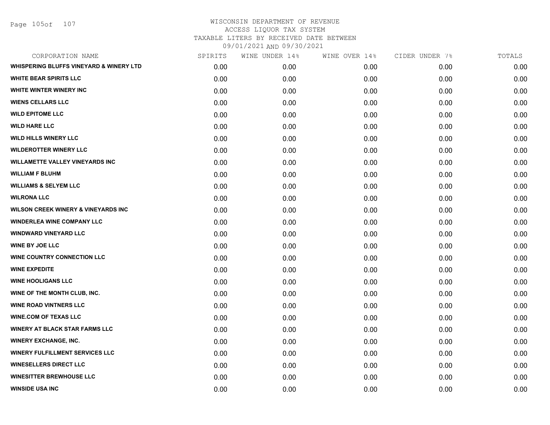Page 105of 107

| CORPORATION NAME                                   | SPIRITS | WINE UNDER 14% | WINE OVER 14% | CIDER UNDER 7% | TOTALS |
|----------------------------------------------------|---------|----------------|---------------|----------------|--------|
| <b>WHISPERING BLUFFS VINEYARD &amp; WINERY LTD</b> | 0.00    | 0.00           | 0.00          | 0.00           | 0.00   |
| <b>WHITE BEAR SPIRITS LLC</b>                      | 0.00    | 0.00           | 0.00          | 0.00           | 0.00   |
| WHITE WINTER WINERY INC                            | 0.00    | 0.00           | 0.00          | 0.00           | 0.00   |
| <b>WIENS CELLARS LLC</b>                           | 0.00    | 0.00           | 0.00          | 0.00           | 0.00   |
| <b>WILD EPITOME LLC</b>                            | 0.00    | 0.00           | 0.00          | 0.00           | 0.00   |
| <b>WILD HARE LLC</b>                               | 0.00    | 0.00           | 0.00          | 0.00           | 0.00   |
| <b>WILD HILLS WINERY LLC</b>                       | 0.00    | 0.00           | 0.00          | 0.00           | 0.00   |
| <b>WILDEROTTER WINERY LLC</b>                      | 0.00    | 0.00           | 0.00          | 0.00           | 0.00   |
| <b>WILLAMETTE VALLEY VINEYARDS INC</b>             | 0.00    | 0.00           | 0.00          | 0.00           | 0.00   |
| <b>WILLIAM F BLUHM</b>                             | 0.00    | 0.00           | 0.00          | 0.00           | 0.00   |
| <b>WILLIAMS &amp; SELYEM LLC</b>                   | 0.00    | 0.00           | 0.00          | 0.00           | 0.00   |
| <b>WILRONA LLC</b>                                 | 0.00    | 0.00           | 0.00          | 0.00           | 0.00   |
| <b>WILSON CREEK WINERY &amp; VINEYARDS INC</b>     | 0.00    | 0.00           | 0.00          | 0.00           | 0.00   |
| <b>WINDERLEA WINE COMPANY LLC</b>                  | 0.00    | 0.00           | 0.00          | 0.00           | 0.00   |
| <b>WINDWARD VINEYARD LLC</b>                       | 0.00    | 0.00           | 0.00          | 0.00           | 0.00   |
| <b>WINE BY JOE LLC</b>                             | 0.00    | 0.00           | 0.00          | 0.00           | 0.00   |
| <b>WINE COUNTRY CONNECTION LLC</b>                 | 0.00    | 0.00           | 0.00          | 0.00           | 0.00   |
| <b>WINE EXPEDITE</b>                               | 0.00    | 0.00           | 0.00          | 0.00           | 0.00   |
| <b>WINE HOOLIGANS LLC</b>                          | 0.00    | 0.00           | 0.00          | 0.00           | 0.00   |
| WINE OF THE MONTH CLUB, INC.                       | 0.00    | 0.00           | 0.00          | 0.00           | 0.00   |
| <b>WINE ROAD VINTNERS LLC</b>                      | 0.00    | 0.00           | 0.00          | 0.00           | 0.00   |
| <b>WINE.COM OF TEXAS LLC</b>                       | 0.00    | 0.00           | 0.00          | 0.00           | 0.00   |
| <b>WINERY AT BLACK STAR FARMS LLC</b>              | 0.00    | 0.00           | 0.00          | 0.00           | 0.00   |
| <b>WINERY EXCHANGE, INC.</b>                       | 0.00    | 0.00           | 0.00          | 0.00           | 0.00   |
| <b>WINERY FULFILLMENT SERVICES LLC</b>             | 0.00    | 0.00           | 0.00          | 0.00           | 0.00   |
| <b>WINESELLERS DIRECT LLC</b>                      | 0.00    | 0.00           | 0.00          | 0.00           | 0.00   |
| <b>WINESITTER BREWHOUSE LLC</b>                    | 0.00    | 0.00           | 0.00          | 0.00           | 0.00   |
| <b>WINSIDE USA INC</b>                             | 0.00    | 0.00           | 0.00          | 0.00           | 0.00   |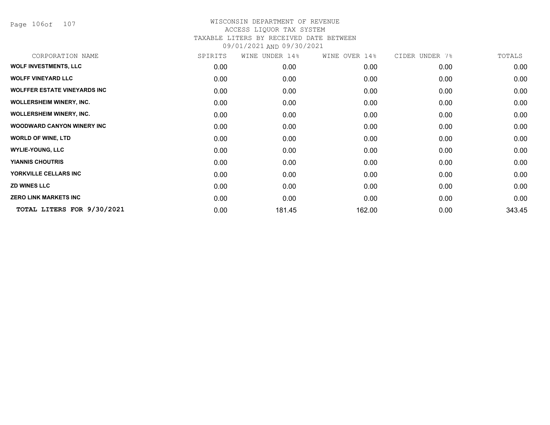Page 106of 107

| CORPORATION NAME                    | SPIRITS | WINE<br>UNDER 14% | WINE OVER 14% | CIDER UNDER 7% | TOTALS |
|-------------------------------------|---------|-------------------|---------------|----------------|--------|
| <b>WOLF INVESTMENTS, LLC</b>        | 0.00    | 0.00              | 0.00          | 0.00           | 0.00   |
| <b>WOLFF VINEYARD LLC</b>           | 0.00    | 0.00              | 0.00          | 0.00           | 0.00   |
| <b>WOLFFER ESTATE VINEYARDS INC</b> | 0.00    | 0.00              | 0.00          | 0.00           | 0.00   |
| <b>WOLLERSHEIM WINERY, INC.</b>     | 0.00    | 0.00              | 0.00          | 0.00           | 0.00   |
| <b>WOLLERSHEIM WINERY, INC.</b>     | 0.00    | 0.00              | 0.00          | 0.00           | 0.00   |
| <b>WOODWARD CANYON WINERY INC</b>   | 0.00    | 0.00              | 0.00          | 0.00           | 0.00   |
| <b>WORLD OF WINE, LTD</b>           | 0.00    | 0.00              | 0.00          | 0.00           | 0.00   |
| <b>WYLIE-YOUNG, LLC</b>             | 0.00    | 0.00              | 0.00          | 0.00           | 0.00   |
| <b>YIANNIS CHOUTRIS</b>             | 0.00    | 0.00              | 0.00          | 0.00           | 0.00   |
| YORKVILLE CELLARS INC               | 0.00    | 0.00              | 0.00          | 0.00           | 0.00   |
| <b>ZD WINES LLC</b>                 | 0.00    | 0.00              | 0.00          | 0.00           | 0.00   |
| <b>ZERO LINK MARKETS INC</b>        | 0.00    | 0.00              | 0.00          | 0.00           | 0.00   |
| TOTAL LITERS FOR 9/30/2021          | 0.00    | 181.45            | 162.00        | 0.00           | 343.45 |